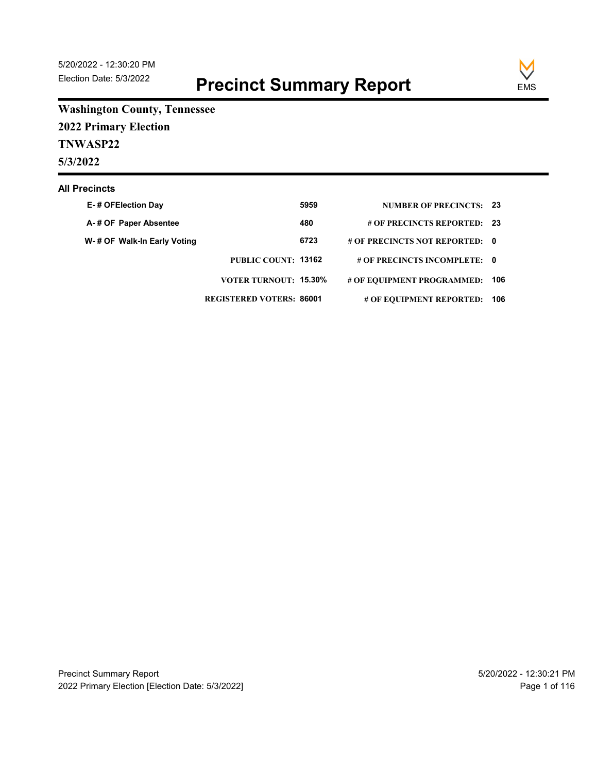

**Washington County, Tennessee 2022 Primary Election**

**TNWASP22**

**5/3/2022**

#### **All Precincts**

| E-# OFElection Day          |                                 | 5959 | <b>NUMBER OF PRECINCTS: 23</b> |  |
|-----------------------------|---------------------------------|------|--------------------------------|--|
| A-# OF Paper Absentee       |                                 | 480  | # OF PRECINCTS REPORTED: 23    |  |
| W-# OF Walk-In Early Voting |                                 | 6723 | # OF PRECINCTS NOT REPORTED: 0 |  |
|                             | PUBLIC COUNT: 13162             |      | # OF PRECINCTS INCOMPLETE: 0   |  |
|                             | <b>VOTER TURNOUT: 15.30%</b>    |      | # OF EQUIPMENT PROGRAMMED: 106 |  |
|                             | <b>REGISTERED VOTERS: 86001</b> |      | # OF EQUIPMENT REPORTED: 106   |  |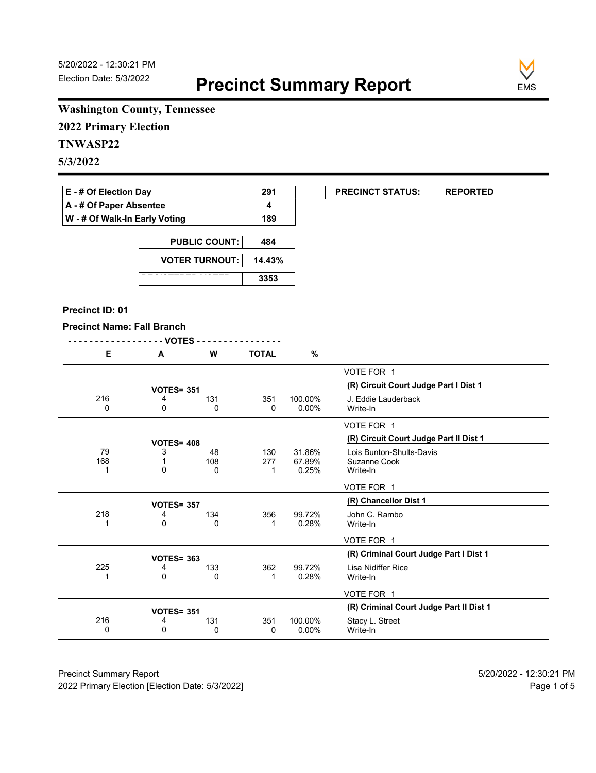**EXECUNCT STATUS:** REPORTED



# **Washington County, Tennessee**

**2022 Primary Election**

# **TNWASP22**

**5/3/2022**

| $E - #$ Of Election Day       | 291 |
|-------------------------------|-----|
| A - # Of Paper Absentee       |     |
| W - # Of Walk-In Early Voting | 189 |

| <b>PUBLIC COUNT:</b>  | 484    |
|-----------------------|--------|
| <b>VOTER TURNOUT:</b> | 14.43% |
|                       | 3353   |

#### **Precinct ID: 01**

#### **Precinct Name: Fall Branch**

|--|--|

| Е   | A | W                 | <b>TOTAL</b> | $\%$     |                                         |
|-----|---|-------------------|--------------|----------|-----------------------------------------|
|     |   |                   |              |          | VOTE FOR 1                              |
|     |   | <b>VOTES= 351</b> |              |          | (R) Circuit Court Judge Part I Dist 1   |
| 216 | 4 | 131               | 351          | 100.00%  | J. Eddie Lauderback                     |
| 0   | 0 | 0                 | 0            | $0.00\%$ | Write-In                                |
|     |   |                   |              |          |                                         |
|     |   |                   |              |          | VOTE FOR 1                              |
|     |   | <b>VOTES= 408</b> |              |          | (R) Circuit Court Judge Part II Dist 1  |
| 79  | 3 | 48                | 130          | 31.86%   | Lois Bunton-Shults-Davis                |
| 168 |   | 108               | 277          | 67.89%   | Suzanne Cook                            |
|     | 0 | 0                 | 1            | 0.25%    | Write-In                                |
|     |   |                   |              |          |                                         |
|     |   |                   |              |          | VOTE FOR 1                              |
|     |   | <b>VOTES= 357</b> |              |          | (R) Chancellor Dist 1                   |
| 218 | 4 | 134               | 356          | 99.72%   | John C. Rambo                           |
|     | 0 | 0                 |              | 0.28%    | Write-In                                |
|     |   |                   |              |          |                                         |
|     |   |                   |              |          | VOTE FOR 1                              |
|     |   | <b>VOTES= 363</b> |              |          | (R) Criminal Court Judge Part I Dist 1  |
| 225 | 4 | 133               | 362          | 99.72%   | Lisa Nidiffer Rice                      |
|     | 0 | 0                 |              | 0.28%    | Write-In                                |
|     |   |                   |              |          |                                         |
|     |   |                   |              |          | VOTE FOR 1                              |
|     |   | <b>VOTES= 351</b> |              |          | (R) Criminal Court Judge Part II Dist 1 |
| 216 | 4 | 131               | 351          | 100.00%  | Stacy L. Street                         |
| 0   | 0 | 0                 | 0            | 0.00%    | Write-In                                |
|     |   |                   |              |          |                                         |

Precinct Summary Report 60 and 5/20/2022 - 12:30:21 PM 2022 Primary Election [Election Date: 5/3/2022] **Page 1 of 5** and 2022 Primary Election Date: 5/3/2022]

 $\overline{\phantom{0}}$ 

 $\overline{\phantom{0}}$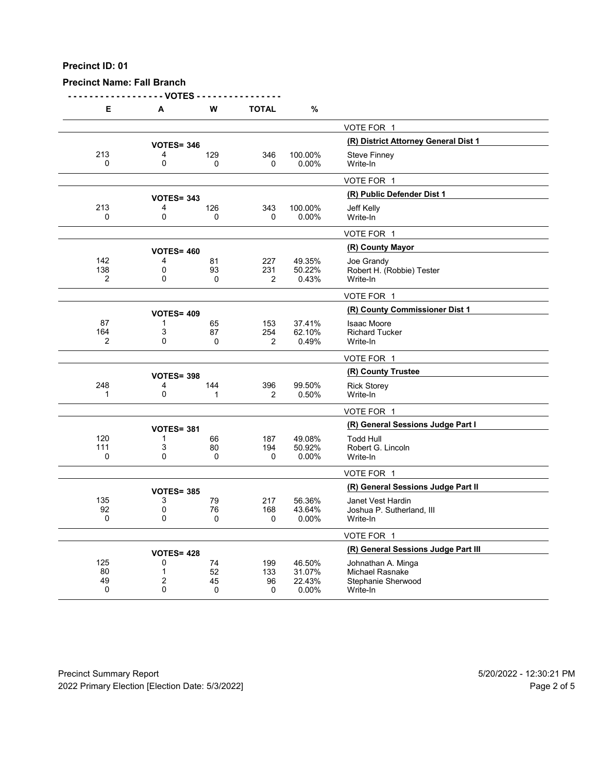## **Precinct Name: Fall Branch**

**- - - - - - - - - - - - - - - - - - VOTES - - - - - - - - - - - - - - - -**

| Е              | A                 | W        | <b>TOTAL</b>   | %                |                                       |
|----------------|-------------------|----------|----------------|------------------|---------------------------------------|
|                |                   |          |                |                  | VOTE FOR 1                            |
|                | <b>VOTES= 346</b> |          |                |                  | (R) District Attorney General Dist 1  |
| 213            | 4                 | 129      | 346            | 100.00%          | <b>Steve Finney</b>                   |
| 0              | 0                 | 0        | 0              | 0.00%            | Write-In                              |
|                |                   |          |                |                  | VOTE FOR 1                            |
|                | <b>VOTES= 343</b> |          |                |                  | (R) Public Defender Dist 1            |
| 213            | 4                 | 126      | 343            | 100.00%          | Jeff Kelly                            |
| 0              | $\mathbf 0$       | $\Omega$ | 0              | 0.00%            | Write-In                              |
|                |                   |          |                |                  | VOTE FOR 1                            |
|                | <b>VOTES= 460</b> |          |                |                  | (R) County Mayor                      |
| 142            | 4                 | 81       | 227            | 49.35%           | Joe Grandy                            |
| 138            | 0                 | 93       | 231            | 50.22%           | Robert H. (Robbie) Tester             |
| $\overline{2}$ | 0                 | 0        | $\overline{2}$ | 0.43%            | Write-In                              |
|                |                   |          |                |                  | VOTE FOR 1                            |
|                | <b>VOTES= 409</b> |          |                |                  | (R) County Commissioner Dist 1        |
| 87             | 1                 | 65       | 153            | 37.41%           | <b>Isaac Moore</b>                    |
| 164            | 3                 | 87       | 254            | 62.10%           | <b>Richard Tucker</b>                 |
| $\overline{2}$ | $\mathbf{0}$      | 0        | $\overline{2}$ | 0.49%            | Write-In                              |
|                |                   |          |                |                  | VOTE FOR 1                            |
|                | <b>VOTES= 398</b> |          |                |                  | (R) County Trustee                    |
| 248            | 4                 | 144      | 396            | 99.50%           | <b>Rick Storey</b>                    |
| 1              | 0                 | 1        | 2              | 0.50%            | Write-In                              |
|                |                   |          |                |                  | VOTE FOR 1                            |
|                | <b>VOTES= 381</b> |          |                |                  | (R) General Sessions Judge Part I     |
| 120            | 1                 | 66       | 187            | 49.08%           | <b>Todd Hull</b>                      |
| 111            | 3                 | 80       | 194            | 50.92%           | Robert G. Lincoln                     |
| 0              | 0                 | 0        | 0              | 0.00%            | Write-In                              |
|                |                   |          |                |                  | VOTE FOR 1                            |
|                | <b>VOTES= 385</b> |          |                |                  | (R) General Sessions Judge Part II    |
| 135            | 3                 | 79       | 217            | 56.36%           | Janet Vest Hardin                     |
| 92<br>0        | 0<br>0            | 76       | 168            | 43.64%           | Joshua P. Sutherland, III             |
|                |                   | 0        | 0              | 0.00%            | Write-In                              |
|                |                   |          |                |                  | VOTE FOR 1                            |
|                | <b>VOTES= 428</b> |          |                |                  | (R) General Sessions Judge Part III   |
| 125            | 0                 | 74       | 199            | 46.50%           | Johnathan A. Minga                    |
| 80<br>49       | $\mathbf{1}$<br>2 | 52<br>45 | 133<br>96      | 31.07%<br>22.43% | Michael Rasnake<br>Stephanie Sherwood |
| 0              | 0                 | 0        | 0              | 0.00%            | Write-In                              |
|                |                   |          |                |                  |                                       |

Precinct Summary Report 60 and 5/20/2022 - 12:30:21 PM 2022 Primary Election [Election Date: 5/3/2022] **Page 2 of 5** and 2012 Primary Election Date: 5/3/2022]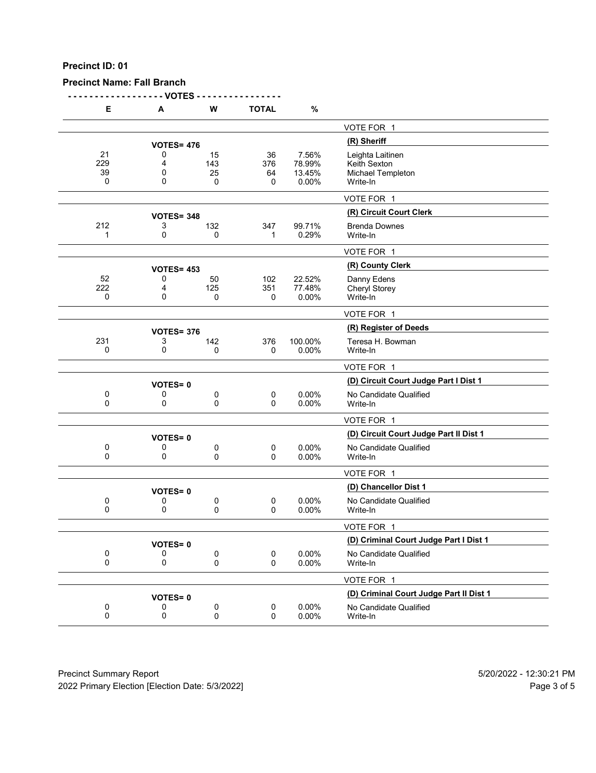**Precinct Name: Fall Branch**

**- - - - - - - - - - - - - - - - - - VOTES - - - - - - - - - - - - - - - -**

| Е                             | A                 | W                    | <b>TOTAL</b>             | %                                  |                                                                   |
|-------------------------------|-------------------|----------------------|--------------------------|------------------------------------|-------------------------------------------------------------------|
|                               |                   |                      |                          |                                    | VOTE FOR 1                                                        |
|                               | <b>VOTES= 476</b> |                      |                          |                                    | (R) Sheriff                                                       |
| 21<br>229<br>39<br>0          | 0<br>4<br>0<br>0  | 15<br>143<br>25<br>0 | 36<br>376<br>64<br>0     | 7.56%<br>78.99%<br>13.45%<br>0.00% | Leighta Laitinen<br>Keith Sexton<br>Michael Templeton<br>Write-In |
|                               |                   |                      |                          |                                    | VOTE FOR 1                                                        |
|                               | <b>VOTES= 348</b> |                      |                          |                                    | (R) Circuit Court Clerk                                           |
| 212<br>1                      | 3<br>0            | 132<br>0             | 347<br>1                 | 99.71%<br>0.29%                    | <b>Brenda Downes</b><br>Write-In                                  |
|                               |                   |                      |                          |                                    | VOTE FOR 1                                                        |
|                               | <b>VOTES= 453</b> |                      |                          |                                    | (R) County Clerk                                                  |
| 52<br>222<br>0                | 0<br>4<br>0       | 50<br>125<br>0       | 102<br>351<br>0          | 22.52%<br>77.48%<br>0.00%          | Danny Edens<br><b>Cheryl Storey</b><br>Write-In                   |
|                               |                   |                      |                          |                                    | VOTE FOR 1                                                        |
|                               | <b>VOTES= 376</b> |                      |                          |                                    | (R) Register of Deeds                                             |
| 231<br>0                      | 3<br>0            | 142<br>0             | 376<br>0                 | 100.00%<br>0.00%                   | Teresa H. Bowman<br>Write-In                                      |
|                               |                   |                      |                          |                                    | VOTE FOR 1                                                        |
|                               | <b>VOTES=0</b>    |                      |                          |                                    | (D) Circuit Court Judge Part I Dist 1                             |
| 0<br>0                        | 0<br>0            | 0<br>0               | $\pmb{0}$<br>0           | 0.00%<br>0.00%                     | No Candidate Qualified<br>Write-In                                |
|                               |                   |                      |                          |                                    | VOTE FOR 1                                                        |
|                               | <b>VOTES=0</b>    |                      |                          |                                    | (D) Circuit Court Judge Part II Dist 1                            |
| 0<br>0                        | 0<br>0            | 0<br>0               | $\pmb{0}$<br>0           | 0.00%<br>0.00%                     | No Candidate Qualified<br>Write-In                                |
|                               |                   |                      |                          |                                    | VOTE FOR 1                                                        |
|                               | <b>VOTES=0</b>    |                      |                          |                                    | (D) Chancellor Dist 1                                             |
| 0<br>0                        | 0<br>0            | 0<br>0               | 0<br>0                   | $0.00\%$<br>0.00%                  | No Candidate Qualified<br>Write-In                                |
|                               |                   |                      |                          |                                    | VOTE FOR 1                                                        |
|                               | <b>VOTES=0</b>    |                      |                          |                                    | (D) Criminal Court Judge Part I Dist 1                            |
| 0<br>$\mathbf 0$              | 0<br>0            | 0<br>0               | 0<br>$\Omega$            | 0.00%<br>0.00%                     | No Candidate Qualified<br>Write-In                                |
|                               |                   |                      |                          |                                    | VOTE FOR 1                                                        |
|                               | <b>VOTES=0</b>    |                      |                          |                                    | (D) Criminal Court Judge Part II Dist 1                           |
| $\boldsymbol{0}$<br>$\pmb{0}$ | 0<br>0            | 0<br>0               | $\pmb{0}$<br>$\mathbf 0$ | 0.00%<br>0.00%                     | No Candidate Qualified<br>Write-In                                |
|                               |                   |                      |                          |                                    |                                                                   |

Precinct Summary Report 60 and 5/20/2022 - 12:30:21 PM 2022 Primary Election [Election Date: 5/3/2022] 2022 Primary Election 5 and 5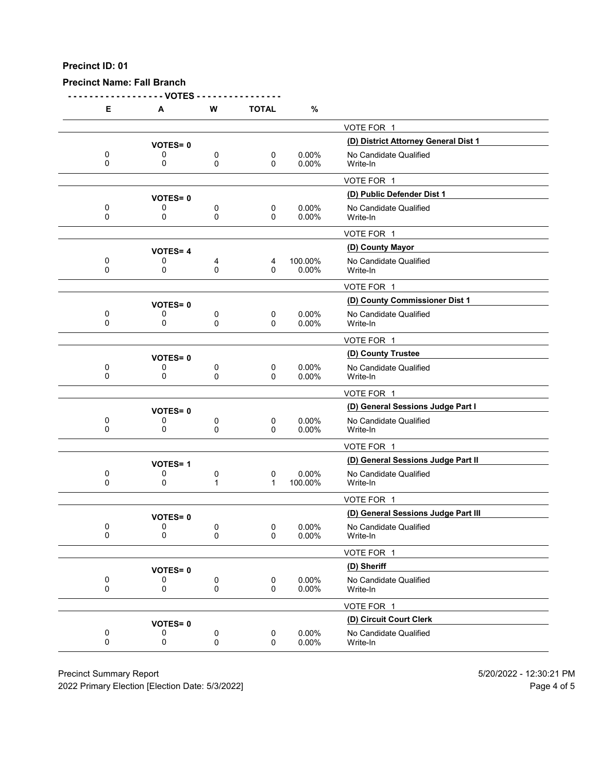## **Precinct Name: Fall Branch**

**- - - - - - - - - - - - - - - - - - VOTES - - - - - - - - - - - - - - - -**

| Е             | А              | W                 | <b>TOTAL</b>     | %                 |                                      |
|---------------|----------------|-------------------|------------------|-------------------|--------------------------------------|
|               |                |                   |                  |                   | VOTE FOR 1                           |
|               | <b>VOTES=0</b> |                   |                  |                   | (D) District Attorney General Dist 1 |
| 0<br>0        | 0<br>0         | 0<br>0            | 0<br>0           | 0.00%<br>0.00%    | No Candidate Qualified<br>Write-In   |
|               |                |                   |                  |                   | VOTE FOR 1                           |
|               | <b>VOTES=0</b> |                   |                  |                   | (D) Public Defender Dist 1           |
| 0<br>0        | 0<br>0         | 0<br>0            | 0<br>0           | 0.00%<br>0.00%    | No Candidate Qualified<br>Write-In   |
|               |                |                   |                  |                   | VOTE FOR 1                           |
|               | <b>VOTES=4</b> |                   |                  |                   | (D) County Mayor                     |
| 0<br>0        | 0<br>0         | 4<br>0            | 4<br>0           | 100.00%<br>0.00%  | No Candidate Qualified<br>Write-In   |
|               |                |                   |                  |                   | VOTE FOR 1                           |
|               | <b>VOTES=0</b> |                   |                  |                   | (D) County Commissioner Dist 1       |
| 0<br>$\Omega$ | 0<br>0         | 0<br>0            | 0<br>$\Omega$    | 0.00%<br>0.00%    | No Candidate Qualified<br>Write-In   |
|               |                |                   |                  |                   | VOTE FOR 1                           |
|               | <b>VOTES=0</b> |                   |                  |                   | (D) County Trustee                   |
| 0<br>0        | 0<br>0         | 0<br>0            | 0<br>0           | 0.00%<br>0.00%    | No Candidate Qualified<br>Write-In   |
|               |                |                   |                  |                   | VOTE FOR 1                           |
|               | <b>VOTES=0</b> |                   |                  |                   | (D) General Sessions Judge Part I    |
| 0<br>$\Omega$ | 0<br>0         | 0<br>0            | 0<br>0           | $0.00\%$<br>0.00% | No Candidate Qualified<br>Write-In   |
|               |                |                   |                  |                   | VOTE FOR 1                           |
|               | <b>VOTES=1</b> |                   |                  |                   | (D) General Sessions Judge Part II   |
| 0<br>$\Omega$ | 0<br>0         | 0<br>$\mathbf{1}$ | 0<br>1           | 0.00%<br>100.00%  | No Candidate Qualified<br>Write-In   |
|               |                |                   |                  |                   | VOTE FOR 1                           |
|               | <b>VOTES=0</b> |                   |                  |                   | (D) General Sessions Judge Part III  |
| 0<br>0        | 0<br>0         | 0<br>0            | 0<br>0           | 0.00%<br>0.00%    | No Candidate Qualified<br>Write-In   |
|               |                |                   |                  |                   | VOTE FOR 1                           |
|               | <b>VOTES=0</b> |                   |                  |                   | (D) Sheriff                          |
| 0<br>0        | 0<br>0         | 0<br>0            | $\mathbf 0$<br>0 | 0.00%<br>0.00%    | No Candidate Qualified<br>Write-In   |
|               |                |                   |                  |                   | VOTE FOR 1                           |
|               | <b>VOTES=0</b> |                   |                  |                   | (D) Circuit Court Clerk              |
| 0<br>0        | 0<br>0         | 0<br>0            | $\mathbf 0$<br>0 | 0.00%<br>0.00%    | No Candidate Qualified<br>Write-In   |
|               |                |                   |                  |                   |                                      |

Precinct Summary Report 60 and 5/20/2022 - 12:30:21 PM

2022 Primary Election [Election Date: 5/3/2022] 2022 Primary Election 10 and 5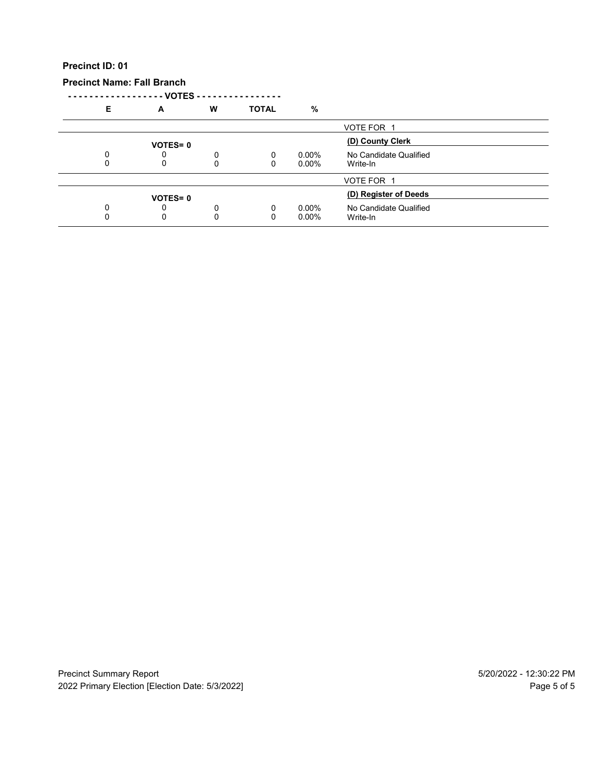**Precinct Name: Fall Branch**

**- - - - - - - - - - - - - - - - - - VOTES - - - - - - - - - - - - - - - -**

| E | А              | W | <b>TOTAL</b> | %        |                        |  |
|---|----------------|---|--------------|----------|------------------------|--|
|   |                |   |              |          | VOTE FOR 1             |  |
|   | <b>VOTES=0</b> |   |              |          | (D) County Clerk       |  |
|   | U              | 0 | 0            | $0.00\%$ | No Candidate Qualified |  |
|   | 0              | 0 | 0            | $0.00\%$ | Write-In               |  |
|   |                |   |              |          | VOTE FOR 1             |  |
|   | <b>VOTES=0</b> |   |              |          | (D) Register of Deeds  |  |
|   | 0              | 0 | 0            | $0.00\%$ | No Candidate Qualified |  |
|   | 0              | 0 | 0            | $0.00\%$ | Write-In               |  |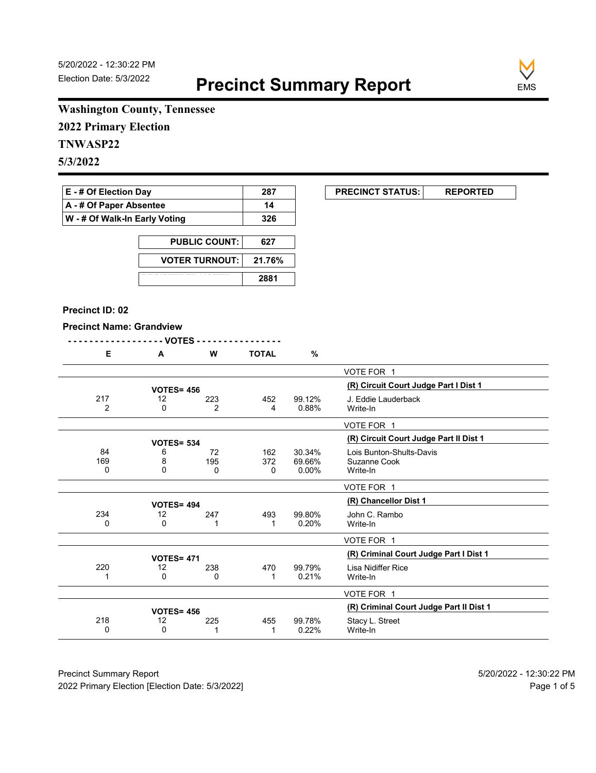**EXECUNCT STATUS:** REPORTED



# **Washington County, Tennessee**

**2022 Primary Election**

# **TNWASP22**

**5/3/2022**

| <b>E</b> - # Of Election Day       | 287 |
|------------------------------------|-----|
| $\mathsf{A}$ - # Of Paper Absentee | 14  |
| W - # Of Walk-In Early Voting      | 326 |

| <b>PUBLIC COUNT:</b>  | 627    |
|-----------------------|--------|
| <b>VOTER TURNOUT:</b> | 21.76% |
|                       | 2881   |

#### **Precinct ID: 02**

#### **Precinct Name: Grandview**

|--|--|

|                                         |                           |          | - VOTES -    |                |                   |                |  |  |
|-----------------------------------------|---------------------------|----------|--------------|----------------|-------------------|----------------|--|--|
|                                         |                           | $\%$     | <b>TOTAL</b> | W              | A                 | Е              |  |  |
|                                         | VOTE FOR 1                |          |              |                |                   |                |  |  |
| (R) Circuit Court Judge Part I Dist 1   |                           |          |              |                | <b>VOTES= 456</b> |                |  |  |
|                                         | J. Eddie Lauderback       | 99.12%   | 452          | 223            | 12                | 217            |  |  |
|                                         | Write-In                  | 0.88%    | 4            | $\overline{2}$ | 0                 | $\overline{2}$ |  |  |
|                                         | VOTE FOR 1                |          |              |                |                   |                |  |  |
| (R) Circuit Court Judge Part II Dist 1  |                           |          |              |                | <b>VOTES= 534</b> |                |  |  |
|                                         | Lois Bunton-Shults-Davis  | 30.34%   | 162          | 72             | 6                 | 84             |  |  |
|                                         | Suzanne Cook              | 69.66%   | 372          | 195            | 8                 | 169            |  |  |
|                                         | Write-In                  | $0.00\%$ | 0            | $\Omega$       | $\Omega$          | $\Omega$       |  |  |
|                                         | VOTE FOR 1                |          |              |                |                   |                |  |  |
|                                         | (R) Chancellor Dist 1     |          |              |                | <b>VOTES= 494</b> |                |  |  |
|                                         | John C. Rambo             | 99.80%   | 493          | 247            | 12                | 234            |  |  |
|                                         | Write-In                  | 0.20%    | 1            | 1              | 0                 | $\Omega$       |  |  |
|                                         | VOTE FOR 1                |          |              |                |                   |                |  |  |
| (R) Criminal Court Judge Part I Dist 1  |                           |          |              |                | <b>VOTES= 471</b> |                |  |  |
|                                         | <b>Lisa Nidiffer Rice</b> | 99.79%   | 470          | 238            | 12                | 220            |  |  |
|                                         | Write-In                  | 0.21%    | 1            | 0              | 0                 | 1              |  |  |
|                                         | VOTE FOR 1                |          |              |                |                   |                |  |  |
| (R) Criminal Court Judge Part II Dist 1 |                           |          |              |                | <b>VOTES= 456</b> |                |  |  |
|                                         | Stacy L. Street           | 99.78%   | 455          | 225            | 12                | 218            |  |  |
|                                         | Write-In                  | 0.22%    |              |                | 0                 | 0              |  |  |

Precinct Summary Report 60 and 5/20/2022 - 12:30:22 PM 2022 Primary Election [Election Date: 5/3/2022] **Page 1 of 5** and 2022 Primary Election Date: 5/3/2022]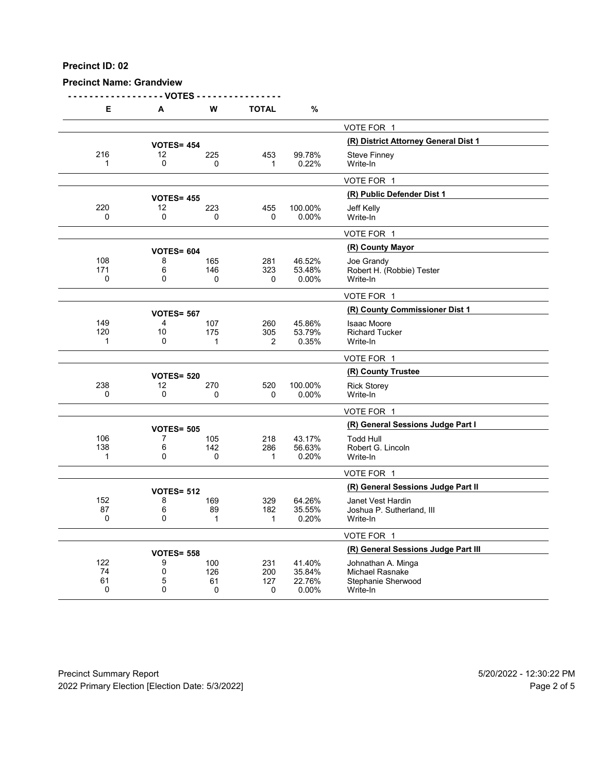## **Precinct Name: Grandview**

**- - - - - - - - - - - - - - - - - - VOTES - - - - - - - - - - - - - - - -**

| Е                  | A                      | W        | <b>TOTAL</b>   | %                |                                       |
|--------------------|------------------------|----------|----------------|------------------|---------------------------------------|
|                    |                        |          |                |                  | VOTE FOR 1                            |
|                    | <b>VOTES= 454</b>      |          |                |                  | (R) District Attorney General Dist 1  |
| 216                | 12                     | 225      | 453            | 99.78%           | <b>Steve Finney</b>                   |
| 1                  | 0                      | 0        | 1              | 0.22%            | Write-In                              |
|                    |                        |          |                |                  | VOTE FOR 1                            |
|                    | <b>VOTES= 455</b>      |          |                |                  | (R) Public Defender Dist 1            |
| 220                | 12                     | 223      | 455            | 100.00%          | Jeff Kelly                            |
| $\Omega$           | 0                      | $\Omega$ | 0              | 0.00%            | Write-In                              |
|                    |                        |          |                |                  | VOTE FOR 1                            |
|                    | <b>VOTES= 604</b>      |          |                |                  | (R) County Mayor                      |
| 108                | 8                      | 165      | 281            | 46.52%           | Joe Grandy                            |
| 171<br>$\mathbf 0$ | 6<br>$\mathbf{0}$      | 146<br>0 | 323<br>0       | 53.48%<br>0.00%  | Robert H. (Robbie) Tester<br>Write-In |
|                    |                        |          |                |                  | VOTE FOR 1                            |
|                    |                        |          |                |                  | (R) County Commissioner Dist 1        |
| 149                | <b>VOTES= 567</b><br>4 | 107      | 260            | 45.86%           | <b>Isaac Moore</b>                    |
| 120                | 10                     | 175      | 305            | 53.79%           | <b>Richard Tucker</b>                 |
| 1                  | 0                      | 1        | $\overline{2}$ | 0.35%            | Write-In                              |
|                    |                        |          |                |                  | VOTE FOR 1                            |
|                    | <b>VOTES= 520</b>      |          |                |                  | (R) County Trustee                    |
| 238                | 12                     | 270      | 520            | 100.00%          | <b>Rick Storey</b>                    |
| 0                  | $\mathbf 0$            | 0        | 0              | 0.00%            | Write-In                              |
|                    |                        |          |                |                  | VOTE FOR 1                            |
|                    | <b>VOTES= 505</b>      |          |                |                  | (R) General Sessions Judge Part I     |
| 106                | 7                      | 105      | 218            | 43.17%           | <b>Todd Hull</b>                      |
| 138                | 6                      | 142      | 286            | 56.63%           | Robert G. Lincoln                     |
| 1                  | 0                      | 0        | $\mathbf{1}$   | 0.20%            | Write-In                              |
|                    |                        |          |                |                  | VOTE FOR 1                            |
|                    | <b>VOTES= 512</b>      |          |                |                  | (R) General Sessions Judge Part II    |
| 152                | 8                      | 169      | 329            | 64.26%           | Janet Vest Hardin                     |
| 87                 | 6                      | 89       | 182            | 35.55%           | Joshua P. Sutherland, III             |
| 0                  | $\mathbf{0}$           | 1        | 1              | 0.20%            | Write-In                              |
|                    |                        |          |                |                  | VOTE FOR 1                            |
|                    | <b>VOTES= 558</b>      |          |                |                  | (R) General Sessions Judge Part III   |
| 122                | 9                      | 100      | 231            | 41.40%           | Johnathan A. Minga                    |
| 74<br>61           | 0<br>5                 | 126      | 200            | 35.84%<br>22.76% | <b>Michael Rasnake</b>                |
| 0                  | $\mathbf{0}$           | 61<br>0  | 127<br>0       | 0.00%            | Stephanie Sherwood<br>Write-In        |
|                    |                        |          |                |                  |                                       |

Precinct Summary Report 60 and 5/20/2022 - 12:30:22 PM 2022 Primary Election [Election Date: 5/3/2022] 2022 Primary Election 10 and 5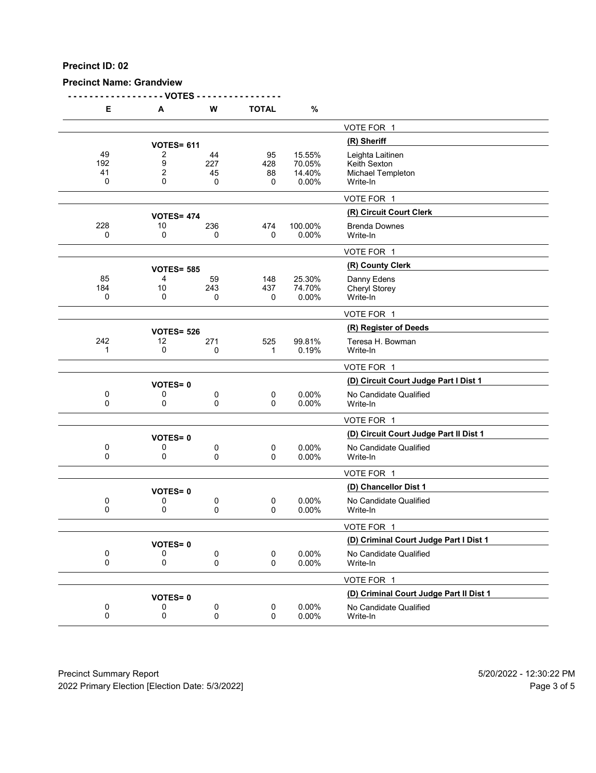## **Precinct Name: Grandview**

**- - - - - - - - - - - - - - - - - - VOTES - - - - - - - - - - - - - - - -**

| Е                    | A                 | W                    | <b>TOTAL</b>         | $\%$                                |                                                                   |
|----------------------|-------------------|----------------------|----------------------|-------------------------------------|-------------------------------------------------------------------|
|                      |                   |                      |                      |                                     | VOTE FOR 1                                                        |
|                      | <b>VOTES= 611</b> |                      |                      |                                     | (R) Sheriff                                                       |
| 49<br>192<br>41<br>0 | 2<br>9<br>2<br>0  | 44<br>227<br>45<br>0 | 95<br>428<br>88<br>0 | 15.55%<br>70.05%<br>14.40%<br>0.00% | Leighta Laitinen<br>Keith Sexton<br>Michael Templeton<br>Write-In |
|                      |                   |                      |                      |                                     | VOTE FOR 1                                                        |
|                      | <b>VOTES= 474</b> |                      |                      |                                     | (R) Circuit Court Clerk                                           |
| 228<br>0             | 10<br>0           | 236<br>0             | 474<br>0             | 100.00%<br>0.00%                    | <b>Brenda Downes</b><br>Write-In                                  |
|                      |                   |                      |                      |                                     | VOTE FOR 1                                                        |
|                      | <b>VOTES= 585</b> |                      |                      |                                     | (R) County Clerk                                                  |
| 85<br>184<br>0       | 4<br>10<br>0      | 59<br>243<br>0       | 148<br>437<br>0      | 25.30%<br>74.70%<br>0.00%           | Danny Edens<br>Cheryl Storey<br>Write-In                          |
|                      |                   |                      |                      |                                     | VOTE FOR 1                                                        |
|                      | <b>VOTES= 526</b> |                      |                      |                                     | (R) Register of Deeds                                             |
| 242<br>1             | 12<br>0           | 271<br>0             | 525<br>$\mathbf 1$   | 99.81%<br>0.19%                     | Teresa H. Bowman<br>Write-In                                      |
|                      |                   |                      |                      |                                     | VOTE FOR 1                                                        |
|                      | <b>VOTES=0</b>    |                      |                      |                                     | (D) Circuit Court Judge Part I Dist 1                             |
| 0<br>0               | 0<br>0            | 0<br>0               | 0<br>0               | 0.00%<br>0.00%                      | No Candidate Qualified<br>Write-In                                |
|                      |                   |                      |                      |                                     | VOTE FOR 1                                                        |
|                      | <b>VOTES=0</b>    |                      |                      |                                     | (D) Circuit Court Judge Part II Dist 1                            |
| 0<br>0               | 0<br>0            | 0<br>0               | $\pmb{0}$<br>0       | 0.00%<br>0.00%                      | No Candidate Qualified<br>Write-In                                |
|                      |                   |                      |                      |                                     | VOTE FOR 1                                                        |
|                      | <b>VOTES=0</b>    |                      |                      |                                     | (D) Chancellor Dist 1                                             |
| 0<br>0               | 0<br>0            | 0<br>0               | 0<br>0               | $0.00\%$<br>0.00%                   | No Candidate Qualified<br>Write-In                                |
|                      |                   |                      |                      |                                     | VOTE FOR 1                                                        |
|                      | VOTES= 0          |                      |                      |                                     | (D) Criminal Court Judge Part I Dist 1                            |
| 0<br>0               | 0<br>0            | 0<br>0               | $\pmb{0}$<br>0       | 0.00%<br>0.00%                      | No Candidate Qualified<br>Write-In                                |
|                      |                   |                      |                      |                                     | VOTE FOR 1                                                        |
|                      | <b>VOTES=0</b>    |                      |                      |                                     | (D) Criminal Court Judge Part II Dist 1                           |
| 0<br>0               | 0<br>0            | 0<br>0               | $\pmb{0}$<br>0       | 0.00%<br>0.00%                      | No Candidate Qualified<br>Write-In                                |
|                      |                   |                      |                      |                                     |                                                                   |

Precinct Summary Report 60 and 5/20/2022 - 12:30:22 PM 2022 Primary Election [Election Date: 5/3/2022] 2022 Primary Election 5 and 5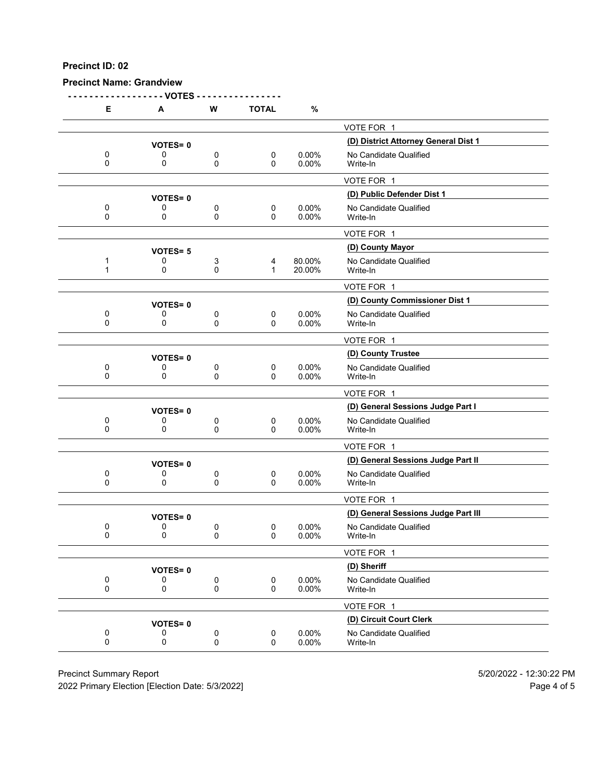**Precinct Name: Grandview**

**- - - - - - - - - - - - - - - - - - VOTES - - - - - - - - - - - - - - - - E A W TOTAL %** VOTE FOR 1 **(D) District Attorney General Dist 1 VOTES= <sup>0</sup>** 0 0 0 0 0 0.00% No Candidate Qualified<br>0 0 0 0 0.00% Write-In 0 0 0 0 0.00% Write-In VOTE FOR 1 **(D) Public Defender Dist 1 VOTES= <sup>0</sup>** 0 0 0 0 0 0.00% No Candidate Qualified<br>0 0 0 0 0.00% Write-In 0 0 0 0 0.00% Write-In VOTE FOR 1 **(D) County Mayor VOTES= <sup>5</sup>** 1 0 3 4 80.00% No Candidate Qualified<br>1 0 0 1 20.00% Write-In 1 0 0 1 20.00% Write-In VOTE FOR 1 **(D) County Commissioner Dist 1 VOTES= <sup>0</sup>** 0 0 0 0 0 0.00% No Candidate Qualified<br>0 0 0 0 0.00% Write-In 0 0 0 0 0.00% Write-In VOTE FOR 1 **(D) County Trustee VOTES= <sup>0</sup>** 0 0 0 0 0 0.00% No Candidate Qualified<br>0 0 0 0 0.00% Write-In 0 0 0 0 0.00% Write-In VOTE FOR 1 **(D) General Sessions Judge Part I VOTES= <sup>0</sup>** 0 0 0 0 0 0.00% No Candidate Qualified<br>0 0 0 0 0.00% Write-In 0 0 0 0 0.00% Write-In VOTE FOR 1 **(D) General Sessions Judge Part II VOTES= <sup>0</sup>** 0 0 0 0 0 0.00% No Candidate Qualified<br>0 0 0 0 0.00% Write-In 0 0 0 0 0.00% Write-In VOTE FOR 1 **VOTES= 0**<br>0 0 0 0 0 0 0.00% No Candidate Qualified<br>0 0 0 0.00% No Candidate Qualified 0 0 0 0 0 0.00% No Candidate Qualified<br>0 0 0 0 0.00% Write-In 0 0 0 0 0.00% Write-In VOTE FOR 1 **(D) Sheriff VOTES= <sup>0</sup>** 0 0 0 0 0.00% No Candidate Qualified<br>0 0 0 0 0.00% Write-In 0 0 0 0 0.00% Write-In VOTE FOR 1 **(D) Circuit Court Clerk VOTES= <sup>0</sup>** 0 0 0 0 0 0.00% No Candidate Qualified<br>0 0 0 0 0.00% Write-In 0 0 0 0 0.00% Write-In

Precinct Summary Report 5/20/2022 - 12:30:22 PM

2022 Primary Election [Election Date: 5/3/2022] Page 4 of 5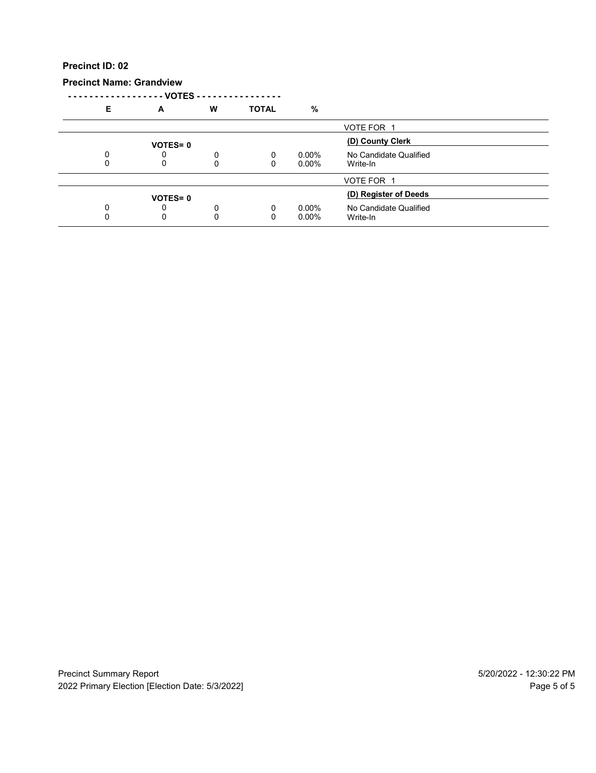**Precinct Name: Grandview**

|   | VOTES - -      |        |              |                      |                                    |  |
|---|----------------|--------|--------------|----------------------|------------------------------------|--|
| Е | A              | W      | <b>TOTAL</b> | %                    |                                    |  |
|   |                |        |              |                      | VOTE FOR 1                         |  |
|   | <b>VOTES=0</b> |        |              |                      | (D) County Clerk                   |  |
| 0 | 0<br>0         | 0<br>0 | 0<br>0       | $0.00\%$<br>$0.00\%$ | No Candidate Qualified<br>Write-In |  |
|   |                |        |              |                      |                                    |  |
|   |                |        |              |                      | VOTE FOR 1                         |  |
|   | <b>VOTES=0</b> |        |              |                      | (D) Register of Deeds              |  |
| 0 | 0              | 0      | 0            | $0.00\%$             | No Candidate Qualified             |  |
|   | 0              | 0      | 0            | $0.00\%$             | Write-In                           |  |
|   |                |        |              |                      |                                    |  |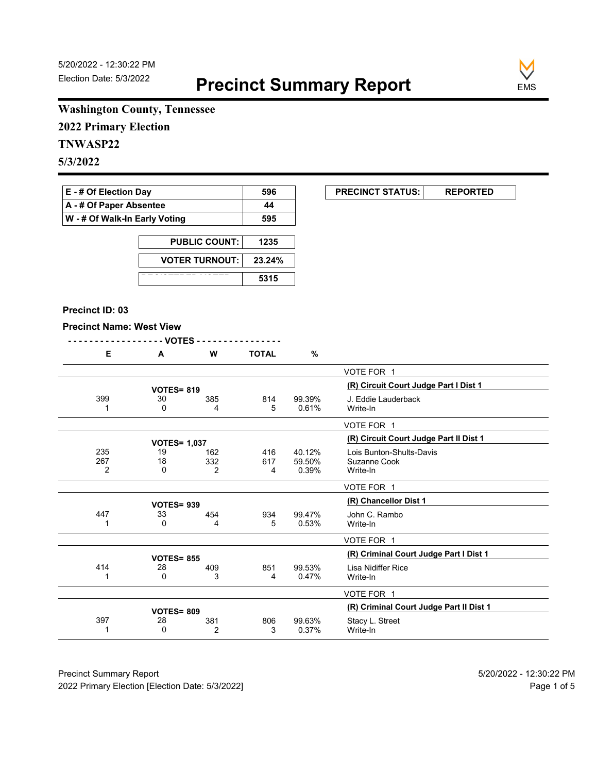**EXECUNCT STATUS:** REPORTED



# **Washington County, Tennessee**

**2022 Primary Election**

# **TNWASP22**

**5/3/2022**

| $E - #$ Of Election Day       | 596 |
|-------------------------------|-----|
| A - # Of Paper Absentee       | 44  |
| W - # Of Walk-In Early Voting | 595 |

| <b>PUBLIC COUNT:</b>  | 1235   |
|-----------------------|--------|
| <b>VOTER TURNOUT:</b> | 23.24% |
|                       | 5315   |

#### **Precinct ID: 03**

#### **Precinct Name: West View**

|--|--|

|  | <b>W</b> | <b>TOTAL</b> | $\mathbf{a}$<br>7٥ |
|--|----------|--------------|--------------------|
|  |          |              |                    |

|                |                     |          |          |                 | VOTE FOR 1                              |
|----------------|---------------------|----------|----------|-----------------|-----------------------------------------|
|                | <b>VOTES=819</b>    |          |          |                 | (R) Circuit Court Judge Part I Dist 1   |
| 399            | 30<br>0             | 385<br>4 | 814<br>5 | 99.39%<br>0.61% | J. Eddie Lauderback<br>Write-In         |
|                |                     |          |          |                 | VOTE FOR 1                              |
|                | <b>VOTES= 1,037</b> |          |          |                 | (R) Circuit Court Judge Part II Dist 1  |
| 235            | 19                  | 162      | 416      | 40.12%          | Lois Bunton-Shults-Davis                |
| 267            | 18                  | 332      | 617      | 59.50%          | Suzanne Cook                            |
| $\overline{2}$ | 0                   | 2        | 4        | 0.39%           | Write-In                                |
|                |                     |          |          |                 | VOTE FOR 1                              |
|                | <b>VOTES=939</b>    |          |          |                 | (R) Chancellor Dist 1                   |
| 447            | 33                  | 454      | 934      | 99.47%          | John C. Rambo                           |
|                | 0                   | 4        | 5        | 0.53%           | Write-In                                |
|                |                     |          |          |                 | VOTE FOR 1                              |
|                | <b>VOTES= 855</b>   |          |          |                 | (R) Criminal Court Judge Part I Dist 1  |
| 414            | 28                  | 409      | 851      | 99.53%          | Lisa Nidiffer Rice                      |
|                | 0                   | 3        | 4        | 0.47%           | Write-In                                |
|                |                     |          |          |                 | VOTE FOR 1                              |
|                | <b>VOTES= 809</b>   |          |          |                 | (R) Criminal Court Judge Part II Dist 1 |
| 397            | 28                  | 381      | 806      | 99.63%          | Stacy L. Street                         |
|                | 0                   | 2        | 3        | 0.37%           | Write-In                                |

Precinct Summary Report 60 and 5/20/2022 - 12:30:22 PM 2022 Primary Election [Election Date: 5/3/2022] **Page 1 of 5** and 2022 Primary Election Date: 5/3/2022]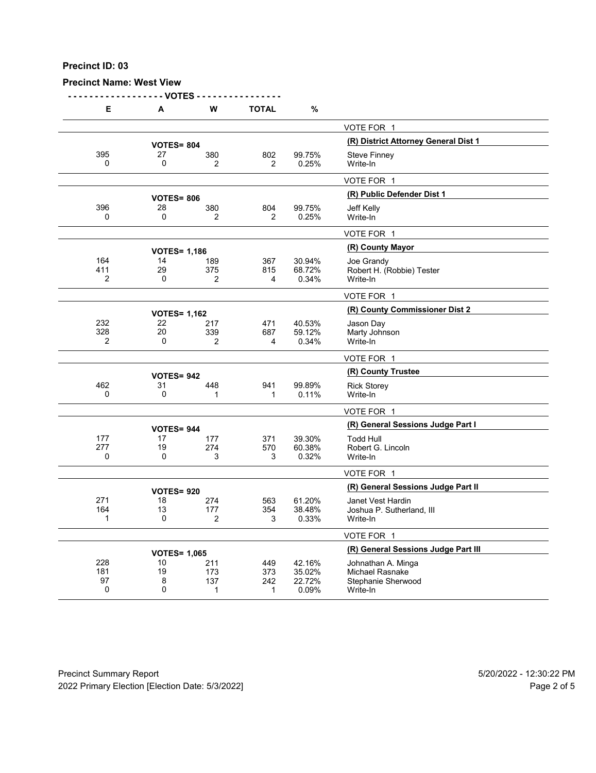## **Precinct Name: West View**

**- - - - - - - - - - - - - - - - - - VOTES - - - - - - - - - - - - - - - -**

| Е                     | A                   | W                     | <b>TOTAL</b>   | %                |                                       |
|-----------------------|---------------------|-----------------------|----------------|------------------|---------------------------------------|
|                       |                     |                       |                |                  | VOTE FOR 1                            |
|                       | <b>VOTES= 804</b>   |                       |                |                  | (R) District Attorney General Dist 1  |
| 395                   | 27                  | 380                   | 802            | 99.75%           | <b>Steve Finney</b>                   |
| 0                     | 0                   | $\overline{2}$        | $\overline{2}$ | 0.25%            | Write-In                              |
|                       |                     |                       |                |                  | VOTE FOR 1                            |
|                       | <b>VOTES= 806</b>   |                       |                |                  | (R) Public Defender Dist 1            |
| 396                   | 28                  | 380                   | 804            | 99.75%           | Jeff Kelly                            |
| 0                     | $\mathbf 0$         | 2                     | 2              | 0.25%            | Write-In                              |
|                       |                     |                       |                |                  | VOTE FOR 1                            |
|                       | <b>VOTES= 1,186</b> |                       |                |                  | (R) County Mayor                      |
| 164                   | 14                  | 189                   | 367            | 30.94%           | Joe Grandy                            |
| 411                   | 29                  | 375                   | 815            | 68.72%           | Robert H. (Robbie) Tester             |
| 2                     | 0                   | 2                     | 4              | 0.34%            | Write-In                              |
|                       |                     |                       |                |                  | VOTE FOR 1                            |
|                       | <b>VOTES= 1,162</b> |                       |                |                  | (R) County Commissioner Dist 2        |
| 232                   | 22                  | 217                   | 471            | 40.53%           | Jason Day                             |
| 328<br>$\overline{2}$ | 20<br>0             | 339<br>$\overline{2}$ | 687<br>4       | 59.12%<br>0.34%  | Marty Johnson<br>Write-In             |
|                       |                     |                       |                |                  |                                       |
|                       |                     |                       |                |                  | VOTE FOR 1                            |
|                       | <b>VOTES= 942</b>   |                       |                |                  | (R) County Trustee                    |
| 462                   | 31                  | 448                   | 941            | 99.89%           | <b>Rick Storey</b>                    |
| 0                     | 0                   | 1                     | $\mathbf{1}$   | 0.11%            | Write-In                              |
|                       |                     |                       |                |                  | VOTE FOR 1                            |
|                       | <b>VOTES= 944</b>   |                       |                |                  | (R) General Sessions Judge Part I     |
| 177                   | 17                  | 177                   | 371            | 39.30%           | <b>Todd Hull</b>                      |
| 277<br>0              | 19<br>0             | 274<br>3              | 570<br>3       | 60.38%<br>0.32%  | Robert G. Lincoln                     |
|                       |                     |                       |                |                  | Write-In                              |
|                       |                     |                       |                |                  | VOTE FOR 1                            |
|                       | <b>VOTES=920</b>    |                       |                |                  | (R) General Sessions Judge Part II    |
| 271                   | 18                  | 274                   | 563            | 61.20%           | Janet Vest Hardin                     |
| 164<br>1              | 13<br>0             | 177<br>2              | 354<br>3       | 38.48%<br>0.33%  | Joshua P. Sutherland, III<br>Write-In |
|                       |                     |                       |                |                  |                                       |
|                       |                     |                       |                |                  | VOTE FOR 1                            |
|                       | <b>VOTES= 1,065</b> |                       |                |                  | (R) General Sessions Judge Part III   |
| 228                   | 10                  | 211                   | 449            | 42.16%           | Johnathan A. Minga                    |
| 181<br>97             | 19<br>8             | 173<br>137            | 373<br>242     | 35.02%<br>22.72% | Michael Rasnake<br>Stephanie Sherwood |
| 0                     | 0                   | 1                     | 1              | 0.09%            | Write-In                              |
|                       |                     |                       |                |                  |                                       |

Precinct Summary Report 60 and 5/20/2022 - 12:30:22 PM 2022 Primary Election [Election Date: 5/3/2022] **Page 2 of 5** and 2012 Primary Election Date: 5/3/2022]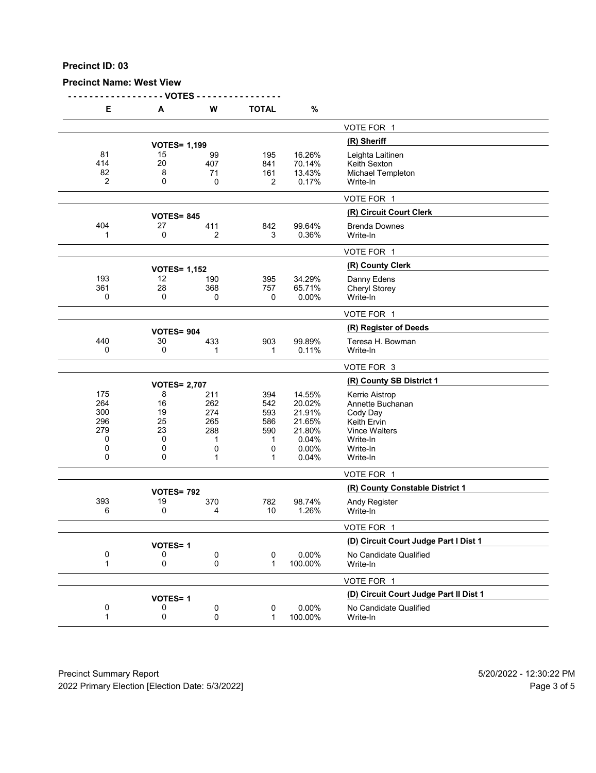## **Precinct Name: West View**

**- - - - - - - - - - - - - - - - - - VOTES - - - - - - - - - - - - - - - -**

| Е         | А              | W                   | <b>TOTAL</b> | $\%$             |                                                     |
|-----------|----------------|---------------------|--------------|------------------|-----------------------------------------------------|
|           |                |                     |              |                  | VOTE FOR 1                                          |
|           |                | <b>VOTES= 1,199</b> |              |                  | (R) Sheriff                                         |
| 81<br>414 | 15<br>20       | 99                  | 195          | 16.26%           | Leighta Laitinen                                    |
| 82        | 8              | 407<br>71           | 841<br>161   | 70.14%<br>13.43% | Keith Sexton<br>Michael Templeton                   |
| 2         | 0              | 0                   | 2            | 0.17%            | Write-In                                            |
|           |                |                     |              |                  | VOTE FOR 1                                          |
|           |                | <b>VOTES= 845</b>   |              |                  | (R) Circuit Court Clerk                             |
| 404       | 27             | 411                 | 842          | 99.64%           | <b>Brenda Downes</b>                                |
| 1         | 0              | 2                   | 3            | 0.36%            | Write-In                                            |
|           |                |                     |              |                  | VOTE FOR 1                                          |
|           |                | <b>VOTES= 1,152</b> |              |                  | (R) County Clerk                                    |
| 193       | 12             | 190                 | 395          | 34.29%           | Danny Edens                                         |
| 361       | 28             | 368                 | 757          | 65.71%           | Cheryl Storey                                       |
| 0         | 0              | 0                   | 0            | 0.00%            | Write-In                                            |
|           |                |                     |              |                  | VOTE FOR 1                                          |
|           |                | <b>VOTES= 904</b>   |              |                  | (R) Register of Deeds                               |
| 440       | 30             | 433                 | 903          | 99.89%           | Teresa H. Bowman                                    |
| 0         | 0              | 1                   | 1            | 0.11%            | Write-In                                            |
|           |                |                     |              |                  | VOTE FOR 3                                          |
|           |                | <b>VOTES= 2,707</b> |              |                  | (R) County SB District 1                            |
| 175       | 8              | 211                 | 394          | 14.55%           | Kerrie Aistrop                                      |
| 264       | 16             | 262                 | 542          | 20.02%           | Annette Buchanan                                    |
| 300       | 19             | 274                 | 593          | 21.91%           | Cody Day                                            |
| 296       | 25             | 265                 | 586          | 21.65%           | <b>Keith Ervin</b>                                  |
| 279       | 23             | 288                 | 590          | 21.80%           | <b>Vince Walters</b>                                |
| 0         | 0              | 1                   | 1            | 0.04%            | Write-In                                            |
| 0<br>0    | 0<br>0         | 0                   | 0            | 0.00%            | Write-In                                            |
|           |                | 1                   | 1            | 0.04%            | Write-In                                            |
|           |                |                     |              |                  | VOTE FOR 1                                          |
|           |                | <b>VOTES= 792</b>   |              |                  | (R) County Constable District 1                     |
| 393<br>6  | 19<br>0        | 370<br>4            | 782<br>10    | 98.74%<br>1.26%  | Andy Register<br>Write-In                           |
|           |                |                     |              |                  |                                                     |
|           |                |                     |              |                  | VOTE FOR 1<br>(D) Circuit Court Judge Part I Dist 1 |
|           | <b>VOTES=1</b> |                     |              |                  |                                                     |
| 0<br>1    | 0<br>0         | 0<br>0              | 0<br>1       | 0.00%<br>100.00% | No Candidate Qualified<br>Write-In                  |
|           |                |                     |              |                  | VOTE FOR 1                                          |
|           | <b>VOTES=1</b> |                     |              |                  | (D) Circuit Court Judge Part II Dist 1              |
| 0         | 0              | 0                   | $\pmb{0}$    | 0.00%            | No Candidate Qualified                              |
| 1         | 0              | 0                   | 1            | 100.00%          | Write-In                                            |
|           |                |                     |              |                  |                                                     |

Precinct Summary Report 60 and 5/20/2022 - 12:30:22 PM 2022 Primary Election [Election Date: 5/3/2022] 2022 Primary Election 5 and 5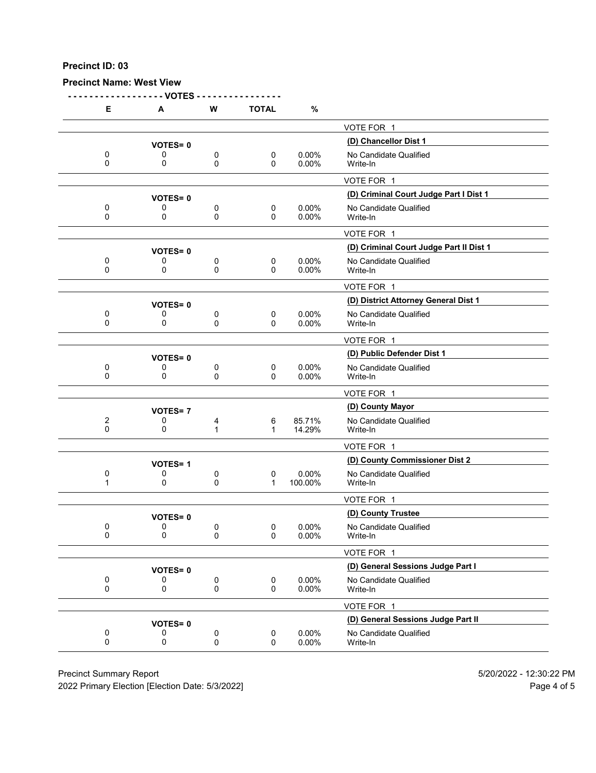#### **Precinct Name: West View**

**- - - - - - - - - - - - - - - - - - VOTES - - - - - - - - - - - - - - - - E A W TOTAL %** VOTE FOR 1 **(D) Chancellor Dist 1 VOTES= <sup>0</sup>** 0 0 0 0 0 0.00% No Candidate Qualified<br>0 0 0 0 0.00% Write-In 0 0 0 0 0.00% Write-In VOTE FOR 1 **(D) Criminal Court Judge Part I Dist 1 VOTES= <sup>0</sup>** 0 0 0 0 0 0.00% No Candidate Qualified<br>0 0 0 0 0.00% Write-In 0 0 0 0 0.00% Write-In VOTE FOR 1 **(D) Criminal Court Judge Part II Dist 1 VOTES= <sup>0</sup>** 0 0 0 0 0.00% No Candidate Qualified<br>0 0 0 0 0.00% Write-In 0 0 0 0 0.00% Write-In VOTE FOR 1 **(D) District Attorney General Dist 1 VOTES= <sup>0</sup>** 0 0 0 0 0 0.00% No Candidate Qualified<br>0 0 0 0 0.00% Write-In 0 0 0 0 0.00% Write-In VOTE FOR 1 **VOTES= 0**<br>0 0 0 0 0 0.00% No Candidate Qualified 0 0 0 0 0 0.00% No Candidate Qualified<br>0 0 0 0 0.00% Write-In 0 0 0 0 0.00% Write-In VOTE FOR 1 **(D) County Mayor VOTES= <sup>7</sup>** 2 0 4 6 85.71% No Candidate Qualified 0 0 1 1 14.29% Write-In VOTE FOR 1 **(D) County Commissioner Dist 2 VOTES= <sup>1</sup>** 0 0 0 0 0 0.00% No Candidate Qualified<br>1 0 0 0 1 100.00% Write-In 1 0 0 1 100.00% Write-In VOTE FOR 1 **VOTES= 0**<br>
0 0 0 0.00% No Candidate Qualifi 0 0 0 0 0 0.00% No Candidate Qualified<br>0 0 0 0 0.00% Write-In 0 0 0 0 0.00% Write-In VOTE FOR 1 **(D) General Sessions Judge Part I VOTES= <sup>0</sup>** 0 0 0 0 0.00% No Candidate Qualified<br>0 0 0 0 0.00% Write-In 0 0 0 0 0.00% Write-In VOTE FOR 1 **VOTES= 0**<br>0 0 0 0 0 0.00% **No Candidate Qualified** 0 0 0 0 0 0.00% No Candidate Qualified<br>0 0 0 0 0.00% Write-In 0 0 0 0 0.00% Write-In

Precinct Summary Report 5/20/2022 - 12:30:22 PM

2022 Primary Election [Election Date: 5/3/2022] Page 4 of 5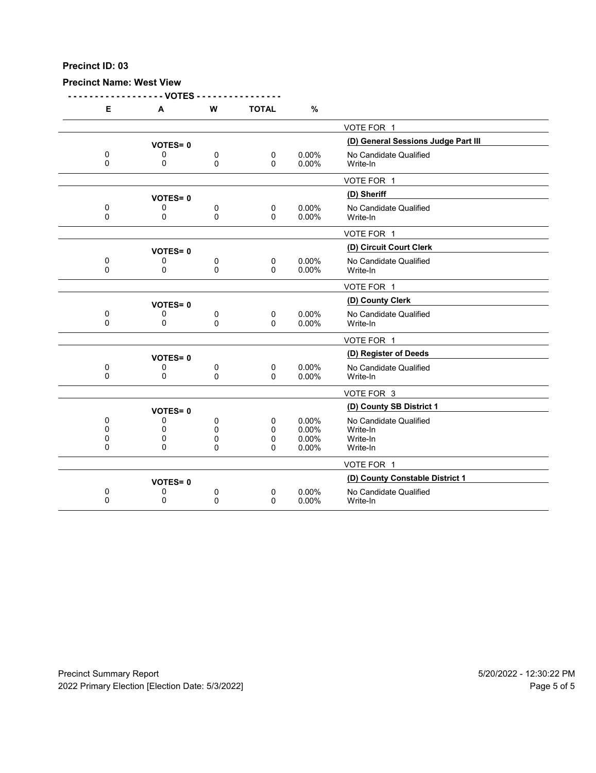#### **Precinct Name: West View**

**- - - - - - - - - - - - - - - - - - VOTES - - - - - - - - - - - - - - - - E A W TOTAL %** VOTE FOR 1 **VOTES= 0**<br>0 0 0 0 0 0.00% No Candidate Qualified 0 0 0 0 0 0.00% No Candidate Qualified<br>0 0 0 0 0.00% Write-In 0 0 0 0 0.00% Write-In VOTE FOR 1 **(D) Sheriff VOTES= <sup>0</sup>** 0 0 0 0 0 0.00% No Candidate Qualified<br>0 0 0 0 0.00% Write-In 0 0 0 0 0.00% Write-In VOTE FOR 1 **(D) Circuit Court Clerk VOTES= <sup>0</sup>** 0 0 0 0 0 0.00% No Candidate Qualified<br>0 0 0 0 0.00% Write-In 0 0 0 0 0.00% Write-In VOTE FOR 1 **(D) County Clerk VOTES= <sup>0</sup>** 0 0 0 0 0 0.00% No Candidate Qualified<br>0 0 0 0 0.00% Write-In 0 0 0 0 0.00% Write-In VOTE FOR 1 **(D) Register of Deeds VOTES= <sup>0</sup>** 0 0 0 0 0 0.00% No Candidate Qualified<br>0 0 0 0 0.00% Write-In 0 0 0 0 0.00% Write-In VOTE FOR 3 **(D) County SB District 1 VOTES= <sup>0</sup>** 0 0 0 0 0.00% No Candidate Qualified<br>0 0 0 0 0.00% Write-In 0 0 0 0 0.00% Write-In 0 0 0 0 0.00% Write-In 0 0 0 0 0.00% Write-In VOTE FOR 1 **VOTES= 0**<br>0 0 0 0 0 0.00% **No Candidate Qualified** 0 0 0 0 0 0.00% No Candidate Qualified<br>0 0 0 0 0.00% Write-In 0 0 0 0 0.00% Write-In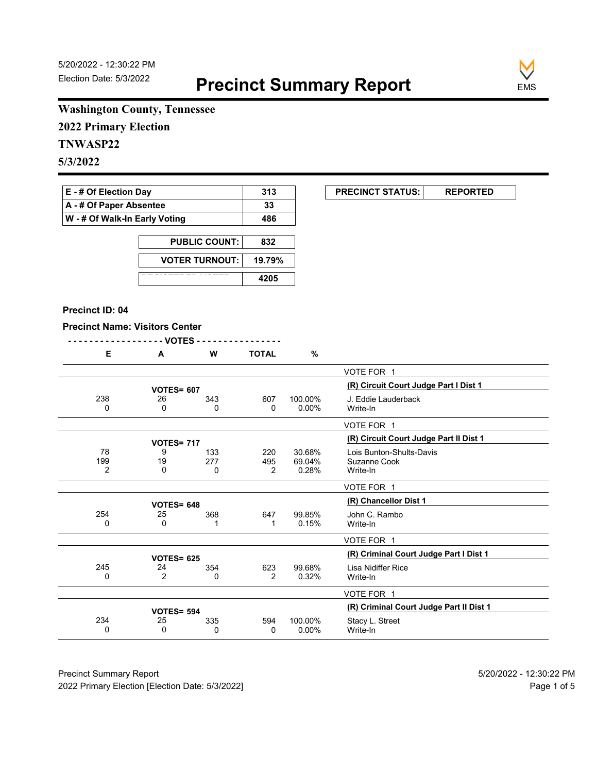**EXECUNCT STATUS:** REPORTED



# **Washington County, Tennessee**

**2022 Primary Election**

# **TNWASP22**

**5/3/2022**

| <b>E</b> - # Of Election Day       | 313 |
|------------------------------------|-----|
| $\mathsf{A}$ - # Of Paper Absentee | 33  |
| W - # Of Walk-In Early Voting      | 486 |

| <b>PUBLIC COUNT:</b>  | 832    |
|-----------------------|--------|
| <b>VOTER TURNOUT:</b> | 19.79% |
|                       | 4205   |

#### **Precinct ID: 04**

## **Precinct Name: Visitors Center**

| Е              | A                 | W   | <b>TOTAL</b>   | $\%$     |                                         |
|----------------|-------------------|-----|----------------|----------|-----------------------------------------|
|                |                   |     |                |          | VOTE FOR 1                              |
|                | <b>VOTES= 607</b> |     |                |          | (R) Circuit Court Judge Part I Dist 1   |
| 238            | 26                | 343 | 607            | 100.00%  | J. Eddie Lauderback                     |
| 0              | $\Omega$          | 0   | $\mathbf{0}$   | $0.00\%$ | Write-In                                |
|                |                   |     |                |          | VOTE FOR 1                              |
|                | <b>VOTES= 717</b> |     |                |          | (R) Circuit Court Judge Part II Dist 1  |
| 78             | 9                 | 133 | 220            | 30.68%   | Lois Bunton-Shults-Davis                |
| 199            | 19                | 277 | 495            | 69.04%   | Suzanne Cook                            |
| $\overline{2}$ | $\Omega$          | 0   | 2              | 0.28%    | Write-In                                |
|                |                   |     |                |          | VOTE FOR 1                              |
|                | <b>VOTES= 648</b> |     |                |          | (R) Chancellor Dist 1                   |
| 254            | 25                | 368 | 647            | 99.85%   | John C. Rambo                           |
| 0              | 0                 | 1   | 1              | 0.15%    | Write-In                                |
|                |                   |     |                |          | VOTE FOR 1                              |
|                | <b>VOTES= 625</b> |     |                |          | (R) Criminal Court Judge Part I Dist 1  |
| 245            | 24                | 354 | 623            | 99.68%   | Lisa Nidiffer Rice                      |
| 0              | $\overline{2}$    | 0   | $\overline{2}$ | 0.32%    | Write-In                                |
|                |                   |     |                |          |                                         |
|                |                   |     |                |          | VOTE FOR 1                              |
|                | <b>VOTES= 594</b> |     |                |          | (R) Criminal Court Judge Part II Dist 1 |
| 234            | 25                | 335 | 594            | 100.00%  | Stacy L. Street                         |
| 0              | $\Omega$          | 0   | 0              | $0.00\%$ | Write-In                                |

Precinct Summary Report 60 and 5/20/2022 - 12:30:22 PM 2022 Primary Election [Election Date: 5/3/2022] **Page 1 of 5** and 2022 Primary Election Date: 5/3/2022]

 $\overline{\phantom{0}}$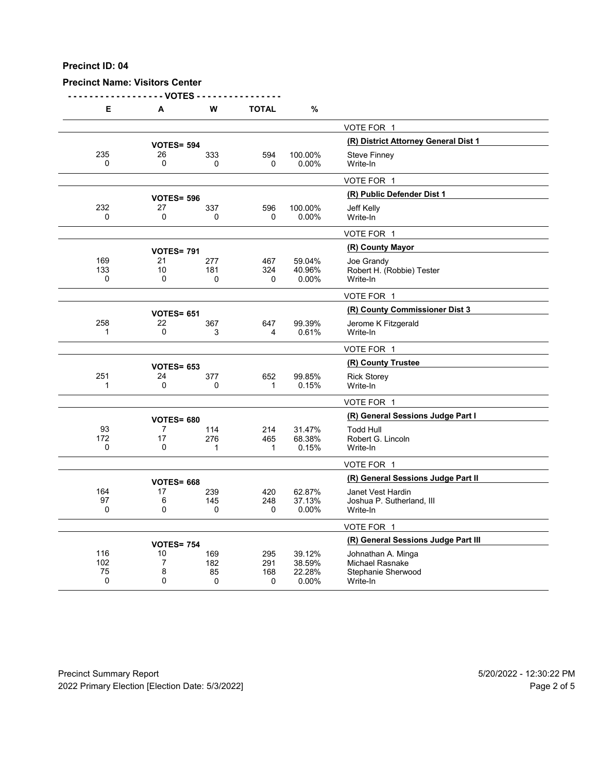### **Precinct Name: Visitors Center**

**- - - - - - - - - - - - - - - - - - VOTES - - - - - - - - - - - - - - - -**

| Е          | A                       | W               | <b>TOTAL</b>        | %               |                                       |
|------------|-------------------------|-----------------|---------------------|-----------------|---------------------------------------|
|            |                         |                 |                     |                 | VOTE FOR 1                            |
|            | <b>VOTES= 594</b>       |                 |                     |                 | (R) District Attorney General Dist 1  |
| 235        | 26                      | 333             | 594                 | 100.00%         | <b>Steve Finney</b>                   |
| $\Omega$   | $\mathbf 0$             | 0               | 0                   | $0.00\%$        | Write-In                              |
|            |                         |                 |                     |                 | VOTE FOR 1                            |
|            | <b>VOTES= 596</b>       |                 |                     |                 | (R) Public Defender Dist 1            |
| 232        | 27                      | 337             | 596                 | 100.00%         | Jeff Kelly                            |
| $\Omega$   | $\mathbf 0$             | $\Omega$        | 0                   | $0.00\%$        | Write-In                              |
|            |                         |                 |                     |                 | VOTE FOR 1                            |
|            | <b>VOTES= 791</b>       |                 |                     |                 | (R) County Mayor                      |
| 169<br>133 | 21<br>10                | 277             | 467                 | 59.04%          | Joe Grandy                            |
| 0          | 0                       | 181<br>$\Omega$ | 324<br>$\mathbf{0}$ | 40.96%<br>0.00% | Robert H. (Robbie) Tester<br>Write-In |
|            |                         |                 |                     |                 | VOTE FOR 1                            |
|            |                         |                 |                     |                 | (R) County Commissioner Dist 3        |
| 258        | <b>VOTES= 651</b><br>22 | 367             | 647                 | 99.39%          | Jerome K Fitzgerald                   |
| 1          | 0                       | 3               | 4                   | 0.61%           | Write-In                              |
|            |                         |                 |                     |                 | VOTE FOR 1                            |
|            | <b>VOTES= 653</b>       |                 |                     |                 | (R) County Trustee                    |
| 251        | 24                      | 377             | 652                 | 99.85%          | <b>Rick Storey</b>                    |
| 1          | 0                       | $\Omega$        | $\mathbf{1}$        | 0.15%           | Write-In                              |
|            |                         |                 |                     |                 | VOTE FOR 1                            |
|            | <b>VOTES= 680</b>       |                 |                     |                 | (R) General Sessions Judge Part I     |
| 93         | 7                       | 114             | 214                 | 31.47%          | <b>Todd Hull</b>                      |
| 172<br>0   | 17<br>0                 | 276<br>1        | 465<br>$\mathbf{1}$ | 68.38%<br>0.15% | Robert G. Lincoln<br>Write-In         |
|            |                         |                 |                     |                 | VOTE FOR 1                            |
|            |                         |                 |                     |                 | (R) General Sessions Judge Part II    |
| 164        | <b>VOTES= 668</b><br>17 | 239             | 420                 | 62.87%          | Janet Vest Hardin                     |
| 97         | 6                       | 145             | 248                 | 37.13%          | Joshua P. Sutherland, III             |
| 0          | 0                       | $\Omega$        | 0                   | 0.00%           | Write-In                              |
|            |                         |                 |                     |                 | VOTE FOR 1                            |
|            | <b>VOTES= 754</b>       |                 |                     |                 | (R) General Sessions Judge Part III   |
| 116        | 10                      | 169             | 295                 | 39.12%          | Johnathan A. Minga                    |
| 102        | 7                       | 182             | 291                 | 38.59%          | <b>Michael Rasnake</b>                |
| 75<br>0    | 8<br>0                  | 85<br>0         | 168<br>0            | 22.28%<br>0.00% | Stephanie Sherwood<br>Write-In        |
|            |                         |                 |                     |                 |                                       |

Precinct Summary Report 60 and 5/20/2022 - 12:30:22 PM 2022 Primary Election [Election Date: 5/3/2022] **Page 2 of 5** and 2012 Primary Election Date: 5/3/2022]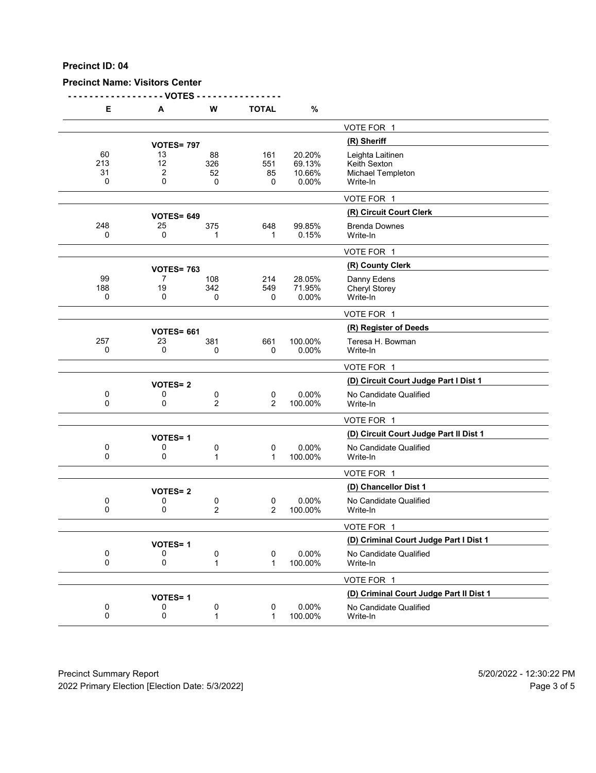## **Precinct Name: Visitors Center**

**- - - - - - - - - - - - - - - - - - VOTES - - - - - - - - - - - - - - - -**

| Е         | А                       | W                   | <b>TOTAL</b>             | $\%$             |                                         |
|-----------|-------------------------|---------------------|--------------------------|------------------|-----------------------------------------|
|           |                         |                     |                          |                  | VOTE FOR 1                              |
|           | <b>VOTES= 797</b>       |                     |                          |                  | (R) Sheriff                             |
| 60<br>213 | 13<br>12                | 88<br>326           | 161<br>551               | 20.20%<br>69.13% | Leighta Laitinen<br>Keith Sexton        |
| 31<br>0   | 2<br>0                  | 52<br>0             | 85<br>0                  | 10.66%<br>0.00%  | Michael Templeton<br>Write-In           |
|           |                         |                     |                          |                  | VOTE FOR 1                              |
|           | <b>VOTES= 649</b>       |                     |                          |                  | (R) Circuit Court Clerk                 |
| 248<br>0  | 25<br>0                 | 375<br>1            | 648<br>1                 | 99.85%<br>0.15%  | <b>Brenda Downes</b><br>Write-In        |
|           |                         |                     |                          |                  | VOTE FOR 1                              |
|           | <b>VOTES= 763</b>       |                     |                          |                  | (R) County Clerk                        |
| 99        | 7                       | 108                 | 214                      | 28.05%           | Danny Edens                             |
| 188<br>0  | 19<br>0                 | 342<br>0            | 549<br>0                 | 71.95%<br>0.00%  | <b>Cheryl Storey</b><br>Write-In        |
|           |                         |                     |                          |                  | VOTE FOR 1                              |
|           |                         |                     |                          |                  | (R) Register of Deeds                   |
| 257       | <b>VOTES= 661</b><br>23 | 381                 | 661                      | 100.00%          | Teresa H. Bowman                        |
| 0         | 0                       | 0                   | 0                        | 0.00%            | Write-In                                |
|           |                         |                     |                          |                  | VOTE FOR 1                              |
|           | <b>VOTES=2</b>          |                     |                          |                  | (D) Circuit Court Judge Part I Dist 1   |
| 0<br>0    | 0<br>0                  | 0<br>$\overline{2}$ | 0<br>2                   | 0.00%<br>100.00% | No Candidate Qualified<br>Write-In      |
|           |                         |                     |                          |                  | VOTE FOR 1                              |
|           | <b>VOTES=1</b>          |                     |                          |                  | (D) Circuit Court Judge Part II Dist 1  |
| 0         | 0                       | 0                   | $\pmb{0}$                | 0.00%            | No Candidate Qualified                  |
| 0         | 0                       | 1                   | $\mathbf{1}$             | 100.00%          | Write-In                                |
|           |                         |                     |                          |                  | VOTE FOR 1                              |
|           | <b>VOTES=2</b>          |                     |                          |                  | (D) Chancellor Dist 1                   |
| 0<br>0    | 0<br>0                  | 0<br>$\overline{2}$ | $\mathbf 0$<br>2         | 0.00%<br>100.00% | No Candidate Qualified<br>Write-In      |
|           |                         |                     |                          |                  | VOTE FOR 1                              |
|           | <b>VOTES=1</b>          |                     |                          |                  | (D) Criminal Court Judge Part I Dist 1  |
| 0<br>0    | 0<br>0                  | 0<br>1              | 0<br>$\mathbf{1}$        | 0.00%<br>100.00% | No Candidate Qualified<br>Write-In      |
|           |                         |                     |                          |                  | VOTE FOR 1                              |
|           | <b>VOTES=1</b>          |                     |                          |                  | (D) Criminal Court Judge Part II Dist 1 |
| 0<br>0    | 0<br>0                  | 0<br>1              | $\pmb{0}$<br>$\mathbf 1$ | 0.00%<br>100.00% | No Candidate Qualified<br>Write-In      |
|           |                         |                     |                          |                  |                                         |

Precinct Summary Report 60 and 5/20/2022 - 12:30:22 PM 2022 Primary Election [Election Date: 5/3/2022] 2022 Primary Election 5 and 5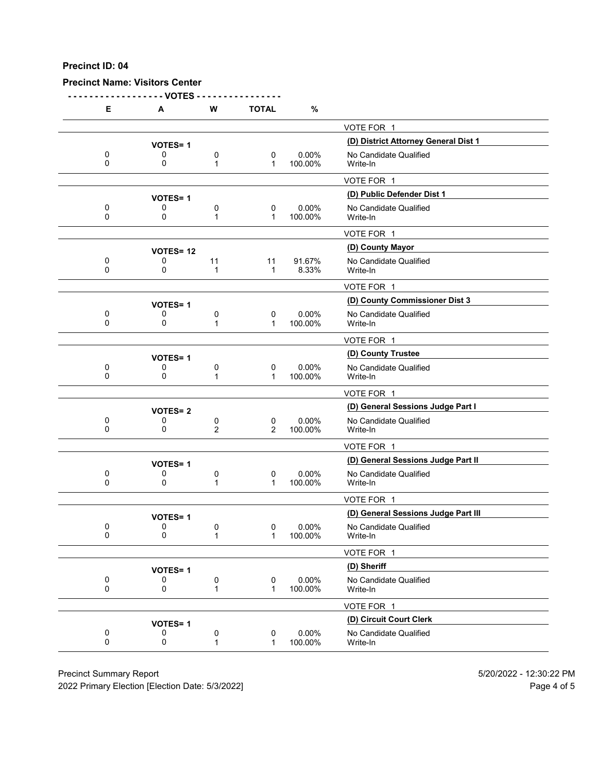#### **Precinct Name: Visitors Center**

**- - - - - - - - - - - - - - - - - - VOTES - - - - - - - - - - - - - - - -**

| Е        | A               | W            | <b>TOTAL</b>     | %                |                                      |
|----------|-----------------|--------------|------------------|------------------|--------------------------------------|
|          |                 |              |                  |                  | VOTE FOR 1                           |
|          | <b>VOTES=1</b>  |              |                  |                  | (D) District Attorney General Dist 1 |
| 0        | 0               | 0            | 0                | 0.00%            | No Candidate Qualified               |
| 0        | 0               | 1            | 1                | 100.00%          | Write-In                             |
|          |                 |              |                  |                  | VOTE FOR 1                           |
|          | <b>VOTES=1</b>  |              |                  |                  | (D) Public Defender Dist 1           |
| 0        | 0               | 0            | 0                | 0.00%            | No Candidate Qualified               |
| 0        | 0               | 1            | 1                | 100.00%          | Write-In                             |
|          |                 |              |                  |                  | VOTE FOR 1                           |
|          | <b>VOTES=12</b> |              |                  |                  | (D) County Mayor                     |
| 0<br>0   | 0<br>0          | 11           | 11               | 91.67%           | No Candidate Qualified               |
|          |                 | 1            | 1                | 8.33%            | Write-In                             |
|          |                 |              |                  |                  | VOTE FOR 1                           |
|          | <b>VOTES=1</b>  |              |                  |                  | (D) County Commissioner Dist 3       |
| 0<br>0   | 0<br>0          | 0<br>1       | 0<br>$\mathbf 1$ | 0.00%<br>100.00% | No Candidate Qualified<br>Write-In   |
|          |                 |              |                  |                  |                                      |
|          |                 |              |                  |                  | VOTE FOR 1                           |
|          | <b>VOTES=1</b>  |              |                  |                  | (D) County Trustee                   |
| 0<br>0   | 0<br>0          | 0<br>1       | 0<br>1           | 0.00%<br>100.00% | No Candidate Qualified<br>Write-In   |
|          |                 |              |                  |                  | VOTE FOR 1                           |
|          | <b>VOTES=2</b>  |              |                  |                  | (D) General Sessions Judge Part I    |
| 0        | 0               | 0            | 0                | 0.00%            | No Candidate Qualified               |
| $\Omega$ | 0               | 2            | 2                | 100.00%          | Write-In                             |
|          |                 |              |                  |                  | VOTE FOR 1                           |
|          | <b>VOTES=1</b>  |              |                  |                  | (D) General Sessions Judge Part II   |
| 0<br>0   | 0<br>0          | 0<br>1       | 0<br>$\mathbf 1$ | 0.00%<br>100.00% | No Candidate Qualified<br>Write-In   |
|          |                 |              |                  |                  | VOTE FOR 1                           |
|          | <b>VOTES=1</b>  |              |                  |                  | (D) General Sessions Judge Part III  |
| 0        | 0               | 0            | 0                | $0.00\%$         | No Candidate Qualified               |
| 0        | 0               | 1            | 1                | 100.00%          | Write-In                             |
|          |                 |              |                  |                  | VOTE FOR 1                           |
|          | <b>VOTES=1</b>  |              |                  |                  | (D) Sheriff                          |
| 0        | 0               | 0            | 0                | 0.00%            | No Candidate Qualified               |
| 0        | 0               | 1            | $\mathbf 1$      | 100.00%          | Write-In                             |
|          |                 |              |                  |                  | VOTE FOR 1                           |
|          | <b>VOTES=1</b>  |              |                  |                  | (D) Circuit Court Clerk              |
| 0<br>0   | 0               | 0            | $\mathbf 0$      | 0.00%            | No Candidate Qualified               |
|          | 0               | $\mathbf{1}$ | 1                | 100.00%          | Write-In                             |

Precinct Summary Report 60 and 5/20/2022 - 12:30:22 PM

2022 Primary Election [Election Date: 5/3/2022] 2022 Primary Election 10 and 5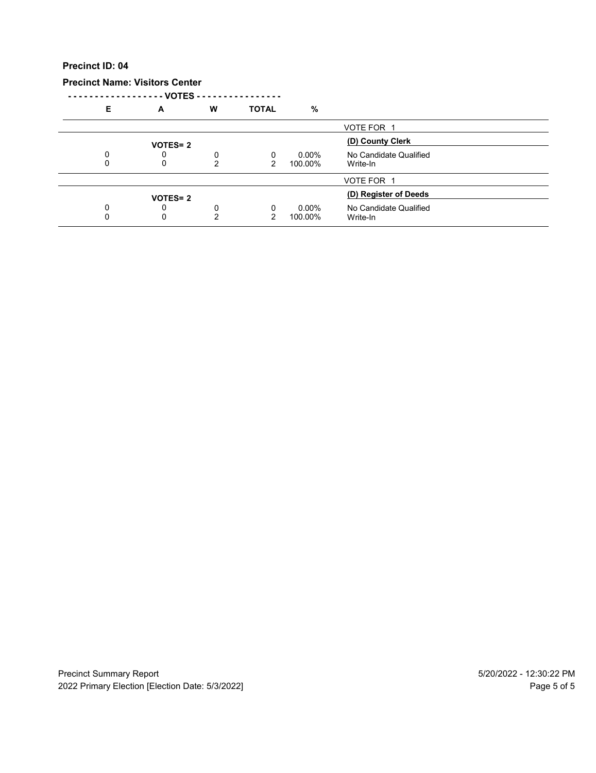## **Precinct Name: Visitors Center**

**- - - - - - - - - - - - - - - - - - VOTES - - - - - - - - - - - - - - - -**

| Е | A              | W      | <b>TOTAL</b> | $\frac{9}{6}$       |                                    |  |
|---|----------------|--------|--------------|---------------------|------------------------------------|--|
|   |                |        |              |                     | VOTE FOR 1                         |  |
|   | <b>VOTES=2</b> |        |              |                     | (D) County Clerk                   |  |
|   | U<br>0         | 0<br>2 | 0<br>2       | $0.00\%$<br>100.00% | No Candidate Qualified<br>Write-In |  |
|   |                |        |              |                     | VOTE FOR 1                         |  |
|   | <b>VOTES=2</b> |        |              |                     | (D) Register of Deeds              |  |
|   | 0<br>0         | 0<br>◠ | 0            | $0.00\%$<br>100.00% | No Candidate Qualified<br>Write-In |  |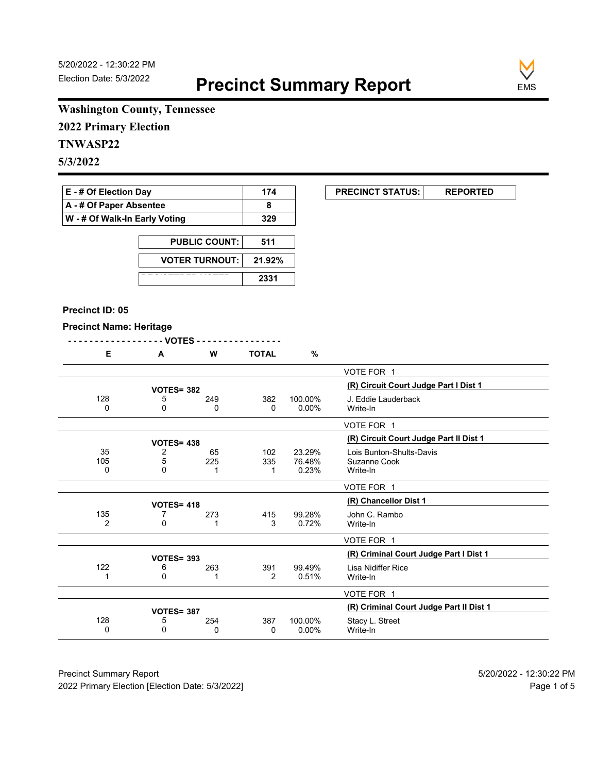**EXECUNCT STATUS:** REPORTED



# **Washington County, Tennessee**

**2022 Primary Election**

# **TNWASP22**

**5/3/2022**

| <b>E</b> - # Of Election Day       | 174 |
|------------------------------------|-----|
| $\mathsf{A}$ - # Of Paper Absentee |     |
| W - # Of Walk-In Early Voting      | 329 |

| <b>PUBLIC COUNT: I</b>  | 511    |
|-------------------------|--------|
| <b>VOTER TURNOUT: I</b> | 21.92% |
|                         | 2331   |

#### **Precinct ID: 05**

#### **Precinct Name: Heritage**

|--|--|--|--|

|                | $-$ VUIES -       |     |              |          |                                         |
|----------------|-------------------|-----|--------------|----------|-----------------------------------------|
| Е              | A                 | W   | <b>TOTAL</b> | $\%$     |                                         |
|                |                   |     |              |          | VOTE FOR 1                              |
|                | <b>VOTES= 382</b> |     |              |          | (R) Circuit Court Judge Part I Dist 1   |
| 128            | 5                 | 249 | 382          | 100.00%  | J. Eddie Lauderback                     |
| 0              | 0                 | 0   | 0            | $0.00\%$ | Write-In                                |
|                |                   |     |              |          | VOTE FOR 1                              |
|                | <b>VOTES= 438</b> |     |              |          | (R) Circuit Court Judge Part II Dist 1  |
| 35             | 2                 | 65  | 102          | 23.29%   | Lois Bunton-Shults-Davis                |
| 105            | 5                 | 225 | 335          | 76.48%   | Suzanne Cook                            |
| $\Omega$       | 0                 |     |              | 0.23%    | Write-In                                |
|                |                   |     |              |          | VOTE FOR 1                              |
|                | <b>VOTES= 418</b> |     |              |          | (R) Chancellor Dist 1                   |
| 135            | 7                 | 273 | 415          | 99.28%   | John C. Rambo                           |
| $\overline{2}$ | 0                 |     | 3            | 0.72%    | Write-In                                |
|                |                   |     |              |          | VOTE FOR 1                              |
|                | <b>VOTES= 393</b> |     |              |          | (R) Criminal Court Judge Part I Dist 1  |
| 122            | 6                 | 263 | 391          | 99.49%   | Lisa Nidiffer Rice                      |
|                | $\Omega$          | 1   | 2            | 0.51%    | Write-In                                |
|                |                   |     |              |          | VOTE FOR 1                              |
|                | <b>VOTES= 387</b> |     |              |          | (R) Criminal Court Judge Part II Dist 1 |
| 128            | 5                 | 254 | 387          | 100.00%  | Stacy L. Street                         |
| $\Omega$       | 0                 | 0   | 0            | $0.00\%$ | Write-In                                |
|                |                   |     |              |          |                                         |

Precinct Summary Report 60 and 5/20/2022 - 12:30:22 PM 2022 Primary Election [Election Date: 5/3/2022] **Page 1 of 5** and 2022 Primary Election Date: 5/3/2022]

 $\overline{\phantom{0}}$ 

 $\overline{\phantom{0}}$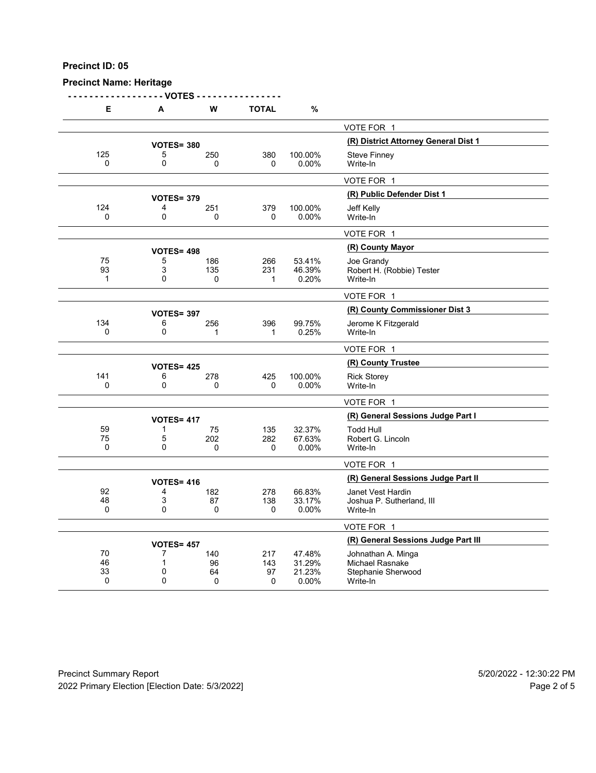### **Precinct Name: Heritage**

**- - - - - - - - - - - - - - - - - - VOTES - - - - - - - - - - - - - - - -**

| Е        | А                 | w        | TOTAL   | %               |                                      |
|----------|-------------------|----------|---------|-----------------|--------------------------------------|
|          |                   |          |         |                 | VOTE FOR 1                           |
|          | <b>VOTES= 380</b> |          |         |                 | (R) District Attorney General Dist 1 |
| 125      | 5                 | 250      | 380     | 100.00%         | <b>Steve Finney</b>                  |
| 0        | 0                 | $\Omega$ | 0       | 0.00%           | Write-In                             |
|          |                   |          |         |                 | VOTE FOR 1                           |
|          | <b>VOTES= 379</b> |          |         |                 | (R) Public Defender Dist 1           |
| 124      | 4                 | 251      | 379     | 100.00%         | Jeff Kelly                           |
| 0        | 0                 | $\Omega$ | 0       | $0.00\%$        | Write-In                             |
|          |                   |          |         |                 | VOTE FOR 1                           |
|          | <b>VOTES= 498</b> |          |         |                 | (R) County Mayor                     |
| 75       | 5                 | 186      | 266     | 53.41%          | Joe Grandy                           |
| 93       | 3                 | 135      | 231     | 46.39%          | Robert H. (Robbie) Tester            |
| 1        | $\mathbf{0}$      | 0        | 1       | 0.20%           | Write-In                             |
|          |                   |          |         |                 | VOTE FOR 1                           |
|          | <b>VOTES= 397</b> |          |         |                 | (R) County Commissioner Dist 3       |
| 134      | 6                 | 256      | 396     | 99.75%          | Jerome K Fitzgerald                  |
| 0        | 0                 | 1        | 1       | 0.25%           | Write-In                             |
|          |                   |          |         |                 | VOTE FOR 1                           |
|          | <b>VOTES= 425</b> |          |         |                 | (R) County Trustee                   |
| 141      | 6                 | 278      | 425     | 100.00%         | <b>Rick Storey</b>                   |
| $\Omega$ | 0                 | 0        | 0       | 0.00%           | Write-In                             |
|          |                   |          |         |                 | VOTE FOR 1                           |
|          | <b>VOTES= 417</b> |          |         |                 | (R) General Sessions Judge Part I    |
| 59       | 1                 | 75       | 135     | 32.37%          | <b>Todd Hull</b>                     |
| 75       | 5                 | 202      | 282     | 67.63%          | Robert G. Lincoln                    |
| 0        | $\mathbf{0}$      | $\Omega$ | 0       | 0.00%           | Write-In                             |
|          |                   |          |         |                 | VOTE FOR 1                           |
|          | <b>VOTES= 416</b> |          |         |                 | (R) General Sessions Judge Part II   |
| 92       | 4                 | 182      | 278     | 66.83%          | Janet Vest Hardin                    |
| 48       | 3                 | 87       | 138     | 33.17%          | Joshua P. Sutherland, III            |
| 0        | $\mathbf{0}$      | 0        | 0       | 0.00%           | Write-In                             |
|          |                   |          |         |                 | VOTE FOR 1                           |
|          | <b>VOTES= 457</b> |          |         |                 | (R) General Sessions Judge Part III  |
| 70       | 7                 | 140      | 217     | 47.48%          | Johnathan A. Minga                   |
| 46       | $\mathbf 1$       | 96       | 143     | 31.29%          | <b>Michael Rasnake</b>               |
| 33<br>0  | 0<br>$\mathbf{0}$ | 64<br>0  | 97<br>0 | 21.23%<br>0.00% | Stephanie Sherwood<br>Write-In       |
|          |                   |          |         |                 |                                      |

Precinct Summary Report 60 and 5/20/2022 - 12:30:22 PM 2022 Primary Election [Election Date: 5/3/2022] 2022 Primary Election 10 and 5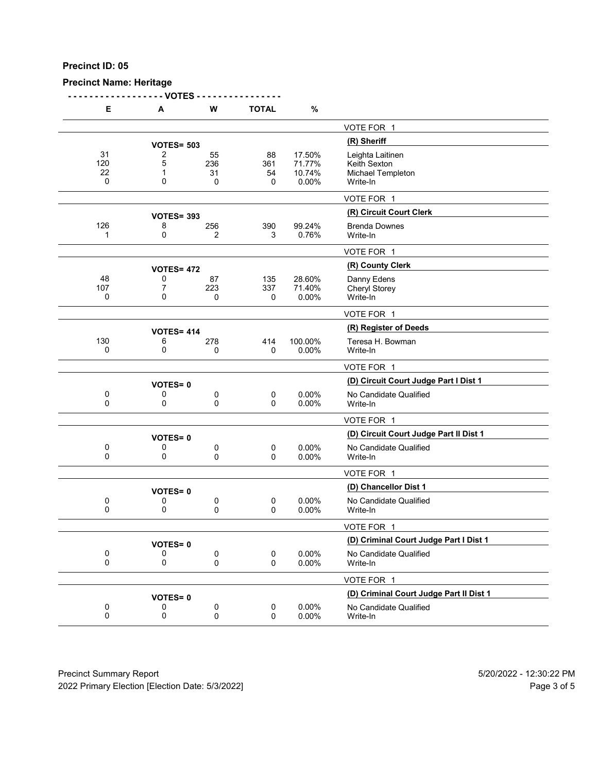# **Precinct Name: Heritage**

**- - - - - - - - - - - - - - - - - - VOTES - - - - - - - - - - - - - - - -**

| Е                     | Α                           | W                    | <b>TOTAL</b>         | $\%$                                |                                                                   |
|-----------------------|-----------------------------|----------------------|----------------------|-------------------------------------|-------------------------------------------------------------------|
|                       |                             |                      |                      |                                     | VOTE FOR 1                                                        |
|                       | <b>VOTES= 503</b>           |                      |                      |                                     | (R) Sheriff                                                       |
| 31<br>120<br>22<br>0  | 2<br>5<br>1<br>0            | 55<br>236<br>31<br>0 | 88<br>361<br>54<br>0 | 17.50%<br>71.77%<br>10.74%<br>0.00% | Leighta Laitinen<br>Keith Sexton<br>Michael Templeton<br>Write-In |
|                       |                             |                      |                      |                                     | VOTE FOR 1                                                        |
|                       |                             |                      |                      |                                     | (R) Circuit Court Clerk                                           |
| 126<br>1              | <b>VOTES= 393</b><br>8<br>0 | 256<br>2             | 390<br>3             | 99.24%<br>0.76%                     | <b>Brenda Downes</b><br>Write-In                                  |
|                       |                             |                      |                      |                                     | VOTE FOR 1                                                        |
|                       | <b>VOTES= 472</b>           |                      |                      |                                     | (R) County Clerk                                                  |
| 48<br>107<br>0        | 0<br>7<br>0                 | 87<br>223<br>0       | 135<br>337<br>0      | 28.60%<br>71.40%<br>0.00%           | Danny Edens<br><b>Cheryl Storey</b><br>Write-In                   |
|                       |                             |                      |                      |                                     | VOTE FOR 1                                                        |
|                       | <b>VOTES= 414</b>           |                      |                      |                                     | (R) Register of Deeds                                             |
| 130<br>0              | 6<br>0                      | 278<br>0             | 414<br>0             | 100.00%<br>0.00%                    | Teresa H. Bowman<br>Write-In                                      |
|                       |                             |                      |                      |                                     | VOTE FOR 1                                                        |
|                       | <b>VOTES=0</b>              |                      |                      |                                     | (D) Circuit Court Judge Part I Dist 1                             |
| 0<br>0                | 0<br>0                      | 0<br>0               | 0<br>0               | 0.00%<br>0.00%                      | No Candidate Qualified<br>Write-In                                |
|                       |                             |                      |                      |                                     | VOTE FOR 1                                                        |
|                       | <b>VOTES=0</b>              |                      |                      |                                     | (D) Circuit Court Judge Part II Dist 1                            |
| 0<br>0                | 0<br>0                      | 0<br>0               | 0<br>0               | 0.00%<br>0.00%                      | No Candidate Qualified<br>Write-In                                |
|                       |                             |                      |                      |                                     | VOTE FOR 1                                                        |
|                       | <b>VOTES=0</b>              |                      |                      |                                     | (D) Chancellor Dist 1                                             |
| 0<br>0                | 0<br>0                      | 0<br>0               | 0<br>0               | $0.00\%$<br>0.00%                   | No Candidate Qualified<br>Write-In                                |
|                       |                             |                      |                      |                                     | VOTE FOR 1                                                        |
|                       | <b>VOTES=0</b>              |                      |                      |                                     | (D) Criminal Court Judge Part I Dist 1                            |
| 0<br>0                | 0<br>0                      | 0<br>0               | 0<br>0               | 0.00%<br>0.00%                      | No Candidate Qualified<br>Write-In                                |
|                       |                             |                      |                      |                                     | VOTE FOR 1                                                        |
|                       | <b>VOTES=0</b>              |                      |                      |                                     | (D) Criminal Court Judge Part II Dist 1                           |
| $\boldsymbol{0}$<br>0 | 0<br>0                      | 0<br>0               | 0<br>0               | 0.00%<br>0.00%                      | No Candidate Qualified<br>Write-In                                |
|                       |                             |                      |                      |                                     |                                                                   |

Precinct Summary Report 60 and 5/20/2022 - 12:30:22 PM 2022 Primary Election [Election Date: 5/3/2022] 2022 Primary Election 5 and 5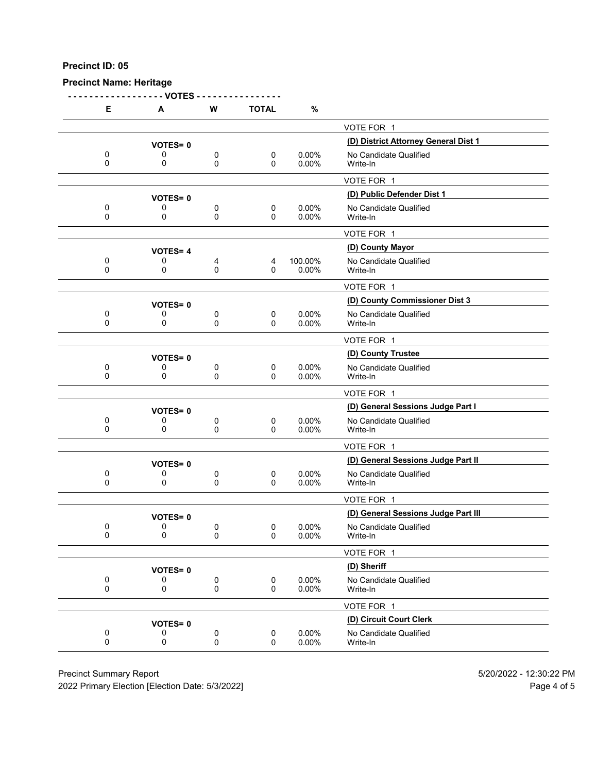#### **Precinct Name: Heritage**

**- - - - - - - - - - - - - - - - - - VOTES - - - - - - - - - - - - - - - - E A W TOTAL %** VOTE FOR 1 **(D) District Attorney General Dist 1 VOTES= <sup>0</sup>** 0 0 0 0 0 0.00% No Candidate Qualified<br>0 0 0 0 0.00% Write-In 0 0 0 0 0.00% Write-In VOTE FOR 1 **(D) Public Defender Dist 1 VOTES= <sup>0</sup>** 0 0 0 0 0 0.00% No Candidate Qualified<br>0 0 0 0 0.00% Write-In 0 0 0 0 0.00% Write-In VOTE FOR 1 **(D) County Mayor VOTES= <sup>4</sup>** 0 0 4 4 100.00% No Candidate Qualified<br>0 0 0 0 0.00% Write-In 0 0 0 0 0.00% Write-In VOTE FOR 1 **(D) County Commissioner Dist 3 VOTES= <sup>0</sup>** 0 0 0 0 0 0.00% No Candidate Qualified<br>0 0 0 0 0.00% Write-In 0 0 0 0 0.00% Write-In VOTE FOR 1 **(D) County Trustee VOTES= <sup>0</sup>** 0 0 0 0 0 0.00% No Candidate Qualified<br>0 0 0 0 0.00% Write-In 0 0 0 0 0.00% Write-In VOTE FOR 1 **(D) General Sessions Judge Part I VOTES= <sup>0</sup>** 0 0 0 0 0 0.00% No Candidate Qualified<br>0 0 0 0 0.00% Write-In 0 0 0 0 0.00% Write-In VOTE FOR 1 **(D) General Sessions Judge Part II VOTES= <sup>0</sup>** 0 0 0 0 0 0.00% No Candidate Qualified<br>0 0 0 0 0.00% Write-In 0 0 0 0 0.00% Write-In VOTE FOR 1 **VOTES= 0**<br>0 0 0 0 0 0 0.00% No Candidate Qualified<br>0 0 0 0.00% No Candidate Qualified 0 0 0 0 0 0.00% No Candidate Qualified<br>0 0 0 0 0.00% Write-In 0 0 0 0 0.00% Write-In VOTE FOR 1 **(D) Sheriff VOTES= <sup>0</sup>** 0 0 0 0 0.00% No Candidate Qualified<br>0 0 0 0 0.00% Write-In 0 0 0 0 0.00% Write-In VOTE FOR 1 **(D) Circuit Court Clerk VOTES= <sup>0</sup>** 0 0 0 0 0 0.00% No Candidate Qualified<br>0 0 0 0 0.00% Write-In 0 0 0 0 0.00% Write-In

Precinct Summary Report 5/20/2022 - 12:30:22 PM

2022 Primary Election [Election Date: 5/3/2022] Page 4 of 5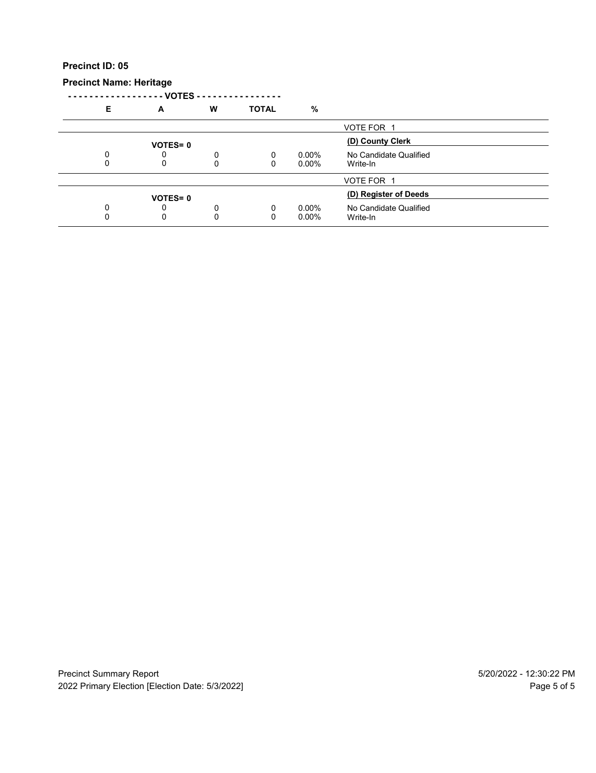# **Precinct Name: Heritage**

|   | VOTES - -      |   |              |          |                        |  |
|---|----------------|---|--------------|----------|------------------------|--|
| Е | A              | W | <b>TOTAL</b> | %        |                        |  |
|   |                |   |              |          | VOTE FOR 1             |  |
|   | <b>VOTES=0</b> |   |              |          | (D) County Clerk       |  |
|   |                | 0 | 0            | $0.00\%$ | No Candidate Qualified |  |
|   | 0              | 0 | 0            | $0.00\%$ | Write-In               |  |
|   |                |   |              |          | VOTE FOR 1             |  |
|   | <b>VOTES=0</b> |   |              |          | (D) Register of Deeds  |  |
|   | 0              | 0 | 0            | $0.00\%$ | No Candidate Qualified |  |
|   | 0              | 0 | 0            | $0.00\%$ | Write-In               |  |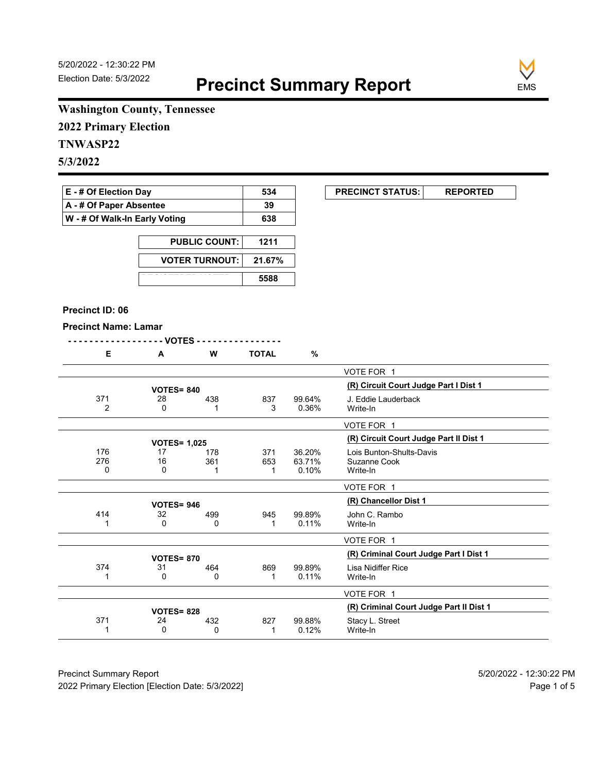**EXECUNCT STATUS:** REPORTED



# **Washington County, Tennessee**

**2022 Primary Election**

# **TNWASP22**

**5/3/2022**

| <b>E</b> - # Of Election Day       | 534 |
|------------------------------------|-----|
| $\mathsf{A}$ - # Of Paper Absentee | 39  |
| W - # Of Walk-In Early Voting      | 638 |

| <b>PUBLIC COUNT:</b>  | 1211   |
|-----------------------|--------|
| <b>VOTER TURNOUT:</b> | 21.67% |
|                       | 5588   |

#### **Precinct ID: 06**

#### **Precinct Name: Lamar**

|--|--|--|--|--|--|--|--|--|--|--|--|--|--|--|--|--|--|--|--|--|--|--|--|--|--|--|--|--|--|--|--|--|--|

|  | <br>w | <b>TOTAL</b> | $\mathbf{a}$<br>7٥ |
|--|-------|--------------|--------------------|
|  |       |              |                    |

|                       |                     |     |          |                 | VOTE FOR 1                              |
|-----------------------|---------------------|-----|----------|-----------------|-----------------------------------------|
|                       | <b>VOTES= 840</b>   |     |          |                 | (R) Circuit Court Judge Part I Dist 1   |
| 371<br>$\overline{2}$ | 28<br>0             | 438 | 837<br>3 | 99.64%<br>0.36% | J. Eddie Lauderback<br>Write-In         |
|                       |                     |     |          |                 |                                         |
|                       |                     |     |          |                 | VOTE FOR 1                              |
|                       | <b>VOTES= 1,025</b> |     |          |                 | (R) Circuit Court Judge Part II Dist 1  |
| 176                   | 17                  | 178 | 371      | 36.20%          | Lois Bunton-Shults-Davis                |
| 276                   | 16                  | 361 | 653      | 63.71%          | Suzanne Cook                            |
| 0                     | 0                   |     |          | 0.10%           | Write-In                                |
|                       |                     |     |          |                 | VOTE FOR 1                              |
|                       | <b>VOTES=946</b>    |     |          |                 | (R) Chancellor Dist 1                   |
| 414                   | 32                  | 499 | 945      | 99.89%          | John C. Rambo                           |
|                       | 0                   | 0   |          | 0.11%           | Write-In                                |
|                       |                     |     |          |                 | VOTE FOR 1                              |
|                       | <b>VOTES=870</b>    |     |          |                 | (R) Criminal Court Judge Part I Dist 1  |
| 374                   | 31                  | 464 | 869      | 99.89%          | Lisa Nidiffer Rice                      |
|                       | 0                   | 0   |          | 0.11%           | Write-In                                |
|                       |                     |     |          |                 | VOTE FOR 1                              |
|                       | <b>VOTES= 828</b>   |     |          |                 | (R) Criminal Court Judge Part II Dist 1 |
| 371                   | 24                  | 432 | 827      | 99.88%          | Stacy L. Street                         |
|                       | $\Omega$            | 0   |          | 0.12%           | Write-In                                |
|                       |                     |     |          |                 |                                         |

Precinct Summary Report 60 and 5/20/2022 - 12:30:22 PM 2022 Primary Election [Election Date: 5/3/2022] **Page 1 of 5** and 2022 Primary Election Date: 5/3/2022]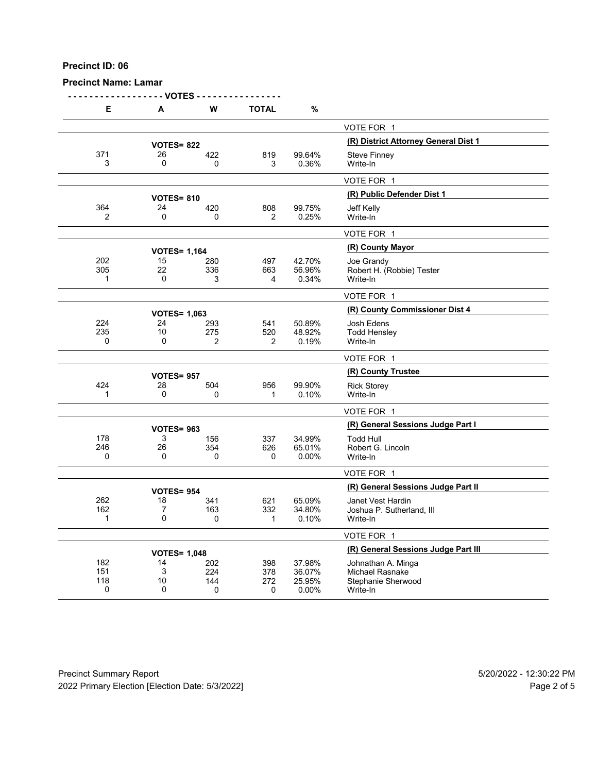## **Precinct Name: Lamar**

|                    | - VOTES -           |          |              |                 |                                      |
|--------------------|---------------------|----------|--------------|-----------------|--------------------------------------|
| Е                  | A                   | W        | <b>TOTAL</b> | %               |                                      |
|                    |                     |          |              |                 | VOTE FOR 1                           |
|                    | <b>VOTES= 822</b>   |          |              |                 | (R) District Attorney General Dist 1 |
| 371                | 26                  | 422      | 819          | 99.64%          | <b>Steve Finney</b>                  |
| 3                  | 0                   | 0        | 3            | 0.36%           | Write-In                             |
|                    |                     |          |              |                 | VOTE FOR 1                           |
|                    | <b>VOTES= 810</b>   |          |              |                 | (R) Public Defender Dist 1           |
| 364                | 24                  | 420      | 808          | 99.75%          | Jeff Kelly                           |
| $\overline{2}$     | 0                   | 0        | 2            | 0.25%           | Write-In                             |
|                    |                     |          |              |                 | VOTE FOR 1                           |
|                    | <b>VOTES= 1,164</b> |          |              |                 | (R) County Mayor                     |
| 202                | 15                  | 280      | 497          | 42.70%          | Joe Grandy                           |
| 305                | 22                  | 336      | 663          | 56.96%          | Robert H. (Robbie) Tester            |
| $\mathbf 1$        | 0                   | 3        | 4            | 0.34%           | Write-In                             |
|                    |                     |          |              |                 | VOTE FOR 1                           |
|                    | <b>VOTES= 1,063</b> |          |              |                 | (R) County Commissioner Dist 4       |
| 224                | 24                  | 293      | 541          | 50.89%          | Josh Edens                           |
| 235<br>0           | 10<br>0             | 275<br>2 | 520<br>2     | 48.92%<br>0.19% | <b>Todd Hensley</b><br>Write-In      |
|                    |                     |          |              |                 |                                      |
|                    |                     |          |              |                 | VOTE FOR 1                           |
|                    | <b>VOTES= 957</b>   |          |              |                 | (R) County Trustee                   |
| 424<br>$\mathbf 1$ | 28<br>0             | 504      | 956          | 99.90%          | <b>Rick Storey</b>                   |
|                    |                     | 0        | 1            | 0.10%           | Write-In                             |
|                    |                     |          |              |                 | VOTE FOR 1                           |
|                    | <b>VOTES= 963</b>   |          |              |                 | (R) General Sessions Judge Part I    |
| 178                | 3                   | 156      | 337          | 34.99%          | <b>Todd Hull</b>                     |
| 246                | 26                  | 354      | 626          | 65.01%          | Robert G. Lincoln                    |
| 0                  | 0                   | 0        | 0            | 0.00%           | Write-In                             |
|                    |                     |          |              |                 | VOTE FOR 1                           |
|                    | <b>VOTES= 954</b>   |          |              |                 | (R) General Sessions Judge Part II   |
| 262                | 18                  | 341      | 621          | 65.09%          | Janet Vest Hardin                    |
| 162                | 7                   | 163      | 332          | 34.80%          | Joshua P. Sutherland, III            |
| $\mathbf{1}$       | 0                   | 0        | 1            | 0.10%           | Write-In                             |
|                    |                     |          |              |                 | VOTE FOR 1                           |
|                    | <b>VOTES= 1,048</b> |          |              |                 | (R) General Sessions Judge Part III  |
| 182                | 14                  | 202      | 398          | 37.98%          | Johnathan A. Minga                   |
| 151                | 3                   | 224      | 378          | 36.07%          | Michael Rasnake                      |
| 118<br>0           | 10<br>0             | 144      | 272          | 25.95%          | Stephanie Sherwood                   |
|                    |                     | 0        | 0            | 0.00%           | Write-In                             |

Precinct Summary Report 60 and 5/20/2022 - 12:30:22 PM 2022 Primary Election [Election Date: 5/3/2022] **Page 2 of 5** and 2012 Primary Election Date: 5/3/2022]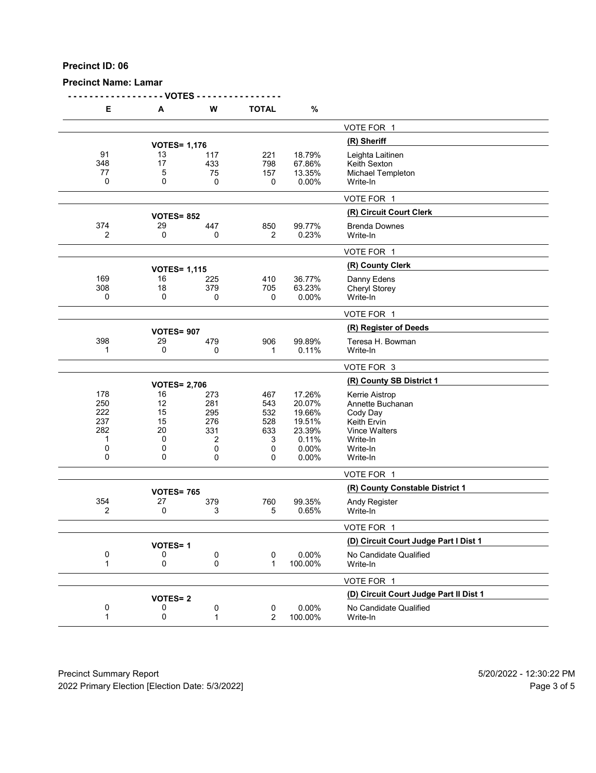# **Precinct Name: Lamar**

| Е           | A                   | W   | <b>TOTAL</b>   | $\%$    |                                        |
|-------------|---------------------|-----|----------------|---------|----------------------------------------|
|             |                     |     |                |         | VOTE FOR 1                             |
|             |                     |     |                |         | (R) Sheriff                            |
|             | <b>VOTES= 1,176</b> |     |                |         |                                        |
| 91          | 13<br>17            | 117 | 221            | 18.79%  | Leighta Laitinen                       |
| 348         |                     | 433 | 798            | 67.86%  | Keith Sexton                           |
| 77          | 5                   | 75  | 157            | 13.35%  | Michael Templeton                      |
| 0           | 0                   | 0   | 0              | 0.00%   | Write-In                               |
|             |                     |     |                |         | VOTE FOR 1                             |
|             | <b>VOTES= 852</b>   |     |                |         | (R) Circuit Court Clerk                |
| 374         | 29                  | 447 | 850            | 99.77%  | <b>Brenda Downes</b>                   |
| 2           | 0                   |     | 2              | 0.23%   |                                        |
|             |                     | 0   |                |         | Write-In                               |
|             |                     |     |                |         | VOTE FOR 1                             |
|             | <b>VOTES= 1,115</b> |     |                |         | (R) County Clerk                       |
| 169         | 16                  | 225 | 410            | 36.77%  | Danny Edens                            |
| 308         | 18                  | 379 | 705            | 63.23%  | <b>Cheryl Storey</b>                   |
| 0           | 0                   | 0   | 0              | 0.00%   | Write-In                               |
|             |                     |     |                |         |                                        |
|             |                     |     |                |         | VOTE FOR 1                             |
|             | <b>VOTES= 907</b>   |     |                |         | (R) Register of Deeds                  |
| 398         | 29                  | 479 | 906            | 99.89%  | Teresa H. Bowman                       |
| $\mathbf 1$ | 0                   | 0   | 1              | 0.11%   | Write-In                               |
|             |                     |     |                |         | VOTE FOR 3                             |
|             | <b>VOTES= 2,706</b> |     |                |         | (R) County SB District 1               |
| 178         | 16                  | 273 | 467            | 17.26%  | Kerrie Aistrop                         |
| 250         | 12                  |     |                |         |                                        |
|             |                     | 281 | 543            | 20.07%  | Annette Buchanan                       |
| 222         | 15                  | 295 | 532            | 19.66%  | Cody Day                               |
| 237         | 15                  | 276 | 528            | 19.51%  | Keith Ervin                            |
| 282         | 20                  | 331 | 633            | 23.39%  | <b>Vince Walters</b>                   |
| 1           | 0                   | 2   | 3              | 0.11%   | Write-In                               |
| 0           | 0                   | 0   | 0              | 0.00%   | Write-In                               |
| 0           | 0                   | 0   | 0              | 0.00%   | Write-In                               |
|             |                     |     |                |         | VOTE FOR 1                             |
|             |                     |     |                |         | (R) County Constable District 1        |
|             | <b>VOTES= 765</b>   |     |                |         |                                        |
| 354         | 27                  | 379 | 760            | 99.35%  | Andy Register                          |
| 2           | 0                   | 3   | 5              | 0.65%   | Write-In                               |
|             |                     |     |                |         | VOTE FOR 1                             |
|             |                     |     |                |         | (D) Circuit Court Judge Part I Dist 1  |
|             | <b>VOTES=1</b>      |     |                | 0.00%   | No Candidate Qualified                 |
| 0           | 0                   | 0   | 0              |         |                                        |
| 1           | 0                   | 0   | 1              | 100.00% | Write-In                               |
|             |                     |     |                |         | VOTE FOR 1                             |
|             | <b>VOTES=2</b>      |     |                |         | (D) Circuit Court Judge Part II Dist 1 |
| 0           | 0                   | 0   | 0              | 0.00%   | No Candidate Qualified                 |
| 1           | 0                   | 1   | $\overline{2}$ | 100.00% |                                        |
|             |                     |     |                |         | Write-In                               |
|             |                     |     |                |         |                                        |

Precinct Summary Report 60 and 5/20/2022 - 12:30:22 PM 2022 Primary Election [Election Date: 5/3/2022] 2022 Primary Election 5 and 5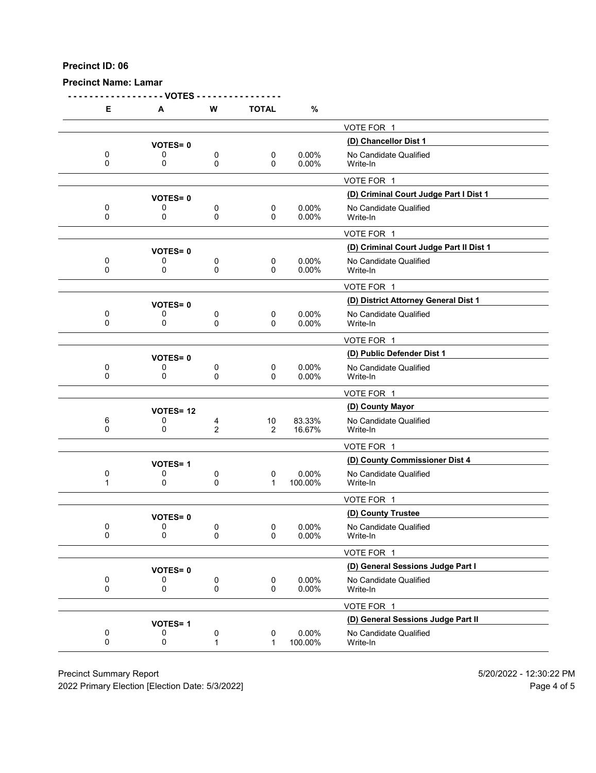# **Precinct Name: Lamar**

| Е      | - VOTES<br>Α    | W                   | <b>TOTAL</b>         | $\%$              |                                         |
|--------|-----------------|---------------------|----------------------|-------------------|-----------------------------------------|
|        |                 |                     |                      |                   | VOTE FOR 1                              |
|        | <b>VOTES=0</b>  |                     |                      |                   | (D) Chancellor Dist 1                   |
| 0<br>0 | 0<br>0          | 0<br>0              | 0<br>0               | 0.00%<br>0.00%    | No Candidate Qualified<br>Write-In      |
|        |                 |                     |                      |                   | VOTE FOR 1                              |
|        | <b>VOTES=0</b>  |                     |                      |                   | (D) Criminal Court Judge Part I Dist 1  |
| 0<br>0 | 0<br>0          | 0<br>0              | 0<br>0               | 0.00%<br>$0.00\%$ | No Candidate Qualified<br>Write-In      |
|        |                 |                     |                      |                   | VOTE FOR 1                              |
|        | <b>VOTES=0</b>  |                     |                      |                   | (D) Criminal Court Judge Part II Dist 1 |
| 0<br>0 | 0<br>0          | 0<br>0              | 0<br>0               | 0.00%<br>0.00%    | No Candidate Qualified<br>Write-In      |
|        |                 |                     |                      |                   | VOTE FOR 1                              |
|        | <b>VOTES=0</b>  |                     |                      |                   | (D) District Attorney General Dist 1    |
| 0<br>0 | 0<br>0          | 0<br>0              | 0<br>0               | 0.00%<br>0.00%    | No Candidate Qualified<br>Write-In      |
|        |                 |                     |                      |                   | VOTE FOR 1                              |
|        | <b>VOTES=0</b>  |                     |                      |                   | (D) Public Defender Dist 1              |
| 0<br>0 | 0<br>0          | 0<br>0              | 0<br>0               | 0.00%<br>0.00%    | No Candidate Qualified<br>Write-In      |
|        |                 |                     |                      |                   | VOTE FOR 1                              |
|        | <b>VOTES=12</b> |                     |                      |                   | (D) County Mayor                        |
| 6<br>0 | 0<br>0          | 4<br>$\overline{2}$ | 10<br>$\overline{2}$ | 83.33%<br>16.67%  | No Candidate Qualified<br>Write-In      |
|        |                 |                     |                      |                   | VOTE FOR 1                              |
|        | <b>VOTES=1</b>  |                     |                      |                   | (D) County Commissioner Dist 4          |
| 0<br>1 | 0<br>0          | 0<br>0              | 0<br>1               | 0.00%<br>100.00%  | No Candidate Qualified<br>Write-In      |
|        |                 |                     |                      |                   | VOTE FOR 1                              |
|        | <b>VOTES=0</b>  |                     |                      |                   | (D) County Trustee                      |
| 0<br>0 | 0<br>$\pmb{0}$  | 0<br>$\mathsf 0$    | 0<br>0               | 0.00%<br>0.00%    | No Candidate Qualified<br>Write-In      |
|        |                 |                     |                      |                   | VOTE FOR 1                              |
|        | <b>VOTES=0</b>  |                     |                      |                   | (D) General Sessions Judge Part I       |
| 0<br>0 | 0<br>0          | 0<br>0              | 0<br>0               | 0.00%<br>0.00%    | No Candidate Qualified<br>Write-In      |
|        |                 |                     |                      |                   | VOTE FOR 1                              |
|        | <b>VOTES=1</b>  |                     |                      |                   | (D) General Sessions Judge Part II      |
| 0<br>0 | 0<br>0          | 0<br>$\mathbf{1}$   | 0<br>$\mathbf{1}$    | 0.00%<br>100.00%  | No Candidate Qualified<br>Write-In      |
|        |                 |                     |                      |                   |                                         |

Precinct Summary Report 60 and the state of the state of the State of the State of the State of the State of the State of the State of the State of the State of the State of the State of the State of the State of the State

2022 Primary Election [Election Date: 5/3/2022] 2022 Primary Election 10 and 5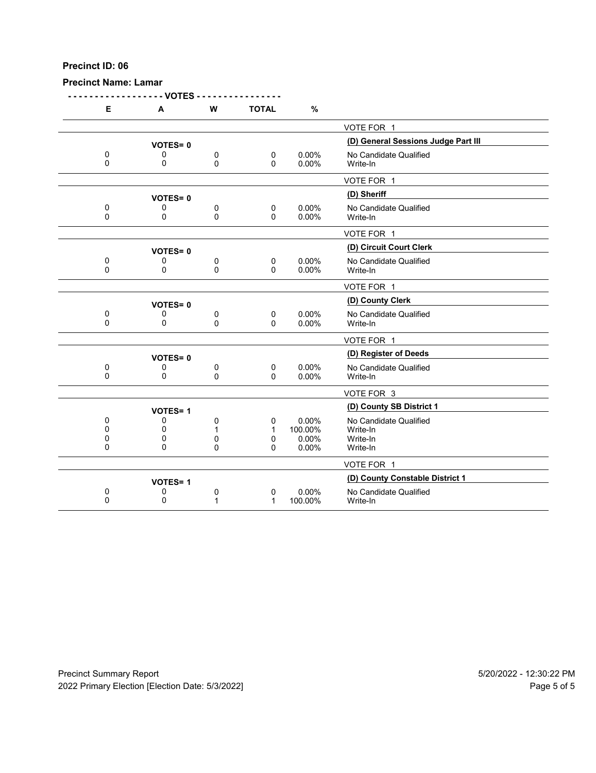# **Precinct Name: Lamar**

|                | - VOTES        |             |              |          |                                     |
|----------------|----------------|-------------|--------------|----------|-------------------------------------|
| E              | A              | W           | <b>TOTAL</b> | $\%$     |                                     |
|                |                |             |              |          | VOTE FOR 1                          |
|                | <b>VOTES=0</b> |             |              |          | (D) General Sessions Judge Part III |
| 0              | 0              | 0           | 0            | 0.00%    | No Candidate Qualified              |
| $\mathbf 0$    | 0              | 0           | 0            | $0.00\%$ | Write-In                            |
|                |                |             |              |          | VOTE FOR 1                          |
|                | <b>VOTES=0</b> |             |              |          | (D) Sheriff                         |
| 0              | 0              | 0           | 0            | 0.00%    | No Candidate Qualified              |
| 0              | 0              | $\pmb{0}$   | $\mathbf 0$  | 0.00%    | Write-In                            |
|                |                |             |              |          | VOTE FOR 1                          |
|                | <b>VOTES=0</b> |             |              |          | (D) Circuit Court Clerk             |
| 0              | 0              | 0           | 0            | 0.00%    | No Candidate Qualified              |
| $\overline{0}$ | 0              | 0           | $\Omega$     | 0.00%    | Write-In                            |
|                |                |             |              |          | VOTE FOR 1                          |
|                | <b>VOTES=0</b> |             |              |          | (D) County Clerk                    |
| 0              | 0              | 0           | $\mathbf 0$  | 0.00%    | No Candidate Qualified              |
| $\Omega$       | 0              | $\mathbf 0$ | $\Omega$     | 0.00%    | Write-In                            |
|                |                |             |              |          | VOTE FOR 1                          |
|                | <b>VOTES=0</b> |             |              |          | (D) Register of Deeds               |
| 0              | 0              | 0           | $\mathbf 0$  | 0.00%    | No Candidate Qualified              |
| $\Omega$       | $\mathbf{0}$   | 0           | $\Omega$     | 0.00%    | Write-In                            |
|                |                |             |              |          | VOTE FOR 3                          |
|                | <b>VOTES=1</b> |             |              |          | (D) County SB District 1            |
| $\mathbf{0}$   | 0              | 0           | 0            | 0.00%    | No Candidate Qualified              |
| 0              | 0              | 1           | 1            | 100.00%  | Write-In                            |
| 0              | 0              | 0           | 0            | 0.00%    | Write-In                            |
| 0              | 0              | 0           | 0            | 0.00%    | Write-In                            |
|                |                |             |              |          | VOTE FOR 1                          |
|                | <b>VOTES=1</b> |             |              |          | (D) County Constable District 1     |
| 0              | 0              | 0           | 0            | 0.00%    | No Candidate Qualified              |
| 0              | 0              | 1           | 1            | 100.00%  | Write-In                            |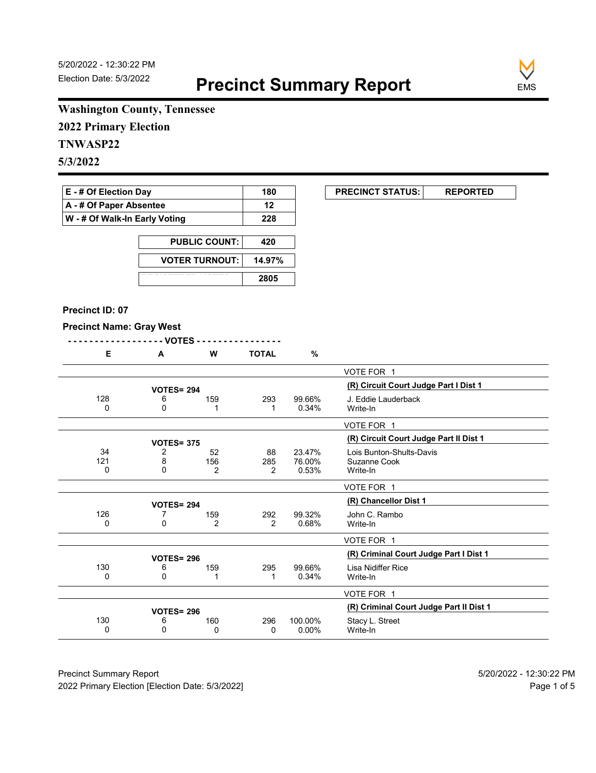**EXECUNCT STATUS:** REPORTED



# **Washington County, Tennessee**

**2022 Primary Election**

# **TNWASP22**

**5/3/2022**

| $E - #$ Of Election Day               | 180 |
|---------------------------------------|-----|
| $\mathsf{A}$ - # Of Paper Absentee    | 12  |
| $\vert$ W - # Of Walk-In Early Voting | 228 |

| <b>PUBLIC COUNT:</b>  | 420    |
|-----------------------|--------|
| <b>VOTER TURNOUT:</b> | 14.97% |
|                       | 2805   |

#### **Precinct ID: 07**

#### **Precinct Name: Gray West**

|--|--|

|                |                    |                |                |                           | VOTE FOR 1                                           |
|----------------|--------------------|----------------|----------------|---------------------------|------------------------------------------------------|
|                | <b>VOTES= 294</b>  |                |                |                           | (R) Circuit Court Judge Part I Dist 1                |
| 128<br>0       | 6<br>0             | 159            | 293            | 99.66%<br>0.34%           | J. Eddie Lauderback<br>Write-In                      |
|                |                    |                |                |                           | VOTE FOR 1                                           |
|                | <b>VOTES= 375</b>  |                |                |                           | (R) Circuit Court Judge Part II Dist 1               |
| 34<br>121<br>0 | 2<br>8<br>$\Omega$ | 52<br>156<br>2 | 88<br>285<br>2 | 23.47%<br>76.00%<br>0.53% | Lois Bunton-Shults-Davis<br>Suzanne Cook<br>Write-In |
|                |                    |                |                |                           | VOTE FOR 1                                           |
|                | <b>VOTES= 294</b>  |                |                |                           | (R) Chancellor Dist 1                                |
| 126<br>0       | 0                  | 159<br>2       | 292<br>2       | 99.32%<br>0.68%           | John C. Rambo<br>Write-In                            |
|                |                    |                |                |                           | VOTE FOR 1                                           |
|                | <b>VOTES= 296</b>  |                |                |                           | (R) Criminal Court Judge Part I Dist 1               |
| 130<br>0       | 6<br>0             | 159<br>1       | 295            | 99.66%<br>0.34%           | Lisa Nidiffer Rice<br>Write-In                       |
|                |                    |                |                |                           | VOTE FOR 1                                           |
|                | <b>VOTES= 296</b>  |                |                |                           | (R) Criminal Court Judge Part II Dist 1              |
| 130<br>0       | 6<br>0             | 160<br>0       | 296<br>0       | 100.00%<br>$0.00\%$       | Stacy L. Street<br>Write-In                          |

Precinct Summary Report 60 and 5/20/2022 - 12:30:22 PM 2022 Primary Election [Election Date: 5/3/2022] **Page 1 of 5** and 2022 Primary Election Date: 5/3/2022]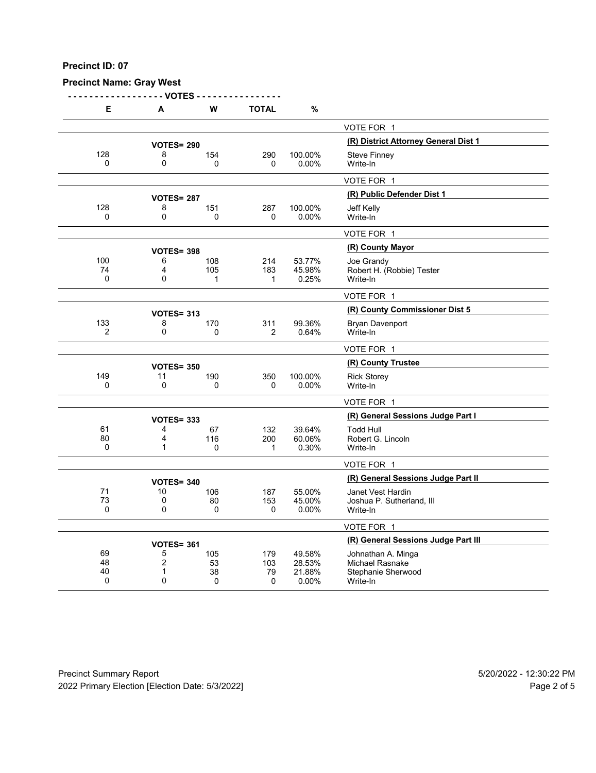# **Precinct Name: Gray West**

**- - - - - - - - - - - - - - - - - - VOTES - - - - - - - - - - - - - - - -**

| Е               | А                      | W               | <b>TOTAL</b>          | $\%$                |                                                |
|-----------------|------------------------|-----------------|-----------------------|---------------------|------------------------------------------------|
|                 |                        |                 |                       |                     | VOTE FOR 1                                     |
|                 | <b>VOTES= 290</b>      |                 |                       |                     | (R) District Attorney General Dist 1           |
| 128             | 8                      | 154             | 290                   | 100.00%             | <b>Steve Finney</b>                            |
| $\mathbf{0}$    | $\mathbf 0$            | $\Omega$        | 0                     | 0.00%               | Write-In                                       |
|                 |                        |                 |                       |                     | VOTE FOR 1                                     |
|                 | <b>VOTES= 287</b>      |                 |                       |                     | (R) Public Defender Dist 1                     |
| 128             | 8                      | 151             | 287                   | 100.00%             | Jeff Kelly                                     |
| $\Omega$        | $\mathbf 0$            | 0               | 0                     | $0.00\%$            | Write-In                                       |
|                 |                        |                 |                       |                     | VOTE FOR 1                                     |
|                 | <b>VOTES= 398</b>      |                 |                       |                     | (R) County Mayor                               |
| 100             | 6                      | 108             | 214                   | 53.77%              | Joe Grandy                                     |
| 74<br>0         | 4<br>0                 | 105             | 183                   | 45.98%<br>0.25%     | Robert H. (Robbie) Tester                      |
|                 |                        | 1               | 1                     |                     | Write-In                                       |
|                 |                        |                 |                       |                     | VOTE FOR 1                                     |
|                 | <b>VOTES= 313</b>      |                 |                       |                     | (R) County Commissioner Dist 5                 |
| 133<br>2        | 8<br>0                 | 170<br>0        | 311<br>$\overline{2}$ | 99.36%<br>0.64%     | <b>Bryan Davenport</b><br>Write-In             |
|                 |                        |                 |                       |                     |                                                |
|                 |                        |                 |                       |                     | VOTE FOR 1                                     |
|                 | <b>VOTES= 350</b>      |                 |                       |                     | (R) County Trustee                             |
| 149<br>$\Omega$ | 11<br>$\mathbf 0$      | 190<br>$\Omega$ | 350<br>0              | 100.00%<br>$0.00\%$ | <b>Rick Storey</b><br>Write-In                 |
|                 |                        |                 |                       |                     |                                                |
|                 |                        |                 |                       |                     | VOTE FOR 1                                     |
|                 | <b>VOTES= 333</b>      |                 |                       |                     | (R) General Sessions Judge Part I              |
| 61              | 4                      | 67              | 132                   | 39.64%              | <b>Todd Hull</b>                               |
| 80<br>0         | 4<br>$\mathbf{1}$      | 116<br>0        | 200<br>1              | 60.06%<br>0.30%     | Robert G. Lincoln<br>Write-In                  |
|                 |                        |                 |                       |                     |                                                |
|                 |                        |                 |                       |                     | VOTE FOR 1                                     |
|                 | <b>VOTES= 340</b>      |                 |                       |                     | (R) General Sessions Judge Part II             |
| 71<br>73        | 10<br>0                | 106<br>80       | 187<br>153            | 55.00%<br>45.00%    | Janet Vest Hardin<br>Joshua P. Sutherland, III |
| $\Omega$        | $\mathbf{0}$           | 0               | 0                     | 0.00%               | Write-In                                       |
|                 |                        |                 |                       |                     | VOTE FOR 1                                     |
|                 |                        |                 |                       |                     | (R) General Sessions Judge Part III            |
| 69              | <b>VOTES= 361</b><br>5 | 105             | 179                   | 49.58%              |                                                |
| 48              | $\overline{2}$         | 53              | 103                   | 28.53%              | Johnathan A. Minga<br>Michael Rasnake          |
| 40              | 1                      | 38              | 79                    | 21.88%              | Stephanie Sherwood                             |
| 0               | $\mathbf{0}$           | 0               | 0                     | 0.00%               | Write-In                                       |

Precinct Summary Report 60 and 5/20/2022 - 12:30:22 PM 2022 Primary Election [Election Date: 5/3/2022] 2022 Primary Election 10 and 5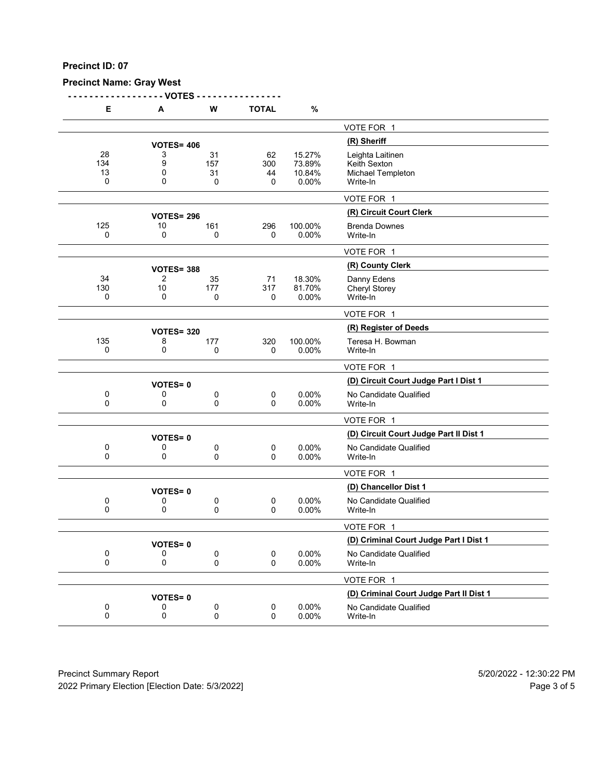# **Precinct Name: Gray West**

**- - - - - - - - - - - - - - - - - - VOTES - - - - - - - - - - - - - - - -**

| Е                    | Α                 | W                    | <b>TOTAL</b>         | $\%$                                |                                                                   |
|----------------------|-------------------|----------------------|----------------------|-------------------------------------|-------------------------------------------------------------------|
|                      |                   |                      |                      |                                     | VOTE FOR 1                                                        |
|                      | <b>VOTES= 406</b> |                      |                      |                                     | (R) Sheriff                                                       |
| 28<br>134<br>13<br>0 | 3<br>9<br>0<br>0  | 31<br>157<br>31<br>0 | 62<br>300<br>44<br>0 | 15.27%<br>73.89%<br>10.84%<br>0.00% | Leighta Laitinen<br>Keith Sexton<br>Michael Templeton<br>Write-In |
|                      |                   |                      |                      |                                     | VOTE FOR 1                                                        |
|                      | <b>VOTES= 296</b> |                      |                      |                                     | (R) Circuit Court Clerk                                           |
| 125<br>0             | 10<br>0           | 161<br>0             | 296<br>0             | 100.00%<br>0.00%                    | <b>Brenda Downes</b><br>Write-In                                  |
|                      |                   |                      |                      |                                     | VOTE FOR 1                                                        |
|                      | <b>VOTES= 388</b> |                      |                      |                                     | (R) County Clerk                                                  |
| 34<br>130<br>0       | 2<br>10<br>0      | 35<br>177<br>0       | 71<br>317<br>0       | 18.30%<br>81.70%<br>0.00%           | Danny Edens<br>Cheryl Storey<br>Write-In                          |
|                      |                   |                      |                      |                                     | VOTE FOR 1                                                        |
|                      | <b>VOTES= 320</b> |                      |                      |                                     | (R) Register of Deeds                                             |
| 135<br>0             | 8<br>0            | 177<br>0             | 320<br>0             | 100.00%<br>0.00%                    | Teresa H. Bowman<br>Write-In                                      |
|                      |                   |                      |                      |                                     | VOTE FOR 1                                                        |
|                      | <b>VOTES=0</b>    |                      |                      |                                     | (D) Circuit Court Judge Part I Dist 1                             |
| 0<br>0               | 0<br>0            | 0<br>0               | $\mathbf 0$<br>0     | 0.00%<br>0.00%                      | No Candidate Qualified<br>Write-In                                |
|                      |                   |                      |                      |                                     | VOTE FOR 1                                                        |
|                      | <b>VOTES=0</b>    |                      |                      |                                     | (D) Circuit Court Judge Part II Dist 1                            |
| 0<br>0               | 0<br>0            | 0<br>0               | $\pmb{0}$<br>0       | 0.00%<br>0.00%                      | No Candidate Qualified<br>Write-In                                |
|                      |                   |                      |                      |                                     | VOTE FOR 1                                                        |
|                      | <b>VOTES=0</b>    |                      |                      |                                     | (D) Chancellor Dist 1                                             |
| 0<br>0               | 0<br>0            | 0<br>0               | 0<br>0               | 0.00%<br>0.00%                      | No Candidate Qualified<br>Write-In                                |
|                      |                   |                      |                      |                                     | VOTE FOR 1                                                        |
|                      | <b>VOTES=0</b>    |                      |                      |                                     | (D) Criminal Court Judge Part I Dist 1                            |
| 0<br>0               | 0<br>0            | 0<br>0               | $\pmb{0}$<br>0       | 0.00%<br>0.00%                      | No Candidate Qualified<br>Write-In                                |
|                      |                   |                      |                      |                                     | VOTE FOR 1                                                        |
|                      | <b>VOTES=0</b>    |                      |                      |                                     | (D) Criminal Court Judge Part II Dist 1                           |
| $\pmb{0}$<br>0       | 0<br>0            | 0<br>0               | $\pmb{0}$<br>0       | 0.00%<br>0.00%                      | No Candidate Qualified<br>Write-In                                |

Precinct Summary Report 60 and 5/20/2022 - 12:30:22 PM 2022 Primary Election [Election Date: 5/3/2022] 2022 Primary Election 5 and 5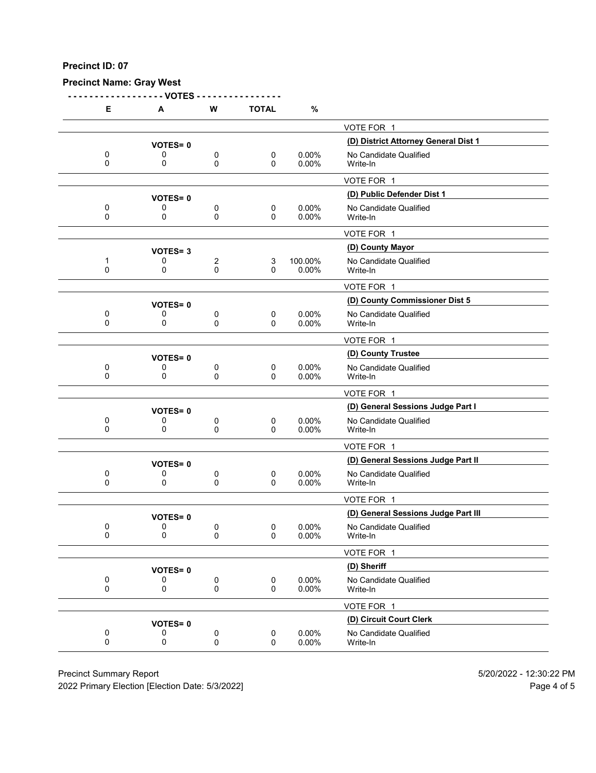**Precinct Name: Gray West**

**- - - - - - - - - - - - - - - - - - VOTES - - - - - - - - - - - - - - - - E A W TOTAL %** VOTE FOR 1 **(D) District Attorney General Dist 1 VOTES= <sup>0</sup>** 0 0 0 0 0 0.00% No Candidate Qualified<br>0 0 0 0 0.00% Write-In 0 0 0 0 0.00% Write-In VOTE FOR 1 **(D) Public Defender Dist 1 VOTES= <sup>0</sup>** 0 0 0 0 0 0.00% No Candidate Qualified<br>0 0 0 0 0.00% Write-In 0 0 0 0 0.00% Write-In <u>VOTE FOR 1</u>

|              |                |             |          |             | VOTE FOR 1                          |
|--------------|----------------|-------------|----------|-------------|-------------------------------------|
|              | <b>VOTES=3</b> |             |          |             | (D) County Mayor                    |
| 1            | 0              | 2           | 3        | 100.00%     | No Candidate Qualified              |
| 0            | 0              | $\mathbf 0$ | 0        | 0.00%       | Write-In                            |
|              |                |             |          |             | VOTE FOR 1                          |
|              | <b>VOTES=0</b> |             |          |             | (D) County Commissioner Dist 5      |
| 0            | 0              | 0           | 0        | $0.00\%$    | No Candidate Qualified              |
| 0            | 0              | 0           | $\Omega$ | 0.00%       | Write-In                            |
|              |                |             |          |             | VOTE FOR 1                          |
|              | <b>VOTES=0</b> |             |          |             | (D) County Trustee                  |
| 0            | 0              | 0           | 0        | $0.00\%$    | No Candidate Qualified              |
| $\Omega$     | $\Omega$       | 0           | $\Omega$ | $0.00\%$    | Write-In                            |
|              |                |             |          |             | VOTE FOR 1                          |
|              | <b>VOTES=0</b> |             |          |             | (D) General Sessions Judge Part I   |
| 0            | 0              | 0           | 0        | $0.00\%$    | No Candidate Qualified              |
| 0            | $\Omega$       | $\mathbf 0$ | $\Omega$ | $0.00\%$    | Write-In                            |
|              |                |             |          |             | VOTE FOR 1                          |
|              | <b>VOTES=0</b> |             |          |             | (D) General Sessions Judge Part II  |
| 0            | 0              | 0           | 0        | $0.00\%$    | No Candidate Qualified              |
| $\mathbf{0}$ | $\Omega$       | $\Omega$    | $\Omega$ | $0.00\%$    | Write-In                            |
|              |                |             |          |             | VOTE FOR 1                          |
|              | <b>VOTES=0</b> |             |          |             | (D) General Sessions Judge Part III |
| 0            | 0              | 0           | 0        | $0.00\%$    | No Candidate Qualified              |
| $\Omega$     | 0              | $\mathbf 0$ | $\Omega$ | 0.00%       | Write-In                            |
|              |                |             |          |             | VOTE FOR 1                          |
|              |                |             |          | (D) Sheriff |                                     |
| 0            | 0              | 0           | 0        | $0.00\%$    | No Candidate Qualified              |
| $\mathbf 0$  | 0              | 0           | $\Omega$ | 0.00%       | Write-In                            |
|              |                |             |          |             | VOTE FOR 1                          |
|              | <b>VOTES=0</b> |             |          |             | (D) Circuit Court Clerk             |
| 0            | 0              | 0           | 0        | $0.00\%$    | No Candidate Qualified              |
| $\mathbf{0}$ | $\mathbf{0}$   | 0           | $\Omega$ | $0.00\%$    | Write-In                            |

Precinct Summary Report 60 and 5/20/2022 - 12:30:22 PM

2022 Primary Election [Election Date: 5/3/2022] **Page 4 of 5** and 2022 Primary Election Cate: 5/3/2022]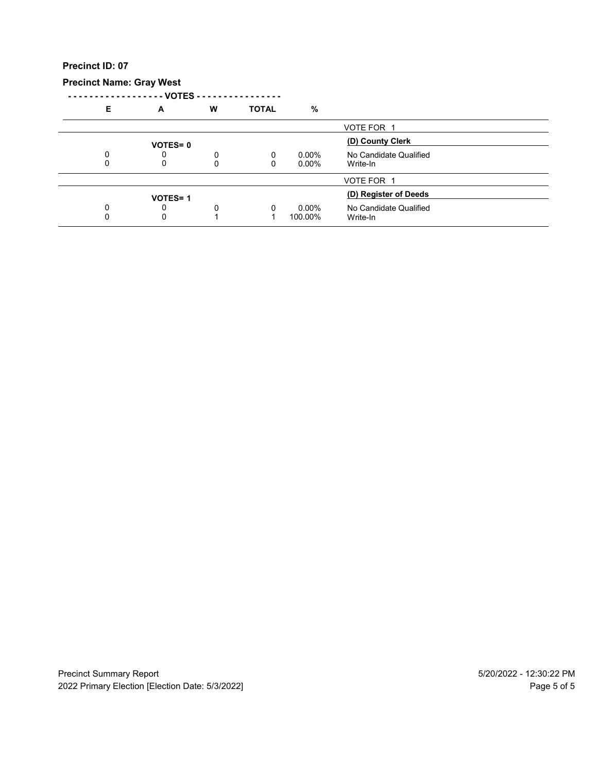# **Precinct Name: Gray West**

**- - - - - - - - - - - - - - - - - - VOTES - - - - - - - - - - - - - - - -**

| Е | A              | W | <b>TOTAL</b> | %        |                        |  |
|---|----------------|---|--------------|----------|------------------------|--|
|   |                |   |              |          | VOTE FOR 1             |  |
|   | <b>VOTES=0</b> |   |              |          | (D) County Clerk       |  |
|   |                | 0 | 0            | $0.00\%$ | No Candidate Qualified |  |
|   |                | 0 | 0            | $0.00\%$ | Write-In               |  |
|   |                |   |              |          | VOTE FOR 1             |  |
|   | <b>VOTES=1</b> |   |              |          | (D) Register of Deeds  |  |
|   | O              | 0 | $\Omega$     | $0.00\%$ | No Candidate Qualified |  |
|   | 0              |   |              | 100.00%  | Write-In               |  |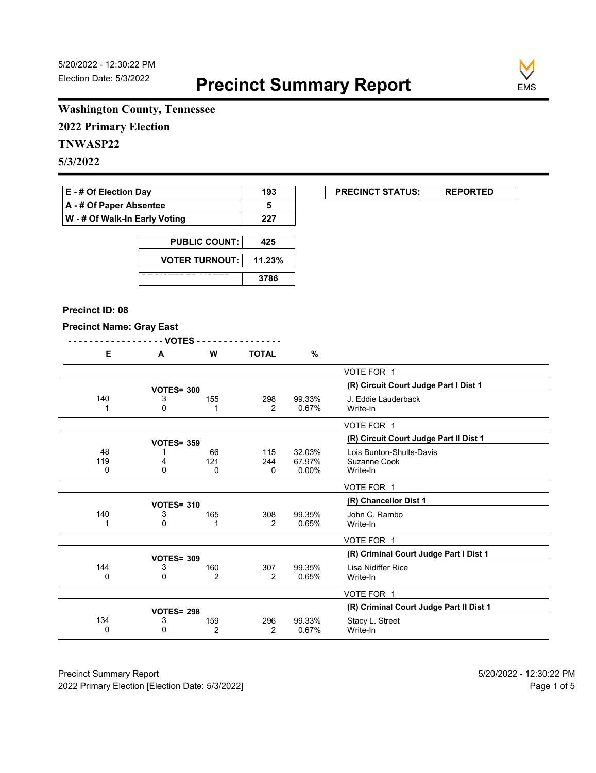

# **Washington County, Tennessee**

**2022 Primary Election**

# **TNWASP22**

**5/3/2022**

| $E - #$ Of Election Day            | 193 |
|------------------------------------|-----|
| $\mathsf{A}$ - # Of Paper Absentee |     |
| W - # Of Walk-In Early Voting      | 227 |

| <b>PUBLIC COUNT:</b>  | 425    |
|-----------------------|--------|
| <b>VOTER TURNOUT:</b> | 11.23% |
|                       | 3786   |

#### **Precinct ID: 08**

### **Precinct Name: Gray East**

|--|--|--|--|--|--|--|--|

|  |  | . |  |
|--|--|---|--|
|  |  |   |  |

|     |                   |          |     |          | VOTE FOR 1                              |
|-----|-------------------|----------|-----|----------|-----------------------------------------|
|     | <b>VOTES= 300</b> |          |     |          | (R) Circuit Court Judge Part I Dist 1   |
| 140 | 3                 | 155      | 298 | 99.33%   | J. Eddie Lauderback                     |
|     | 0                 |          | 2   | 0.67%    | Write-In                                |
|     |                   |          |     |          | VOTE FOR 1                              |
|     | <b>VOTES= 359</b> |          |     |          | (R) Circuit Court Judge Part II Dist 1  |
| 48  |                   | 66       | 115 | 32.03%   | Lois Bunton-Shults-Davis                |
| 119 | 4                 | 121      | 244 | 67.97%   | Suzanne Cook                            |
| 0   | $\Omega$          | $\Omega$ | 0   | $0.00\%$ | Write-In                                |
|     |                   |          |     |          | VOTE FOR 1                              |
|     | <b>VOTES= 310</b> |          |     |          | (R) Chancellor Dist 1                   |
| 140 | 3                 | 165      | 308 | 99.35%   | John C. Rambo                           |
|     | 0                 |          | 2   | 0.65%    | Write-In                                |
|     |                   |          |     |          | VOTE FOR 1                              |
|     | <b>VOTES= 309</b> |          |     |          | (R) Criminal Court Judge Part I Dist 1  |
| 144 | 3                 | 160      | 307 | 99.35%   | Lisa Nidiffer Rice                      |
| 0   | 0                 | 2        | 2   | 0.65%    | Write-In                                |
|     |                   |          |     |          | VOTE FOR 1                              |
|     | <b>VOTES= 298</b> |          |     |          | (R) Criminal Court Judge Part II Dist 1 |
| 134 | 3                 | 159      | 296 | 99.33%   | Stacy L. Street                         |
|     |                   | 2        | 2   | 0.67%    | Write-In                                |

Precinct Summary Report 60 and 5/20/2022 - 12:30:22 PM 2022 Primary Election [Election Date: 5/3/2022] **Page 1 of 5** and 2022 Primary Election Date: 5/3/2022]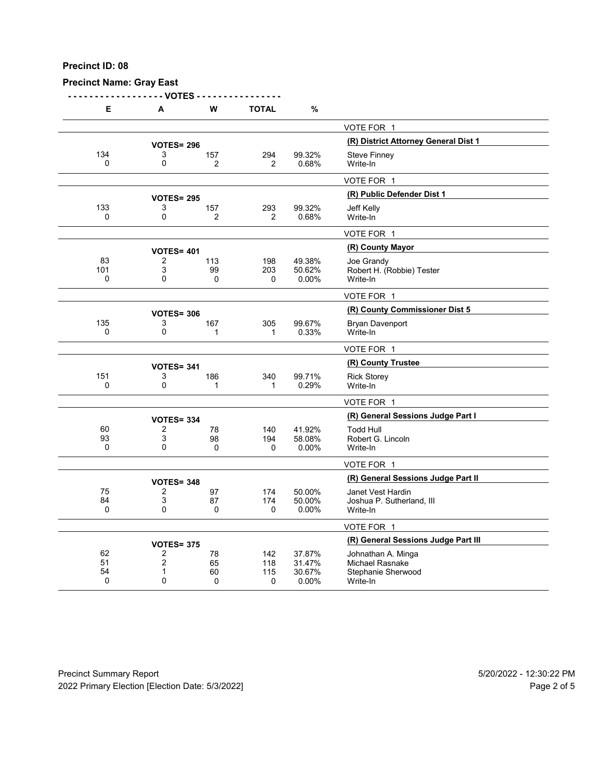**Precinct Name: Gray East**

**- - - - - - - - - - - - - - - - - - VOTES - - - - - - - - - - - - - - - -**

| Е           | A                 | w              | TOTAL          | %      |                                      |
|-------------|-------------------|----------------|----------------|--------|--------------------------------------|
|             |                   |                |                |        | VOTE FOR 1                           |
|             | <b>VOTES= 296</b> |                |                |        | (R) District Attorney General Dist 1 |
| 134         | 3                 | 157            | 294            | 99.32% | Steve Finney                         |
| $\Omega$    | 0                 | 2              | $\overline{2}$ | 0.68%  | Write-In                             |
|             |                   |                |                |        | VOTE FOR 1                           |
|             | <b>VOTES= 295</b> |                |                |        | (R) Public Defender Dist 1           |
| 133         | 3                 | 157            | 293            | 99.32% | Jeff Kelly                           |
| 0           | 0                 | $\overline{2}$ | $\overline{2}$ | 0.68%  | Write-In                             |
|             |                   |                |                |        | VOTE FOR 1                           |
|             | <b>VOTES= 401</b> |                |                |        | (R) County Mayor                     |
| 83          | 2                 | 113            | 198            | 49.38% | Joe Grandy                           |
| 101         | 3                 | 99             | 203            | 50.62% | Robert H. (Robbie) Tester            |
| $\mathbf 0$ | 0                 | 0              | 0              | 0.00%  | Write-In                             |
|             |                   |                |                |        | VOTE FOR 1                           |
|             | <b>VOTES= 306</b> |                |                |        | (R) County Commissioner Dist 5       |
| 135         | 3                 | 167            | 305            | 99.67% | Bryan Davenport                      |
| 0           | 0                 | 1              | 1              | 0.33%  | Write-In                             |
|             |                   |                |                |        | VOTE FOR 1                           |
|             | <b>VOTES= 341</b> |                |                |        | (R) County Trustee                   |
| 151         | 3                 | 186            | 340            | 99.71% | <b>Rick Storey</b>                   |
| $\mathbf 0$ | 0                 | 1              | 1              | 0.29%  | Write-In                             |
|             |                   |                |                |        | VOTE FOR 1                           |
|             | <b>VOTES= 334</b> |                |                |        | (R) General Sessions Judge Part I    |
| 60          | $\overline{2}$    | 78             | 140            | 41.92% | <b>Todd Hull</b>                     |
| 93          | 3                 | 98             | 194            | 58.08% | Robert G. Lincoln                    |
| $\Omega$    | 0                 | $\Omega$       | 0              | 0.00%  | Write-In                             |
|             |                   |                |                |        | VOTE FOR 1                           |
|             | <b>VOTES= 348</b> |                |                |        | (R) General Sessions Judge Part II   |
| 75          | 2                 | 97             | 174            | 50.00% | Janet Vest Hardin                    |
| 84          | 3                 | 87             | 174            | 50.00% | Joshua P. Sutherland, III            |
| 0           | 0                 | 0              | 0              | 0.00%  | Write-In                             |
|             |                   |                |                |        | VOTE FOR 1                           |
|             | <b>VOTES= 375</b> |                |                |        | (R) General Sessions Judge Part III  |
| 62          | $\overline{2}$    | 78             | 142            | 37.87% | Johnathan A. Minga                   |
| 51          | 2                 | 65             | 118            | 31.47% | Michael Rasnake                      |
| 54          | 1                 | 60             | 115            | 30.67% | Stephanie Sherwood                   |
| $\mathbf 0$ | 0                 | 0              | 0              | 0.00%  | Write-In                             |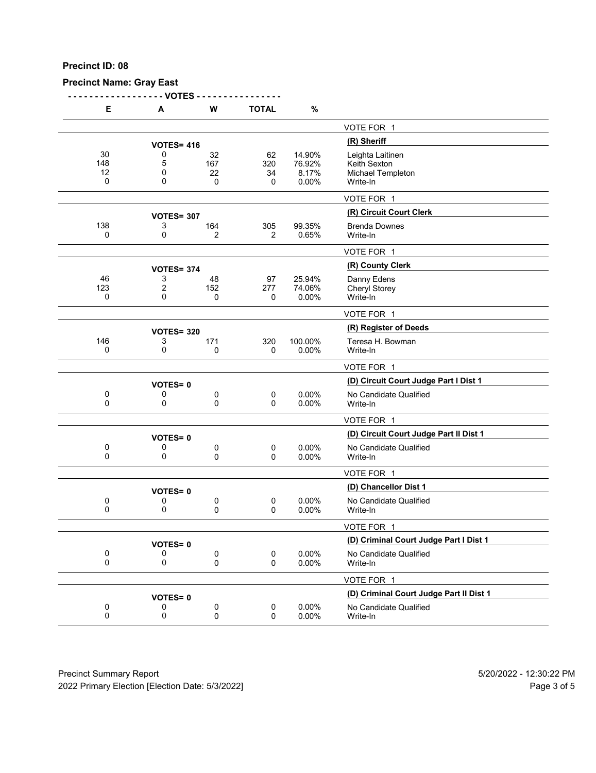**Precinct Name: Gray East**

**- - - - - - - - - - - - - - - - - - VOTES - - - - - - - - - - - - - - - -**

| Е                    | А                 | W                     | <b>TOTAL</b>         | %                                  |                                                                   |
|----------------------|-------------------|-----------------------|----------------------|------------------------------------|-------------------------------------------------------------------|
|                      |                   |                       |                      |                                    | VOTE FOR 1                                                        |
|                      | <b>VOTES= 416</b> |                       |                      |                                    | (R) Sheriff                                                       |
| 30<br>148<br>12<br>0 | 0<br>5<br>0<br>0  | 32<br>167<br>22<br>0  | 62<br>320<br>34<br>0 | 14.90%<br>76.92%<br>8.17%<br>0.00% | Leighta Laitinen<br>Keith Sexton<br>Michael Templeton<br>Write-In |
|                      |                   |                       |                      |                                    | VOTE FOR 1                                                        |
|                      | <b>VOTES= 307</b> |                       |                      |                                    | (R) Circuit Court Clerk                                           |
| 138<br>0             | 3<br>0            | 164<br>$\overline{2}$ | 305<br>2             | 99.35%<br>0.65%                    | <b>Brenda Downes</b><br>Write-In                                  |
|                      |                   |                       |                      |                                    | VOTE FOR 1                                                        |
|                      | <b>VOTES= 374</b> |                       |                      |                                    | (R) County Clerk                                                  |
| 46<br>123<br>0       | 3<br>2<br>0       | 48<br>152<br>0        | 97<br>277<br>0       | 25.94%<br>74.06%<br>0.00%          | Danny Edens<br><b>Cheryl Storey</b><br>Write-In                   |
|                      |                   |                       |                      |                                    | VOTE FOR 1                                                        |
|                      | <b>VOTES= 320</b> |                       |                      |                                    | (R) Register of Deeds                                             |
| 146<br>0             | 3<br>0            | 171<br>0              | 320<br>0             | 100.00%<br>0.00%                   | Teresa H. Bowman<br>Write-In                                      |
|                      |                   |                       |                      |                                    | VOTE FOR 1                                                        |
|                      | <b>VOTES=0</b>    |                       |                      |                                    | (D) Circuit Court Judge Part I Dist 1                             |
| 0<br>0               | 0<br>0            | 0<br>0                | 0<br>$\Omega$        | 0.00%<br>0.00%                     | No Candidate Qualified<br>Write-In                                |
|                      |                   |                       |                      |                                    | VOTE FOR 1                                                        |
|                      | <b>VOTES=0</b>    |                       |                      |                                    | (D) Circuit Court Judge Part II Dist 1                            |
| 0<br>0               | 0<br>0            | 0<br>0                | 0<br>0               | 0.00%<br>0.00%                     | No Candidate Qualified<br>Write-In                                |
|                      |                   |                       |                      |                                    | VOTE FOR 1                                                        |
|                      | <b>VOTES=0</b>    |                       |                      |                                    | (D) Chancellor Dist 1                                             |
| 0<br>0               | 0<br>0            | 0<br>0                | 0<br>0               | 0.00%<br>0.00%                     | No Candidate Qualified<br>Write-In                                |
|                      |                   |                       |                      |                                    | VOTE FOR 1                                                        |
|                      | <b>VOTES=0</b>    |                       |                      |                                    | (D) Criminal Court Judge Part I Dist 1                            |
| 0<br>0               | 0<br>0            | 0<br>0                | 0<br>$\Omega$        | 0.00%<br>0.00%                     | No Candidate Qualified<br>Write-In                                |
|                      |                   |                       |                      |                                    | VOTE FOR 1                                                        |
|                      | <b>VOTES=0</b>    |                       |                      |                                    | (D) Criminal Court Judge Part II Dist 1                           |
| 0<br>$\mathbf 0$     | 0<br>0            | 0<br>0                | 0<br>$\mathbf 0$     | 0.00%<br>0.00%                     | No Candidate Qualified<br>Write-In                                |
|                      |                   |                       |                      |                                    |                                                                   |

Precinct Summary Report 60 and 5/20/2022 - 12:30:22 PM 2022 Primary Election [Election Date: 5/3/2022] 2022 Primary Election 5 and 5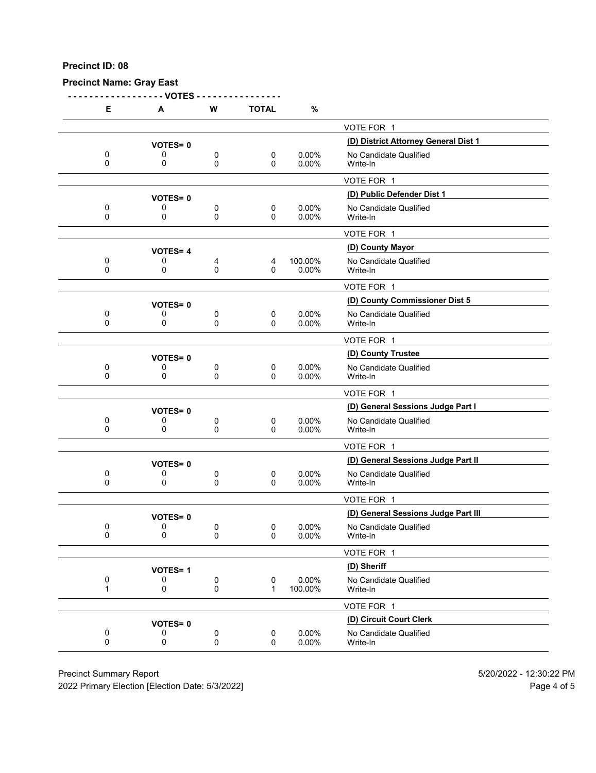**Precinct Name: Gray East**

**- - - - - - - - - - - - - - - - - - VOTES - - - - - - - - - - - - - - - -**

| Е                | А                   | W             | <b>TOTAL</b>                | %                 |                                      |
|------------------|---------------------|---------------|-----------------------------|-------------------|--------------------------------------|
|                  |                     |               |                             |                   | VOTE FOR 1                           |
|                  | <b>VOTES=0</b>      |               |                             |                   | (D) District Attorney General Dist 1 |
| 0<br>0           | 0                   | 0             | 0                           | 0.00%             | No Candidate Qualified               |
|                  | 0                   | 0             | $\mathbf{0}$                | 0.00%             | Write-In                             |
|                  |                     |               |                             |                   | VOTE FOR 1                           |
|                  | <b>VOTES=0</b>      |               |                             |                   | (D) Public Defender Dist 1           |
| 0<br>$\Omega$    | 0<br>0              | 0<br>0        | $\mathbf 0$<br>$\Omega$     | 0.00%<br>0.00%    | No Candidate Qualified<br>Write-In   |
|                  |                     |               |                             |                   | VOTE FOR 1                           |
|                  | <b>VOTES=4</b>      |               |                             |                   | (D) County Mayor                     |
| 0<br>0           | 0<br>0              | 4<br>0        | 4<br>0                      | 100.00%<br>0.00%  | No Candidate Qualified<br>Write-In   |
|                  |                     |               |                             |                   | VOTE FOR 1                           |
|                  | <b>VOTES=0</b>      |               |                             |                   | (D) County Commissioner Dist 5       |
| $\mathbf 0$<br>0 | 0<br>0              | 0<br>0        | $\mathbf 0$<br>$\mathbf{0}$ | $0.00\%$<br>0.00% | No Candidate Qualified<br>Write-In   |
|                  |                     |               |                             |                   | VOTE FOR 1                           |
|                  | <b>VOTES=0</b>      |               |                             |                   | (D) County Trustee                   |
| 0                | 0                   | 0             | $\mathbf 0$                 | 0.00%             | No Candidate Qualified               |
| 0                | 0                   | 0             | 0                           | 0.00%             | Write-In                             |
|                  |                     |               |                             |                   | VOTE FOR 1                           |
|                  | <b>VOTES=0</b>      |               |                             |                   | (D) General Sessions Judge Part I    |
| 0<br>0           | 0<br>0              | 0<br>0        | 0<br>$\mathbf{0}$           | $0.00\%$<br>0.00% | No Candidate Qualified<br>Write-In   |
|                  |                     |               |                             |                   | VOTE FOR 1                           |
|                  | <b>VOTES=0</b>      |               |                             |                   | (D) General Sessions Judge Part II   |
| 0<br>0           | 0<br>0              | 0<br>0        | 0<br>$\mathbf{0}$           | 0.00%<br>0.00%    | No Candidate Qualified<br>Write-In   |
|                  |                     |               |                             |                   | VOTE FOR 1                           |
|                  | <b>VOTES=0</b>      |               |                             |                   | (D) General Sessions Judge Part III  |
| 0<br>0           | 0<br>0              | 0<br>$\Omega$ | 0<br>0                      | $0.00\%$<br>0.00% | No Candidate Qualified<br>Write-In   |
|                  |                     |               |                             |                   | VOTE FOR 1                           |
|                  | <b>VOTES=1</b>      |               |                             |                   | (D) Sheriff                          |
| 0<br>1           | 0<br>0              | 0<br>0        | $\pmb{0}$<br>$\mathbf{1}$   | 0.00%<br>100.00%  | No Candidate Qualified<br>Write-In   |
|                  |                     |               |                             |                   | VOTE FOR 1                           |
|                  |                     |               |                             |                   | (D) Circuit Court Clerk              |
| $\pmb{0}$        | <b>VOTES=0</b><br>0 | 0             | $\pmb{0}$                   | 0.00%             | No Candidate Qualified               |
| 0                | 0                   | 0             | 0                           | 0.00%             | Write-In                             |

Precinct Summary Report 60 and 5/20/2022 - 12:30:22 PM

2022 Primary Election [Election Date: 5/3/2022] 2022 Primary Election 10 and 5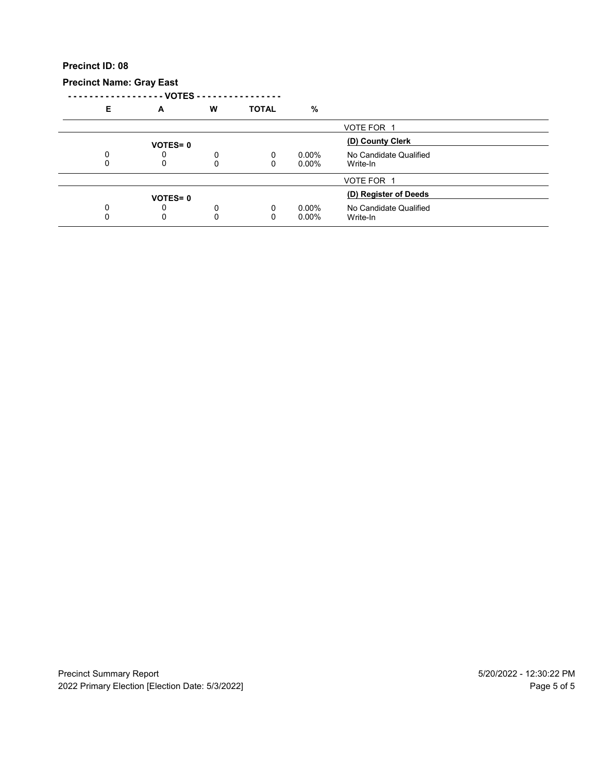**Precinct Name: Gray East**

**- - - - - - - - - - - - - - - - - - VOTES - - - - - - - - - - - - - - - -**

| E | A              | W | <b>TOTAL</b> | %        |                        |  |
|---|----------------|---|--------------|----------|------------------------|--|
|   |                |   |              |          | VOTE FOR 1             |  |
|   | <b>VOTES=0</b> |   |              |          | (D) County Clerk       |  |
|   |                | ი | 0            | $0.00\%$ | No Candidate Qualified |  |
|   | 0              | 0 | 0            | $0.00\%$ | Write-In               |  |
|   |                |   |              |          | VOTE FOR 1             |  |
|   | <b>VOTES=0</b> |   |              |          | (D) Register of Deeds  |  |
|   |                | 0 | 0            | $0.00\%$ | No Candidate Qualified |  |
|   |                | 0 | 0            | $0.00\%$ | Write-In               |  |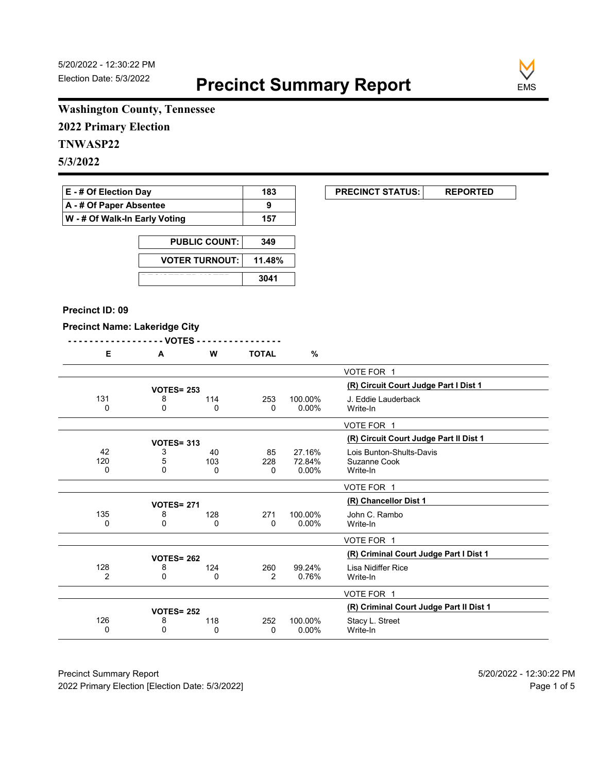

 $\overline{\phantom{0}}$ 

# **Washington County, Tennessee**

**2022 Primary Election**

# **TNWASP22**

**5/3/2022**

| $E - #$ Of Election Day       | 183 |
|-------------------------------|-----|
| A - # Of Paper Absentee       |     |
| W - # Of Walk-In Early Voting | 157 |

| <b>PUBLIC COUNT:</b>  | 349    |
|-----------------------|--------|
| <b>VOTER TURNOUT:</b> | 11.48% |
|                       | 3041   |

#### **Precinct ID: 09**

**Precinct Name: Lakeridge City**

|--|--|

| Е              | A                 | W   | TOTAL          | ℅        |                                         |
|----------------|-------------------|-----|----------------|----------|-----------------------------------------|
|                |                   |     |                |          | VOTE FOR 1                              |
|                | <b>VOTES= 253</b> |     |                |          | (R) Circuit Court Judge Part I Dist 1   |
| 131            |                   |     |                |          |                                         |
|                | 8                 | 114 | 253            | 100.00%  | J. Eddie Lauderback                     |
| 0              | 0                 | 0   | 0              | $0.00\%$ | Write-In                                |
|                |                   |     |                |          | VOTE FOR 1                              |
|                | <b>VOTES= 313</b> |     |                |          | (R) Circuit Court Judge Part II Dist 1  |
| 42             | 3                 | 40  | 85             | 27.16%   | Lois Bunton-Shults-Davis                |
| 120            | 5                 | 103 | 228            | 72.84%   | Suzanne Cook                            |
| 0              | $\Omega$          | 0   | $\mathbf{0}$   | $0.00\%$ | Write-In                                |
|                |                   |     |                |          |                                         |
|                |                   |     |                |          | VOTE FOR 1                              |
|                | <b>VOTES= 271</b> |     |                |          | (R) Chancellor Dist 1                   |
| 135            | 8                 | 128 | 271            | 100.00%  | John C. Rambo                           |
| 0              | 0                 | 0   | 0              | $0.00\%$ | Write-In                                |
|                |                   |     |                |          |                                         |
|                |                   |     |                |          | VOTE FOR 1                              |
|                | <b>VOTES= 262</b> |     |                |          | (R) Criminal Court Judge Part I Dist 1  |
| 128            | 8                 | 124 | 260            | 99.24%   | Lisa Nidiffer Rice                      |
| $\overline{2}$ | 0                 | 0   | $\overline{2}$ | 0.76%    | Write-In                                |
|                |                   |     |                |          |                                         |
|                |                   |     |                |          | VOTE FOR 1                              |
|                | <b>VOTES= 252</b> |     |                |          | (R) Criminal Court Judge Part II Dist 1 |
| 126            | 8                 | 118 | 252            | 100.00%  | Stacy L. Street                         |
| 0              | 0                 | 0   | 0              | 0.00%    | Write-In                                |
|                |                   |     |                |          |                                         |

Precinct Summary Report 60 and 5/20/2022 - 12:30:22 PM 2022 Primary Election [Election Date: 5/3/2022] **Page 1 of 5** and 2022 Primary Election Date: 5/3/2022]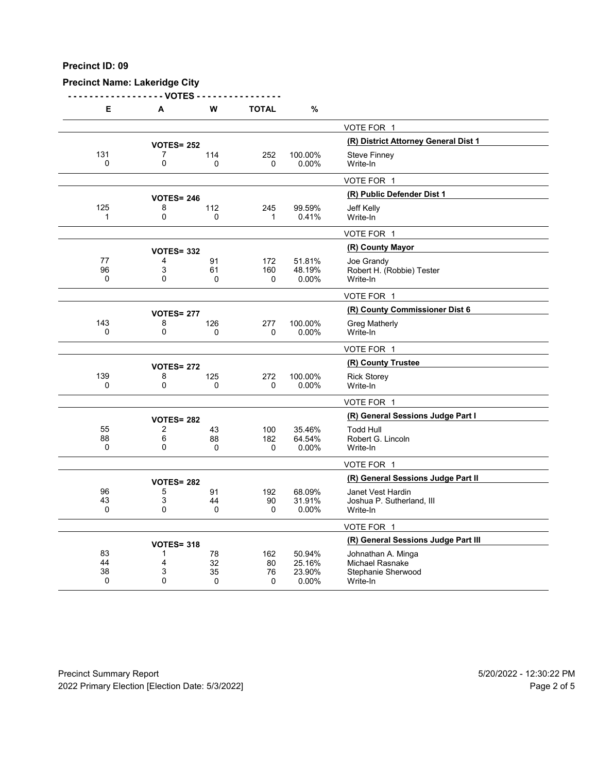# **Precinct Name: Lakeridge City**

**- - - - - - - - - - - - - - - - - - VOTES - - - - - - - - - - - - - - - -**

| Е              | A                      | W            | <b>TOTAL</b> | %                |                                              |
|----------------|------------------------|--------------|--------------|------------------|----------------------------------------------|
|                |                        |              |              |                  | VOTE FOR 1                                   |
|                | <b>VOTES= 252</b>      |              |              |                  | (R) District Attorney General Dist 1         |
| 131            | 7                      | 114          | 252          | 100.00%          | Steve Finney                                 |
| $\Omega$       | 0                      | 0            | 0            | 0.00%            | Write-In                                     |
|                |                        |              |              |                  | VOTE FOR 1                                   |
|                | <b>VOTES= 246</b>      |              |              |                  | (R) Public Defender Dist 1                   |
| 125            | 8                      | 112          | 245          | 99.59%           | Jeff Kelly                                   |
| 1              | $\mathbf 0$            | $\mathbf{0}$ | 1            | 0.41%            | Write-In                                     |
|                |                        |              |              |                  | VOTE FOR 1                                   |
|                | <b>VOTES= 332</b>      |              |              |                  | (R) County Mayor                             |
| 77<br>96       | 4<br>3                 | 91<br>61     | 172<br>160   | 51.81%<br>48.19% | Joe Grandy<br>Robert H. (Robbie) Tester      |
| 0              | $\mathbf{0}$           | 0            | 0            | 0.00%            | Write-In                                     |
|                |                        |              |              |                  | VOTE FOR 1                                   |
|                | <b>VOTES= 277</b>      |              |              |                  | (R) County Commissioner Dist 6               |
| 143            | 8                      | 126          | 277          | 100.00%          | Greg Matherly                                |
| $\Omega$       | $\mathbf 0$            | 0            | 0            | 0.00%            | Write-In                                     |
|                |                        |              |              |                  | VOTE FOR 1                                   |
|                | <b>VOTES= 272</b>      |              |              |                  | (R) County Trustee                           |
| 139            | 8                      | 125          | 272          | 100.00%          | <b>Rick Storey</b>                           |
| $\mathbf 0$    | $\mathbf 0$            | $\mathbf{0}$ | $\Omega$     | 0.00%            | Write-In                                     |
|                |                        |              |              |                  | VOTE FOR 1                                   |
|                | <b>VOTES= 282</b>      |              |              |                  | (R) General Sessions Judge Part I            |
| 55             | $\overline{2}$         | 43           | 100          | 35.46%           | <b>Todd Hull</b>                             |
| 88<br>$\Omega$ | 6<br>0                 | 88<br>0      | 182<br>0     | 64.54%<br>0.00%  | Robert G. Lincoln<br>Write-In                |
|                |                        |              |              |                  | VOTE FOR 1                                   |
|                |                        |              |              |                  | (R) General Sessions Judge Part II           |
| 96             | <b>VOTES= 282</b><br>5 | 91           | 192          | 68.09%           | Janet Vest Hardin                            |
| 43             | 3                      | 44           | 90           | 31.91%           | Joshua P. Sutherland, III                    |
| 0              | 0                      | 0            | 0            | 0.00%            | Write-In                                     |
|                |                        |              |              |                  | VOTE FOR 1                                   |
|                | <b>VOTES= 318</b>      |              |              |                  | (R) General Sessions Judge Part III          |
| 83             | 1                      | 78           | 162          | 50.94%           | Johnathan A. Minga                           |
| 44<br>38       | 4<br>3                 | 32<br>35     | 80<br>76     | 25.16%<br>23.90% | <b>Michael Rasnake</b><br>Stephanie Sherwood |
| 0              | $\mathbf{0}$           | 0            | $\mathbf 0$  | 0.00%            | Write-In                                     |

Precinct Summary Report 60 and 5/20/2022 - 12:30:22 PM 2022 Primary Election [Election Date: 5/3/2022] 2022 Primary Election 10 and 5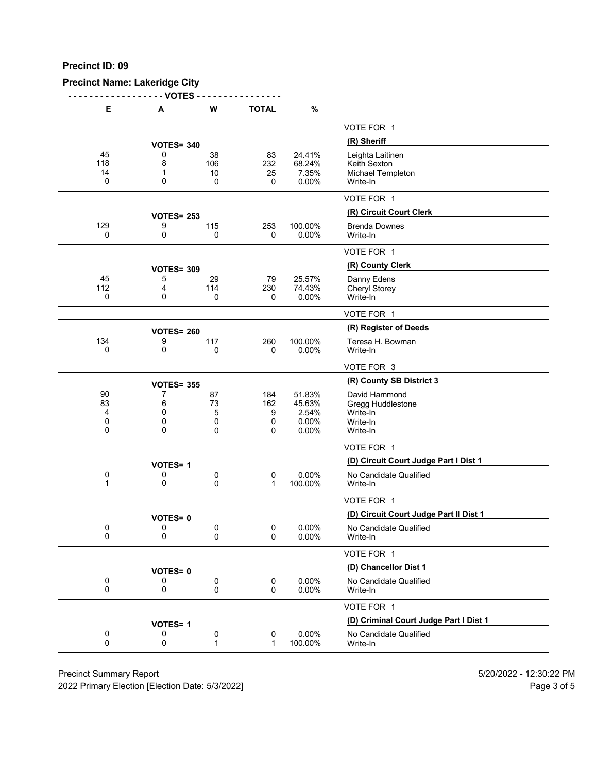# **Precinct Name: Lakeridge City**

**- - - - - - - - - - - - - - - - - - VOTES - - - - - - - - - - - - - - - -**

| Е                       | A                           | W                       | <b>TOTAL</b>              | $\%$                                        |                                                                        |
|-------------------------|-----------------------------|-------------------------|---------------------------|---------------------------------------------|------------------------------------------------------------------------|
|                         |                             |                         |                           |                                             | VOTE FOR 1                                                             |
|                         | <b>VOTES= 340</b>           |                         |                           |                                             | (R) Sheriff                                                            |
| 45<br>118<br>14<br>0    | 0<br>8<br>1<br>0            | 38<br>106<br>10<br>0    | 83<br>232<br>25<br>0      | 24.41%<br>68.24%<br>7.35%<br>0.00%          | Leighta Laitinen<br>Keith Sexton<br>Michael Templeton<br>Write-In      |
|                         |                             |                         |                           |                                             | VOTE FOR 1                                                             |
|                         |                             |                         |                           |                                             | (R) Circuit Court Clerk                                                |
| 129<br>0                | <b>VOTES= 253</b><br>9<br>0 | 115<br>0                | 253<br>0                  | 100.00%<br>0.00%                            | <b>Brenda Downes</b><br>Write-In                                       |
|                         |                             |                         |                           |                                             | VOTE FOR 1                                                             |
|                         | <b>VOTES= 309</b>           |                         |                           |                                             | (R) County Clerk                                                       |
| 45<br>112<br>0          | 5<br>4<br>$\mathbf{0}$      | 29<br>114<br>0          | 79<br>230<br>0            | 25.57%<br>74.43%<br>0.00%                   | Danny Edens<br>Cheryl Storey<br>Write-In                               |
|                         |                             |                         |                           |                                             | VOTE FOR 1                                                             |
|                         | <b>VOTES= 260</b>           |                         |                           |                                             | (R) Register of Deeds                                                  |
| 134<br>0                | 9<br>0                      | 117<br>0                | 260<br>0                  | 100.00%<br>0.00%                            | Teresa H. Bowman<br>Write-In                                           |
|                         |                             |                         |                           |                                             | VOTE FOR 3                                                             |
|                         | <b>VOTES= 355</b>           |                         |                           |                                             | (R) County SB District 3                                               |
| 90<br>83<br>4<br>0<br>0 | 7<br>6<br>0<br>0<br>0       | 87<br>73<br>5<br>0<br>0 | 184<br>162<br>9<br>0<br>0 | 51.83%<br>45.63%<br>2.54%<br>0.00%<br>0.00% | David Hammond<br>Gregg Huddlestone<br>Write-In<br>Write-In<br>Write-In |
|                         |                             |                         |                           |                                             | VOTE FOR 1                                                             |
|                         | <b>VOTES=1</b>              |                         |                           |                                             | (D) Circuit Court Judge Part I Dist 1                                  |
| 0<br>1                  | 0<br>0                      | 0<br>0                  | 0<br>$\mathbf{1}$         | 0.00%<br>100.00%                            | No Candidate Qualified<br>Write-In                                     |
|                         |                             |                         |                           |                                             | VOTE FOR 1                                                             |
|                         | <b>VOTES=0</b>              |                         |                           |                                             | (D) Circuit Court Judge Part II Dist 1                                 |
| 0<br>0                  | 0<br>0                      | 0<br>0                  | 0<br>0                    | 0.00%<br>0.00%                              | No Candidate Qualified<br>Write-In                                     |
|                         |                             |                         |                           |                                             | VOTE FOR 1                                                             |
|                         | <b>VOTES=0</b>              |                         |                           |                                             | (D) Chancellor Dist 1                                                  |
| 0<br>0                  | 0<br>0                      | 0<br>0                  | 0<br>0                    | 0.00%<br>0.00%                              | No Candidate Qualified<br>Write-In                                     |
|                         |                             |                         |                           |                                             | VOTE FOR 1                                                             |
|                         | <b>VOTES=1</b>              |                         |                           |                                             | (D) Criminal Court Judge Part I Dist 1                                 |
| 0<br>0                  | 0<br>0                      | 0<br>1                  | 0<br>$\mathbf 1$          | 0.00%<br>100.00%                            | No Candidate Qualified<br>Write-In                                     |

Precinct Summary Report 60 and 5/20/2022 - 12:30:22 PM

2022 Primary Election [Election Date: 5/3/2022] 2022 Primary Election 5 and 5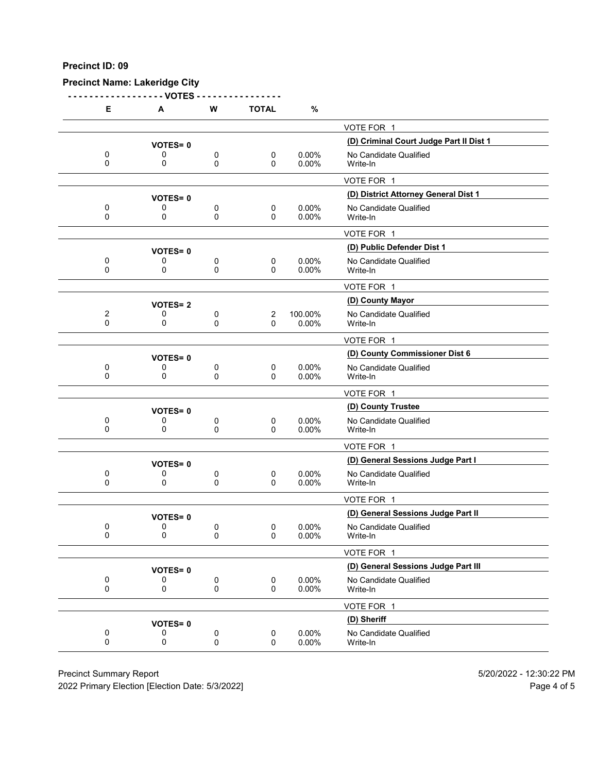# **Precinct Name: Lakeridge City**

**- - - - - - - - - - - - - - - - - - VOTES - - - - - - - - - - - - - - - -**

| Е                          | A              | W      | <b>TOTAL</b>   | %                 |                                         |
|----------------------------|----------------|--------|----------------|-------------------|-----------------------------------------|
|                            |                |        |                |                   | VOTE FOR 1                              |
|                            | <b>VOTES=0</b> |        |                |                   | (D) Criminal Court Judge Part II Dist 1 |
| 0<br>0                     | 0<br>0         | 0<br>0 | 0<br>0         | $0.00\%$<br>0.00% | No Candidate Qualified<br>Write-In      |
|                            |                |        |                |                   | VOTE FOR 1                              |
|                            | <b>VOTES=0</b> |        |                |                   | (D) District Attorney General Dist 1    |
| 0<br>0                     | 0<br>0         | 0<br>0 | 0<br>$\Omega$  | 0.00%<br>0.00%    | No Candidate Qualified<br>Write-In      |
|                            |                |        |                |                   | VOTE FOR 1                              |
|                            | <b>VOTES=0</b> |        |                |                   | (D) Public Defender Dist 1              |
| 0<br>$\mathbf 0$           | 0<br>0         | 0<br>0 | 0<br>0         | 0.00%<br>0.00%    | No Candidate Qualified<br>Write-In      |
|                            |                |        |                |                   | VOTE FOR 1                              |
|                            | <b>VOTES=2</b> |        |                |                   | (D) County Mayor                        |
| $\overline{c}$<br>$\Omega$ | 0<br>0         | 0<br>0 | 2<br>$\Omega$  | 100.00%<br>0.00%  | No Candidate Qualified<br>Write-In      |
|                            |                |        |                |                   | VOTE FOR 1                              |
|                            | <b>VOTES=0</b> |        |                |                   | (D) County Commissioner Dist 6          |
| 0<br>0                     | 0<br>0         | 0<br>0 | $\pmb{0}$<br>0 | 0.00%<br>0.00%    | No Candidate Qualified<br>Write-In      |
|                            |                |        |                |                   | VOTE FOR 1                              |
|                            | <b>VOTES=0</b> |        |                |                   | (D) County Trustee                      |
| 0<br>0                     | 0<br>0         | 0<br>0 | 0<br>0         | 0.00%<br>0.00%    | No Candidate Qualified<br>Write-In      |
|                            |                |        |                |                   | VOTE FOR 1                              |
|                            | <b>VOTES=0</b> |        |                |                   | (D) General Sessions Judge Part I       |
| 0<br>0                     | 0<br>0         | 0<br>0 | 0<br>0         | $0.00\%$<br>0.00% | No Candidate Qualified<br>Write-In      |
|                            |                |        |                |                   | VOTE FOR 1                              |
|                            | <b>VOTES=0</b> |        |                |                   | (D) General Sessions Judge Part II      |
| 0<br>0                     | 0<br>0         | 0<br>0 | 0<br>0         | 0.00%<br>0.00%    | No Candidate Qualified<br>Write-In      |
|                            |                |        |                |                   | VOTE FOR 1                              |
|                            | <b>VOTES=0</b> |        |                |                   | (D) General Sessions Judge Part III     |
| 0<br>$\pmb{0}$             | 0<br>0         | 0<br>0 | 0<br>0         | 0.00%<br>0.00%    | No Candidate Qualified<br>Write-In      |
|                            |                |        |                |                   | VOTE FOR 1                              |
|                            | <b>VOTES=0</b> |        |                |                   | (D) Sheriff                             |
| 0<br>0                     | 0<br>0         | 0<br>0 | 0<br>0         | 0.00%<br>0.00%    | No Candidate Qualified<br>Write-In      |
|                            |                |        |                |                   |                                         |

Precinct Summary Report 60 and 5/20/2022 - 12:30:22 PM

2022 Primary Election [Election Date: 5/3/2022] 2022 Primary Election 10 and 5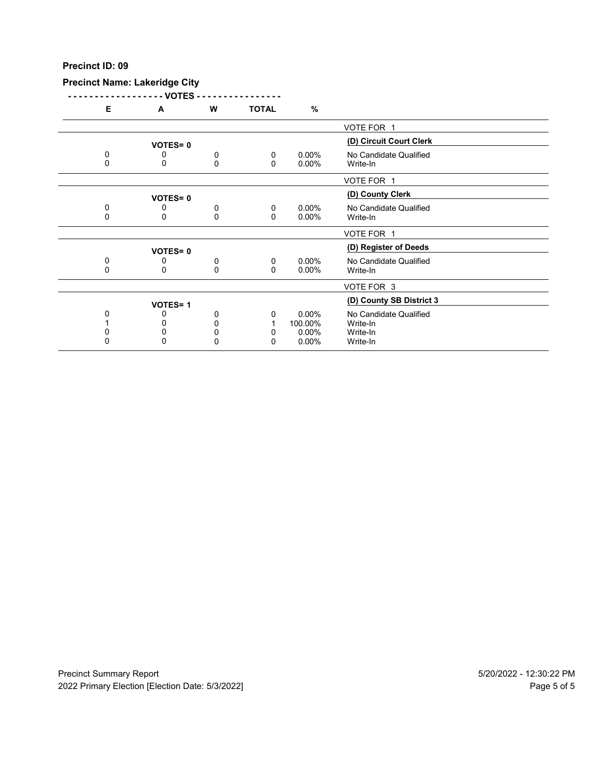# **Precinct Name: Lakeridge City**

**- - - - - - - - - - - - - - - - - - VOTES - - - - - - - - - - - - - - - -**

| Е | A              | W        | <b>TOTAL</b> | %        |                          |  |
|---|----------------|----------|--------------|----------|--------------------------|--|
|   |                |          |              |          | VOTE FOR 1               |  |
|   | <b>VOTES=0</b> |          |              |          | (D) Circuit Court Clerk  |  |
|   |                |          |              |          |                          |  |
| 0 | 0              | 0        | 0            | $0.00\%$ | No Candidate Qualified   |  |
| 0 | 0              | $\Omega$ | 0            | $0.00\%$ | Write-In                 |  |
|   |                |          |              |          | VOTE FOR 1               |  |
|   | <b>VOTES=0</b> |          |              |          | (D) County Clerk         |  |
| 0 | 0              | 0        | 0            | $0.00\%$ | No Candidate Qualified   |  |
| 0 | 0              | $\Omega$ | $\Omega$     | $0.00\%$ |                          |  |
|   |                |          |              |          | Write-In                 |  |
|   |                |          |              |          | VOTE FOR 1               |  |
|   | <b>VOTES=0</b> |          |              |          | (D) Register of Deeds    |  |
| 0 | 0              | 0        | 0            | $0.00\%$ | No Candidate Qualified   |  |
| 0 | 0              | 0        | 0            | $0.00\%$ | Write-In                 |  |
|   |                |          |              |          |                          |  |
|   |                |          |              |          | VOTE FOR 3               |  |
|   | <b>VOTES=1</b> |          |              |          | (D) County SB District 3 |  |
|   | 0              | 0        | 0            | $0.00\%$ | No Candidate Qualified   |  |
|   |                |          |              |          |                          |  |
|   |                | 0        |              | 100.00%  | Write-In                 |  |
|   | 0              | 0        | n            | $0.00\%$ | Write-In                 |  |
| 0 | $\mathbf{0}$   | $\Omega$ | 0            | 0.00%    | Write-In                 |  |
|   |                |          |              |          |                          |  |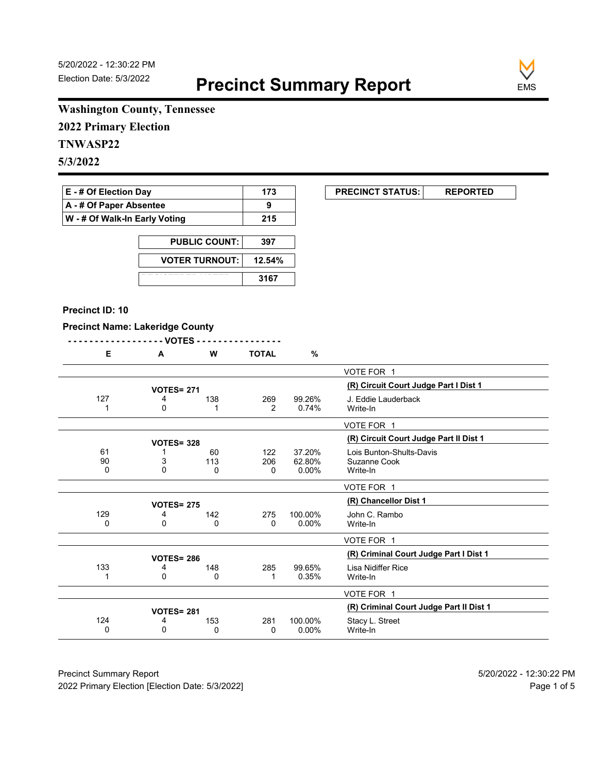

# **Washington County, Tennessee**

**2022 Primary Election**

# **TNWASP22**

**5/3/2022**

| <b>E</b> - # Of Election Day       | 173 |
|------------------------------------|-----|
| $\mathsf{A}$ - # Of Paper Absentee | 9   |
| W - # Of Walk-In Early Voting      | 215 |

| <b>PUBLIC COUNT:</b>  | 397    |
|-----------------------|--------|
| <b>VOTER TURNOUT:</b> | 12.54% |
|                       | 3167   |

#### **Precinct ID: 10**

## **Precinct Name: Lakeridge County**

|--|--|

| Е   | A                 | w   | <b>TOTAL</b> | %        |                                         |
|-----|-------------------|-----|--------------|----------|-----------------------------------------|
|     |                   |     |              |          | VOTE FOR 1                              |
|     | <b>VOTES= 271</b> |     |              |          | (R) Circuit Court Judge Part I Dist 1   |
| 127 | 4                 | 138 | 269          | 99.26%   | J. Eddie Lauderback                     |
|     | 0                 |     | 2            | 0.74%    | Write-In                                |
|     |                   |     |              |          | VOTE FOR 1                              |
|     | <b>VOTES= 328</b> |     |              |          | (R) Circuit Court Judge Part II Dist 1  |
| 61  |                   | 60  | 122          | 37.20%   | Lois Bunton-Shults-Davis                |
| 90  | 3                 | 113 | 206          | 62.80%   | Suzanne Cook                            |
| 0   | $\mathbf{0}$      | 0   | 0            | $0.00\%$ | Write-In                                |
|     |                   |     |              |          | VOTE FOR 1                              |
|     | <b>VOTES= 275</b> |     |              |          | (R) Chancellor Dist 1                   |
| 129 | 4                 | 142 | 275          | 100.00%  | John C. Rambo                           |
| 0   | 0                 | 0   | 0            | 0.00%    | Write-In                                |
|     |                   |     |              |          | VOTE FOR 1                              |
|     | <b>VOTES= 286</b> |     |              |          | (R) Criminal Court Judge Part I Dist 1  |
| 133 | 4                 | 148 | 285          | 99.65%   | Lisa Nidiffer Rice                      |
|     | 0                 | 0   | 1            | 0.35%    | Write-In                                |
|     |                   |     |              |          | VOTE FOR 1                              |
|     | <b>VOTES= 281</b> |     |              |          | (R) Criminal Court Judge Part II Dist 1 |
| 124 | 4                 | 153 | 281          | 100.00%  | Stacy L. Street                         |
| 0   | 0                 | 0   | 0            | $0.00\%$ | Write-In                                |
|     |                   |     |              |          |                                         |

Precinct Summary Report 60 and 5/20/2022 - 12:30:22 PM 2022 Primary Election [Election Date: 5/3/2022] **Page 1 of 5** and 2022 Primary Election Date: 5/3/2022]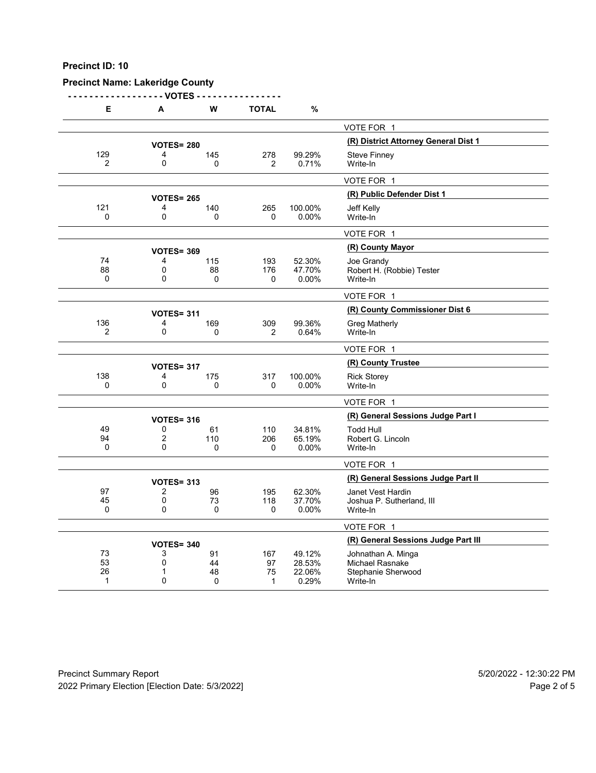# **Precinct Name: Lakeridge County**

**- - - - - - - - - - - - - - - - - - VOTES - - - - - - - - - - - - - - - -**

| Е              | A                            | W         | <b>TOTAL</b> | %                |                                              |
|----------------|------------------------------|-----------|--------------|------------------|----------------------------------------------|
|                |                              |           |              |                  | VOTE FOR 1                                   |
|                | <b>VOTES= 280</b>            |           |              |                  | (R) District Attorney General Dist 1         |
| 129            | 4                            | 145       | 278          | 99.29%           | <b>Steve Finney</b>                          |
| 2              | 0                            | 0         | 2            | 0.71%            | Write-In                                     |
|                |                              |           |              |                  | VOTE FOR 1                                   |
|                | <b>VOTES= 265</b>            |           |              |                  | (R) Public Defender Dist 1                   |
| 121            | 4                            | 140       | 265          | 100.00%          | Jeff Kelly                                   |
| 0              | $\mathbf 0$                  | 0         | 0            | 0.00%            | Write-In                                     |
|                |                              |           |              |                  | VOTE FOR 1                                   |
|                | <b>VOTES= 369</b>            |           |              |                  | (R) County Mayor                             |
| 74<br>88       | 4<br>$\mathbf 0$             | 115<br>88 | 193<br>176   | 52.30%<br>47.70% | Joe Grandy<br>Robert H. (Robbie) Tester      |
| $\Omega$       | $\mathbf{0}$                 | 0         | 0            | 0.00%            | Write-In                                     |
|                |                              |           |              |                  | VOTE FOR 1                                   |
|                | <b>VOTES= 311</b>            |           |              |                  | (R) County Commissioner Dist 6               |
| 136            | 4                            | 169       | 309          | 99.36%           | <b>Greg Matherly</b>                         |
| $\overline{2}$ | $\mathbf 0$                  | 0         | 2            | 0.64%            | Write-In                                     |
|                |                              |           |              |                  | VOTE FOR 1                                   |
|                | <b>VOTES= 317</b>            |           |              |                  | (R) County Trustee                           |
| 138            | 4                            | 175       | 317          | 100.00%          | <b>Rick Storey</b>                           |
| $\mathbf 0$    | $\mathbf 0$                  | 0         | 0            | 0.00%            | Write-In                                     |
|                |                              |           |              |                  | VOTE FOR 1                                   |
|                | <b>VOTES= 316</b>            |           |              |                  | (R) General Sessions Judge Part I            |
| 49<br>94       | 0<br>$\overline{\mathbf{c}}$ | 61<br>110 | 110<br>206   | 34.81%<br>65.19% | <b>Todd Hull</b>                             |
| $\mathbf 0$    | $\mathbf{0}$                 | 0         | 0            | 0.00%            | Robert G. Lincoln<br>Write-In                |
|                |                              |           |              |                  | VOTE FOR 1                                   |
|                | <b>VOTES= 313</b>            |           |              |                  | (R) General Sessions Judge Part II           |
| 97             | 2                            | 96        | 195          | 62.30%           | Janet Vest Hardin                            |
| 45             | 0                            | 73        | 118          | 37.70%           | Joshua P. Sutherland, III                    |
| 0              | 0                            | 0         | 0            | 0.00%            | Write-In                                     |
|                |                              |           |              |                  | VOTE FOR 1                                   |
|                | <b>VOTES= 340</b>            |           |              |                  | (R) General Sessions Judge Part III          |
| 73<br>53       | 3<br>$\mathbf 0$             | 91<br>44  | 167          | 49.12%           | Johnathan A. Minga                           |
| 26             | 1                            | 48        | 97<br>75     | 28.53%<br>22.06% | <b>Michael Rasnake</b><br>Stephanie Sherwood |
| 1              | $\mathbf{0}$                 | 0         | 1            | 0.29%            | Write-In                                     |

Precinct Summary Report 60 and 5/20/2022 - 12:30:22 PM 2022 Primary Election [Election Date: 5/3/2022] 2022 Primary Election 10 and 5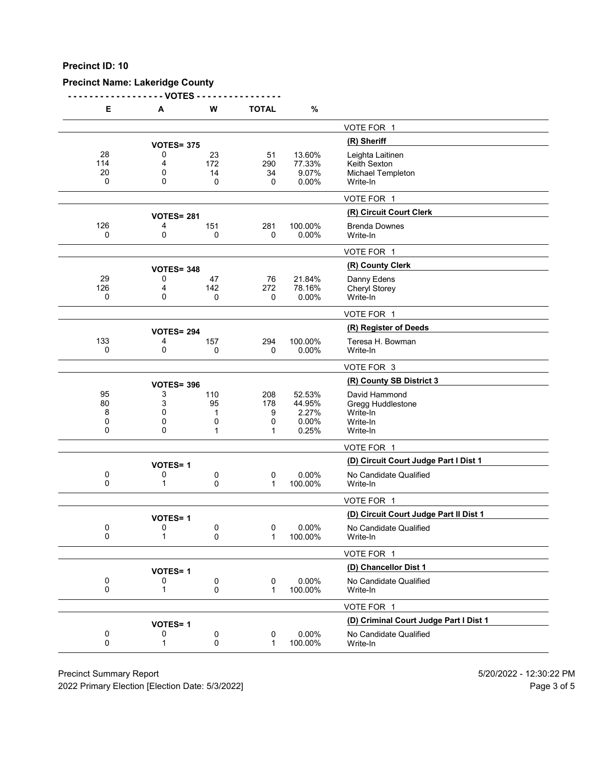# **Precinct Name: Lakeridge County**

**- - - - - - - - - - - - - - - - - - VOTES - - - - - - - - - - - - - - - -**

| Е                    | A                      | W                    | <b>TOTAL</b>         | $\%$                               |                                                                   |
|----------------------|------------------------|----------------------|----------------------|------------------------------------|-------------------------------------------------------------------|
|                      |                        |                      |                      |                                    | VOTE FOR 1                                                        |
|                      | <b>VOTES= 375</b>      |                      |                      |                                    | (R) Sheriff                                                       |
| 28<br>114<br>20<br>0 | 0<br>4<br>0<br>0       | 23<br>172<br>14<br>0 | 51<br>290<br>34<br>0 | 13.60%<br>77.33%<br>9.07%<br>0.00% | Leighta Laitinen<br>Keith Sexton<br>Michael Templeton<br>Write-In |
|                      |                        |                      |                      |                                    | VOTE FOR 1                                                        |
|                      |                        |                      |                      |                                    | (R) Circuit Court Clerk                                           |
| 126                  | <b>VOTES= 281</b><br>4 | 151                  | 281                  | 100.00%                            | <b>Brenda Downes</b>                                              |
| 0                    | 0                      | 0                    | 0                    | 0.00%                              | Write-In                                                          |
|                      |                        |                      |                      |                                    | VOTE FOR 1                                                        |
|                      | <b>VOTES= 348</b>      |                      |                      |                                    | (R) County Clerk                                                  |
| 29                   | 0                      | 47                   | 76                   | 21.84%                             | Danny Edens                                                       |
| 126<br>0             | 4<br>0                 | 142<br>0             | 272<br>0             | 78.16%<br>0.00%                    | Cheryl Storey<br>Write-In                                         |
|                      |                        |                      |                      |                                    | VOTE FOR 1                                                        |
|                      | <b>VOTES= 294</b>      |                      |                      |                                    | (R) Register of Deeds                                             |
| 133                  | 4                      | 157                  | 294                  | 100.00%                            | Teresa H. Bowman                                                  |
| 0                    | 0                      | 0                    | 0                    | 0.00%                              | Write-In                                                          |
|                      |                        |                      |                      |                                    | VOTE FOR 3                                                        |
|                      | <b>VOTES= 396</b>      |                      |                      |                                    | (R) County SB District 3                                          |
| 95<br>80             | 3<br>3                 | 110<br>95            | 208<br>178           | 52.53%<br>44.95%                   | David Hammond                                                     |
| 8                    | 0                      | 1                    | 9                    | 2.27%                              | Gregg Huddlestone<br>Write-In                                     |
| 0                    | 0                      | 0                    | 0                    | 0.00%                              | Write-In                                                          |
| 0                    | 0                      | 1                    | 1                    | 0.25%                              | Write-In                                                          |
|                      |                        |                      |                      |                                    | VOTE FOR 1                                                        |
|                      | <b>VOTES=1</b>         |                      |                      |                                    | (D) Circuit Court Judge Part I Dist 1                             |
| 0<br>0               | 0<br>1                 | 0<br>0               | 0<br>1               | 0.00%<br>100.00%                   | No Candidate Qualified<br>Write-In                                |
|                      |                        |                      |                      |                                    | VOTE FOR 1                                                        |
|                      | <b>VOTES=1</b>         |                      |                      |                                    | (D) Circuit Court Judge Part II Dist 1                            |
| 0<br>0               | 0<br>1                 | 0<br>0               | 0<br>1               | 0.00%<br>100.00%                   | No Candidate Qualified<br>Write-In                                |
|                      |                        |                      |                      |                                    | VOTE FOR 1                                                        |
|                      | <b>VOTES=1</b>         |                      |                      |                                    | (D) Chancellor Dist 1                                             |
| 0<br>0               | 0<br>1                 | 0<br>0               | 0<br>1               | 0.00%<br>100.00%                   | No Candidate Qualified<br>Write-In                                |
|                      |                        |                      |                      |                                    | VOTE FOR 1                                                        |
|                      | <b>VOTES=1</b>         |                      |                      |                                    | (D) Criminal Court Judge Part I Dist 1                            |
| 0<br>0               | 0<br>1                 | 0<br>0               | 0<br>$\mathbf 1$     | 0.00%<br>100.00%                   | No Candidate Qualified<br>Write-In                                |
|                      |                        |                      |                      |                                    |                                                                   |

Precinct Summary Report 60 and 5/20/2022 - 12:30:22 PM

2022 Primary Election [Election Date: 5/3/2022] 2022 Primary Election 5 and 5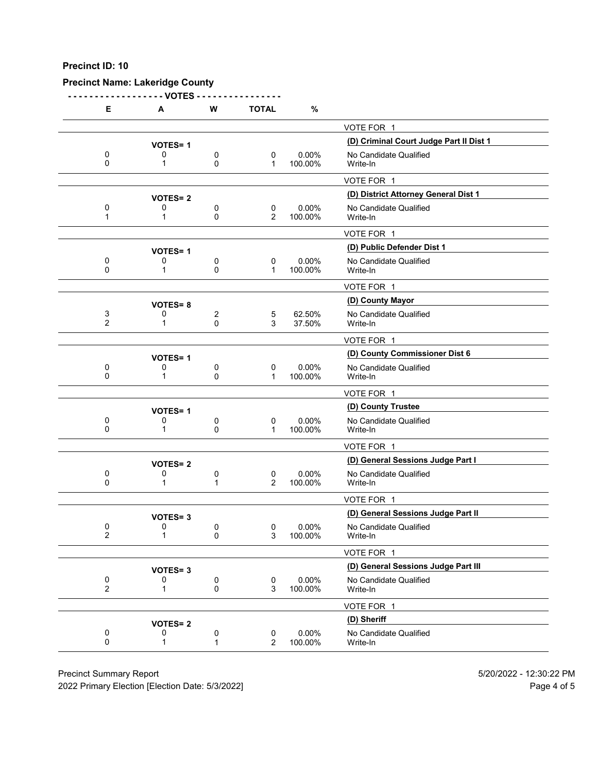# **Precinct Name: Lakeridge County**

**- - - - - - - - - - - - - - - - - - VOTES - - - - - - - - - - - - - - - -**

| Е                   | Α              | W      | <b>TOTAL</b>        | $\%$                |                                         |
|---------------------|----------------|--------|---------------------|---------------------|-----------------------------------------|
|                     |                |        |                     |                     | VOTE FOR 1                              |
|                     | <b>VOTES=1</b> |        |                     |                     | (D) Criminal Court Judge Part II Dist 1 |
| 0<br>0              | 0<br>1         | 0<br>0 | 0<br>$\mathbf 1$    | 0.00%<br>100.00%    | No Candidate Qualified<br>Write-In      |
|                     |                |        |                     |                     | VOTE FOR 1                              |
|                     | <b>VOTES=2</b> |        |                     |                     | (D) District Attorney General Dist 1    |
| 0<br>1              | 0<br>1         | 0<br>0 | 0<br>2              | $0.00\%$<br>100.00% | No Candidate Qualified<br>Write-In      |
|                     |                |        |                     |                     | VOTE FOR 1                              |
|                     | <b>VOTES=1</b> |        |                     |                     | (D) Public Defender Dist 1              |
| 0<br>0              | 0<br>1         | 0<br>0 | 0<br>$\mathbf 1$    | 0.00%<br>100.00%    | No Candidate Qualified<br>Write-In      |
|                     |                |        |                     |                     | VOTE FOR 1                              |
|                     | <b>VOTES=8</b> |        |                     |                     | (D) County Mayor                        |
| 3<br>$\overline{2}$ | 0<br>1         | 2<br>0 | 5<br>3              | 62.50%<br>37.50%    | No Candidate Qualified<br>Write-In      |
|                     |                |        |                     |                     | VOTE FOR 1                              |
|                     | <b>VOTES=1</b> |        |                     |                     | (D) County Commissioner Dist 6          |
| 0<br>0              | 0<br>1         | 0<br>0 | 0<br>1              | $0.00\%$<br>100.00% | No Candidate Qualified<br>Write-In      |
|                     |                |        |                     |                     | VOTE FOR 1                              |
|                     | <b>VOTES=1</b> |        |                     |                     | (D) County Trustee                      |
| 0<br>0              | 0<br>1         | 0<br>0 | 0<br>1              | $0.00\%$<br>100.00% | No Candidate Qualified<br>Write-In      |
|                     |                |        |                     |                     | VOTE FOR 1                              |
|                     | <b>VOTES=2</b> |        |                     |                     | (D) General Sessions Judge Part I       |
| 0<br>0              | 0<br>1         | 0<br>1 | 0<br>2              | 0.00%<br>100.00%    | No Candidate Qualified<br>Write-In      |
|                     |                |        |                     |                     | VOTE FOR 1                              |
|                     | <b>VOTES=3</b> |        |                     |                     | (D) General Sessions Judge Part II      |
| 0<br>$\overline{2}$ | 0<br>1         | 0<br>0 | 0<br>3              | $0.00\%$<br>100.00% | No Candidate Qualified<br>Write-In      |
|                     |                |        |                     |                     | VOTE FOR 1                              |
|                     | <b>VOTES=3</b> |        |                     |                     | (D) General Sessions Judge Part III     |
| 0<br>$\overline{2}$ | 0<br>1         | 0<br>0 | 0<br>3              | 0.00%<br>100.00%    | No Candidate Qualified<br>Write-In      |
|                     |                |        |                     |                     | VOTE FOR 1                              |
|                     | <b>VOTES=2</b> |        |                     |                     | (D) Sheriff                             |
| 0<br>0              | 0<br>1         | 0<br>1 | 0<br>$\overline{2}$ | 0.00%<br>100.00%    | No Candidate Qualified<br>Write-In      |
|                     |                |        |                     |                     |                                         |

Precinct Summary Report 60 and 5/20/2022 - 12:30:22 PM

2022 Primary Election [Election Date: 5/3/2022] 2022 Primary Election 10 and 5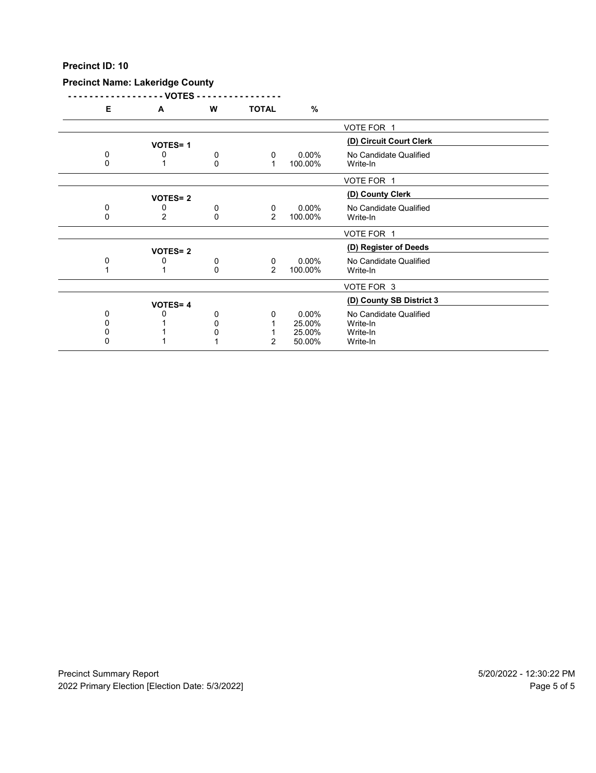## **Precinct Name: Lakeridge County**

**- - - - - - - - - - - - - - - - - - VOTES - - - - - - - - - - - - - - - - E A W TOTAL %**

| - | $\mathbf{a}$   | VV. | 191AU    | 70       |                          |
|---|----------------|-----|----------|----------|--------------------------|
|   |                |     |          |          | VOTE FOR 1               |
|   | <b>VOTES=1</b> |     |          |          | (D) Circuit Court Clerk  |
| 0 |                | 0   | $\Omega$ | $0.00\%$ | No Candidate Qualified   |
|   |                | 0   |          | 100.00%  | Write-In                 |
|   |                |     |          |          |                          |
|   |                |     |          |          | VOTE FOR 1               |
|   | <b>VOTES=2</b> |     |          |          | (D) County Clerk         |
| 0 | 0              | 0   | 0        | $0.00\%$ | No Candidate Qualified   |
| 0 | 2              | 0   | 2        | 100.00%  | Write-In                 |
|   |                |     |          |          |                          |
|   |                |     |          |          | VOTE FOR 1               |
|   | <b>VOTES=2</b> |     |          |          | (D) Register of Deeds    |
| 0 |                | 0   | 0        | $0.00\%$ | No Candidate Qualified   |
|   |                | 0   | 2        | 100.00%  | Write-In                 |
|   |                |     |          |          |                          |
|   |                |     |          |          | VOTE FOR 3               |
|   |                |     |          |          | (D) County SB District 3 |
|   | <b>VOTES=4</b> |     |          |          |                          |
| 0 |                | 0   | 0        | $0.00\%$ | No Candidate Qualified   |
|   |                |     |          | 25.00%   | Write-In                 |
|   |                |     |          | 25.00%   | Write-In                 |
|   |                |     | 2        | 50.00%   | Write-In                 |
|   |                |     |          |          |                          |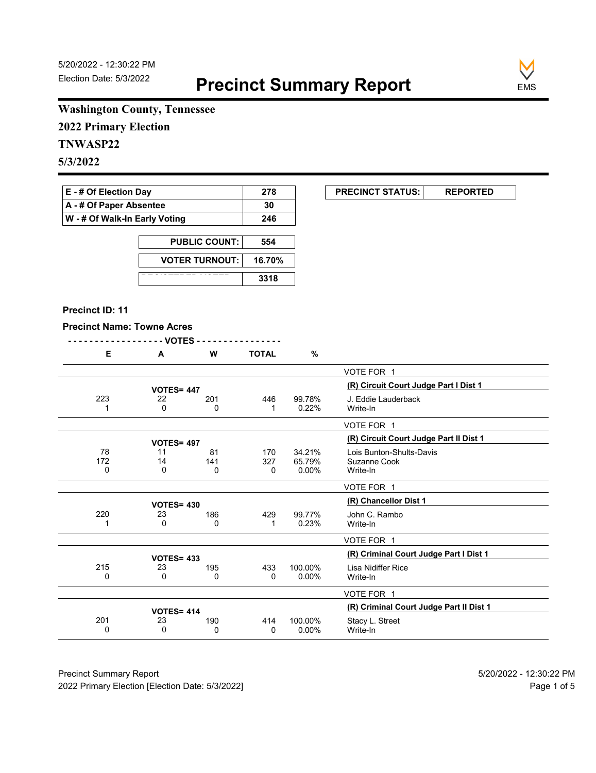

# **Washington County, Tennessee**

**2022 Primary Election**

# **TNWASP22**

**5/3/2022**

| <b>E</b> - # Of Election Day          | 278 |
|---------------------------------------|-----|
| A - # Of Paper Absentee               | 30  |
| $\vert$ W - # Of Walk-In Early Voting | 246 |

| <b>PUBLIC COUNT:</b>  | 554    |
|-----------------------|--------|
| <b>VOTER TURNOUT:</b> | 16.70% |
|                       | 3318   |

#### **Precinct ID: 11**

#### **Precinct Name: Towne Acres**

|--|--|

|  |                   | W | <b>TOTAL</b> | % |                |
|--|-------------------|---|--------------|---|----------------|
|  |                   |   |              |   | VOTE FOR 1     |
|  | <b>VOTES= 447</b> |   |              |   | (R) Circuit Co |

|                | <b>VOTES= 447</b> |                 |                 |                              | (R) Circuit Court Judge Part I Dist 1                |
|----------------|-------------------|-----------------|-----------------|------------------------------|------------------------------------------------------|
| 223            | 22<br>0           | 201<br>$\Omega$ | 446             | 99.78%<br>0.22%              | J. Eddie Lauderback<br>Write-In                      |
|                |                   |                 |                 |                              | VOTE FOR 1                                           |
|                | <b>VOTES= 497</b> |                 |                 |                              | (R) Circuit Court Judge Part II Dist 1               |
| 78<br>172<br>0 | 11<br>14<br>0     | 81<br>141<br>0  | 170<br>327<br>0 | 34.21%<br>65.79%<br>$0.00\%$ | Lois Bunton-Shults-Davis<br>Suzanne Cook<br>Write-In |
|                |                   |                 |                 |                              | VOTE FOR 1                                           |
|                | <b>VOTES= 430</b> |                 |                 |                              | (R) Chancellor Dist 1                                |
| 220            | 23<br>0           | 186<br>0        | 429             | 99.77%<br>0.23%              | John C. Rambo<br>Write-In                            |
|                |                   |                 |                 |                              | VOTE FOR 1                                           |
|                | <b>VOTES= 433</b> |                 |                 |                              | (R) Criminal Court Judge Part I Dist 1               |
| 215<br>0       | 23<br>0           | 195<br>0        | 433<br>0        | 100.00%<br>$0.00\%$          | Lisa Nidiffer Rice<br>Write-In                       |
|                |                   |                 |                 |                              | VOTE FOR 1                                           |
|                | <b>VOTES= 414</b> |                 |                 |                              | (R) Criminal Court Judge Part II Dist 1              |
| 201<br>0       | 23<br>0           | 190<br>0        | 414<br>0        | 100.00%<br>$0.00\%$          | Stacy L. Street<br>Write-In                          |

Precinct Summary Report 60 and 5/20/2022 - 12:30:22 PM 2022 Primary Election [Election Date: 5/3/2022] **Page 1 of 5** and 2022 Primary Election Date: 5/3/2022]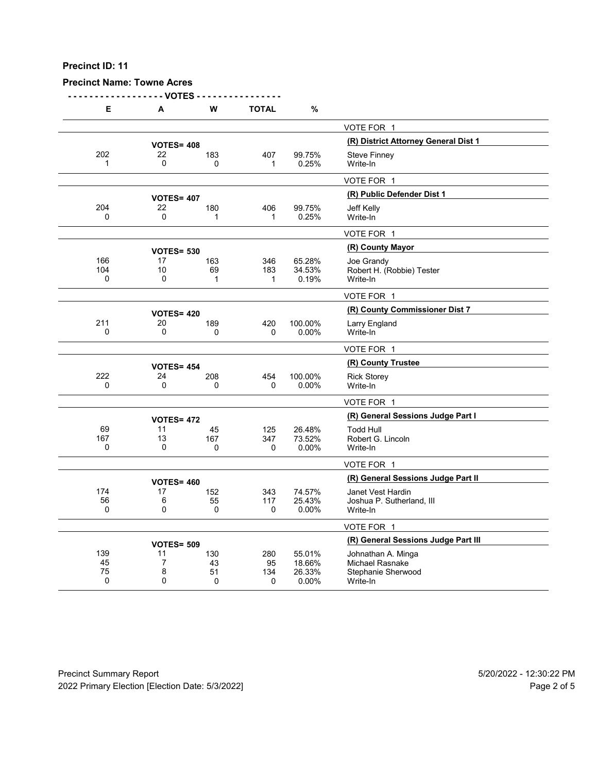# **Precinct Name: Towne Acres**

**- - - - - - - - - - - - - - - - - - VOTES - - - - - - - - - - - - - - - -**

| Е                   | A                       | W               | <b>TOTAL</b> | %                |                                                |
|---------------------|-------------------------|-----------------|--------------|------------------|------------------------------------------------|
|                     |                         |                 |              |                  | VOTE FOR 1                                     |
|                     | <b>VOTES= 408</b>       |                 |              |                  | (R) District Attorney General Dist 1           |
| 202                 | 22                      | 183             | 407          | 99.75%           | <b>Steve Finney</b>                            |
| 1                   | 0                       | $\Omega$        | 1            | 0.25%            | Write-In                                       |
|                     |                         |                 |              |                  | VOTE FOR 1                                     |
|                     | <b>VOTES= 407</b>       |                 |              |                  | (R) Public Defender Dist 1                     |
| 204                 | 22                      | 180             | 406          | 99.75%           | Jeff Kelly                                     |
| 0                   | 0                       | 1               | 1            | 0.25%            | Write-In                                       |
|                     |                         |                 |              |                  | VOTE FOR 1                                     |
|                     | <b>VOTES= 530</b>       |                 |              |                  | (R) County Mayor                               |
| 166                 | 17                      | 163             | 346          | 65.28%           | Joe Grandy                                     |
| 104<br>$\Omega$     | 10<br>0                 | 69<br>1         | 183<br>1     | 34.53%<br>0.19%  | Robert H. (Robbie) Tester<br>Write-In          |
|                     |                         |                 |              |                  | VOTE FOR 1                                     |
|                     |                         |                 |              |                  | (R) County Commissioner Dist 7                 |
| 211                 | <b>VOTES= 420</b><br>20 | 189             | 420          | 100.00%          | Larry England                                  |
| $\Omega$            | 0                       | $\Omega$        | 0            | $0.00\%$         | Write-In                                       |
|                     |                         |                 |              |                  | VOTE FOR 1                                     |
|                     | <b>VOTES= 454</b>       |                 |              |                  | (R) County Trustee                             |
| 222                 | 24                      | 208             | 454          | 100.00%          | <b>Rick Storey</b>                             |
| $\Omega$            | 0                       | 0               | 0            | 0.00%            | Write-In                                       |
|                     |                         |                 |              |                  | VOTE FOR 1                                     |
|                     | <b>VOTES= 472</b>       |                 |              |                  | (R) General Sessions Judge Part I              |
| 69                  | 11                      | 45              | 125          | 26.48%           | <b>Todd Hull</b>                               |
| 167<br>$\mathbf{0}$ | 13<br>$\Omega$          | 167<br>$\Omega$ | 347<br>0     | 73.52%<br>0.00%  | Robert G. Lincoln<br>Write-In                  |
|                     |                         |                 |              |                  |                                                |
|                     |                         |                 |              |                  | VOTE FOR 1                                     |
|                     | <b>VOTES= 460</b>       |                 |              |                  | (R) General Sessions Judge Part II             |
| 174<br>56           | 17<br>6                 | 152<br>55       | 343<br>117   | 74.57%<br>25.43% | Janet Vest Hardin<br>Joshua P. Sutherland, III |
| 0                   | 0                       | $\mathbf 0$     | 0            | 0.00%            | Write-In                                       |
|                     |                         |                 |              |                  | VOTE FOR 1                                     |
|                     | <b>VOTES= 509</b>       |                 |              |                  | (R) General Sessions Judge Part III            |
| 139                 | 11                      | 130             | 280          | 55.01%           | Johnathan A. Minga                             |
| 45<br>75            | $\overline{7}$<br>8     | 43<br>51        | 95           | 18.66%           | <b>Michael Rasnake</b>                         |
| $\mathbf 0$         | 0                       | 0               | 134<br>0     | 26.33%<br>0.00%  | Stephanie Sherwood<br>Write-In                 |
|                     |                         |                 |              |                  |                                                |

Precinct Summary Report 60 and 5/20/2022 - 12:30:22 PM 2022 Primary Election [Election Date: 5/3/2022] 2022 Primary Election 10 and 5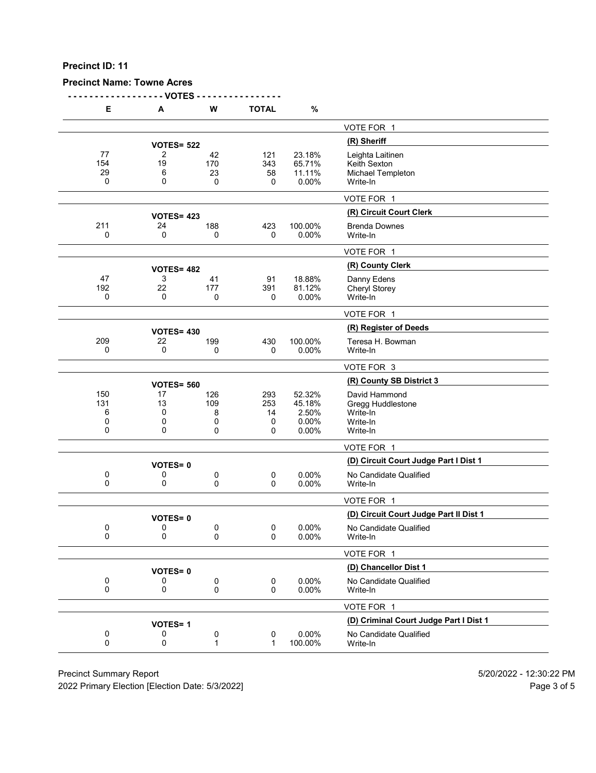# **Precinct Name: Towne Acres**

**- - - - - - - - - - - - - - - - - - VOTES - - - - - - - - - - - - - - - -**

|            | Е           | А                       | W                         | <b>TOTAL</b>               | %                                           |                                                                        |
|------------|-------------|-------------------------|---------------------------|----------------------------|---------------------------------------------|------------------------------------------------------------------------|
|            |             |                         |                           |                            |                                             | VOTE FOR 1                                                             |
|            |             | <b>VOTES= 522</b>       |                           |                            |                                             | (R) Sheriff                                                            |
| 154<br>29  | 77<br>0     | 2<br>19<br>6<br>0       | 42<br>170<br>23<br>0      | 121<br>343<br>58<br>0      | 23.18%<br>65.71%<br>11.11%<br>0.00%         | Leighta Laitinen<br>Keith Sexton<br>Michael Templeton<br>Write-In      |
|            |             |                         |                           |                            |                                             | VOTE FOR 1                                                             |
|            |             |                         |                           |                            |                                             | (R) Circuit Court Clerk                                                |
| 211        |             | <b>VOTES= 423</b><br>24 | 188                       | 423                        | 100.00%                                     | <b>Brenda Downes</b>                                                   |
|            | 0           | 0                       | 0                         | 0                          | 0.00%                                       | Write-In                                                               |
|            |             |                         |                           |                            |                                             | VOTE FOR 1                                                             |
|            |             | <b>VOTES= 482</b>       |                           |                            |                                             | (R) County Clerk                                                       |
|            | 47          | 3                       | 41                        | 91                         | 18.88%                                      | Danny Edens                                                            |
| 192        | 0           | 22<br>0                 | 177<br>0                  | 391<br>0                   | 81.12%<br>0.00%                             | <b>Cheryl Storey</b><br>Write-In                                       |
|            |             |                         |                           |                            |                                             | VOTE FOR 1                                                             |
|            |             | <b>VOTES= 430</b>       |                           |                            |                                             | (R) Register of Deeds                                                  |
| 209        |             | 22                      | 199                       | 430                        | 100.00%                                     | Teresa H. Bowman                                                       |
|            | 0           | 0                       | 0                         | 0                          | 0.00%                                       | Write-In                                                               |
|            |             |                         |                           |                            |                                             | VOTE FOR 3                                                             |
|            |             | <b>VOTES= 560</b>       |                           |                            |                                             | (R) County SB District 3                                               |
| 150<br>131 | 6<br>0<br>0 | 17<br>13<br>0<br>0<br>0 | 126<br>109<br>8<br>0<br>0 | 293<br>253<br>14<br>0<br>0 | 52.32%<br>45.18%<br>2.50%<br>0.00%<br>0.00% | David Hammond<br>Gregg Huddlestone<br>Write-In<br>Write-In<br>Write-In |
|            |             |                         |                           |                            |                                             | VOTE FOR 1                                                             |
|            |             | <b>VOTES=0</b>          |                           |                            |                                             | (D) Circuit Court Judge Part I Dist 1                                  |
|            | 0<br>0      | 0<br>0                  | 0<br>0                    | 0<br>0                     | 0.00%<br>0.00%                              | No Candidate Qualified<br>Write-In                                     |
|            |             |                         |                           |                            |                                             | VOTE FOR 1                                                             |
|            |             | <b>VOTES=0</b>          |                           |                            |                                             | (D) Circuit Court Judge Part II Dist 1                                 |
|            | 0<br>0      | 0<br>0                  | 0<br>0                    | 0<br>0                     | 0.00%<br>0.00%                              | No Candidate Qualified<br>Write-In                                     |
|            |             |                         |                           |                            |                                             | VOTE FOR 1                                                             |
|            |             | <b>VOTES=0</b>          |                           |                            |                                             | (D) Chancellor Dist 1                                                  |
|            | 0<br>0      | 0<br>0                  | 0<br>0                    | 0<br>0                     | 0.00%<br>0.00%                              | No Candidate Qualified<br>Write-In                                     |
|            |             |                         |                           |                            |                                             | VOTE FOR 1                                                             |
|            |             | <b>VOTES=1</b>          |                           |                            |                                             | (D) Criminal Court Judge Part I Dist 1                                 |
|            | 0<br>0      | 0<br>0                  | 0<br>$\mathbf{1}$         | 0<br>1                     | 0.00%<br>100.00%                            | No Candidate Qualified<br>Write-In                                     |
|            |             |                         |                           |                            |                                             |                                                                        |

Precinct Summary Report 60 and 5/20/2022 - 12:30:22 PM

2022 Primary Election [Election Date: 5/3/2022] 2022 Primary Election 5 and 5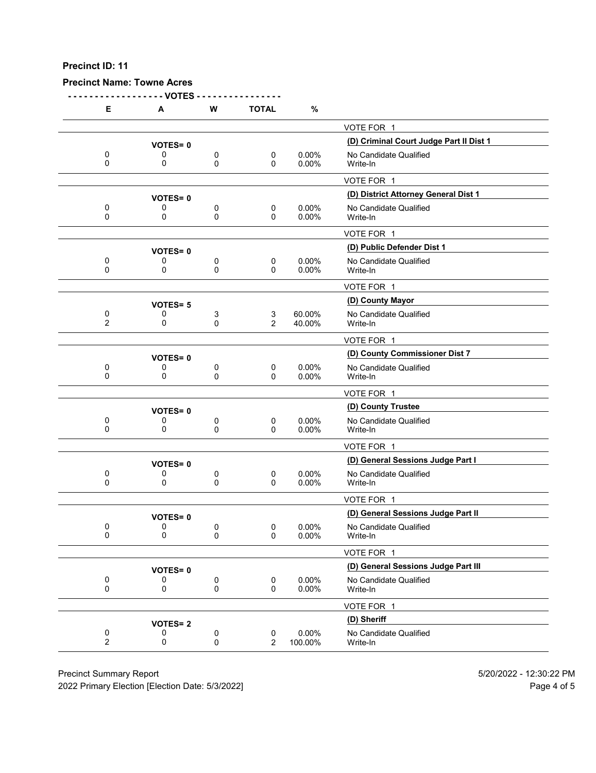# **Precinct Name: Towne Acres**

**- - - - - - - - - - - - - - - - - - VOTES - - - - - - - - - - - - - - - -**

| Е                           | А                   | W        | <b>TOTAL</b>            | %                 |                                         |
|-----------------------------|---------------------|----------|-------------------------|-------------------|-----------------------------------------|
|                             |                     |          |                         |                   | VOTE FOR 1                              |
|                             | <b>VOTES=0</b>      |          |                         |                   | (D) Criminal Court Judge Part II Dist 1 |
| 0                           | 0                   | 0        | 0                       | 0.00%             | No Candidate Qualified                  |
| 0                           | 0                   | 0        | $\mathbf{0}$            | 0.00%             | Write-In                                |
|                             |                     |          |                         |                   | VOTE FOR 1                              |
|                             | <b>VOTES=0</b>      |          |                         |                   | (D) District Attorney General Dist 1    |
| 0<br>$\Omega$               | 0<br>0              | 0<br>0   | $\mathbf 0$<br>$\Omega$ | 0.00%<br>0.00%    | No Candidate Qualified<br>Write-In      |
|                             |                     |          |                         |                   | VOTE FOR 1                              |
|                             | <b>VOTES=0</b>      |          |                         |                   | (D) Public Defender Dist 1              |
| 0                           | 0                   | 0        | 0                       | 0.00%             | No Candidate Qualified                  |
| 0                           | 0                   | 0        | 0                       | 0.00%             | Write-In                                |
|                             |                     |          |                         |                   | VOTE FOR 1                              |
|                             | <b>VOTES=5</b>      |          |                         |                   | (D) County Mayor                        |
| 0<br>2                      | 0<br>0              | 3<br>0   | 3<br>2                  | 60.00%<br>40.00%  | No Candidate Qualified<br>Write-In      |
|                             |                     |          |                         |                   | VOTE FOR 1                              |
|                             | <b>VOTES=0</b>      |          |                         |                   | (D) County Commissioner Dist 7          |
| 0                           | 0                   | 0        | $\mathbf 0$             | 0.00%             | No Candidate Qualified                  |
| 0                           | 0                   | 0        | 0                       | 0.00%             | Write-In                                |
|                             |                     |          |                         |                   | VOTE FOR 1                              |
|                             | <b>VOTES=0</b>      |          |                         |                   | (D) County Trustee                      |
| 0<br>0                      | 0<br>0              | 0<br>0   | 0<br>$\mathbf{0}$       | $0.00\%$<br>0.00% | No Candidate Qualified<br>Write-In      |
|                             |                     |          |                         |                   |                                         |
|                             |                     |          |                         |                   | VOTE FOR 1                              |
|                             | <b>VOTES=0</b>      |          |                         | 0.00%             | (D) General Sessions Judge Part I       |
| 0<br>0                      | 0<br>0              | 0<br>0   | 0<br>$\mathbf{0}$       | 0.00%             | No Candidate Qualified<br>Write-In      |
|                             |                     |          |                         |                   | VOTE FOR 1                              |
|                             |                     |          |                         |                   | (D) General Sessions Judge Part II      |
| 0                           | <b>VOTES=0</b><br>0 | 0        | 0                       | $0.00\%$          | No Candidate Qualified                  |
| 0                           | 0                   | $\Omega$ | 0                       | 0.00%             | Write-In                                |
|                             |                     |          |                         |                   | VOTE FOR 1                              |
|                             | <b>VOTES=0</b>      |          |                         |                   | (D) General Sessions Judge Part III     |
| 0                           | 0                   | 0        | $\pmb{0}$               | 0.00%             | No Candidate Qualified                  |
| 0                           | 0                   | 0        | 0                       | 0.00%             | Write-In                                |
|                             |                     |          |                         |                   | VOTE FOR 1                              |
|                             | <b>VOTES=2</b>      |          |                         |                   | (D) Sheriff                             |
| $\pmb{0}$<br>$\overline{2}$ | 0<br>0              | 0<br>0   | $\pmb{0}$<br>2          | 0.00%<br>100.00%  | No Candidate Qualified<br>Write-In      |
|                             |                     |          |                         |                   |                                         |

Precinct Summary Report 60 and 5/20/2022 - 12:30:22 PM

2022 Primary Election [Election Date: 5/3/2022] 2022 Primary Election 10 and 5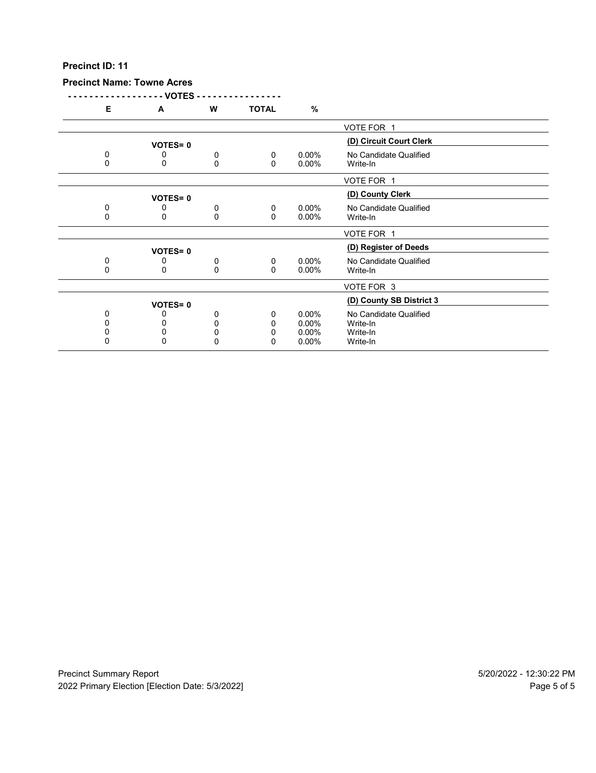# **Precinct Name: Towne Acres**

**- - - - - - - - - - - - - - - - - - VOTES - - - - - - - - - - - - - - - -**

| Е        | A              | W           | <b>TOTAL</b> | %        |                          |  |
|----------|----------------|-------------|--------------|----------|--------------------------|--|
|          |                |             |              |          | VOTE FOR 1               |  |
|          | <b>VOTES=0</b> |             |              |          | (D) Circuit Court Clerk  |  |
| 0        | 0              | 0           | $\mathbf{0}$ | $0.00\%$ |                          |  |
|          |                |             |              |          | No Candidate Qualified   |  |
| 0        | 0              | 0           | $\mathbf{0}$ | $0.00\%$ | Write-In                 |  |
|          |                |             |              |          | VOTE FOR 1               |  |
|          | <b>VOTES=0</b> |             |              |          | (D) County Clerk         |  |
| 0        | 0              | 0           | $\mathbf 0$  | $0.00\%$ | No Candidate Qualified   |  |
| 0        | 0              | $\mathbf 0$ | $\mathbf{0}$ | $0.00\%$ |                          |  |
|          |                |             |              |          | Write-In                 |  |
|          |                |             |              |          | VOTE FOR 1               |  |
|          | <b>VOTES=0</b> |             |              |          | (D) Register of Deeds    |  |
| 0        | 0              |             | $\mathbf 0$  | $0.00\%$ | No Candidate Qualified   |  |
| $\Omega$ | 0              | 0           |              |          |                          |  |
|          |                | $\Omega$    | $\mathbf{0}$ | $0.00\%$ | Write-In                 |  |
|          |                |             |              |          | VOTE FOR 3               |  |
|          |                |             |              |          | (D) County SB District 3 |  |
|          | <b>VOTES=0</b> |             |              |          |                          |  |
| 0        |                | 0           | 0            | $0.00\%$ | No Candidate Qualified   |  |
| 0        | 0              | 0           | 0            | $0.00\%$ | Write-In                 |  |
| 0        | 0              | 0           | 0            | $0.00\%$ | Write-In                 |  |
| $\Omega$ | 0              | 0           | 0            | $0.00\%$ | Write-In                 |  |
|          |                |             |              |          |                          |  |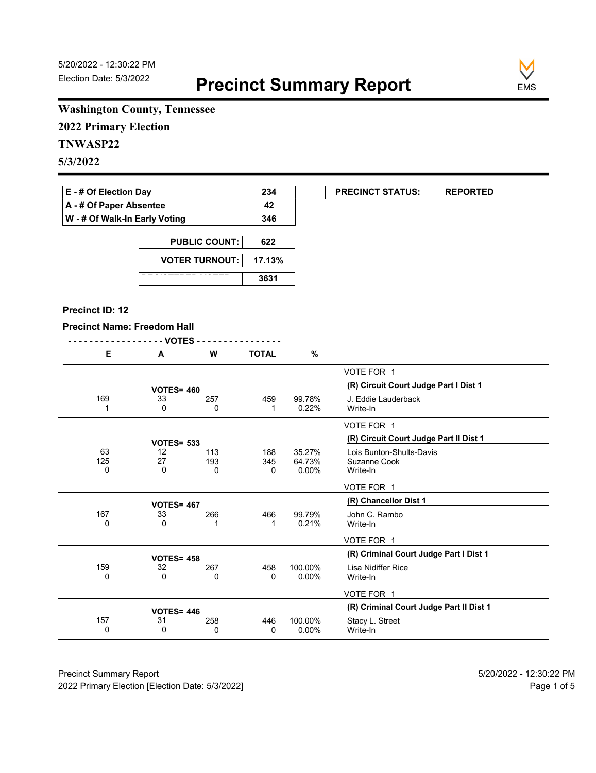

# **Washington County, Tennessee**

**2022 Primary Election**

# **TNWASP22**

**5/3/2022**

| $E - #$ Of Election Day       | 234 |
|-------------------------------|-----|
| A - # Of Paper Absentee       | 42  |
| W - # Of Walk-In Early Voting | 346 |

| <b>PUBLIC COUNT:</b>  | 622    |
|-----------------------|--------|
| <b>VOTER TURNOUT:</b> | 17.13% |
|                       | 3631   |

#### **Precinct ID: 12**

#### **Precinct Name: Freedom Hall**

|--|--|

| Е   | A                 | w   | TOTAL | %       |                                         |
|-----|-------------------|-----|-------|---------|-----------------------------------------|
|     |                   |     |       |         | VOTE FOR 1                              |
|     | <b>VOTES= 460</b> |     |       |         | (R) Circuit Court Judge Part I Dist 1   |
| 169 | 33                | 257 | 459   | 99.78%  | J. Eddie Lauderback                     |
| 1   | 0                 |     |       | 0.22%   | Write-In                                |
|     |                   | 0   | 1     |         |                                         |
|     |                   |     |       |         | VOTE FOR 1                              |
|     | <b>VOTES= 533</b> |     |       |         | (R) Circuit Court Judge Part II Dist 1  |
| 63  | 12                | 113 | 188   | 35.27%  | Lois Bunton-Shults-Davis                |
| 125 | 27                | 193 | 345   | 64.73%  | Suzanne Cook                            |
| 0   | 0                 |     |       | 0.00%   | Write-In                                |
|     |                   | 0   | 0     |         |                                         |
|     |                   |     |       |         | VOTE FOR 1                              |
|     | <b>VOTES= 467</b> |     |       |         | (R) Chancellor Dist 1                   |
| 167 | 33                | 266 | 466   | 99.79%  | John C. Rambo                           |
| 0   | 0                 |     | 1     | 0.21%   | Write-In                                |
|     |                   |     |       |         |                                         |
|     |                   |     |       |         | VOTE FOR 1                              |
|     | <b>VOTES= 458</b> |     |       |         | (R) Criminal Court Judge Part I Dist 1  |
| 159 | 32                | 267 | 458   | 100.00% | Lisa Nidiffer Rice                      |
| 0   | 0                 | 0   | 0     | 0.00%   | Write-In                                |
|     |                   |     |       |         |                                         |
|     |                   |     |       |         | VOTE FOR 1                              |
|     | <b>VOTES=446</b>  |     |       |         | (R) Criminal Court Judge Part II Dist 1 |
| 157 | 31                | 258 | 446   | 100.00% | Stacy L. Street                         |
| 0   | $\Omega$          | 0   | 0     | 0.00%   | Write-In                                |
|     |                   |     |       |         |                                         |

Precinct Summary Report 60 and 5/20/2022 - 12:30:22 PM 2022 Primary Election [Election Date: 5/3/2022] **Page 1 of 5** and 2022 Primary Election Date: 5/3/2022]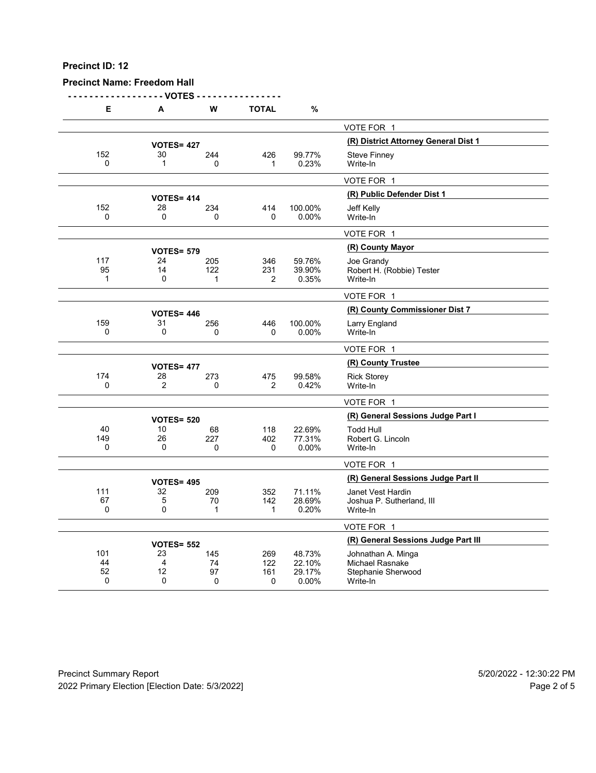## **Precinct Name: Freedom Hall**

**- - - - - - - - - - - - - - - - - - VOTES - - - - - - - - - - - - - - - -**

| Е                   | A                    | W               | <b>TOTAL</b>          | $\%$             |                                              |
|---------------------|----------------------|-----------------|-----------------------|------------------|----------------------------------------------|
|                     |                      |                 |                       |                  | VOTE FOR 1                                   |
|                     | <b>VOTES= 427</b>    |                 |                       |                  | (R) District Attorney General Dist 1         |
| 152                 | 30                   | 244             | 426                   | 99.77%           | <b>Steve Finney</b>                          |
| 0                   | $\mathbf{1}$         | $\Omega$        | 1                     | 0.23%            | Write-In                                     |
|                     |                      |                 |                       |                  | VOTE FOR 1                                   |
|                     | <b>VOTES= 414</b>    |                 |                       |                  | (R) Public Defender Dist 1                   |
| 152<br>$\mathbf{0}$ | 28<br>$\mathbf 0$    | 234<br>0        | 414<br>$\Omega$       | 100.00%<br>0.00% | <b>Jeff Kelly</b><br>Write-In                |
|                     |                      |                 |                       |                  |                                              |
|                     |                      |                 |                       |                  | VOTE FOR 1                                   |
|                     | <b>VOTES= 579</b>    |                 |                       |                  | (R) County Mayor                             |
| 117<br>95           | 24<br>14             | 205<br>122      | 346<br>231            | 59.76%<br>39.90% | Joe Grandy<br>Robert H. (Robbie) Tester      |
| 1                   | 0                    | $\mathbf{1}$    | $\overline{2}$        | 0.35%            | Write-In                                     |
|                     |                      |                 |                       |                  | VOTE FOR 1                                   |
|                     | <b>VOTES= 446</b>    |                 |                       |                  | (R) County Commissioner Dist 7               |
| 159                 | 31                   | 256             | 446                   | 100.00%          | Larry England                                |
| $\Omega$            | 0                    | 0               | 0                     | 0.00%            | Write-In                                     |
|                     |                      |                 |                       |                  | VOTE FOR 1                                   |
|                     | <b>VOTES= 477</b>    |                 |                       |                  | (R) County Trustee                           |
| 174<br>$\mathbf 0$  | 28<br>$\overline{2}$ | 273<br>$\Omega$ | 475<br>$\overline{2}$ | 99.58%           | <b>Rick Storey</b><br>Write-In               |
|                     |                      |                 |                       | 0.42%            |                                              |
|                     |                      |                 |                       |                  | VOTE FOR 1                                   |
|                     | <b>VOTES= 520</b>    |                 |                       |                  | (R) General Sessions Judge Part I            |
| 40<br>149           | 10<br>26             | 68<br>227       | 118<br>402            | 22.69%<br>77.31% | <b>Todd Hull</b><br>Robert G. Lincoln        |
| 0                   | 0                    | 0               | 0                     | 0.00%            | Write-In                                     |
|                     |                      |                 |                       |                  | VOTE FOR 1                                   |
|                     | <b>VOTES= 495</b>    |                 |                       |                  | (R) General Sessions Judge Part II           |
| 111                 | 32                   | 209             | 352                   | 71.11%           | Janet Vest Hardin                            |
| 67                  | 5                    | 70              | 142                   | 28.69%           | Joshua P. Sutherland, III                    |
| $\Omega$            | $\mathbf{0}$         | 1               | $\mathbf 1$           | 0.20%            | Write-In                                     |
|                     |                      |                 |                       |                  | VOTE FOR 1                                   |
|                     | <b>VOTES= 552</b>    |                 |                       |                  | (R) General Sessions Judge Part III          |
| 101<br>44           | 23<br>$\overline{4}$ | 145<br>74       | 269<br>122            | 48.73%<br>22.10% | Johnathan A. Minga<br><b>Michael Rasnake</b> |
| 52                  | 12                   | 97              | 161                   | 29.17%           | Stephanie Sherwood                           |
| 0                   | 0                    | 0               | 0                     | 0.00%            | Write-In                                     |

Precinct Summary Report 60 and 5/20/2022 - 12:30:22 PM 2022 Primary Election [Election Date: 5/3/2022] 2022 Primary Election 10 and 5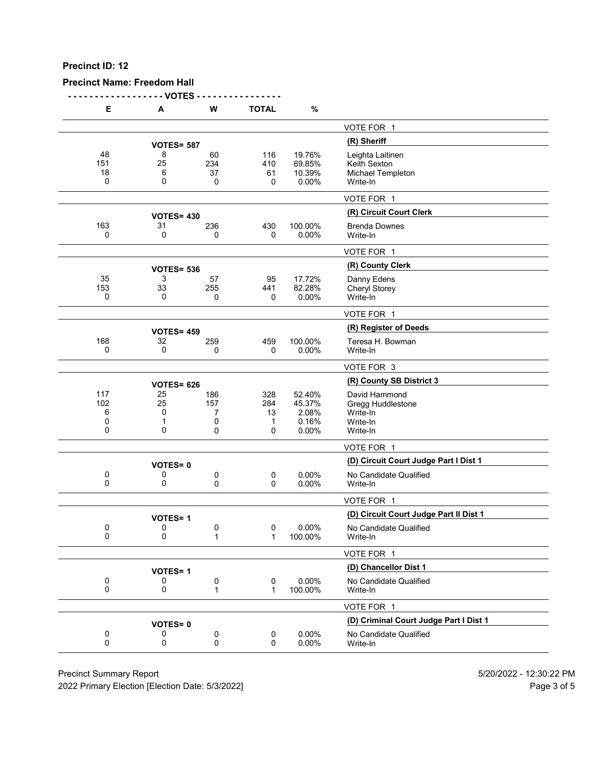## **Precinct Name: Freedom Hall**

**- - - - - - - - - - - - - - - - - - VOTES - - - - - - - - - - - - - - - -**

| Е               | A                 | W                 | <b>TOTAL</b>     | $\%$                       |                                                       |
|-----------------|-------------------|-------------------|------------------|----------------------------|-------------------------------------------------------|
|                 |                   |                   |                  |                            | VOTE FOR 1                                            |
|                 | <b>VOTES= 587</b> |                   |                  |                            | (R) Sheriff                                           |
| 48<br>151<br>18 | 8<br>25<br>6      | 60<br>234<br>37   | 116<br>410<br>61 | 19.76%<br>69.85%<br>10.39% | Leighta Laitinen<br>Keith Sexton<br>Michael Templeton |
| 0               | 0                 | 0                 | 0                | 0.00%                      | Write-In                                              |
|                 |                   |                   |                  |                            | VOTE FOR 1                                            |
|                 | <b>VOTES= 430</b> |                   |                  |                            | (R) Circuit Court Clerk                               |
| 163<br>0        | 31<br>0           | 236<br>0          | 430<br>0         | 100.00%<br>0.00%           | <b>Brenda Downes</b><br>Write-In                      |
|                 |                   |                   |                  |                            | VOTE FOR 1                                            |
|                 | <b>VOTES= 536</b> |                   |                  |                            | (R) County Clerk                                      |
| 35              | 3                 | 57                | 95               | 17.72%                     | Danny Edens                                           |
| 153<br>0        | 33<br>0           | 255<br>0          | 441<br>0         | 82.28%<br>0.00%            | Cheryl Storey<br>Write-In                             |
|                 |                   |                   |                  |                            | VOTE FOR 1                                            |
|                 | <b>VOTES= 459</b> |                   |                  |                            | (R) Register of Deeds                                 |
| 168             | 32                | 259               | 459              | 100.00%                    | Teresa H. Bowman                                      |
| 0               | 0                 | 0                 | $\mathbf 0$      | 0.00%                      | Write-In                                              |
|                 |                   |                   |                  |                            | VOTE FOR 3                                            |
|                 | <b>VOTES= 626</b> |                   |                  |                            | (R) County SB District 3                              |
| 117<br>102      | 25<br>25          | 186<br>157        | 328<br>284       | 52.40%<br>45.37%           | David Hammond                                         |
| 6               | 0                 | 7                 | 13               | 2.08%                      | Gregg Huddlestone<br>Write-In                         |
| 0               | 1                 | 0                 | 1                | 0.16%                      | Write-In                                              |
| 0               | 0                 | 0                 | 0                | 0.00%                      | Write-In                                              |
|                 |                   |                   |                  |                            | VOTE FOR 1                                            |
|                 | <b>VOTES=0</b>    |                   |                  |                            | (D) Circuit Court Judge Part I Dist 1                 |
| 0<br>0          | 0<br>0            | 0<br>0            | 0<br>0           | 0.00%<br>0.00%             | No Candidate Qualified<br>Write-In                    |
|                 |                   |                   |                  |                            | VOTE FOR 1                                            |
|                 | <b>VOTES=1</b>    |                   |                  |                            | (D) Circuit Court Judge Part II Dist 1                |
| 0<br>0          | 0<br>0            | 0<br>1            | 0<br>1           | 0.00%<br>100.00%           | No Candidate Qualified<br>Write-In                    |
|                 |                   |                   |                  |                            | VOTE FOR 1                                            |
|                 | <b>VOTES=1</b>    |                   |                  |                            | (D) Chancellor Dist 1                                 |
| 0<br>0          | 0<br>0            | 0<br>$\mathbf{1}$ | 0<br>1           | 0.00%<br>100.00%           | No Candidate Qualified<br>Write-In                    |
|                 |                   |                   |                  |                            | VOTE FOR 1                                            |
|                 | <b>VOTES=0</b>    |                   |                  |                            | (D) Criminal Court Judge Part I Dist 1                |
| 0<br>0          | 0<br>0            | 0<br>0            | 0<br>0           | 0.00%<br>0.00%             | No Candidate Qualified<br>Write-In                    |
|                 |                   |                   |                  |                            |                                                       |

Precinct Summary Report 60 and 5/20/2022 - 12:30:22 PM

2022 Primary Election [Election Date: 5/3/2022] 2022 Primary Election 5 and 5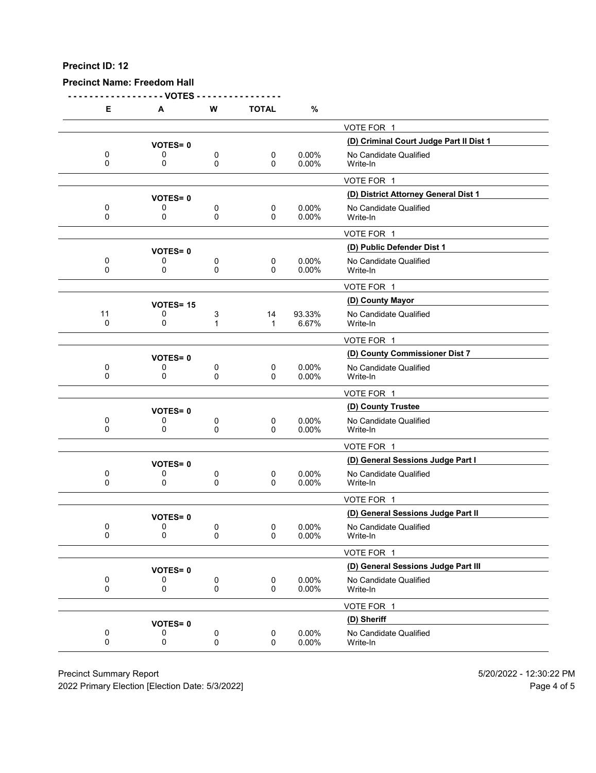**Precinct Name: Freedom Hall**

**- - - - - - - - - - - - - - - - - - VOTES - - - - - - - - - - - - - - - - E A W TOTAL %** VOTE FOR 1 **(D) Criminal Court Judge Part II Dist 1 VOTES= <sup>0</sup>** 0 0 0 0 0 0.00% No Candidate Qualified<br>0 0 0 0 0.00% Write-In 0 0 0 0 0.00% Write-In VOTE FOR 1 **(D) District Attorney General Dist 1 VOTES= <sup>0</sup>** 0 0 0 0 0 0.00% No Candidate Qualified<br>0 0 0 0 0.00% Write-In 0 0 0 0 0.00% Write-In VOTE FOR 1 **(D) Public Defender Dist 1 VOTES= <sup>0</sup>** 0 0 0 0 0.00% No Candidate Qualified<br>0 0 0 0 0.00% Write-In 0 0 0 0 0.00% Write-In VOTE FOR 1 **(D) County Mayor VOTES= <sup>15</sup>** 11 0 3 14 93.33% No Candidate Qualified<br>0 0 1 1 6.67% Write-In 0 0 1 1 6.67% Write-In VOTE FOR 1 **(D) County Commissioner Dist 7 VOTES= <sup>0</sup>** 0 0 0 0 0 0.00% No Candidate Qualified<br>0 0 0 0 0.00% Write-In 0 0 0 0 0.00% Write-In VOTE FOR 1 **(D) County Trustee VOTES= <sup>0</sup>** 0 0 0 0 0 0.00% No Candidate Qualified<br>0 0 0 0 0.00% Write-In 0 0 0 0 0.00% Write-In VOTE FOR 1 **(D) General Sessions Judge Part I VOTES= <sup>0</sup>** 0 0 0 0 0 0.00% No Candidate Qualified<br>0 0 0 0 0.00% Write-In 0 0 0 0 0.00% Write-In VOTE FOR 1 **VOTES= 0**<br>0 0 0 0 0 0 0.00% No Candidate Qualified<br>0 0 0 0.00% No Candidate Qualified 0 0 0 0 0 0.00% No Candidate Qualified<br>0 0 0 0 0.00% Write-In 0 0 0 0 0.00% Write-In VOTE FOR 1 **(D) General Sessions Judge Part III VOTES= <sup>0</sup>** 0 0 0 0 0.00% No Candidate Qualified<br>0 0 0 0 0.00% Write-In 0 0 0 0 0.00% Write-In VOTE FOR 1 **(D) Sheriff VOTES= <sup>0</sup>** 0 0 0 0 0 0.00% No Candidate Qualified<br>0 0 0 0 0.00% Write-In 0 0 0 0 0.00% Write-In

Precinct Summary Report 5/20/2022 - 12:30:22 PM

2022 Primary Election [Election Date: 5/3/2022] Page 4 of 5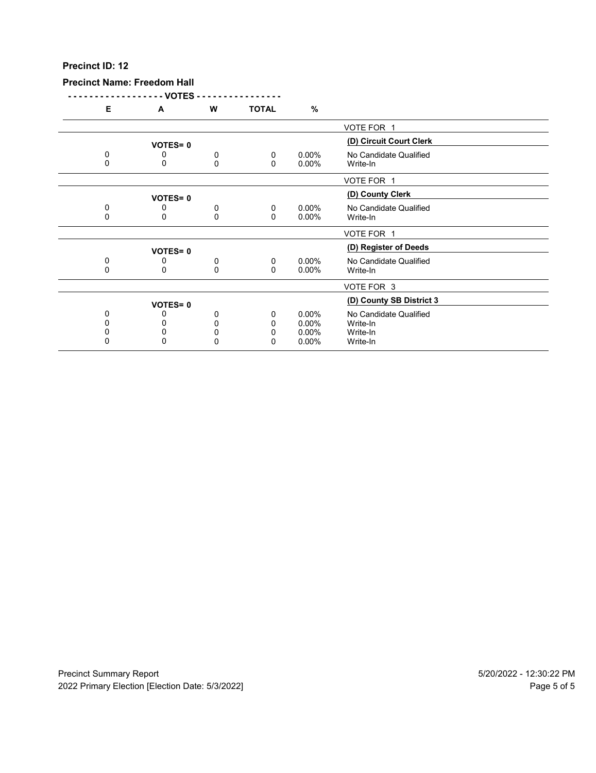#### **Precinct Name: Freedom Hall**

**- - - - - - - - - - - - - - - - - - VOTES - - - - - - - - - - - - - - - -**

| Е        | A              | w | TOTAL        | %        |                          |
|----------|----------------|---|--------------|----------|--------------------------|
|          |                |   |              |          | VOTE FOR 1               |
|          | <b>VOTES=0</b> |   |              |          | (D) Circuit Court Clerk  |
| 0        | 0              | 0 | 0            | $0.00\%$ | No Candidate Qualified   |
| $\Omega$ | 0              | 0 | 0            | $0.00\%$ | Write-In                 |
|          |                |   |              |          |                          |
|          |                |   |              |          | VOTE FOR 1               |
|          | <b>VOTES=0</b> |   |              |          | (D) County Clerk         |
| 0        |                | 0 | $\mathbf 0$  | $0.00\%$ | No Candidate Qualified   |
| 0        | 0              | 0 | $\mathbf{0}$ | $0.00\%$ | Write-In                 |
|          |                |   |              |          |                          |
|          |                |   |              |          | VOTE FOR 1               |
|          | <b>VOTES=0</b> |   |              |          | (D) Register of Deeds    |
| 0        | 0              | 0 | $\mathbf{0}$ | $0.00\%$ | No Candidate Qualified   |
| 0        | 0              | 0 | $\Omega$     | $0.00\%$ | Write-In                 |
|          |                |   |              |          |                          |
|          |                |   |              |          | VOTE FOR 3               |
|          |                |   |              |          | (D) County SB District 3 |
|          | <b>VOTES=0</b> |   |              |          |                          |
| $\Omega$ |                | 0 | 0            | $0.00\%$ | No Candidate Qualified   |
|          |                | ი | 0            | $0.00\%$ | Write-In                 |
|          | 0              | 0 | 0            | $0.00\%$ | Write-In                 |
|          | 0              | 0 | 0            | $0.00\%$ | Write-In                 |
|          |                |   |              |          |                          |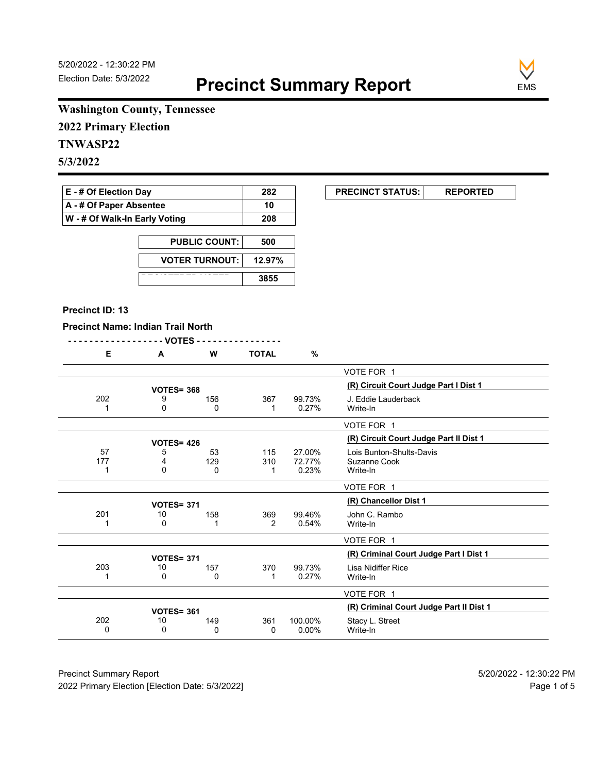

# **Washington County, Tennessee**

**2022 Primary Election**

# **TNWASP22**

**5/3/2022**

| <b>E</b> - # Of Election Day       | 282 |
|------------------------------------|-----|
| $\mathsf{A}$ - # Of Paper Absentee | 10  |
| W - # Of Walk-In Early Voting      | 208 |

| <b>PUBLIC COUNT:</b>  | 500    |
|-----------------------|--------|
| <b>VOTER TURNOUT:</b> | 12.97% |
|                       | 3855   |

#### **Precinct ID: 13**

### **Precinct Name: Indian Trail North**

|--|

| Е   | A                 | W   | TOTAL | %        |                                         |
|-----|-------------------|-----|-------|----------|-----------------------------------------|
|     |                   |     |       |          | VOTE FOR 1                              |
|     | <b>VOTES= 368</b> |     |       |          | (R) Circuit Court Judge Part I Dist 1   |
| 202 | 9                 | 156 | 367   | 99.73%   | J. Eddie Lauderback                     |
|     | 0                 | 0   | 1     | 0.27%    | Write-In                                |
|     |                   |     |       |          |                                         |
|     |                   |     |       |          | VOTE FOR 1                              |
|     | <b>VOTES= 426</b> |     |       |          | (R) Circuit Court Judge Part II Dist 1  |
| 57  | 5                 | 53  | 115   | 27.00%   | Lois Bunton-Shults-Davis                |
| 177 | 4                 | 129 | 310   | 72.77%   | Suzanne Cook                            |
|     | 0                 | 0   |       | 0.23%    | Write-In                                |
|     |                   |     |       |          |                                         |
|     |                   |     |       |          | VOTE FOR 1                              |
|     | <b>VOTES= 371</b> |     |       |          | (R) Chancellor Dist 1                   |
| 201 | 10                | 158 | 369   | 99.46%   | John C. Rambo                           |
|     | 0                 | 1   | 2     | 0.54%    | Write-In                                |
|     |                   |     |       |          | VOTE FOR 1                              |
|     |                   |     |       |          | (R) Criminal Court Judge Part I Dist 1  |
|     | <b>VOTES= 371</b> |     |       |          |                                         |
| 203 | 10                | 157 | 370   | 99.73%   | Lisa Nidiffer Rice                      |
|     | 0                 | 0   | 1     | 0.27%    | Write-In                                |
|     |                   |     |       |          | VOTE FOR 1                              |
|     | <b>VOTES= 361</b> |     |       |          | (R) Criminal Court Judge Part II Dist 1 |
| 202 | 10                | 149 | 361   | 100.00%  | Stacy L. Street                         |
| 0   | 0                 | 0   | 0     | $0.00\%$ | Write-In                                |
|     |                   |     |       |          |                                         |

Precinct Summary Report 60 and 5/20/2022 - 12:30:22 PM 2022 Primary Election [Election Date: 5/3/2022] **Page 1 of 5** and 2022 Primary Election Date: 5/3/2022]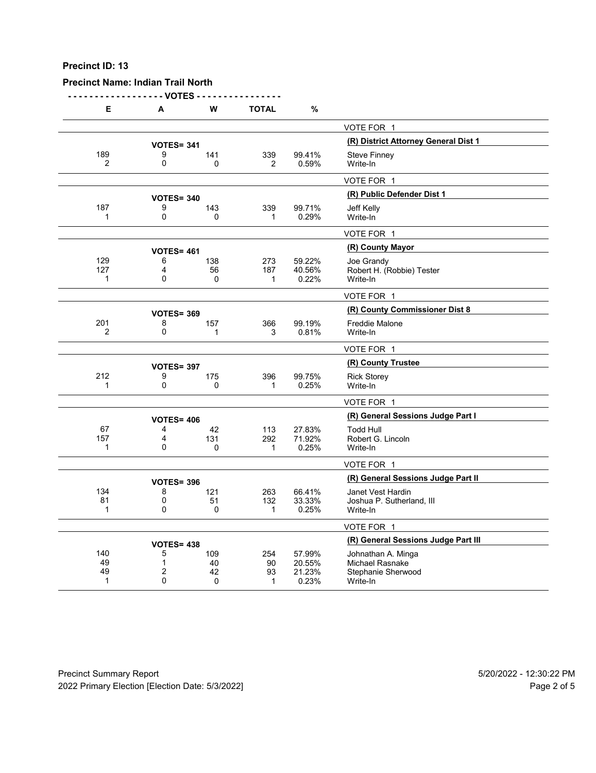# **Precinct Name: Indian Trail North**

**- - - - - - - - - - - - - - - - - - VOTES - - - - - - - - - - - - - - - -**

| Е                   | А                      | W         | <b>TOTAL</b>   | $\%$                                 |                                                |
|---------------------|------------------------|-----------|----------------|--------------------------------------|------------------------------------------------|
|                     |                        |           |                |                                      | VOTE FOR 1                                     |
|                     | <b>VOTES= 341</b>      |           |                | (R) District Attorney General Dist 1 |                                                |
| 189                 | 9                      | 141       | 339            | 99.41%                               | <b>Steve Finney</b>                            |
| $\overline{2}$      | 0                      | 0         | $\overline{2}$ | 0.59%                                | Write-In                                       |
|                     |                        |           |                |                                      | VOTE FOR 1                                     |
|                     | <b>VOTES= 340</b>      |           |                |                                      | (R) Public Defender Dist 1                     |
| 187                 | 9                      | 143       | 339            | 99.71%                               | Jeff Kelly                                     |
| 1                   | 0                      | $\Omega$  | 1              | 0.29%                                | Write-In                                       |
|                     |                        |           |                |                                      | VOTE FOR 1                                     |
|                     | <b>VOTES= 461</b>      |           |                |                                      | (R) County Mayor                               |
| 129                 | 6                      | 138       | 273            | 59.22%                               | Joe Grandy                                     |
| 127                 | 4                      | 56        | 187            | 40.56%                               | Robert H. (Robbie) Tester                      |
| 1                   | 0                      | $\Omega$  | 1              | 0.22%                                | Write-In                                       |
|                     |                        |           |                |                                      | VOTE FOR 1                                     |
|                     | <b>VOTES= 369</b>      |           |                |                                      | (R) County Commissioner Dist 8                 |
| 201                 | 8                      | 157       | 366            | 99.19%                               | <b>Freddie Malone</b>                          |
| $\overline{2}$      | 0                      | 1         | 3              | 0.81%                                | Write-In                                       |
|                     |                        |           |                |                                      | VOTE FOR 1                                     |
|                     | <b>VOTES= 397</b>      |           |                |                                      | (R) County Trustee                             |
| 212                 | 9                      | 175       | 396            | 99.75%                               | <b>Rick Storey</b>                             |
| 1                   | $\mathbf 0$            | 0         | 1              | 0.25%                                | Write-In                                       |
|                     |                        |           |                |                                      | VOTE FOR 1                                     |
|                     | <b>VOTES= 406</b>      |           |                |                                      | (R) General Sessions Judge Part I              |
| 67                  | 4                      | 42        | 113            | 27.83%                               | <b>Todd Hull</b>                               |
| 157<br>$\mathbf{1}$ | 4<br>0                 | 131<br>0  | 292<br>1       | 71.92%<br>0.25%                      | Robert G. Lincoln<br>Write-In                  |
|                     |                        |           |                |                                      |                                                |
|                     |                        |           |                |                                      | VOTE FOR 1                                     |
|                     | <b>VOTES= 396</b>      |           |                |                                      | (R) General Sessions Judge Part II             |
| 134<br>81           | 8<br>0                 | 121<br>51 | 263<br>132     | 66.41%<br>33.33%                     | Janet Vest Hardin<br>Joshua P. Sutherland, III |
| 1                   | 0                      | 0         | 1              | 0.25%                                | Write-In                                       |
|                     |                        |           |                |                                      | VOTE FOR 1                                     |
|                     |                        |           |                |                                      | (R) General Sessions Judge Part III            |
| 140                 | <b>VOTES= 438</b><br>5 | 109       | 254            | 57.99%                               | Johnathan A. Minga                             |
| 49                  | $\mathbf{1}$           | 40        | 90             | 20.55%                               | Michael Rasnake                                |
| 49                  | $\overline{2}$         | 42        | 93             | 21.23%                               | Stephanie Sherwood                             |
| 1                   | $\mathbf{0}$           | 0         | 1              | 0.23%                                | Write-In                                       |

Precinct Summary Report 60 and 5/20/2022 - 12:30:22 PM 2022 Primary Election [Election Date: 5/3/2022] 2022 Primary Election 10 and 5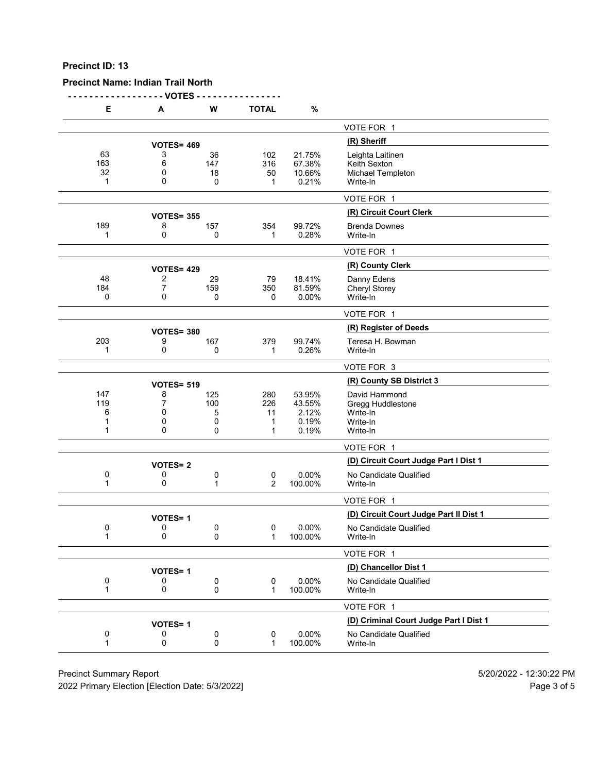# **Precinct Name: Indian Trail North**

**- - - - - - - - - - - - - - - - - - VOTES - - - - - - - - - - - - - - - -**

| Е                         | A                     | W                         | <b>TOTAL</b>               | $\%$                                        |                                                                        |
|---------------------------|-----------------------|---------------------------|----------------------------|---------------------------------------------|------------------------------------------------------------------------|
|                           |                       |                           |                            |                                             | VOTE FOR 1                                                             |
|                           | <b>VOTES= 469</b>     |                           |                            |                                             | (R) Sheriff                                                            |
| 63<br>163<br>32<br>1      | 3<br>6<br>0<br>0      | 36<br>147<br>18<br>0      | 102<br>316<br>50<br>1      | 21.75%<br>67.38%<br>10.66%<br>0.21%         | Leighta Laitinen<br>Keith Sexton<br>Michael Templeton<br>Write-In      |
|                           |                       |                           |                            |                                             | VOTE FOR 1                                                             |
|                           | <b>VOTES= 355</b>     |                           |                            |                                             | (R) Circuit Court Clerk                                                |
| 189<br>1                  | 8<br>0                | 157<br>0                  | 354<br>1                   | 99.72%<br>0.28%                             | <b>Brenda Downes</b><br>Write-In                                       |
|                           |                       |                           |                            |                                             | VOTE FOR 1                                                             |
|                           | <b>VOTES= 429</b>     |                           |                            |                                             | (R) County Clerk                                                       |
| 48<br>184<br>0            | 2<br>7<br>0           | 29<br>159<br>0            | 79<br>350<br>0             | 18.41%<br>81.59%<br>0.00%                   | Danny Edens<br>Cheryl Storey<br>Write-In                               |
|                           |                       |                           |                            |                                             | VOTE FOR 1                                                             |
|                           | <b>VOTES= 380</b>     |                           |                            |                                             | (R) Register of Deeds                                                  |
| 203<br>1                  | 9<br>0                | 167<br>0                  | 379<br>$\mathbf 1$         | 99.74%<br>0.26%                             | Teresa H. Bowman<br>Write-In                                           |
|                           |                       |                           |                            |                                             | VOTE FOR 3                                                             |
|                           | <b>VOTES= 519</b>     |                           |                            |                                             | (R) County SB District 3                                               |
| 147<br>119<br>6<br>1<br>1 | 8<br>7<br>0<br>0<br>0 | 125<br>100<br>5<br>0<br>0 | 280<br>226<br>11<br>1<br>1 | 53.95%<br>43.55%<br>2.12%<br>0.19%<br>0.19% | David Hammond<br>Gregg Huddlestone<br>Write-In<br>Write-In<br>Write-In |
|                           |                       |                           |                            |                                             | VOTE FOR 1                                                             |
|                           | <b>VOTES=2</b>        |                           |                            |                                             | (D) Circuit Court Judge Part I Dist 1                                  |
| 0<br>1                    | 0<br>0                | 0<br>1                    | 0<br>2                     | 0.00%<br>100.00%                            | No Candidate Qualified<br>Write-In                                     |
|                           |                       |                           |                            |                                             | VOTE FOR 1                                                             |
|                           | <b>VOTES=1</b>        |                           |                            |                                             | (D) Circuit Court Judge Part II Dist 1                                 |
| 0<br>1                    | 0<br>0                | 0<br>0                    | 0<br>1                     | 0.00%<br>100.00%                            | No Candidate Qualified<br>Write-In                                     |
|                           |                       |                           |                            |                                             | VOTE FOR 1                                                             |
|                           | <b>VOTES=1</b>        |                           |                            |                                             | (D) Chancellor Dist 1                                                  |
| 0<br>1                    | 0<br>0                | 0<br>0                    | 0<br>$\mathbf 1$           | 0.00%<br>100.00%                            | No Candidate Qualified<br>Write-In                                     |
|                           |                       |                           |                            |                                             | VOTE FOR 1                                                             |
|                           | <b>VOTES=1</b>        |                           |                            |                                             | (D) Criminal Court Judge Part I Dist 1                                 |
| 0<br>1                    | 0<br>0                | 0<br>0                    | 0<br>$\mathbf 1$           | 0.00%<br>100.00%                            | No Candidate Qualified<br>Write-In                                     |
|                           |                       |                           |                            |                                             |                                                                        |

Precinct Summary Report 60 and 5/20/2022 - 12:30:22 PM

2022 Primary Election [Election Date: 5/3/2022] 2022 Primary Election 5 and 5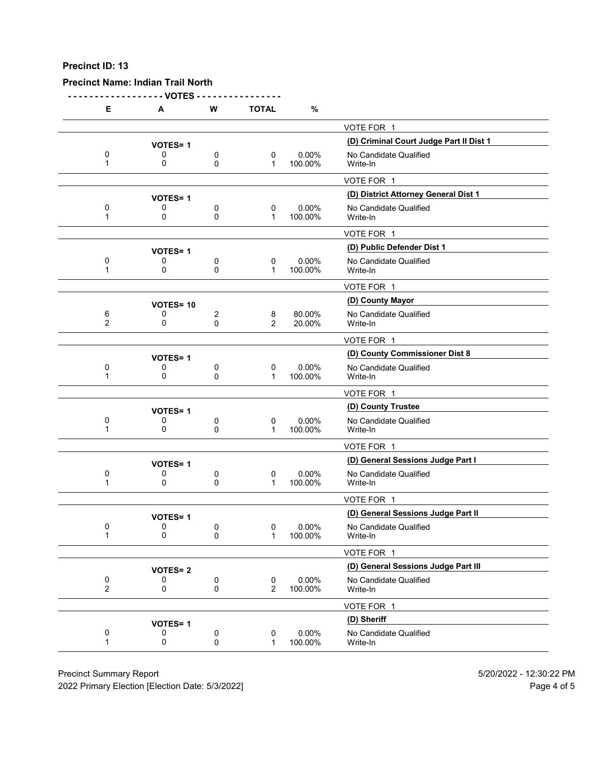# **Precinct Name: Indian Trail North**

**- - - - - - - - - - - - - - - - - - VOTES - - - - - - - - - - - - - - - -**

| Е                                           | A                   | W              | <b>TOTAL</b>              | %                |                                         |
|---------------------------------------------|---------------------|----------------|---------------------------|------------------|-----------------------------------------|
|                                             |                     |                |                           |                  | VOTE FOR 1                              |
|                                             | <b>VOTES=1</b>      |                |                           |                  | (D) Criminal Court Judge Part II Dist 1 |
| 0                                           | 0                   | 0              | 0                         | 0.00%            | No Candidate Qualified                  |
| 1                                           | 0                   | 0              | $\mathbf 1$               | 100.00%          | Write-In                                |
|                                             |                     |                |                           |                  | VOTE FOR 1                              |
|                                             | <b>VOTES=1</b>      |                |                           |                  | (D) District Attorney General Dist 1    |
| 0<br>1                                      | 0<br>0              | 0<br>0         | 0<br>$\mathbf 1$          | 0.00%<br>100.00% | No Candidate Qualified<br>Write-In      |
|                                             |                     |                |                           |                  | VOTE FOR 1                              |
|                                             | <b>VOTES=1</b>      |                |                           |                  | (D) Public Defender Dist 1              |
| 0<br>1                                      | 0<br>0              | 0<br>0         | 0<br>$\mathbf 1$          | 0.00%<br>100.00% | No Candidate Qualified<br>Write-In      |
|                                             |                     |                |                           |                  | VOTE FOR 1                              |
|                                             | <b>VOTES=10</b>     |                |                           |                  | (D) County Mayor                        |
| 6<br>$\overline{2}$                         | 0<br>0              | 2<br>0         | 8<br>2                    | 80.00%<br>20.00% | No Candidate Qualified<br>Write-In      |
|                                             |                     |                |                           |                  | VOTE FOR 1                              |
|                                             | <b>VOTES=1</b>      |                |                           |                  | (D) County Commissioner Dist 8          |
| 0                                           | 0                   | 0              | 0                         | 0.00%            | No Candidate Qualified                  |
| 1                                           | 0                   | 0              | $\mathbf 1$               | 100.00%          | Write-In                                |
|                                             |                     |                |                           |                  | VOTE FOR 1                              |
|                                             | <b>VOTES=1</b>      |                |                           |                  | (D) County Trustee                      |
| 0<br>1                                      | 0<br>0              | 0<br>0         | 0<br>$\mathbf 1$          | 0.00%<br>100.00% | No Candidate Qualified<br>Write-In      |
|                                             |                     |                |                           |                  | VOTE FOR 1                              |
|                                             | <b>VOTES=1</b>      |                |                           |                  | (D) General Sessions Judge Part I       |
| 0<br>1                                      | 0<br>0              | 0<br>0         | 0<br>$\mathbf 1$          | 0.00%<br>100.00% | No Candidate Qualified<br>Write-In      |
|                                             |                     |                |                           |                  | VOTE FOR 1                              |
|                                             | <b>VOTES=1</b>      |                |                           |                  | (D) General Sessions Judge Part II      |
| 0<br>1                                      | 0<br>0              | 0<br>0         | 0<br>1                    | 0.00%<br>100.00% | No Candidate Qualified<br>Write-In      |
|                                             |                     |                |                           |                  | VOTE FOR 1                              |
|                                             |                     |                |                           |                  | (D) General Sessions Judge Part III     |
|                                             | <b>VOTES=2</b><br>0 | $\pmb{0}$      | 0                         | 0.00%            | No Candidate Qualified                  |
| $\begin{smallmatrix}0\0\2\end{smallmatrix}$ | 0                   | 0              | 2                         | 100.00%          | Write-In                                |
|                                             |                     |                |                           |                  | VOTE FOR 1                              |
|                                             | <b>VOTES=1</b>      |                |                           |                  | (D) Sheriff                             |
| 0<br>1                                      | 0<br>0              | $\pmb{0}$<br>0 | $\pmb{0}$<br>$\mathbf{1}$ | 0.00%<br>100.00% | No Candidate Qualified<br>Write-In      |
|                                             |                     |                |                           |                  |                                         |

Precinct Summary Report 60 and 5/20/2022 - 12:30:22 PM

2022 Primary Election [Election Date: 5/3/2022] 2022 Primary Election 10 and 5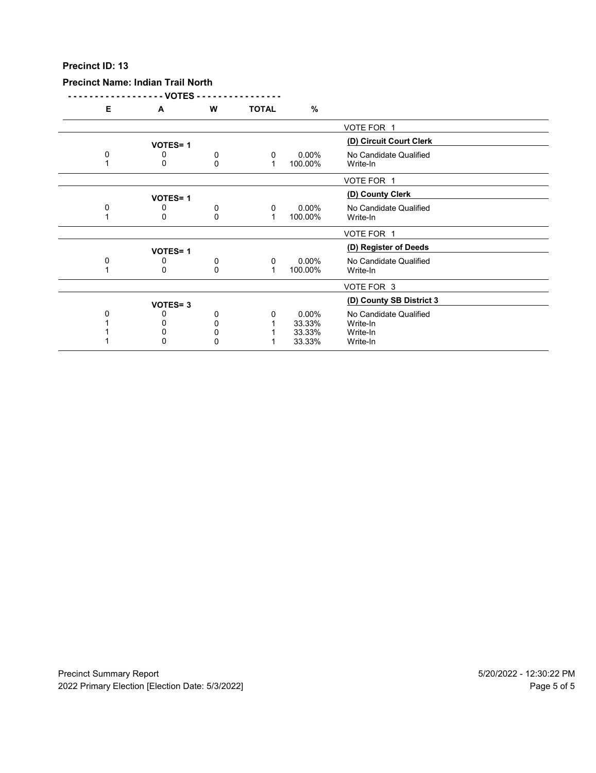#### **Precinct Name: Indian Trail North**

**- - - - - - - - - - - - - - - - - - VOTES - - - - - - - - - - - - - - - - E A W TOTAL %** VOTE FOR 1 **(D) Circuit Court Clerk VOTES= <sup>1</sup>** 0 0 0 0 0 0.00% No Candidate Qualified<br>1 0 0 0 1 100.00% Write-In 1 0 0 1 100.00% Write-In VOTE FOR 1 **VOTES= 1**<br>
0 0 0 0.00% No Candidate Qua 0 0 0 0 0 0.00% No Candidate Qualified<br>1 0 0 0 1 100.00% Write-In 100.00% VOTE FOR 1 **VOTES= 1**<br>0 0 0 0 0 0.00% **No Candidate Qualified** 0 0 0 0 0 0.00% No Candidate Qualified<br>1 0 0 0 1 100.00% Write-In  $100.00\%$ VOTE FOR 3 **(D) County SB District 3 VOTES= <sup>3</sup>** 0 0 0 0 0 0.00% No Candidate Qualified<br>1 0 0 0 1 33.33% Write-In 1 0 0 1 33.33% Write-In 1 0 0 1 33.33% Write-In 1 0 0 0 1 33.33% Write-In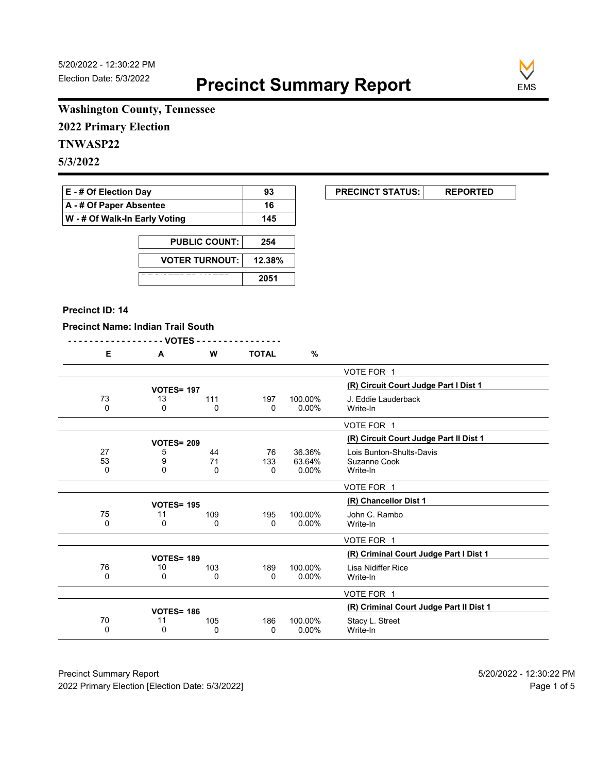

# **Washington County, Tennessee**

**2022 Primary Election**

# **TNWASP22**

**5/3/2022**

| <b>E</b> - # Of Election Day       | 93  |
|------------------------------------|-----|
| $\mathsf{A}$ - # Of Paper Absentee | 16  |
| W - # Of Walk-In Early Voting      | 145 |

| <b>PUBLIC COUNT:</b>  | 254    |
|-----------------------|--------|
| <b>VOTER TURNOUT:</b> | 12.38% |
|                       | 2051   |

## **Precinct ID: 14**

 $\overline{a}$ 

|    | <b>Precinct Name: Indian Trail South</b><br>- - - - - - - - - - - - - - - - - - VOTES - - - |          |              |          |                                         |
|----|---------------------------------------------------------------------------------------------|----------|--------------|----------|-----------------------------------------|
| Е  | A                                                                                           | W        | <b>TOTAL</b> | $\%$     |                                         |
|    |                                                                                             |          |              |          | VOTE FOR 1                              |
|    | <b>VOTES= 197</b>                                                                           |          |              |          | (R) Circuit Court Judge Part I Dist 1   |
| 73 | 13                                                                                          | 111      | 197          | 100.00%  | J. Eddie Lauderback                     |
| 0  | 0                                                                                           | 0        | $\mathbf{0}$ | $0.00\%$ | Write-In                                |
|    |                                                                                             |          |              |          | VOTE FOR 1                              |
|    | <b>VOTES= 209</b>                                                                           |          |              |          | (R) Circuit Court Judge Part II Dist 1  |
| 27 | 5                                                                                           | 44       | 76           | 36.36%   | Lois Bunton-Shults-Davis                |
| 53 | 9                                                                                           | 71       | 133          | 63.64%   | Suzanne Cook                            |
| 0  | 0                                                                                           | $\Omega$ | $\Omega$     | $0.00\%$ | Write-In                                |
|    |                                                                                             |          |              |          | VOTE FOR 1                              |
|    | <b>VOTES= 195</b>                                                                           |          |              |          | (R) Chancellor Dist 1                   |
| 75 | 11                                                                                          | 109      | 195          | 100.00%  | John C. Rambo                           |
| 0  | 0                                                                                           | 0        | 0            | $0.00\%$ | Write-In                                |
|    |                                                                                             |          |              |          | VOTE FOR 1                              |
|    | <b>VOTES= 189</b>                                                                           |          |              |          | (R) Criminal Court Judge Part I Dist 1  |
| 76 | 10                                                                                          | 103      | 189          | 100.00%  | Lisa Nidiffer Rice                      |
| 0  | 0                                                                                           | 0        | 0            | $0.00\%$ | Write-In                                |
|    |                                                                                             |          |              |          | VOTE FOR 1                              |
|    | <b>VOTES= 186</b>                                                                           |          |              |          | (R) Criminal Court Judge Part II Dist 1 |
| 70 | 11                                                                                          | 105      | 186          | 100.00%  | Stacy L. Street                         |
| 0  | 0                                                                                           | 0        | 0            | 0.00%    | Write-In                                |

Precinct Summary Report 60 and 5/20/2022 - 12:30:22 PM 2022 Primary Election [Election Date: 5/3/2022] **Page 1 of 5** and 2022 Primary Election Date: 5/3/2022]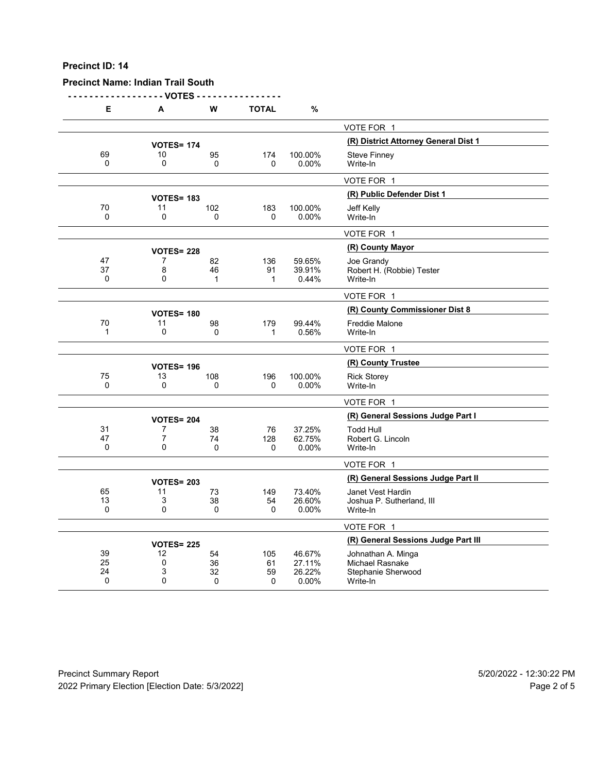## **Precinct Name: Indian Trail South**

**- - - - - - - - - - - - - - - - - - VOTES - - - - - - - - - - - - - - - -**

| Е                  | А                       | W              | <b>TOTAL</b> | $\%$             |                                       |
|--------------------|-------------------------|----------------|--------------|------------------|---------------------------------------|
|                    |                         |                |              |                  | VOTE FOR 1                            |
|                    | <b>VOTES= 174</b>       |                |              |                  | (R) District Attorney General Dist 1  |
| 69                 | 10                      | 95             | 174          | 100.00%          | <b>Steve Finney</b>                   |
| $\Omega$           | 0                       | $\Omega$       | $\Omega$     | 0.00%            | Write-In                              |
|                    |                         |                |              |                  | VOTE FOR 1                            |
|                    | <b>VOTES= 183</b>       |                |              |                  | (R) Public Defender Dist 1            |
| 70                 | 11                      | 102            | 183          | 100.00%          | Jeff Kelly                            |
| 0                  | 0                       | 0              | 0            | 0.00%            | Write-In                              |
|                    |                         |                |              |                  | VOTE FOR 1                            |
|                    | <b>VOTES= 228</b>       |                |              |                  | (R) County Mayor                      |
| 47                 | 7                       | 82             | 136          | 59.65%           | Joe Grandy                            |
| 37<br>$\Omega$     | 8<br>$\mathbf{0}$       | 46<br>1        | 91<br>1      | 39.91%<br>0.44%  | Robert H. (Robbie) Tester<br>Write-In |
|                    |                         |                |              |                  |                                       |
|                    |                         |                |              |                  | VOTE FOR 1                            |
|                    | <b>VOTES= 180</b>       |                |              |                  | (R) County Commissioner Dist 8        |
| 70<br>$\mathbf{1}$ | 11<br>0                 | 98<br>$\Omega$ | 179<br>1     | 99.44%<br>0.56%  | <b>Freddie Malone</b><br>Write-In     |
|                    |                         |                |              |                  |                                       |
|                    |                         |                |              |                  | VOTE FOR 1                            |
|                    | <b>VOTES= 196</b>       |                |              |                  | (R) County Trustee                    |
| 75<br>$\mathbf 0$  | 13<br>$\mathbf 0$       | 108<br>0       | 196<br>0     | 100.00%<br>0.00% | <b>Rick Storey</b><br>Write-In        |
|                    |                         |                |              |                  |                                       |
|                    |                         |                |              |                  | VOTE FOR 1                            |
|                    | <b>VOTES= 204</b>       |                |              |                  | (R) General Sessions Judge Part I     |
| 31<br>47           | 7<br>$\overline{7}$     | 38<br>74       | 76<br>128    | 37.25%<br>62.75% | <b>Todd Hull</b><br>Robert G. Lincoln |
| 0                  | 0                       | $\Omega$       | $\Omega$     | 0.00%            | Write-In                              |
|                    |                         |                |              |                  | VOTE FOR 1                            |
|                    |                         |                |              |                  | (R) General Sessions Judge Part II    |
| 65                 | <b>VOTES= 203</b><br>11 | 73             | 149          | 73.40%           | Janet Vest Hardin                     |
| 13                 | 3                       | 38             | 54           | 26.60%           | Joshua P. Sutherland, III             |
| $\Omega$           | $\mathbf{0}$            | 0              | 0            | 0.00%            | Write-In                              |
|                    |                         |                |              |                  | VOTE FOR 1                            |
|                    | <b>VOTES= 225</b>       |                |              |                  | (R) General Sessions Judge Part III   |
| 39                 | 12                      | 54             | 105          | 46.67%           | Johnathan A. Minga                    |
| 25                 | 0                       | 36             | 61           | 27.11%           | Michael Rasnake                       |
| 24<br>0            | 3<br>0                  | 32<br>0        | 59<br>0      | 26.22%<br>0.00%  | Stephanie Sherwood<br>Write-In        |
|                    |                         |                |              |                  |                                       |

Precinct Summary Report 60 and 5/20/2022 - 12:30:22 PM 2022 Primary Election [Election Date: 5/3/2022] 2022 Primary Election 10 and 5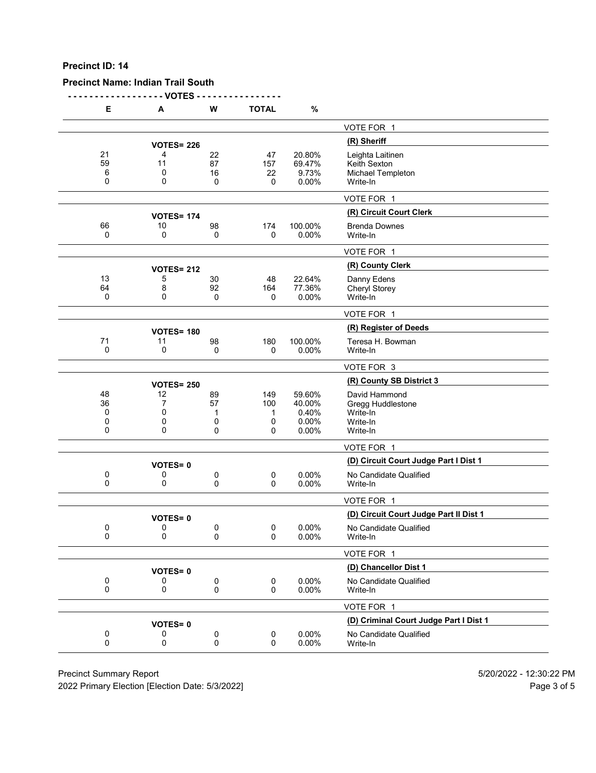## **Precinct Name: Indian Trail South**

**- - - - - - - - - - - - - - - - - - VOTES - - - - - - - - - - - - - - - -**

| Е                       | Α                      | W                       | <b>TOTAL</b>              | $\%$                                        |                                                                        |
|-------------------------|------------------------|-------------------------|---------------------------|---------------------------------------------|------------------------------------------------------------------------|
|                         |                        |                         |                           |                                             | VOTE FOR 1                                                             |
|                         | <b>VOTES= 226</b>      |                         |                           |                                             | (R) Sheriff                                                            |
| 21<br>59<br>6<br>0      | 4<br>11<br>0<br>0      | 22<br>87<br>16<br>0     | 47<br>157<br>22<br>0      | 20.80%<br>69.47%<br>9.73%<br>0.00%          | Leighta Laitinen<br>Keith Sexton<br>Michael Templeton<br>Write-In      |
|                         |                        |                         |                           |                                             | VOTE FOR 1                                                             |
|                         | <b>VOTES= 174</b>      |                         |                           |                                             | (R) Circuit Court Clerk                                                |
| 66<br>0                 | 10<br>0                | 98<br>0                 | 174<br>0                  | 100.00%<br>0.00%                            | <b>Brenda Downes</b><br>Write-In                                       |
|                         |                        |                         |                           |                                             | VOTE FOR 1                                                             |
|                         | <b>VOTES= 212</b>      |                         |                           |                                             | (R) County Clerk                                                       |
| 13<br>64<br>0           | 5<br>8<br>0            | 30<br>92<br>0           | 48<br>164<br>0            | 22.64%<br>77.36%<br>0.00%                   | Danny Edens<br>Cheryl Storey<br>Write-In                               |
|                         |                        |                         |                           |                                             | VOTE FOR 1                                                             |
|                         | <b>VOTES= 180</b>      |                         |                           |                                             | (R) Register of Deeds                                                  |
| 71<br>0                 | 11<br>0                | 98<br>0                 | 180<br>0                  | 100.00%<br>0.00%                            | Teresa H. Bowman<br>Write-In                                           |
|                         |                        |                         |                           |                                             | VOTE FOR 3                                                             |
|                         | <b>VOTES= 250</b>      |                         |                           |                                             | (R) County SB District 3                                               |
| 48<br>36<br>0<br>0<br>0 | 12<br>7<br>0<br>0<br>0 | 89<br>57<br>1<br>0<br>0 | 149<br>100<br>1<br>0<br>0 | 59.60%<br>40.00%<br>0.40%<br>0.00%<br>0.00% | David Hammond<br>Gregg Huddlestone<br>Write-In<br>Write-In<br>Write-In |
|                         |                        |                         |                           |                                             | VOTE FOR 1                                                             |
|                         | <b>VOTES=0</b>         |                         |                           |                                             | (D) Circuit Court Judge Part I Dist 1                                  |
| 0<br>0                  | 0<br>0                 | 0<br>0                  | $\mathbf 0$<br>0          | 0.00%<br>0.00%                              | No Candidate Qualified<br>Write-In                                     |
|                         |                        |                         |                           |                                             | VOTE FOR 1                                                             |
|                         | <b>VOTES=0</b>         |                         |                           |                                             | (D) Circuit Court Judge Part II Dist 1                                 |
| 0<br>$\Omega$           | 0<br>0                 | 0<br>0                  | 0<br>$\Omega$             | 0.00%<br>0.00%                              | No Candidate Qualified<br>Write-In                                     |
|                         |                        |                         |                           |                                             | VOTE FOR 1                                                             |
|                         | <b>VOTES=0</b>         |                         |                           |                                             | (D) Chancellor Dist 1                                                  |
| 0<br>0                  | 0<br>0                 | 0<br>0                  | $\mathbf 0$<br>0          | 0.00%<br>0.00%                              | No Candidate Qualified<br>Write-In                                     |
|                         |                        |                         |                           |                                             | VOTE FOR 1                                                             |
|                         | <b>VOTES=0</b>         |                         |                           |                                             | (D) Criminal Court Judge Part I Dist 1                                 |
| 0<br>0                  | 0<br>0                 | 0<br>0                  | 0<br>0                    | 0.00%<br>0.00%                              | No Candidate Qualified<br>Write-In                                     |

Precinct Summary Report 60 and 5/20/2022 - 12:30:22 PM

2022 Primary Election [Election Date: 5/3/2022] 2022 Primary Election 5 and 5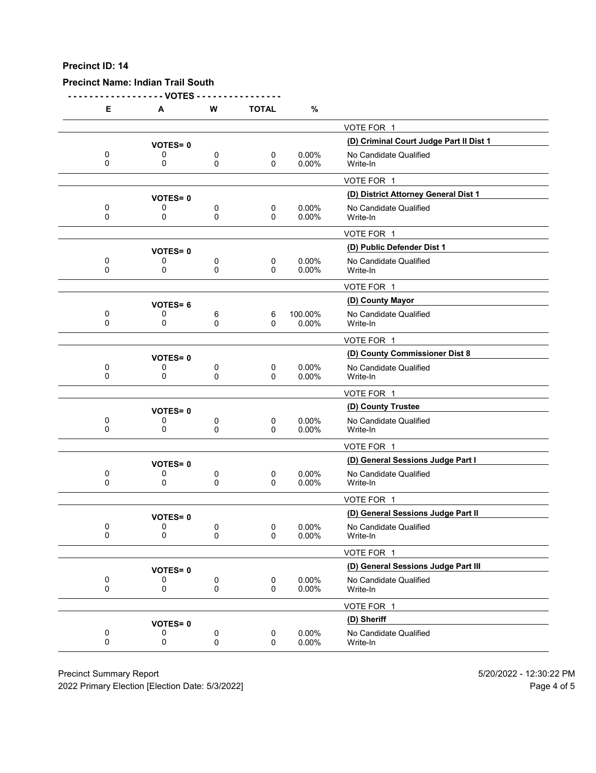# **Precinct Name: Indian Trail South**

**- - - - - - - - - - - - - - - - - - VOTES - - - - - - - - - - - - - - - -**

| Е                | Α              | W              | <b>TOTAL</b>   | %                 |                                         |
|------------------|----------------|----------------|----------------|-------------------|-----------------------------------------|
|                  |                |                |                |                   | VOTE FOR 1                              |
|                  | <b>VOTES=0</b> |                |                |                   | (D) Criminal Court Judge Part II Dist 1 |
| 0<br>0           | 0<br>0         | 0<br>0         | 0<br>0         | 0.00%<br>0.00%    | No Candidate Qualified<br>Write-In      |
|                  |                |                |                |                   | VOTE FOR 1                              |
|                  | <b>VOTES=0</b> |                |                |                   | (D) District Attorney General Dist 1    |
| 0<br>0           | 0<br>0         | 0<br>0         | 0<br>$\Omega$  | 0.00%<br>0.00%    | No Candidate Qualified<br>Write-In      |
|                  |                |                |                |                   | VOTE FOR 1                              |
|                  | <b>VOTES=0</b> |                |                |                   | (D) Public Defender Dist 1              |
| 0<br>0           | 0<br>0         | 0<br>0         | 0<br>0         | $0.00\%$<br>0.00% | No Candidate Qualified<br>Write-In      |
|                  |                |                |                |                   | VOTE FOR 1                              |
|                  | <b>VOTES=6</b> |                |                |                   | (D) County Mayor                        |
| 0<br>$\Omega$    | 0<br>0         | 6<br>0         | 6<br>0         | 100.00%<br>0.00%  | No Candidate Qualified<br>Write-In      |
|                  |                |                |                |                   | VOTE FOR 1                              |
|                  | <b>VOTES=0</b> |                |                |                   | (D) County Commissioner Dist 8          |
| 0<br>$\mathbf 0$ | 0<br>0         | 0<br>0         | 0<br>0         | 0.00%<br>0.00%    | No Candidate Qualified<br>Write-In      |
|                  |                |                |                |                   | VOTE FOR 1                              |
|                  | <b>VOTES=0</b> |                |                |                   | (D) County Trustee                      |
| 0<br>0           | 0<br>0         | 0<br>0         | 0<br>0         | $0.00\%$<br>0.00% | No Candidate Qualified<br>Write-In      |
|                  |                |                |                |                   | VOTE FOR 1                              |
|                  | <b>VOTES=0</b> |                |                |                   | (D) General Sessions Judge Part I       |
| 0<br>0           | 0<br>0         | 0<br>0         | 0<br>0         | $0.00\%$<br>0.00% | No Candidate Qualified<br>Write-In      |
|                  |                |                |                |                   | VOTE FOR 1                              |
|                  | <b>VOTES=0</b> |                |                |                   | (D) General Sessions Judge Part II      |
| 0<br>0           | 0<br>0         | 0<br>0         | 0<br>0         | $0.00\%$<br>0.00% | No Candidate Qualified<br>Write-In      |
|                  |                |                |                |                   | VOTE FOR 1                              |
|                  | <b>VOTES=0</b> |                |                |                   | (D) General Sessions Judge Part III     |
| 0<br>$\mathbf 0$ | 0<br>0         | $\pmb{0}$<br>0 | 0<br>0         | 0.00%<br>0.00%    | No Candidate Qualified<br>Write-In      |
|                  |                |                |                |                   | VOTE FOR 1                              |
|                  | <b>VOTES=0</b> |                |                |                   | (D) Sheriff                             |
| 0<br>0           | 0<br>0         | $\pmb{0}$<br>0 | $\pmb{0}$<br>0 | 0.00%<br>0.00%    | No Candidate Qualified<br>Write-In      |

Precinct Summary Report 60 and 5/20/2022 - 12:30:22 PM

2022 Primary Election [Election Date: 5/3/2022] 2022 Primary Election 10 and 5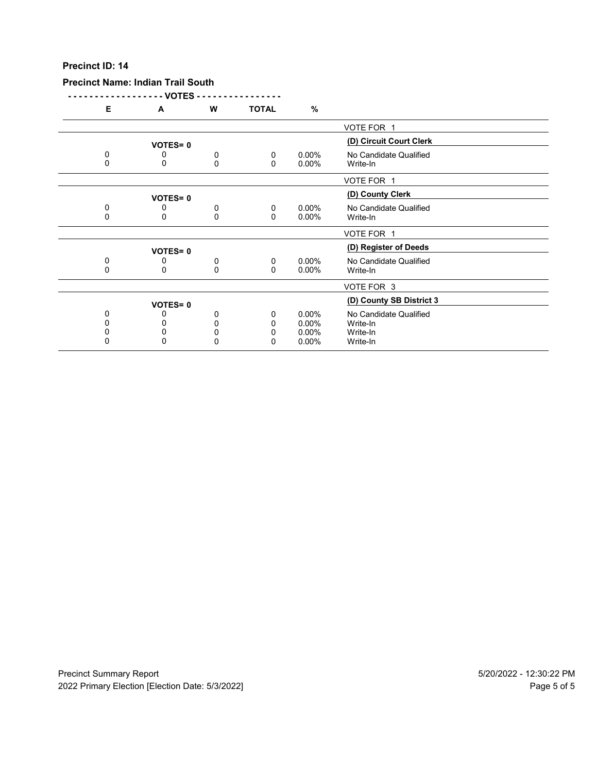### **Precinct Name: Indian Trail South**

**- - - - - - - - - - - - - - - - - - VOTES - - - - - - - - - - - - - - - - E A W TOTAL %** VOTE FOR 1 **(D) Circuit Court Clerk VOTES= <sup>0</sup>** 0 0 0 0 0 0.00% No Candidate Qualified<br>0 0 0 0 0.00% Write-In 0 0 0 0 0.00% Write-In VOTE FOR 1 **VOTES= 0**<br>
0 0 0 0.00% No Candidate Qua 0 0 0 0 0 0.00% No Candidate Qualified<br>0 0 0 0 0.00% Write-In 0 0 0 0 0.00% Write-In VOTE FOR 1 **(D) Register of Deeds VOTES= <sup>0</sup>** 0 0 0 0 0 0.00% No Candidate Qualified<br>0 0 0 0 0.00% Write-In 0 0 0 0 0.00% Write-In VOTE FOR 3 **VOTES= 0**<br>0 0 0 0 0 0 0.00% No Candidate Qualified 0 0 0 0 0.00% No Candidate Qualified<br>0 0 0 0 0.00% Write-In 0 0 0 0 0.00% Write-In 0 0 0 0 0.00% Write-In 0 0 0 0 0.00% Write-In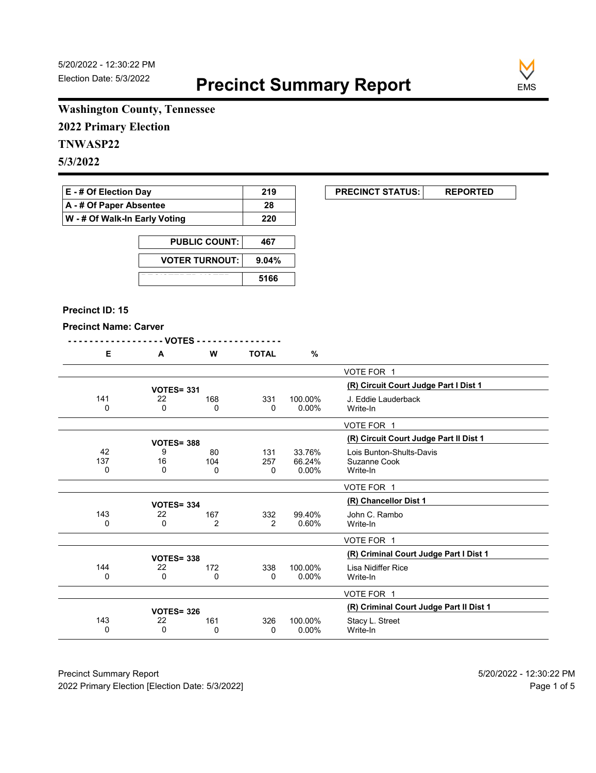

# **Washington County, Tennessee**

**2022 Primary Election**

# **TNWASP22**

**5/3/2022**

| $E - #$ Of Election Day       | 219 |
|-------------------------------|-----|
| A - # Of Paper Absentee       | 28  |
| W - # Of Walk-In Early Voting | 220 |

| <b>PUBLIC COUNT:</b>  | 467   |
|-----------------------|-------|
| <b>VOTER TURNOUT:</b> | 9.04% |
|                       | 5166  |

#### **Precinct ID: 15**

#### **Precinct Name: Carver**

| -------------------VOTES ---------------- |  |  |
|-------------------------------------------|--|--|
|-------------------------------------------|--|--|

|  | M | <b>TOTAL</b> | % |
|--|---|--------------|---|
|  |   |              |   |

|          |                   |                |               |          | VOTE FOR 1                              |
|----------|-------------------|----------------|---------------|----------|-----------------------------------------|
|          | <b>VOTES= 331</b> |                |               |          | (R) Circuit Court Judge Part I Dist 1   |
| 141      | 22                | 168            | 331           | 100.00%  | J. Eddie Lauderback                     |
| 0        | 0                 | 0              | 0             | $0.00\%$ | Write-In                                |
|          |                   |                |               |          | VOTE FOR 1                              |
|          | <b>VOTES= 388</b> |                |               |          | (R) Circuit Court Judge Part II Dist 1  |
| 42       | 9                 | 80             | 131           | 33.76%   | Lois Bunton-Shults-Davis                |
| 137      | 16                | 104            | 257           | 66.24%   | Suzanne Cook                            |
| 0        | 0                 | 0              | 0             | $0.00\%$ | Write-In                                |
|          |                   |                |               |          | VOTE FOR 1                              |
|          | <b>VOTES= 334</b> |                |               |          | (R) Chancellor Dist 1                   |
| 143      | 22                | 167            | 332           | 99.40%   | John C. Rambo                           |
| $\Omega$ | 0                 | $\overline{2}$ | $\mathcal{P}$ | 0.60%    | Write-In                                |
|          |                   |                |               |          | VOTE FOR 1                              |
|          | <b>VOTES= 338</b> |                |               |          | (R) Criminal Court Judge Part I Dist 1  |
| 144      | 22                | 172            | 338           | 100.00%  | Lisa Nidiffer Rice                      |
| 0        | 0                 | 0              | 0             | $0.00\%$ | Write-In                                |
|          |                   |                |               |          | VOTE FOR 1                              |
|          | <b>VOTES= 326</b> |                |               |          | (R) Criminal Court Judge Part II Dist 1 |
| 143      | 22                | 161            | 326           | 100.00%  | Stacy L. Street                         |
| 0        | 0                 | 0              | 0             | $0.00\%$ | Write-In                                |

Precinct Summary Report 60 and 5/20/2022 - 12:30:22 PM 2022 Primary Election [Election Date: 5/3/2022] **Page 1 of 5** and 2022 Primary Election Date: 5/3/2022]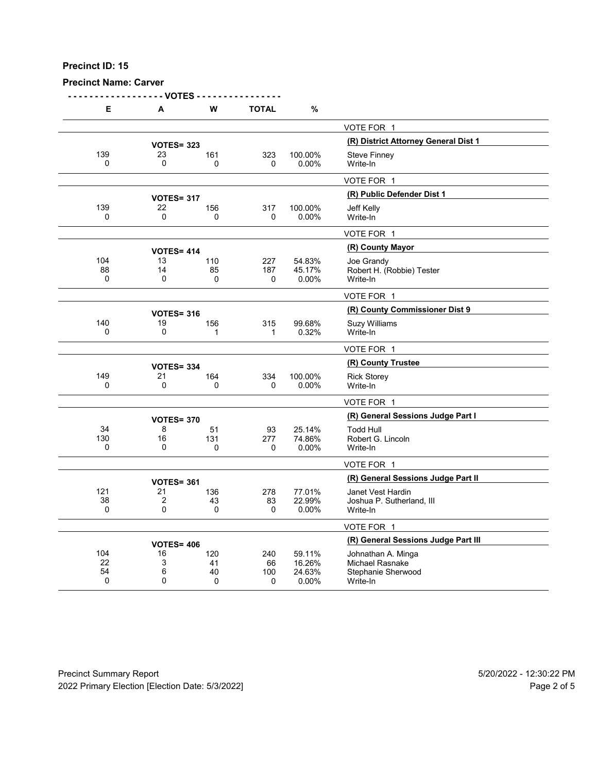## **Precinct Name: Carver**

**- - - - - - - - - - - - - - - - - - VOTES - - - - - - - - - - - - - - - - E A W TOTAL %** VOTE FOR 1 **(R) District Attorney General Dist 1 VOTES= <sup>323</sup>** 139 23 161 323 100.00% Steve Finney<br>0 0 0 0 0 0.00% Write-In 0 0 0 0 0.00% Write-In VOTE FOR 1 **(R) Public Defender Dist 1 VOTES= <sup>317</sup>** 139 22 156 317 100.00% Jeff Kelly 0 0 0 0 0.00% Write-In VOTE FOR 1 **(R) County Mayor VOTES= <sup>414</sup>** 104 13 110 227 54.83% Joe Grandy 88 14 85 187 45.17% Robert H. (Robbie) Tester 0 0 0 0 0.00% Write-In VOTE FOR 1 **VOTES= 316**<br>19 **156 156 156 156 99.68% Suzy Williams** 140 19 156 315 99.68% Suzy Williams<br>0 0 1 1 0.32% Write-In 0 0 1 1 0.32% Write-In VOTE FOR 1 **(R) County Trustee VOTES= <sup>334</sup>** 149 21 164 334 100.00% Rick Storey<br>0 0 0 0 0 0.00% Write-In 0 0 0 0 0.00% Write-In VOTE FOR 1 **(R) General Sessions Judge Part I VOTES= <sup>370</sup>** 34 8 51 93 25.14% Todd Hull 130 16 131 277 74.86% Robert G. Lincoln<br>0 0 0 0 0 0.00% Write-In 0 0 0 0 0.00% Write-In VOTE FOR 1 **VOTES= 361**<br>
278 77.01% Janet Vest Hardin 21 136 278 77.01% Janet Vest Hardin 121 21 136 278 77.01% Janet Vest Hardin 38 2 43 83 22.99% Joshua P. Sutherland, III 0 0 0 0 0.00% Write-In VOTE FOR 1 **16** VOTES= 406 **120 120 240 59.11%** Johnathan A. Minga 104 16 120 240 59.11% Johnathan A. Minga 22 3 41 66 16.26% Michael Rasnake 54 6 40 100 24.63% Stephanie Sherwood 0 0 0 0 0.00% Write-In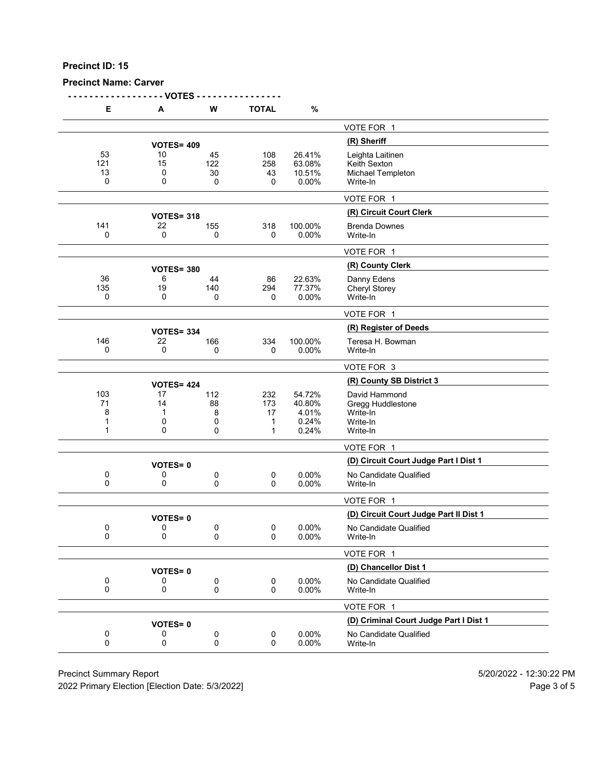# **Precinct Name: Carver**

**- - - - - - - - - - - - - - - - - - VOTES - - - - - - - - - - - - - - - -**

| Е                        | Α                       | W                        | <b>TOTAL</b>               | %                                           |                                                                        |
|--------------------------|-------------------------|--------------------------|----------------------------|---------------------------------------------|------------------------------------------------------------------------|
|                          |                         |                          |                            |                                             | VOTE FOR 1                                                             |
|                          | <b>VOTES= 409</b>       |                          |                            |                                             | (R) Sheriff                                                            |
| 53<br>121<br>13<br>0     | 10<br>15<br>0<br>0      | 45<br>122<br>30<br>0     | 108<br>258<br>43<br>0      | 26.41%<br>63.08%<br>10.51%<br>0.00%         | Leighta Laitinen<br>Keith Sexton<br>Michael Templeton<br>Write-In      |
|                          |                         |                          |                            |                                             | VOTE FOR 1                                                             |
|                          | <b>VOTES= 318</b>       |                          |                            |                                             | (R) Circuit Court Clerk                                                |
| 141<br>0                 | 22<br>0                 | 155<br>0                 | 318<br>0                   | 100.00%<br>0.00%                            | <b>Brenda Downes</b><br>Write-In                                       |
|                          |                         |                          |                            |                                             | VOTE FOR 1                                                             |
|                          | <b>VOTES= 380</b>       |                          |                            |                                             | (R) County Clerk                                                       |
| 36<br>135<br>0           | 6<br>19<br>0            | 44<br>140<br>0           | 86<br>294<br>0             | 22.63%<br>77.37%<br>0.00%                   | Danny Edens<br><b>Cheryl Storey</b><br>Write-In                        |
|                          |                         |                          |                            |                                             | VOTE FOR 1                                                             |
|                          | <b>VOTES= 334</b>       |                          |                            |                                             | (R) Register of Deeds                                                  |
| 146<br>0                 | 22<br>0                 | 166<br>0                 | 334<br>0                   | 100.00%<br>0.00%                            | Teresa H. Bowman<br>Write-In                                           |
|                          |                         |                          |                            |                                             | VOTE FOR 3                                                             |
|                          | <b>VOTES= 424</b>       |                          |                            |                                             | (R) County SB District 3                                               |
| 103<br>71<br>8<br>1<br>1 | 17<br>14<br>1<br>0<br>0 | 112<br>88<br>8<br>0<br>0 | 232<br>173<br>17<br>1<br>1 | 54.72%<br>40.80%<br>4.01%<br>0.24%<br>0.24% | David Hammond<br>Gregg Huddlestone<br>Write-In<br>Write-In<br>Write-In |
|                          |                         |                          |                            |                                             | VOTE FOR 1                                                             |
|                          | <b>VOTES=0</b>          |                          |                            |                                             | (D) Circuit Court Judge Part I Dist 1                                  |
| 0<br>0                   | 0<br>0                  | 0<br>0                   | $\pmb{0}$<br>0             | 0.00%<br>0.00%                              | No Candidate Qualified<br>Write-In                                     |
|                          |                         |                          |                            |                                             | VOTE FOR 1                                                             |
|                          | <b>VOTES=0</b>          |                          |                            |                                             | (D) Circuit Court Judge Part II Dist 1                                 |
| 0<br>0                   | 0<br>0                  | 0<br>0                   | 0<br>$\Omega$              | 0.00%<br>0.00%                              | No Candidate Qualified<br>Write-In                                     |
|                          |                         |                          |                            |                                             | VOTE FOR 1                                                             |
|                          | <b>VOTES=0</b>          |                          |                            |                                             | (D) Chancellor Dist 1                                                  |
| 0<br>$\pmb{0}$           | 0<br>0                  | 0<br>0                   | 0<br>0                     | 0.00%<br>0.00%                              | No Candidate Qualified<br>Write-In                                     |
|                          |                         |                          |                            |                                             | VOTE FOR 1                                                             |
|                          | <b>VOTES=0</b>          |                          |                            |                                             | (D) Criminal Court Judge Part I Dist 1                                 |
| 0<br>0                   | 0<br>0                  | 0<br>0                   | $\pmb{0}$<br>0             | 0.00%<br>0.00%                              | No Candidate Qualified<br>Write-In                                     |
|                          |                         |                          |                            |                                             |                                                                        |

Precinct Summary Report 60 and 5/20/2022 - 12:30:22 PM

2022 Primary Election [Election Date: 5/3/2022] 2022 Primary Election 5 and 5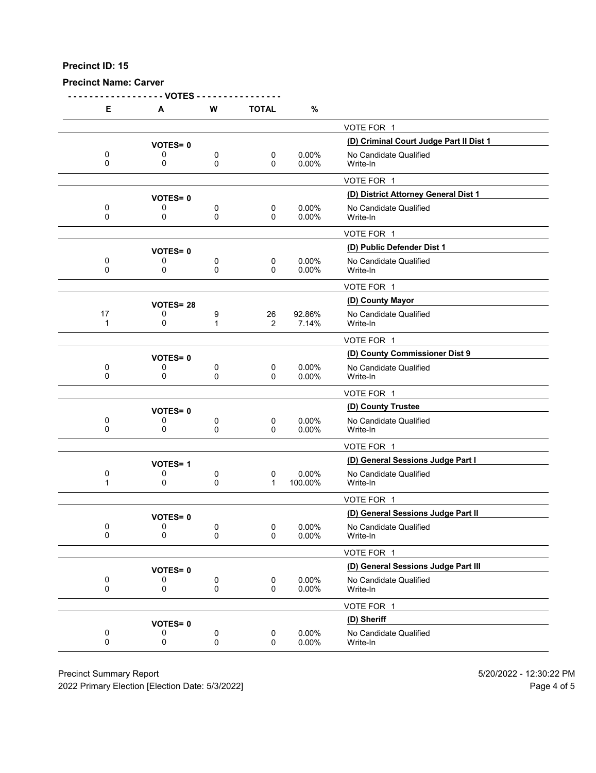# **Precinct Name: Carver**

|                          | - VOTES -           |                |               |                 |                                         |
|--------------------------|---------------------|----------------|---------------|-----------------|-----------------------------------------|
| Е.                       | Α                   | W              | <b>TOTAL</b>  | %               |                                         |
|                          |                     |                |               |                 | VOTE FOR 1                              |
|                          | <b>VOTES=0</b>      |                |               |                 | (D) Criminal Court Judge Part II Dist 1 |
| 0                        | 0                   | 0              | 0             | 0.00%           | No Candidate Qualified                  |
| 0                        | 0                   | 0              | 0             | 0.00%           | Write-In                                |
|                          |                     |                |               |                 | VOTE FOR 1                              |
|                          | <b>VOTES=0</b>      |                |               |                 | (D) District Attorney General Dist 1    |
| 0                        | 0                   | 0              | 0             | 0.00%           | No Candidate Qualified                  |
| 0                        | 0                   | 0              | 0             | 0.00%           | Write-In                                |
|                          |                     |                |               |                 | VOTE FOR 1                              |
|                          | <b>VOTES=0</b>      |                |               |                 | (D) Public Defender Dist 1              |
| 0<br>0                   | 0<br>0              | 0<br>0         | $\pmb{0}$     | 0.00%<br>0.00%  | No Candidate Qualified<br>Write-In      |
|                          |                     |                | 0             |                 |                                         |
|                          |                     |                |               |                 | VOTE FOR 1                              |
|                          | <b>VOTES=28</b>     |                |               |                 | (D) County Mayor                        |
| 17<br>$\mathbf 1$        | 0<br>0              | 9<br>1         | 26<br>2       | 92.86%<br>7.14% | No Candidate Qualified<br>Write-In      |
|                          |                     |                |               |                 |                                         |
|                          |                     |                |               |                 | VOTE FOR 1                              |
|                          | <b>VOTES=0</b>      |                |               |                 | (D) County Commissioner Dist 9          |
| 0<br>0                   | 0<br>0              | 0<br>0         | 0<br>$\Omega$ | 0.00%<br>0.00%  | No Candidate Qualified<br>Write-In      |
|                          |                     |                |               |                 | VOTE FOR 1                              |
|                          |                     |                |               |                 | (D) County Trustee                      |
| 0                        | <b>VOTES=0</b><br>0 | 0              | 0             | 0.00%           | No Candidate Qualified                  |
| 0                        | 0                   | 0              | 0             | 0.00%           | Write-In                                |
|                          |                     |                |               |                 | VOTE FOR 1                              |
|                          | <b>VOTES=1</b>      |                |               |                 | (D) General Sessions Judge Part I       |
| 0                        | 0                   | 0              | 0             | 0.00%           | No Candidate Qualified                  |
| 1                        | 0                   | $\pmb{0}$      | $\mathbf{1}$  | 100.00%         | Write-In                                |
|                          |                     |                |               |                 | VOTE FOR 1                              |
|                          | <b>VOTES=0</b>      |                |               |                 | (D) General Sessions Judge Part II      |
| 0                        | 0                   | $\mathbf{0}$   | 0             | 0.00%           | No Candidate Qualified                  |
| 0                        | 0                   | 0              | 0             | 0.00%           | Write-In                                |
|                          |                     |                |               |                 | VOTE FOR 1                              |
|                          | <b>VOTES=0</b>      |                |               |                 | (D) General Sessions Judge Part III     |
| 0<br>$\mathsf{O}\xspace$ | 0<br>0              | 0<br>$\pmb{0}$ | 0<br>0        | 0.00%<br>0.00%  | No Candidate Qualified                  |
|                          |                     |                |               |                 | Write-In                                |
|                          |                     |                |               |                 | VOTE FOR 1                              |
|                          | <b>VOTES=0</b>      |                |               |                 | (D) Sheriff                             |
| 0<br>0                   | 0<br>0              | 0<br>$\pmb{0}$ | 0<br>0        | 0.00%<br>0.00%  | No Candidate Qualified<br>Write-In      |
|                          |                     |                |               |                 |                                         |

Precinct Summary Report 60 and 5/20/2022 - 12:30:22 PM

2022 Primary Election [Election Date: 5/3/2022] 2022 Primary Election 10 and 5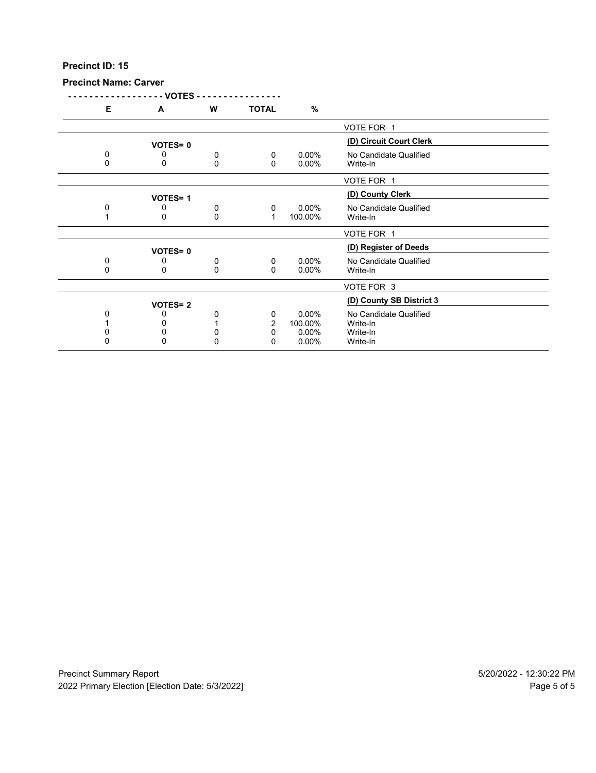# **Precinct Name: Carver**

|   | - VOTES -      |   |                |          |                          |  |
|---|----------------|---|----------------|----------|--------------------------|--|
| Е | A              | W | <b>TOTAL</b>   | $\%$     |                          |  |
|   |                |   |                |          | VOTE FOR 1               |  |
|   | <b>VOTES=0</b> |   |                |          | (D) Circuit Court Clerk  |  |
| 0 | 0              | 0 | 0              | $0.00\%$ | No Candidate Qualified   |  |
| 0 | 0              | 0 | 0              | $0.00\%$ | Write-In                 |  |
|   |                |   |                |          | VOTE FOR 1               |  |
|   | <b>VOTES=1</b> |   |                |          | (D) County Clerk         |  |
| 0 | 0              | 0 | 0              | $0.00\%$ | No Candidate Qualified   |  |
|   | 0              | 0 | $\mathbf 1$    | 100.00%  | Write-In                 |  |
|   |                |   |                |          | VOTE FOR 1               |  |
|   | <b>VOTES=0</b> |   |                |          | (D) Register of Deeds    |  |
| 0 | 0              | 0 | 0              | $0.00\%$ | No Candidate Qualified   |  |
| 0 | 0              | 0 | 0              | $0.00\%$ | Write-In                 |  |
|   |                |   |                |          | VOTE FOR 3               |  |
|   | <b>VOTES=2</b> |   |                |          | (D) County SB District 3 |  |
| 0 |                | 0 | 0              | $0.00\%$ | No Candidate Qualified   |  |
|   |                |   | $\overline{2}$ | 100.00%  | Write-In                 |  |
|   |                | 0 | 0              | 0.00%    | Write-In                 |  |
| 0 | 0              | 0 | 0              | $0.00\%$ | Write-In                 |  |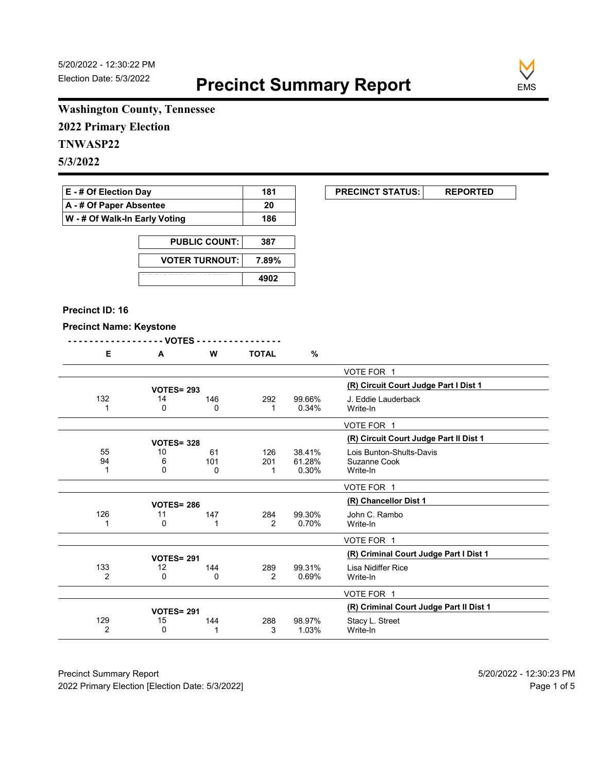**EXECUNCT STATUS:** REPORTED



# **Washington County, Tennessee**

**2022 Primary Election**

# **TNWASP22**

**5/3/2022**

| <b>E</b> - # Of Election Day       | 181 |
|------------------------------------|-----|
| $\mathsf{A}$ - # Of Paper Absentee | 20  |
| W - # Of Walk-In Early Voting      | 186 |

| <b>PUBLIC COUNT:</b>  | 387   |
|-----------------------|-------|
| <b>VOTER TURNOUT:</b> | 7.89% |
|                       | 4902  |

#### **Precinct ID: 16**

### **Precinct Name: Keystone**

|     | - - - - - - - VOTES - |     |              |        |                                         |
|-----|-----------------------|-----|--------------|--------|-----------------------------------------|
| Е   | A                     | W   | <b>TOTAL</b> | $\%$   |                                         |
|     |                       |     |              |        | VOTE FOR 1                              |
|     | <b>VOTES= 293</b>     |     |              |        | (R) Circuit Court Judge Part I Dist 1   |
| 132 | 14                    | 146 | 292          | 99.66% | J. Eddie Lauderback                     |
|     | 0                     | 0   | 1            | 0.34%  | Write-In                                |
|     |                       |     |              |        | VOTE FOR 1                              |
|     | <b>VOTES= 328</b>     |     |              |        | (R) Circuit Court Judge Part II Dist 1  |
| 55  | 10                    | 61  | 126          | 38.41% | Lois Bunton-Shults-Davis                |
| 94  | 6                     | 101 | 201          | 61.28% | Suzanne Cook                            |
| 1   | 0                     | 0   | 1            | 0.30%  | Write-In                                |
|     |                       |     |              |        | VOTE FOR 1                              |
|     | <b>VOTES= 286</b>     |     |              |        | (R) Chancellor Dist 1                   |
| 126 | 11                    | 147 | 284          | 99.30% | John C. Rambo                           |
|     | 0                     | 1   | 2            | 0.70%  | Write-In                                |
|     |                       |     |              |        | VOTE FOR 1                              |
|     | <b>VOTES= 291</b>     |     |              |        | (R) Criminal Court Judge Part I Dist 1  |
| 133 | 12                    | 144 | 289          | 99.31% | Lisa Nidiffer Rice                      |
| 2   | 0                     | 0   | 2            | 0.69%  | Write-In                                |
|     |                       |     |              |        |                                         |
|     |                       |     |              |        | VOTE FOR 1                              |
|     | <b>VOTES= 291</b>     |     |              |        | (R) Criminal Court Judge Part II Dist 1 |
| 129 | 15                    | 144 | 288          | 98.97% | Stacy L. Street                         |

Write-In

129 15 144 288 98.97% Stacy L. Street<br>
2 0 1 3 1.03% Write-In

Precinct Summary Report 60 and 5/20/2022 - 12:30:23 PM 2022 Primary Election [Election Date: 5/3/2022] **Page 1 of 5** and 2022 Primary Election Date: 5/3/2022]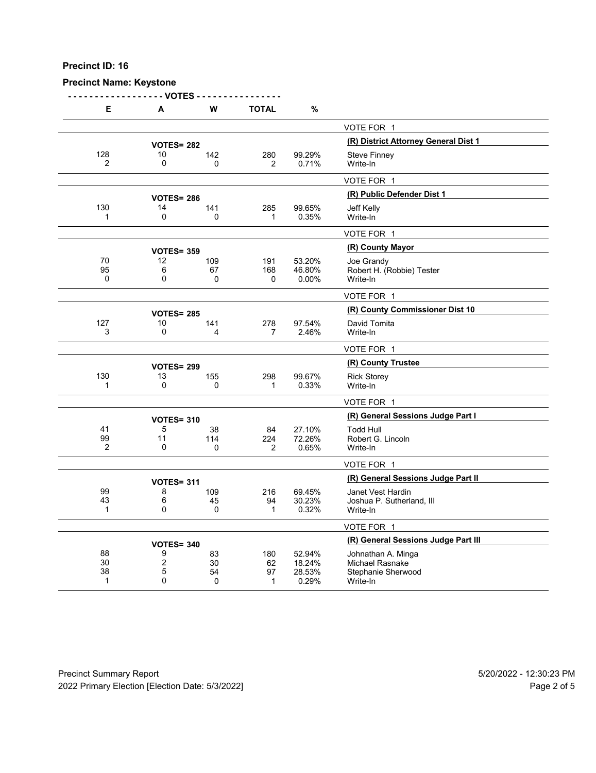#### **Precinct Name: Keystone**

**- - - - - - - - - - - - - - - - - - VOTES - - - - - - - - - - - - - - - - E A W TOTAL %** VOTE FOR 1 **(R) District Attorney General Dist 1 VOTES= <sup>282</sup>** 128 10 142 280 99.29% Steve Finney<br>2 0 0 2 0.71% Write-In 2 0 0 2 0.71% Write-In VOTE FOR 1 **(R) Public Defender Dist 1 VOTES= <sup>286</sup>** 130 14 141 285 99.65% Jeff Kelly 1 0 0 1 0.35% Write-In VOTE FOR 1 **(R) County Mayor VOTES= <sup>359</sup>** 70 12 109 191 53.20% Joe Grandy 95 6 67 168 46.80% Robert H. (Robbie) Tester 0 0 0 0 0.00% Write-In VOTE FOR 1 **(R) County Commissioner Dist 10 VOTES= <sup>285</sup>** 127 10 141 278 97.54% David Tomita<br>3 0 4 7 2.46% Write-In 3 0 4 7 2.46% Write-In VOTE FOR 1 **(R) County Trustee VOTES= <sup>299</sup>** 130 13 155 298 99.67% Rick Storey<br>1 0 0 0 1 0.33% Write-In 1 0 0 1 0.33% Write-In VOTE FOR 1 **(R) General Sessions Judge Part I VOTES= <sup>310</sup>** 41 5 38 84 27.10% Todd Hull 99 11 114 224 72.26% Robert G. Lincoln<br>2 0 0 2 0.65% Write-In 2 0 0 2 0.65% Write-In VOTE FOR 1 **(R) General Sessions Judge Part II VOTES= <sup>311</sup>** 99 8 109 216 69.45% Janet Vest Hardin 43 6 45 94 30.23% Joshua P. Sutherland, III 1 0 0 1 0.32% Write-In VOTE FOR 1 **(R) General Sessions Judge Part III VOTES= <sup>340</sup>** 88 9 83 180 52.94% Johnathan A. Minga 30 2 30 62 18.24% Michael Rasnake 38 5 54 97 28.53% Stephanie Sherwood 1 0 0 0 0 1 0.29% Write-In

Precinct Summary Report 5/20/2022 - 12:30:23 PM 2022 Primary Election [Election Date: 5/3/2022] Page 2 of 5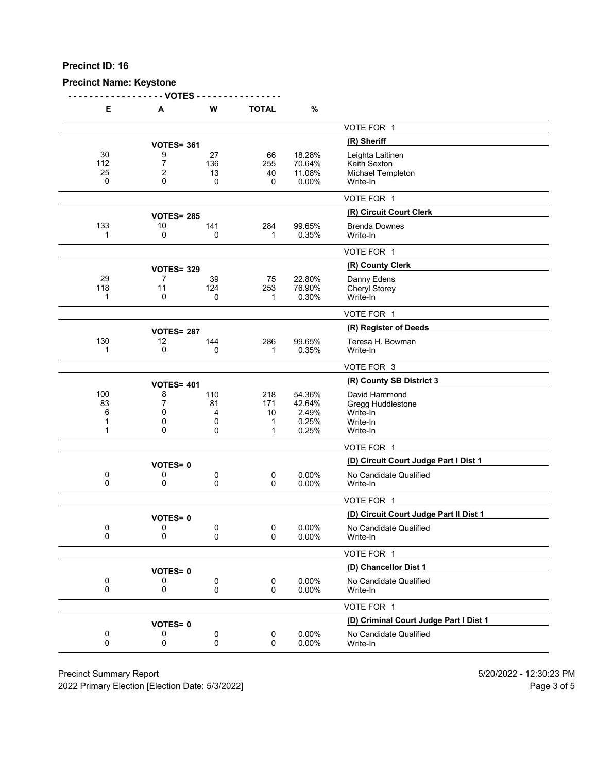# **Precinct Name: Keystone**

**- - - - - - - - - - - - - - - - - - VOTES - - - - - - - - - - - - - - - -**

| Е   | A                 | W   | <b>TOTAL</b> | %        |                                        |
|-----|-------------------|-----|--------------|----------|----------------------------------------|
|     |                   |     |              |          | VOTE FOR 1                             |
|     | <b>VOTES= 361</b> |     |              |          | (R) Sheriff                            |
| 30  | 9                 | 27  | 66           | 18.28%   | Leighta Laitinen                       |
| 112 | $\overline{7}$    | 136 | 255          | 70.64%   | Keith Sexton                           |
| 25  | $\overline{2}$    | 13  | 40           | 11.08%   | Michael Templeton                      |
| 0   | 0                 | 0   | 0            | 0.00%    | Write-In                               |
|     |                   |     |              |          | VOTE FOR 1                             |
|     | <b>VOTES= 285</b> |     |              |          | (R) Circuit Court Clerk                |
| 133 | 10                | 141 | 284          | 99.65%   | <b>Brenda Downes</b>                   |
| 1   | 0                 | 0   | 1            | 0.35%    | Write-In                               |
|     |                   |     |              |          | VOTE FOR 1                             |
|     | <b>VOTES= 329</b> |     |              |          | (R) County Clerk                       |
| 29  | 7                 | 39  | 75           | 22.80%   | Danny Edens                            |
| 118 | 11                | 124 | 253          | 76.90%   | <b>Cheryl Storey</b>                   |
| 1   | 0                 | 0   | 1            | 0.30%    | Write-In                               |
|     |                   |     |              |          | VOTE FOR 1                             |
|     | <b>VOTES= 287</b> |     |              |          | (R) Register of Deeds                  |
| 130 | 12                | 144 | 286          | 99.65%   | Teresa H. Bowman                       |
| 1   | 0                 | 0   | 1            | 0.35%    | Write-In                               |
|     |                   |     |              |          | VOTE FOR 3                             |
|     | <b>VOTES= 401</b> |     |              |          | (R) County SB District 3               |
| 100 | 8                 | 110 | 218          | 54.36%   | David Hammond                          |
| 83  | 7                 | 81  | 171          | 42.64%   | Gregg Huddlestone                      |
| 6   | 0                 | 4   | 10           | 2.49%    | Write-In                               |
| 1   | 0                 | 0   | 1            | 0.25%    | Write-In                               |
| 1   | 0                 | 0   | 1            | 0.25%    | Write-In                               |
|     |                   |     |              |          | VOTE FOR 1                             |
|     | <b>VOTES=0</b>    |     |              |          | (D) Circuit Court Judge Part I Dist 1  |
| 0   | 0                 | 0   | $\mathbf 0$  | 0.00%    | No Candidate Qualified                 |
| 0   | 0                 | 0   | 0            | 0.00%    | Write-In                               |
|     |                   |     |              |          | VOTE FOR 1                             |
|     | <b>VOTES=0</b>    |     |              |          | (D) Circuit Court Judge Part II Dist 1 |
| 0   | 0                 | 0   | 0            | $0.00\%$ | No Candidate Qualified                 |
| 0   | 0                 | 0   | $\Omega$     | 0.00%    | Write-In                               |
|     |                   |     |              |          | VOTE FOR 1                             |
|     | <b>VOTES=0</b>    |     |              |          | (D) Chancellor Dist 1                  |
| 0   | 0                 | 0   | 0            | 0.00%    | No Candidate Qualified                 |
| 0   | 0                 | 0   | 0            | 0.00%    | Write-In                               |
|     |                   |     |              |          | VOTE FOR 1                             |
|     | <b>VOTES=0</b>    |     |              |          | (D) Criminal Court Judge Part I Dist 1 |
| 0   | 0                 | 0   | 0            | 0.00%    | No Candidate Qualified                 |
| 0   | 0                 | 0   | 0            | 0.00%    | Write-In                               |
|     |                   |     |              |          |                                        |

Precinct Summary Report 60 and 5/20/2022 - 12:30:23 PM

2022 Primary Election [Election Date: 5/3/2022] 2022 Primary Election 5 and 5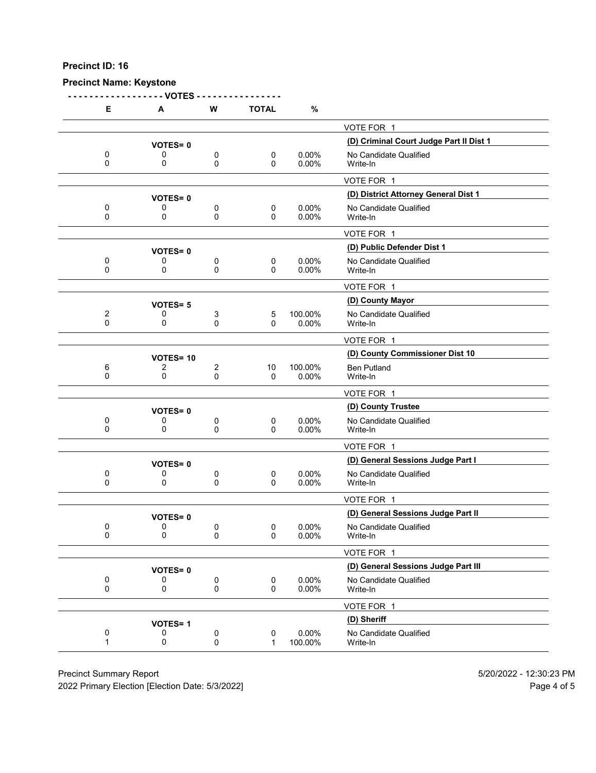#### **Precinct Name: Keystone**

**- - - - - - - - - - - - - - - - - - VOTES - - - - - - - - - - - - - - - - E A W TOTAL %** VOTE FOR 1 **(D) Criminal Court Judge Part II Dist 1 VOTES= <sup>0</sup>** 0 0 0 0 0 0.00% No Candidate Qualified<br>0 0 0 0 0.00% Write-In 0 0 0 0 0.00% Write-In VOTE FOR 1 **(D) District Attorney General Dist 1 VOTES= <sup>0</sup>** 0 0 0 0 0 0.00% No Candidate Qualified<br>0 0 0 0 0.00% Write-In 0 0 0 0 0.00% Write-In VOTE FOR 1 **(D) Public Defender Dist 1 VOTES= <sup>0</sup>** 0 0 0 0 0.00% No Candidate Qualified<br>0 0 0 0 0.00% Write-In 0 0 0 0 0.00% Write-In VOTE FOR 1 **(D) County Mayor VOTES= <sup>5</sup>** 2 0 3 5 100.00% No Candidate Qualified<br>0 0 0 0 0 0.00% Write-In 0 0 0 0 0.00% Write-In VOTE FOR 1 **(D) County Commissioner Dist 10 VOTES= <sup>10</sup>** 6 2 2 10 100.00% Ben Putland 0 0 0 0 0.00% Write-In VOTE FOR 1 **(D) County Trustee VOTES= <sup>0</sup>** 0 0 0 0 0 0.00% No Candidate Qualified<br>0 0 0 0 0.00% Write-In 0 0 0 0 0.00% Write-In VOTE FOR 1 **(D) General Sessions Judge Part I VOTES= <sup>0</sup>** 0 0 0 0 0 0.00% No Candidate Qualified<br>0 0 0 0 0.00% Write-In 0 0 0 0 0.00% Write-In VOTE FOR 1 **VOTES= 0**<br>0 0 0 0 0 0 0.00% No Candidate Qualified<br>0 0 0 0.00% No Candidate Qualified 0 0 0 0 0 0.00% No Candidate Qualified<br>0 0 0 0 0.00% Write-In 0 0 0 0 0.00% Write-In VOTE FOR 1 **(D) General Sessions Judge Part III VOTES= <sup>0</sup>** 0 0 0 0 0.00% No Candidate Qualified<br>0 0 0 0 0.00% Write-In 0 0 0 0 0.00% Write-In VOTE FOR 1 **(D) Sheriff VOTES= <sup>1</sup>** 0 0 0 0 0 0.00% No Candidate Qualified<br>1 0 0 0 1 100.00% Write-In 1 0 0 0 1 100.00% Write-In

Precinct Summary Report 5/20/2022 - 12:30:23 PM

2022 Primary Election [Election Date: 5/3/2022] Page 4 of 5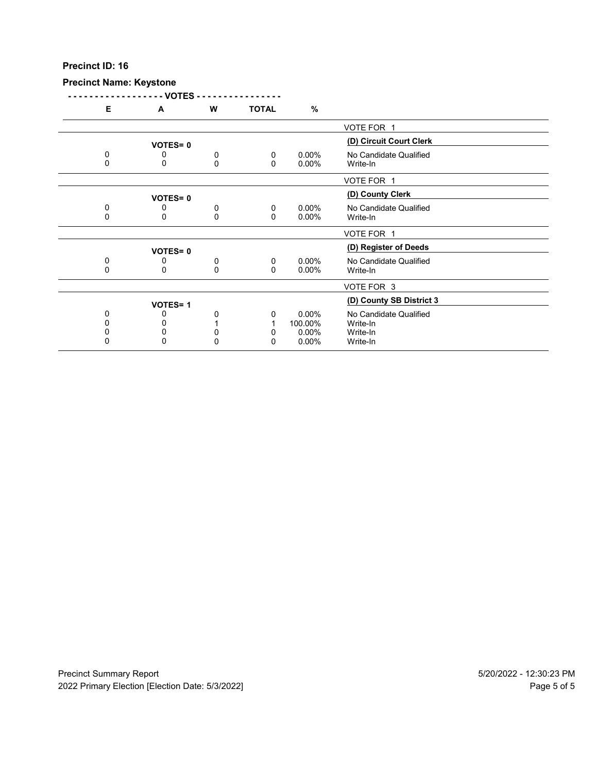# **Precinct Name: Keystone**

|   | - VOTES -      |   |              |          |                          |  |
|---|----------------|---|--------------|----------|--------------------------|--|
| Е | A              | W | <b>TOTAL</b> | $\%$     |                          |  |
|   |                |   |              |          | VOTE FOR 1               |  |
|   | <b>VOTES=0</b> |   |              |          | (D) Circuit Court Clerk  |  |
| 0 | 0              | 0 | 0            | $0.00\%$ | No Candidate Qualified   |  |
| 0 | 0              | 0 | $\Omega$     | 0.00%    | Write-In                 |  |
|   |                |   |              |          | VOTE FOR 1               |  |
|   | <b>VOTES=0</b> |   |              |          | (D) County Clerk         |  |
| 0 | 0              | 0 | 0            | $0.00\%$ | No Candidate Qualified   |  |
| 0 | 0              | 0 | $\Omega$     | 0.00%    | Write-In                 |  |
|   |                |   |              |          | VOTE FOR 1               |  |
|   | <b>VOTES=0</b> |   |              |          | (D) Register of Deeds    |  |
| 0 | 0              | 0 | 0            | 0.00%    | No Candidate Qualified   |  |
| 0 | 0              | 0 | $\Omega$     | 0.00%    | Write-In                 |  |
|   |                |   |              |          | VOTE FOR 3               |  |
|   | <b>VOTES=1</b> |   |              |          | (D) County SB District 3 |  |
| 0 | O              | 0 | 0            | $0.00\%$ | No Candidate Qualified   |  |
| 0 |                |   |              | 100.00%  | Write-In                 |  |
| 0 | 0              | 0 | 0            | 0.00%    | Write-In                 |  |
| 0 | $\mathbf{0}$   | 0 | $\mathbf{0}$ | $0.00\%$ | Write-In                 |  |
|   |                |   |              |          |                          |  |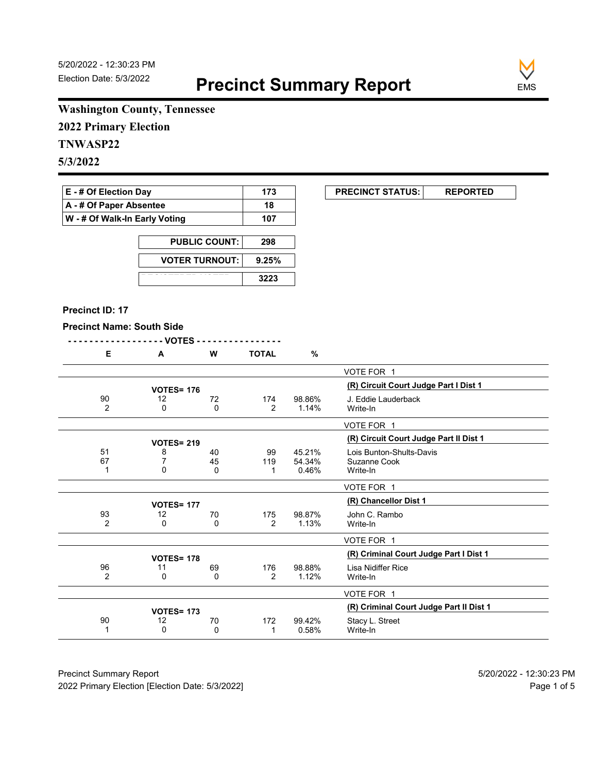**EXECUNCT STATUS:** REPORTED



# **Washington County, Tennessee**

**2022 Primary Election**

# **TNWASP22**

**5/3/2022**

| $E - #$ Of Election Day            | 173 |
|------------------------------------|-----|
| $\mathsf{A}$ - # Of Paper Absentee | 18  |
| W - # Of Walk-In Early Voting      | 107 |

| <b>PUBLIC COUNT:</b>  | 298   |
|-----------------------|-------|
| <b>VOTER TURNOUT:</b> | 9.25% |
|                       | 3223  |

#### **Precinct ID: 17**

#### **Precinct Name: South Side**

|--|--|

| Е              | A                 | w  | TOTAL          | %      |                                         |
|----------------|-------------------|----|----------------|--------|-----------------------------------------|
|                |                   |    |                |        | VOTE FOR 1                              |
|                | <b>VOTES= 176</b> |    |                |        | (R) Circuit Court Judge Part I Dist 1   |
|                |                   |    |                |        |                                         |
| 90             | 12                | 72 | 174            | 98.86% | J. Eddie Lauderback                     |
| $\overline{2}$ | 0                 | 0  | $\overline{2}$ | 1.14%  | Write-In                                |
|                |                   |    |                |        | VOTE FOR 1                              |
|                | <b>VOTES= 219</b> |    |                |        | (R) Circuit Court Judge Part II Dist 1  |
| 51             | 8                 | 40 | 99             | 45.21% | Lois Bunton-Shults-Davis                |
| 67             |                   | 45 | 119            | 54.34% | Suzanne Cook                            |
| 1              | 0                 | 0  |                | 0.46%  | Write-In                                |
|                |                   |    |                |        |                                         |
|                |                   |    |                |        | VOTE FOR 1                              |
|                | <b>VOTES= 177</b> |    |                |        | (R) Chancellor Dist 1                   |
| 93             | 12                | 70 | 175            | 98.87% | John C. Rambo                           |
| $\overline{2}$ | $\Omega$          | 0  | $\overline{2}$ | 1.13%  | Write-In                                |
|                |                   |    |                |        |                                         |
|                |                   |    |                |        | VOTE FOR 1                              |
|                | <b>VOTES= 178</b> |    |                |        | (R) Criminal Court Judge Part I Dist 1  |
| 96             | 11                | 69 | 176            | 98.88% | Lisa Nidiffer Rice                      |
| 2              | 0                 | 0  | 2              | 1.12%  | Write-In                                |
|                |                   |    |                |        |                                         |
|                |                   |    |                |        | VOTE FOR 1                              |
|                | <b>VOTES= 173</b> |    |                |        | (R) Criminal Court Judge Part II Dist 1 |
| 90             | 12                | 70 | 172            | 99.42% | Stacy L. Street                         |
| 1              | $\mathbf{0}$      | 0  |                | 0.58%  | Write-In                                |
|                |                   |    |                |        |                                         |

Precinct Summary Report 60 and 5/20/2022 - 12:30:23 PM 2022 Primary Election [Election Date: 5/3/2022] **Page 1 of 5** and 2022 Primary Election Date: 5/3/2022]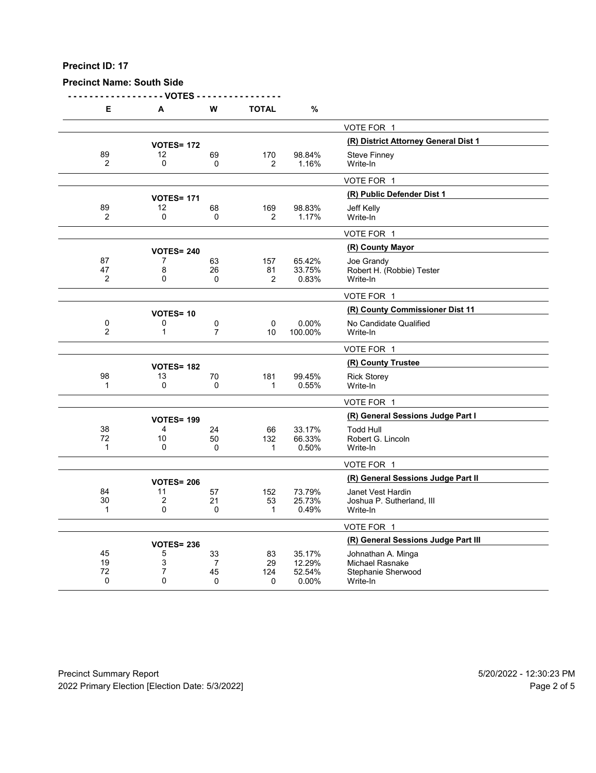## **Precinct Name: South Side**

**- - - - - - - - - - - - - - - - - - VOTES - - - - - - - - - - - - - - - -**

| Е              | Α                 | w                    | <b>TOTAL</b>   | %                |                                       |
|----------------|-------------------|----------------------|----------------|------------------|---------------------------------------|
|                |                   |                      |                |                  | VOTE FOR 1                            |
|                | <b>VOTES= 172</b> |                      |                |                  | (R) District Attorney General Dist 1  |
| 89             | 12                | 69                   | 170            | 98.84%           | <b>Steve Finney</b>                   |
| $\overline{2}$ | 0                 | 0                    | $\overline{2}$ | 1.16%            | Write-In                              |
|                |                   |                      |                |                  | VOTE FOR 1                            |
|                | <b>VOTES= 171</b> |                      |                |                  | (R) Public Defender Dist 1            |
| 89             | 12                | 68                   | 169            | 98.83%           | Jeff Kelly                            |
| 2              | $\Omega$          | $\mathbf 0$          | $\overline{2}$ | 1.17%            | Write-In                              |
|                |                   |                      |                |                  | VOTE FOR 1                            |
|                | <b>VOTES= 240</b> |                      |                |                  | (R) County Mayor                      |
| 87             | 7                 | 63                   | 157            | 65.42%           | Joe Grandy                            |
| 47             | 8                 | 26                   | 81             | 33.75%           | Robert H. (Robbie) Tester             |
| 2              | $\Omega$          | 0                    | $\overline{2}$ | 0.83%            | Write-In                              |
|                |                   |                      |                |                  | VOTE FOR 1                            |
|                | <b>VOTES=10</b>   |                      |                |                  | (R) County Commissioner Dist 11       |
| 0              | 0                 | 0                    | 0              | 0.00%            | No Candidate Qualified                |
| $\overline{2}$ | $\mathbf{1}$      | $\overline{7}$       | 10             | 100.00%          | Write-In                              |
|                |                   |                      |                |                  | VOTE FOR 1                            |
|                | <b>VOTES= 182</b> |                      |                |                  | (R) County Trustee                    |
| 98             | 13                | 70                   | 181            | 99.45%           | <b>Rick Storey</b>                    |
| 1              | 0                 | $\Omega$             | 1              | 0.55%            | Write-In                              |
|                |                   |                      |                |                  | VOTE FOR 1                            |
|                | <b>VOTES= 199</b> |                      |                |                  | (R) General Sessions Judge Part I     |
| 38             | 4                 | 24                   | 66             | 33.17%           | <b>Todd Hull</b>                      |
| 72             | 10                | 50                   | 132            | 66.33%           | Robert G. Lincoln                     |
| 1              | $\mathbf{0}$      | 0                    | 1              | 0.50%            | Write-In                              |
|                |                   |                      |                |                  | VOTE FOR 1                            |
|                | <b>VOTES= 206</b> |                      |                |                  | (R) General Sessions Judge Part II    |
| 84             | 11                | 57                   | 152            | 73.79%           | Janet Vest Hardin                     |
| 30             | $\overline{2}$    | 21                   | 53             | 25.73%           | Joshua P. Sutherland, III             |
| $\mathbf{1}$   | 0                 | 0                    | $\mathbf{1}$   | 0.49%            | Write-In                              |
|                |                   |                      |                |                  | VOTE FOR 1                            |
|                | <b>VOTES= 236</b> |                      |                |                  | (R) General Sessions Judge Part III   |
| 45             | 5                 | 33                   | 83             | 35.17%           | Johnathan A. Minga                    |
| 19<br>72       | 3<br>7            | $\overline{7}$<br>45 | 29<br>124      | 12.29%<br>52.54% | Michael Rasnake<br>Stephanie Sherwood |
| 0              | $\Omega$          | $\mathbf 0$          | 0              | 0.00%            | Write-In                              |
|                |                   |                      |                |                  |                                       |

Precinct Summary Report 60 and 5/20/2022 - 12:30:23 PM 2022 Primary Election [Election Date: 5/3/2022] **Page 2 of 5** and 2012 Primary Election Date: 5/3/2022]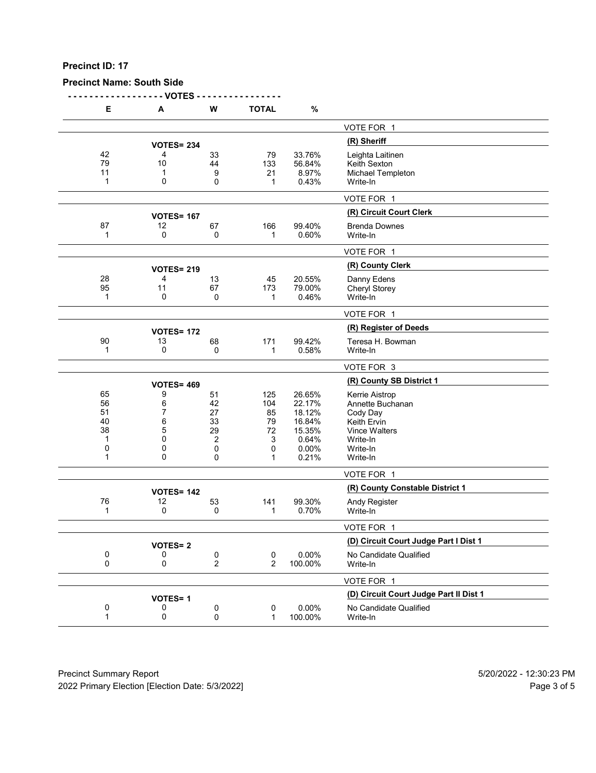**Precinct Name: South Side**

**- - - - - - - - - - - - - - - - - - VOTES - - - - - - - - - - - - - - - -**

| Е       | А                 | W                   | <b>TOTAL</b>                | $\%$             |                                        |
|---------|-------------------|---------------------|-----------------------------|------------------|----------------------------------------|
|         |                   |                     |                             |                  | VOTE FOR 1                             |
|         | <b>VOTES= 234</b> |                     |                             |                  | (R) Sheriff                            |
| 42      | 4                 | 33                  | 79                          | 33.76%           | Leighta Laitinen                       |
| 79      | 10                | 44                  | 133                         | 56.84%           | Keith Sexton                           |
| 11      | 1                 | 9                   | 21                          | 8.97%            | Michael Templeton                      |
| 1       | 0                 | 0                   | $\mathbf 1$                 | 0.43%            | Write-In                               |
|         |                   |                     |                             |                  | VOTE FOR 1                             |
|         | <b>VOTES= 167</b> |                     |                             |                  | (R) Circuit Court Clerk                |
| 87      | 12                | 67                  | 166                         | 99.40%           | <b>Brenda Downes</b>                   |
| 1       | 0                 | 0                   | 1                           | 0.60%            | Write-In                               |
|         |                   |                     |                             |                  | VOTE FOR 1                             |
|         | <b>VOTES= 219</b> |                     |                             |                  | (R) County Clerk                       |
| 28      | 4                 | 13                  | 45                          | 20.55%           | Danny Edens                            |
| 95      | 11                | 67                  | 173                         | 79.00%           | Cheryl Storey                          |
| 1       | 0                 | 0                   | 1                           | 0.46%            | Write-In                               |
|         |                   |                     |                             |                  | VOTE FOR 1                             |
|         | <b>VOTES= 172</b> |                     |                             |                  | (R) Register of Deeds                  |
| 90      | 13                | 68                  | 171                         | 99.42%           | Teresa H. Bowman                       |
| 1       | 0                 | 0                   | 1                           | 0.58%            | Write-In                               |
|         |                   |                     |                             |                  | VOTE FOR 3                             |
|         | <b>VOTES= 469</b> |                     |                             |                  | (R) County SB District 1               |
| 65      | 9                 | 51                  | 125                         | 26.65%           | Kerrie Aistrop                         |
| 56      | 6                 | 42                  | 104                         | 22.17%           | Annette Buchanan                       |
| 51      | 7                 | 27                  | 85                          | 18.12%           | Cody Day                               |
| 40      | 6                 | 33                  | 79                          | 16.84%           | Keith Ervin                            |
| 38<br>1 | 5<br>0            | 29                  | 72                          | 15.35%<br>0.64%  | <b>Vince Walters</b>                   |
| 0       | 0                 | 2<br>0              | 3<br>0                      | 0.00%            | Write-In<br>Write-In                   |
| 1       | 0                 | 0                   | 1                           | 0.21%            | Write-In                               |
|         |                   |                     |                             |                  | VOTE FOR 1                             |
|         |                   |                     |                             |                  | (R) County Constable District 1        |
|         | <b>VOTES= 142</b> |                     |                             |                  |                                        |
| 76<br>1 | 12<br>0           | 53<br>0             | 141<br>1                    | 99.30%<br>0.70%  | Andy Register<br>Write-In              |
|         |                   |                     |                             |                  | VOTE FOR 1                             |
|         |                   |                     |                             |                  | (D) Circuit Court Judge Part I Dist 1  |
|         | <b>VOTES=2</b>    |                     |                             |                  |                                        |
| 0<br>0  | 0<br>0            | 0<br>$\overline{c}$ | $\pmb{0}$<br>$\overline{2}$ | 0.00%<br>100.00% | No Candidate Qualified<br>Write-In     |
|         |                   |                     |                             |                  | VOTE FOR 1                             |
|         | <b>VOTES=1</b>    |                     |                             |                  | (D) Circuit Court Judge Part II Dist 1 |
| 0       | 0                 | 0                   | $\pmb{0}$                   | 0.00%            | No Candidate Qualified                 |
| 1       | 0                 | 0                   | $\mathbf 1$                 | 100.00%          | Write-In                               |
|         |                   |                     |                             |                  |                                        |

Precinct Summary Report 60 and 5/20/2022 - 12:30:23 PM 2022 Primary Election [Election Date: 5/3/2022] 2022 Primary Election 5 and 5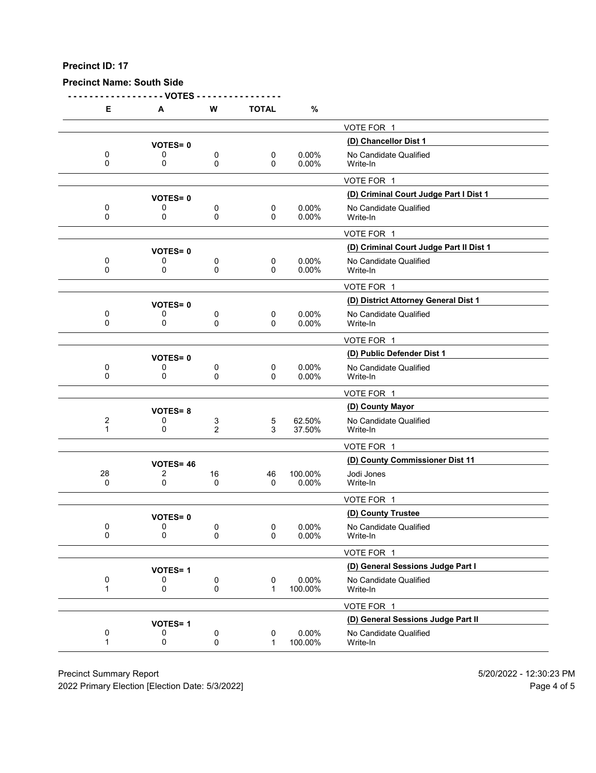**Precinct Name: South Side**

**- - - - - - - - - - - - - - - - - - VOTES - - - - - - - - - - - - - - - - E A W TOTAL %** VOTE FOR 1 **(D) Chancellor Dist 1 VOTES= <sup>0</sup>** 0 0 0 0 0 0.00% No Candidate Qualified<br>0 0 0 0 0.00% Write-In 0 0 0 0 0.00% Write-In VOTE FOR 1 **(D) Criminal Court Judge Part I Dist 1 VOTES= <sup>0</sup>** 0 0 0 0 0 0.00% No Candidate Qualified<br>0 0 0 0 0.00% Write-In 0 0 0 0 0.00% Write-In VOTE FOR 1 **(D) Criminal Court Judge Part II Dist 1 VOTES= <sup>0</sup>** 0 0 0 0 0.00% No Candidate Qualified<br>0 0 0 0 0.00% Write-In 0 0 0 0 0.00% Write-In VOTE FOR 1 **(D) District Attorney General Dist 1 VOTES= <sup>0</sup>** 0 0 0 0 0 0.00% No Candidate Qualified<br>0 0 0 0 0.00% Write-In 0 0 0 0 0.00% Write-In VOTE FOR 1 **VOTES= 0**<br>0 0 0 0 0 0.00% No Candidate Qualified 0 0 0 0 0 0.00% No Candidate Qualified<br>0 0 0 0 0.00% Write-In 0 0 0 0 0.00% Write-In VOTE FOR 1 **(D) County Mayor VOTES= <sup>8</sup>** 2 0 3 5 62.50% No Candidate Qualified<br>1 0 2 3 37.50% Write-In 1 0 2 3 37.50% Write-In VOTE FOR 1 **(D) County Commissioner Dist 11 VOTES= <sup>46</sup>** 28 2 16 46 100.00% Jodi Jones 0 0 0 0 0.00% Write-In VOTE FOR 1 **VOTES= 0**<br>0 0 0 0 0 0 0 0 0.00% No Candidate Qualifi 0 0 0 0 0 0.00% No Candidate Qualified<br>0 0 0 0 0.00% Write-In 0 0 0 0 0.00% Write-In VOTE FOR 1 **(D) General Sessions Judge Part I VOTES= <sup>1</sup>** 0 0 0 0 0.00% No Candidate Qualified<br>1 0 0 0 1 100.00% Write-In 100.00% VOTE FOR 1 **VOTES= 1**<br>0 0 0 0 0 0.00% **No Candidate Qualified**<br>0 0 0.00% **No Candidate Qualified** 0 0 0 0 0 0.00% No Candidate Qualified<br>1 0 0 0 1 100.00% Write-In 1 0 0 0 1 100.00% Write-In

Precinct Summary Report 5/20/2022 - 12:30:23 PM

2022 Primary Election [Election Date: 5/3/2022] Page 4 of 5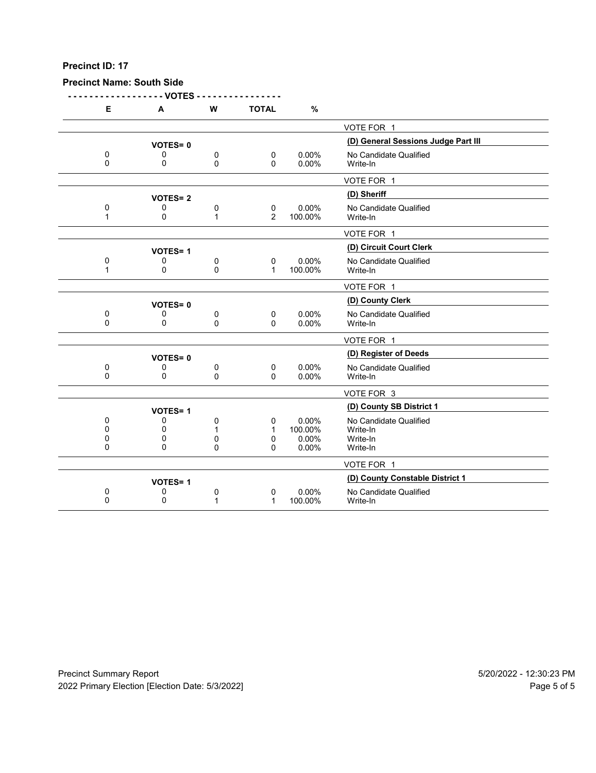**Precinct Name: South Side**

|              | - VOTES        |          |                |         |                                     |
|--------------|----------------|----------|----------------|---------|-------------------------------------|
| E            | A              | W        | <b>TOTAL</b>   | %       |                                     |
|              |                |          |                |         | VOTE FOR 1                          |
|              | <b>VOTES=0</b> |          |                |         | (D) General Sessions Judge Part III |
| $\pmb{0}$    | 0              | 0        | 0              | 0.00%   | No Candidate Qualified              |
| 0            | 0              | 0        | 0              | 0.00%   | Write-In                            |
|              |                |          |                |         | VOTE FOR 1                          |
|              | <b>VOTES=2</b> |          |                |         | (D) Sheriff                         |
| 0            | 0              | 0        | 0              | 0.00%   | No Candidate Qualified              |
| 1            | $\Omega$       | 1        | $\overline{2}$ | 100.00% | Write-In                            |
|              |                |          |                |         | VOTE FOR 1                          |
|              | <b>VOTES=1</b> |          |                |         | (D) Circuit Court Clerk             |
| 0            | 0              | 0        | 0              | 0.00%   | No Candidate Qualified              |
| $\mathbf{1}$ | $\Omega$       | $\Omega$ | $\mathbf{1}$   | 100.00% | Write-In                            |
|              |                |          |                |         | VOTE FOR 1                          |
|              | <b>VOTES=0</b> |          |                |         | (D) County Clerk                    |
| 0            | 0              | 0        | 0              | 0.00%   | No Candidate Qualified              |
| $\mathbf 0$  | 0              | 0        | 0              | 0.00%   | Write-In                            |
|              |                |          |                |         | VOTE FOR 1                          |
|              | <b>VOTES=0</b> |          |                |         | (D) Register of Deeds               |
| 0            | 0              | 0        | 0              | 0.00%   | No Candidate Qualified              |
| 0            | 0              | $\Omega$ | 0              | 0.00%   | Write-In                            |
|              |                |          |                |         | VOTE FOR 3                          |
|              | <b>VOTES=1</b> |          |                |         | (D) County SB District 1            |
| 0            | 0              | 0        | 0              | 0.00%   | No Candidate Qualified              |
| $\Omega$     | 0              | 1        | 1              | 100.00% | Write-In                            |
| 0            | 0              | 0        | 0              | 0.00%   | Write-In                            |
| $\mathbf{0}$ | $\Omega$       | $\Omega$ | $\Omega$       | 0.00%   | Write-In                            |
|              |                |          |                |         | VOTE FOR 1                          |
|              | <b>VOTES=1</b> |          |                |         | (D) County Constable District 1     |
| 0            | 0              | 0        | 0              | 0.00%   | No Candidate Qualified              |
| $\mathbf 0$  | 0              | 1        | 1              | 100.00% | Write-In                            |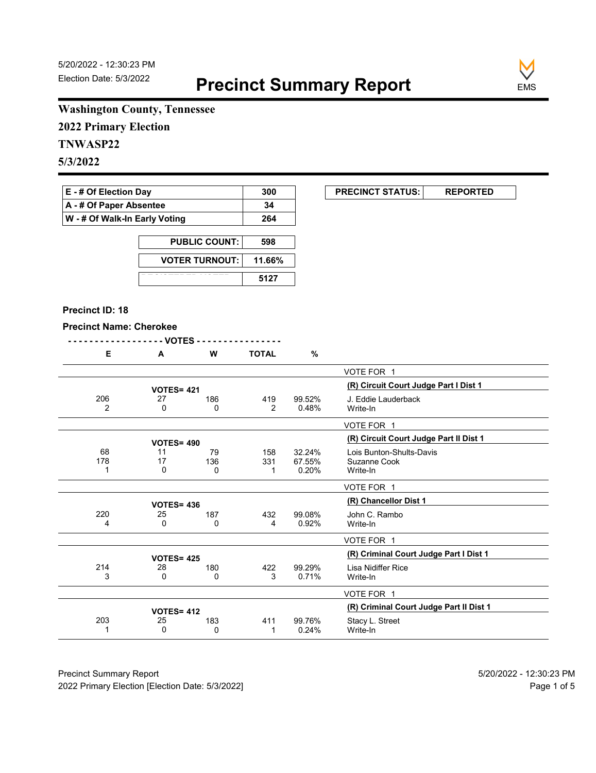**EXECUNCT STATUS:** REPORTED



# **Washington County, Tennessee**

**2022 Primary Election**

# **TNWASP22**

**5/3/2022**

| $E - #$ Of Election Day       | 300 |
|-------------------------------|-----|
| A - # Of Paper Absentee       | 34  |
| W - # Of Walk-In Early Voting | 264 |

| <b>PUBLIC COUNT:</b>  | 598    |
|-----------------------|--------|
| <b>VOTER TURNOUT:</b> | 11.66% |
|                       | 5127   |

#### **Precinct ID: 18**

#### **Precinct Name: Cherokee**

| Е              | A                 | W   | <b>TOTAL</b> | $\%$   |                                         |
|----------------|-------------------|-----|--------------|--------|-----------------------------------------|
|                |                   |     |              |        | VOTE FOR 1                              |
|                | <b>VOTES= 421</b> |     |              |        | (R) Circuit Court Judge Part I Dist 1   |
| 206            | 27                | 186 | 419          | 99.52% | J. Eddie Lauderback                     |
| $\overline{2}$ | 0                 | 0   | 2            | 0.48%  | Write-In                                |
|                |                   |     |              |        | VOTE FOR 1                              |
|                | <b>VOTES= 490</b> |     |              |        | (R) Circuit Court Judge Part II Dist 1  |
| 68             | 11                | 79  | 158          | 32.24% | Lois Bunton-Shults-Davis                |
| 178            | 17                | 136 | 331          | 67.55% | Suzanne Cook                            |
|                | 0                 | 0   | 1            | 0.20%  | Write-In                                |
|                |                   |     |              |        | VOTE FOR 1                              |
|                | <b>VOTES= 436</b> |     |              |        | (R) Chancellor Dist 1                   |
| 220            | 25                | 187 | 432          | 99.08% | John C. Rambo                           |
| 4              | 0                 | 0   | 4            | 0.92%  | Write-In                                |
|                |                   |     |              |        | VOTE FOR 1                              |
|                | <b>VOTES= 425</b> |     |              |        | (R) Criminal Court Judge Part I Dist 1  |
| 214            | 28                | 180 | 422          | 99.29% | Lisa Nidiffer Rice                      |
| 3              | 0                 | 0   | 3            | 0.71%  | Write-In                                |
|                |                   |     |              |        | VOTE FOR 1                              |
|                | <b>VOTES= 412</b> |     |              |        | (R) Criminal Court Judge Part II Dist 1 |
| 203            | 25                | 183 | 411          | 99.76% | Stacy L. Street                         |
|                | 0                 | 0   | 1            | 0.24%  | Write-In                                |

Precinct Summary Report 60 and 5/20/2022 - 12:30:23 PM 2022 Primary Election [Election Date: 5/3/2022] **Page 1 of 5** and 2022 Primary Election Date: 5/3/2022]

 $\overline{\phantom{0}}$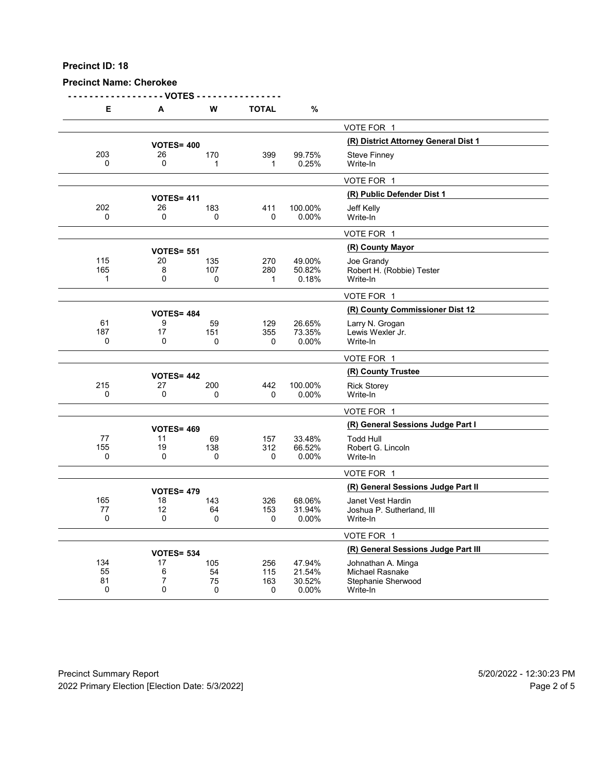## **Precinct Name: Cherokee**

**- - - - - - - - - - - - - - - - - - VOTES - - - - - - - - - - - - - - - -**

| Е               | А                 | w              | TOTAL      | %                |                                              |
|-----------------|-------------------|----------------|------------|------------------|----------------------------------------------|
|                 |                   |                |            |                  | VOTE FOR 1                                   |
|                 | <b>VOTES= 400</b> |                |            |                  | (R) District Attorney General Dist 1         |
| 203             | 26                | 170            | 399        | 99.75%           | <b>Steve Finney</b>                          |
| $\Omega$        | $\Omega$          | 1              | 1          | 0.25%            | Write-In                                     |
|                 |                   |                |            |                  | VOTE FOR 1                                   |
|                 | <b>VOTES= 411</b> |                |            |                  | (R) Public Defender Dist 1                   |
| 202             | 26                | 183            | 411        | 100.00%          | Jeff Kelly                                   |
| $\Omega$        | 0                 | 0              | 0          | 0.00%            | Write-In                                     |
|                 |                   |                |            |                  | VOTE FOR 1                                   |
|                 | <b>VOTES= 551</b> |                |            |                  | (R) County Mayor                             |
| 115             | 20                | 135            | 270        | 49.00%           | Joe Grandy                                   |
| 165             | 8                 | 107            | 280        | 50.82%           | Robert H. (Robbie) Tester                    |
| 1               | $\mathbf 0$       | 0              | 1          | 0.18%            | Write-In                                     |
|                 |                   |                |            |                  | VOTE FOR 1                                   |
|                 | <b>VOTES= 484</b> |                |            |                  | (R) County Commissioner Dist 12              |
| 61              | 9                 | 59             | 129        | 26.65%           | Larry N. Grogan                              |
| 187<br>$\Omega$ | 17<br>$\Omega$    | 151            | 355        | 73.35%           | Lewis Wexler Jr.                             |
|                 |                   | 0              | 0          | 0.00%            | Write-In                                     |
|                 |                   |                |            |                  | VOTE FOR 1                                   |
|                 | <b>VOTES= 442</b> |                |            |                  | (R) County Trustee                           |
| 215             | 27                | 200            | 442        | 100.00%          | <b>Rick Storey</b>                           |
| $\mathbf 0$     | 0                 | 0              | 0          | 0.00%            | Write-In                                     |
|                 |                   |                |            |                  | VOTE FOR 1                                   |
|                 | <b>VOTES= 469</b> |                |            |                  | (R) General Sessions Judge Part I            |
| 77              | 11                | 69             | 157        | 33.48%           | <b>Todd Hull</b>                             |
| 155<br>0        | 19<br>0           | 138            | 312        | 66.52%           | Robert G. Lincoln                            |
|                 |                   | 0              | 0          | 0.00%            | Write-In                                     |
|                 |                   |                |            |                  | VOTE FOR 1                                   |
|                 | <b>VOTES= 479</b> |                |            |                  | (R) General Sessions Judge Part II           |
| 165             | 18                | 143            | 326        | 68.06%           | Janet Vest Hardin                            |
| 77<br>0         | 12<br>0           | 64<br>$\Omega$ | 153<br>0   | 31.94%<br>0.00%  | Joshua P. Sutherland, III<br>Write-In        |
|                 |                   |                |            |                  |                                              |
|                 |                   |                |            |                  | VOTE FOR 1                                   |
|                 | <b>VOTES= 534</b> |                |            |                  | (R) General Sessions Judge Part III          |
| 134             | 17                | 105            | 256        | 47.94%           | Johnathan A. Minga                           |
| 55<br>81        | 6<br>7            | 54<br>75       | 115<br>163 | 21.54%<br>30.52% | <b>Michael Rasnake</b><br>Stephanie Sherwood |
| 0               | 0                 | $\mathbf 0$    | 0          | 0.00%            | Write-In                                     |
|                 |                   |                |            |                  |                                              |

Precinct Summary Report 60 and 5/20/2022 - 12:30:23 PM 2022 Primary Election [Election Date: 5/3/2022] **Page 2 of 5** and 2012 Primary Election Date: 5/3/2022]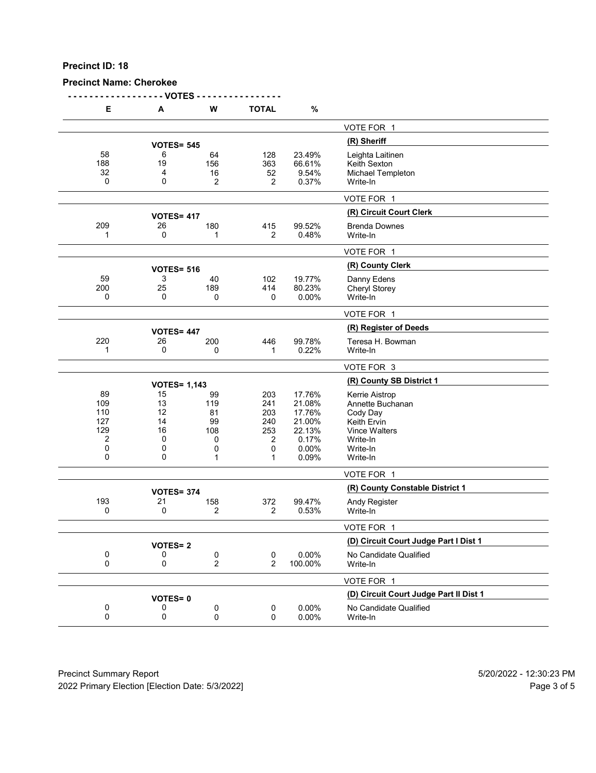## **Precinct Name: Cherokee**

**- - - - - - - - - - - - - - - - - - VOTES - - - - - - - - - - - - - - - -**

| Е                    | А                       | W                    | <b>TOTAL</b>                | $\%$                               |                                                                   |
|----------------------|-------------------------|----------------------|-----------------------------|------------------------------------|-------------------------------------------------------------------|
|                      |                         |                      |                             |                                    | VOTE FOR 1                                                        |
|                      | <b>VOTES= 545</b>       |                      |                             |                                    | (R) Sheriff                                                       |
| 58<br>188<br>32<br>0 | 6<br>19<br>4<br>0       | 64<br>156<br>16<br>2 | 128<br>363<br>52<br>2       | 23.49%<br>66.61%<br>9.54%<br>0.37% | Leighta Laitinen<br>Keith Sexton<br>Michael Templeton<br>Write-In |
|                      |                         |                      |                             |                                    | VOTE FOR 1                                                        |
|                      |                         |                      |                             |                                    | (R) Circuit Court Clerk                                           |
| 209                  | <b>VOTES= 417</b><br>26 | 180                  | 415                         | 99.52%                             | <b>Brenda Downes</b>                                              |
| 1                    | 0                       | 1                    | 2                           | 0.48%                              | Write-In                                                          |
|                      |                         |                      |                             |                                    | VOTE FOR 1                                                        |
|                      | <b>VOTES= 516</b>       |                      |                             |                                    | (R) County Clerk                                                  |
| 59                   | 3                       | 40                   | 102                         | 19.77%                             | Danny Edens                                                       |
| 200                  | 25                      | 189                  | 414                         | 80.23%                             | Cheryl Storey                                                     |
| 0                    | 0                       | 0                    | 0                           | 0.00%                              | Write-In                                                          |
|                      |                         |                      |                             |                                    | VOTE FOR 1                                                        |
|                      | <b>VOTES= 447</b>       |                      |                             |                                    | (R) Register of Deeds                                             |
| 220                  | 26                      | 200                  | 446                         | 99.78%                             | Teresa H. Bowman                                                  |
| 1                    | 0                       | 0                    | 1                           | 0.22%                              | Write-In                                                          |
|                      |                         |                      |                             |                                    | VOTE FOR 3                                                        |
|                      | <b>VOTES= 1,143</b>     |                      |                             |                                    | (R) County SB District 1                                          |
| 89                   | 15                      | 99                   | 203                         | 17.76%                             | Kerrie Aistrop                                                    |
| 109                  | 13                      | 119                  | 241                         | 21.08%                             | Annette Buchanan                                                  |
| 110                  | 12                      | 81                   | 203                         | 17.76%                             | Cody Day                                                          |
| 127                  | 14                      | 99                   | 240                         | 21.00%                             | Keith Ervin                                                       |
| 129                  | 16                      | 108                  | 253                         | 22.13%                             | <b>Vince Walters</b>                                              |
| 2                    | 0                       | 0                    | 2                           | 0.17%                              | Write-In                                                          |
| 0                    | 0                       | 0                    | 0                           | 0.00%                              | Write-In                                                          |
| 0                    | 0                       | 1                    | 1                           | 0.09%                              | Write-In                                                          |
|                      |                         |                      |                             |                                    | VOTE FOR 1                                                        |
|                      | <b>VOTES= 374</b>       |                      |                             |                                    | (R) County Constable District 1                                   |
| 193<br>0             | 21<br>0                 | 158<br>2             | 372<br>2                    | 99.47%<br>0.53%                    | <b>Andy Register</b><br>Write-In                                  |
|                      |                         |                      |                             |                                    | VOTE FOR 1                                                        |
|                      | <b>VOTES=2</b>          |                      |                             |                                    | (D) Circuit Court Judge Part I Dist 1                             |
| 0<br>0               | 0<br>0                  | 0<br>$\overline{c}$  | $\pmb{0}$<br>$\overline{2}$ | 0.00%<br>100.00%                   | No Candidate Qualified<br>Write-In                                |
|                      |                         |                      |                             |                                    | VOTE FOR 1                                                        |
|                      | <b>VOTES=0</b>          |                      |                             |                                    | (D) Circuit Court Judge Part II Dist 1                            |
| 0<br>0               | 0<br>0                  | 0<br>0               | $\pmb{0}$<br>0              | 0.00%<br>0.00%                     | No Candidate Qualified<br>Write-In                                |
|                      |                         |                      |                             |                                    |                                                                   |

Precinct Summary Report 60 and 5/20/2022 - 12:30:23 PM 2022 Primary Election [Election Date: 5/3/2022] 2022 Primary Election 5 and 5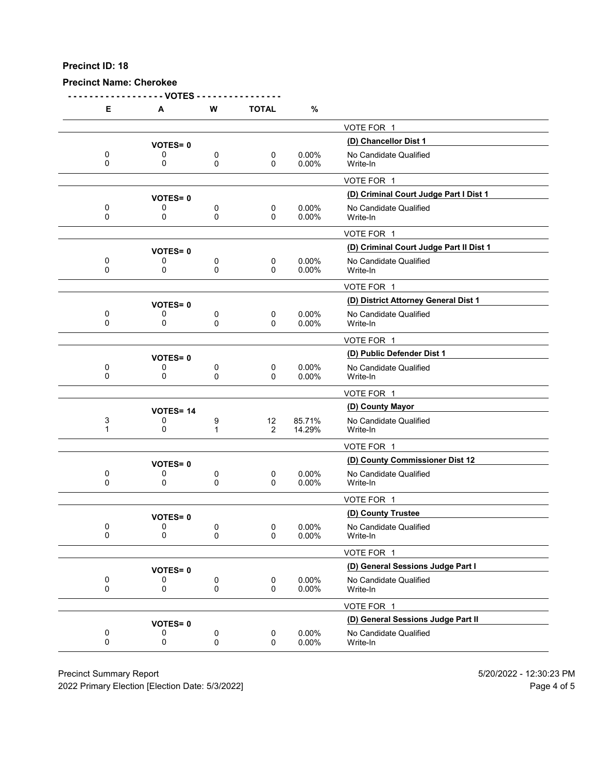#### **Precinct Name: Cherokee**

**- - - - - - - - - - - - - - - - - - VOTES - - - - - - - - - - - - - - - - E A W TOTAL %** VOTE FOR 1 **(D) Chancellor Dist 1 VOTES= <sup>0</sup>** 0 0 0 0 0 0.00% No Candidate Qualified<br>0 0 0 0 0.00% Write-In 0 0 0 0 0.00% Write-In VOTE FOR 1 **(D) Criminal Court Judge Part I Dist 1 VOTES= <sup>0</sup>** 0 0 0 0 0 0.00% No Candidate Qualified<br>0 0 0 0 0.00% Write-In 0 0 0 0 0.00% Write-In VOTE FOR 1 **(D) Criminal Court Judge Part II Dist 1 VOTES= <sup>0</sup>** 0 0 0 0 0.00% No Candidate Qualified<br>0 0 0 0 0.00% Write-In 0 0 0 0 0.00% Write-In VOTE FOR 1 **(D) District Attorney General Dist 1 VOTES= <sup>0</sup>** 0 0 0 0 0 0.00% No Candidate Qualified<br>0 0 0 0 0.00% Write-In 0 0 0 0 0.00% Write-In VOTE FOR 1 **VOTES= 0**<br>0 0 0 0 0 0.00% No Candidate Qualified 0 0 0 0 0 0.00% No Candidate Qualified<br>0 0 0 0 0.00% Write-In 0 0 0 0 0.00% Write-In VOTE FOR 1 **(D) County Mayor VOTES= <sup>14</sup>** 3 0 9 12 85.71% No Candidate Qualified 1 0 1 2 14.29% Write-In VOTE FOR 1 **(D) County Commissioner Dist 12 VOTES= <sup>0</sup>** 0 0 0 0 0 0.00% No Candidate Qualified<br>0 0 0 0 0.00% Write-In 0 0 0 0 0.00% Write-In VOTE FOR 1 **VOTES= 0**<br>
0 0 0 0.00% No Candidate Qualific 0 0 0 0 0 0.00% No Candidate Qualified<br>0 0 0 0 0.00% Write-In 0 0 0 0 0.00% Write-In VOTE FOR 1 **(D) General Sessions Judge Part I VOTES= <sup>0</sup>** 0 0 0 0 0.00% No Candidate Qualified<br>0 0 0 0 0.00% Write-In 0 0 0 0 0.00% Write-In VOTE FOR 1 **VOTES= 0**<br>0 0 0 0 0 0.00% **No Candidate Qualified** 0 0 0 0 0 0.00% No Candidate Qualified<br>0 0 0 0 0.00% Write-In 0 0 0 0 0.00% Write-In

Precinct Summary Report 5/20/2022 - 12:30:23 PM

2022 Primary Election [Election Date: 5/3/2022] Page 4 of 5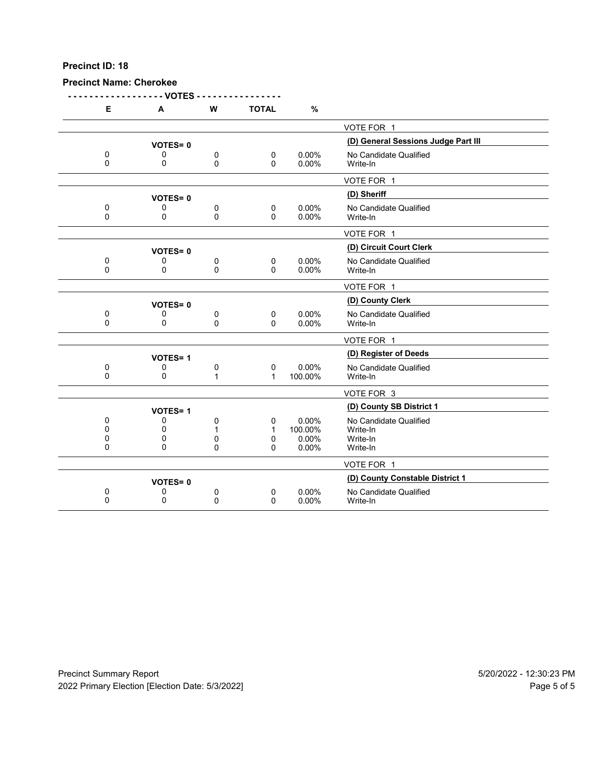# **Precinct Name: Cherokee**

|              | - VOTES        |   |              |         |                                     |
|--------------|----------------|---|--------------|---------|-------------------------------------|
| E            | A              | W | <b>TOTAL</b> | $\%$    |                                     |
|              |                |   |              |         | VOTE FOR 1                          |
|              | <b>VOTES=0</b> |   |              |         | (D) General Sessions Judge Part III |
| 0            | 0              | 0 | $\pmb{0}$    | 0.00%   | No Candidate Qualified              |
| 0            | 0              | 0 | $\Omega$     | 0.00%   | Write-In                            |
|              |                |   |              |         | VOTE FOR 1                          |
|              | <b>VOTES=0</b> |   |              |         | (D) Sheriff                         |
| 0            | 0              | 0 | 0            | 0.00%   | No Candidate Qualified              |
| $\mathbf 0$  | 0              | 0 | $\mathbf{0}$ | 0.00%   | Write-In                            |
|              |                |   |              |         | VOTE FOR 1                          |
|              | <b>VOTES=0</b> |   |              |         | (D) Circuit Court Clerk             |
| 0            | 0              | 0 | $\mathbf 0$  | 0.00%   | No Candidate Qualified              |
| 0            | 0              | 0 | 0            | 0.00%   | Write-In                            |
|              |                |   |              |         | VOTE FOR 1                          |
|              | <b>VOTES=0</b> |   |              |         | (D) County Clerk                    |
| 0            | 0              | 0 | $\mathbf 0$  | 0.00%   | No Candidate Qualified              |
| $\Omega$     | $\Omega$       | 0 | $\mathbf{0}$ | 0.00%   | Write-In                            |
|              |                |   |              |         | VOTE FOR 1                          |
|              | <b>VOTES=1</b> |   |              |         | (D) Register of Deeds               |
| 0            | 0              | 0 | $\mathbf 0$  | 0.00%   | No Candidate Qualified              |
| $\mathbf{0}$ | 0              | 1 | $\mathbf 1$  | 100.00% | Write-In                            |
|              |                |   |              |         | VOTE FOR 3                          |
|              | <b>VOTES=1</b> |   |              |         | (D) County SB District 1            |
| 0            | 0              | 0 | 0            | 0.00%   | No Candidate Qualified              |
| 0            | 0              | 1 | 1            | 100.00% | Write-In                            |
| 0            | 0              | 0 | 0            | 0.00%   | Write-In                            |
| $\mathbf{0}$ | 0              | 0 | 0            | 0.00%   | Write-In                            |
|              |                |   |              |         | VOTE FOR 1                          |
|              | <b>VOTES=0</b> |   |              |         | (D) County Constable District 1     |
| 0            | 0              | 0 | 0            | 0.00%   | No Candidate Qualified              |
| 0            | 0              | 0 | 0            | 0.00%   | Write-In                            |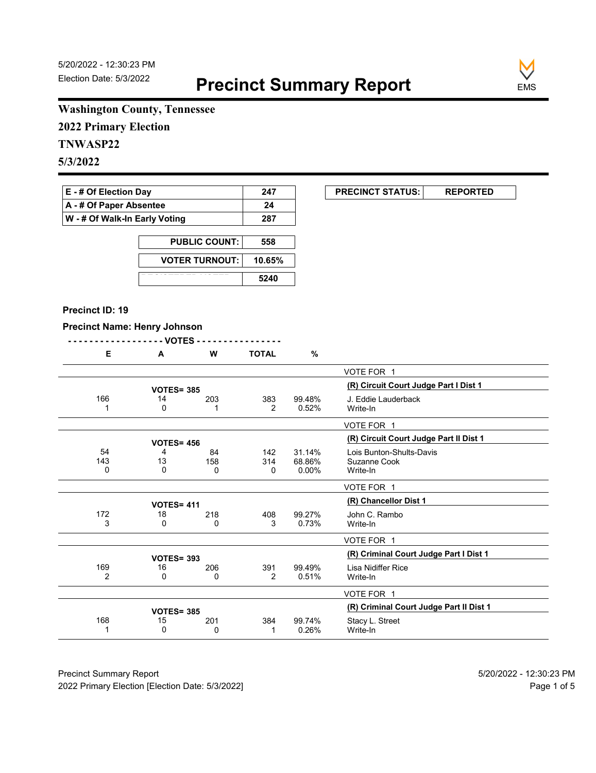**EXECUNCT STATUS:** REPORTED



# **Washington County, Tennessee**

**2022 Primary Election**

# **TNWASP22**

**5/3/2022**

| <b>E</b> - # Of Election Day       | 247 |
|------------------------------------|-----|
| $\mathsf{A}$ - # Of Paper Absentee | 24  |
| W - # Of Walk-In Early Voting      | 287 |

| <b>PUBLIC COUNT:</b>  | 558    |
|-----------------------|--------|
| <b>VOTER TURNOUT:</b> | 10.65% |
|                       | 5240   |

#### **Precinct ID: 19**

## **Precinct Name: Henry Johnson**

|                                                      |                              |                 |                | , , , , ,         |                |
|------------------------------------------------------|------------------------------|-----------------|----------------|-------------------|----------------|
|                                                      | %                            | <b>TOTAL</b>    | W              | A                 | Е              |
| VOTE FOR 1                                           |                              |                 |                |                   |                |
| (R) Circuit Court Judge Part I Dist 1                |                              |                 |                | <b>VOTES= 385</b> |                |
| J. Eddie Lauderback<br>Write-In                      | 99.48%<br>0.52%              | 383<br>2        | 203            | 14<br>0           | 166            |
| VOTE FOR 1                                           |                              |                 |                |                   |                |
| (R) Circuit Court Judge Part II Dist 1               |                              |                 |                | <b>VOTES= 456</b> |                |
| Lois Bunton-Shults-Davis<br>Suzanne Cook<br>Write-In | 31.14%<br>68.86%<br>$0.00\%$ | 142<br>314<br>0 | 84<br>158<br>0 | 4<br>13<br>0      | 54<br>143<br>0 |
| VOTE FOR 1                                           |                              |                 |                |                   |                |
| (R) Chancellor Dist 1                                |                              |                 |                | <b>VOTES= 411</b> |                |
| John C. Rambo                                        | 99.27%                       | 408             | 218            | 18                | 172            |

|          | <b>VOTES= 411</b> |          | IN UNIQUUTUL DISL I |                 |                                         |  |  |  |  |  |
|----------|-------------------|----------|---------------------|-----------------|-----------------------------------------|--|--|--|--|--|
| 172      | 18<br>0           | 218<br>0 | 408<br>3            | 99.27%<br>0.73% | John C. Rambo<br>Write-In               |  |  |  |  |  |
|          |                   |          |                     |                 | VOTE FOR 1                              |  |  |  |  |  |
|          | <b>VOTES= 393</b> |          |                     |                 | (R) Criminal Court Judge Part I Dist 1  |  |  |  |  |  |
| 169<br>2 | 16<br>0           | 206<br>0 | 391<br>2            | 99.49%<br>0.51% | Lisa Nidiffer Rice<br>Write-In          |  |  |  |  |  |
|          |                   |          |                     |                 | VOTE FOR 1                              |  |  |  |  |  |
|          | <b>VOTES= 385</b> |          |                     |                 | (R) Criminal Court Judge Part II Dist 1 |  |  |  |  |  |
| 168      | 15                | 201      | 384                 | 99.74%          | Stacy L. Street                         |  |  |  |  |  |
|          | 0                 | 0        |                     | 0.26%           | Write-In                                |  |  |  |  |  |

Precinct Summary Report 60 and 5/20/2022 - 12:30:23 PM 2022 Primary Election [Election Date: 5/3/2022] **Page 1 of 5** and 2022 Primary Election Date: 5/3/2022]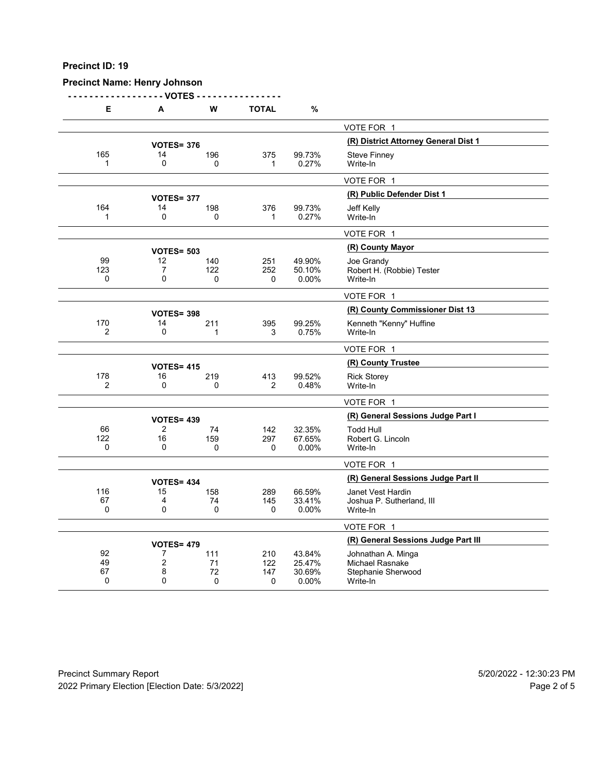# **Precinct Name: Henry Johnson**

**- - - - - - - - - - - - - - - - - - VOTES - - - - - - - - - - - - - - - -**

| Е                     | Α                   | W                 | <b>TOTAL</b> | %                |                                              |
|-----------------------|---------------------|-------------------|--------------|------------------|----------------------------------------------|
|                       |                     |                   |              |                  | VOTE FOR 1                                   |
|                       |                     | <b>VOTES= 376</b> |              |                  | (R) District Attorney General Dist 1         |
| 165                   | 14                  | 196               | 375          | 99.73%           | <b>Steve Finney</b>                          |
| 1                     | $\mathbf 0$         | $\Omega$          | 1            | 0.27%            | Write-In                                     |
|                       |                     |                   |              |                  | VOTE FOR 1                                   |
|                       |                     | <b>VOTES= 377</b> |              |                  | (R) Public Defender Dist 1                   |
| 164                   | 14                  | 198               | 376          | 99.73%           | Jeff Kelly                                   |
| 1                     | 0                   | 0                 | 1            | 0.27%            | Write-In                                     |
|                       |                     |                   |              |                  | VOTE FOR 1                                   |
|                       |                     | <b>VOTES= 503</b> |              |                  | (R) County Mayor                             |
| 99                    | 12                  | 140               | 251          | 49.90%           | Joe Grandy                                   |
| 123                   | 7                   | 122               | 252          | 50.10%           | Robert H. (Robbie) Tester                    |
| 0                     | $\mathbf{0}$        | 0                 | $\Omega$     | 0.00%            | Write-In                                     |
|                       |                     |                   |              |                  | VOTE FOR 1                                   |
|                       |                     | <b>VOTES= 398</b> |              |                  | (R) County Commissioner Dist 13              |
| 170<br>$\overline{2}$ | 14<br>0             | 211               | 395          | 99.25%           | Kenneth "Kenny" Huffine                      |
|                       |                     | 1                 | 3            | 0.75%            | Write-In                                     |
|                       |                     |                   |              |                  | VOTE FOR 1                                   |
|                       |                     | <b>VOTES= 415</b> |              |                  | (R) County Trustee                           |
| 178<br>$\overline{2}$ | 16<br>0             | 219<br>0          | 413<br>2     | 99.52%<br>0.48%  | <b>Rick Storey</b><br>Write-In               |
|                       |                     |                   |              |                  |                                              |
|                       |                     |                   |              |                  | VOTE FOR 1                                   |
|                       |                     | <b>VOTES= 439</b> |              |                  | (R) General Sessions Judge Part I            |
| 66                    | $\overline{2}$      | 74                | 142          | 32.35%           | <b>Todd Hull</b>                             |
| 122<br>0              | 16<br>0             | 159<br>0          | 297<br>0     | 67.65%<br>0.00%  | Robert G. Lincoln<br>Write-In                |
|                       |                     |                   |              |                  |                                              |
|                       |                     |                   |              |                  | VOTE FOR 1                                   |
|                       |                     | <b>VOTES= 434</b> |              |                  | (R) General Sessions Judge Part II           |
| 116<br>67             | 15<br>4             | 158               | 289          | 66.59%           | Janet Vest Hardin                            |
| 0                     | 0                   | 74<br>0           | 145<br>0     | 33.41%<br>0.00%  | Joshua P. Sutherland, III<br>Write-In        |
|                       |                     |                   |              |                  |                                              |
|                       |                     |                   |              |                  | VOTE FOR 1                                   |
|                       |                     | <b>VOTES= 479</b> |              |                  | (R) General Sessions Judge Part III          |
| 92<br>49              | 7<br>$\overline{c}$ | 111<br>71         | 210<br>122   | 43.84%<br>25.47% | Johnathan A. Minga<br><b>Michael Rasnake</b> |
| 67                    | 8                   | 72                | 147          | 30.69%           | Stephanie Sherwood                           |
| 0                     | $\Omega$            | $\mathbf 0$       | 0            | 0.00%            | Write-In                                     |
|                       |                     |                   |              |                  |                                              |

Precinct Summary Report 60 and 5/20/2022 - 12:30:23 PM 2022 Primary Election [Election Date: 5/3/2022] 2022 Primary Election 10 and 5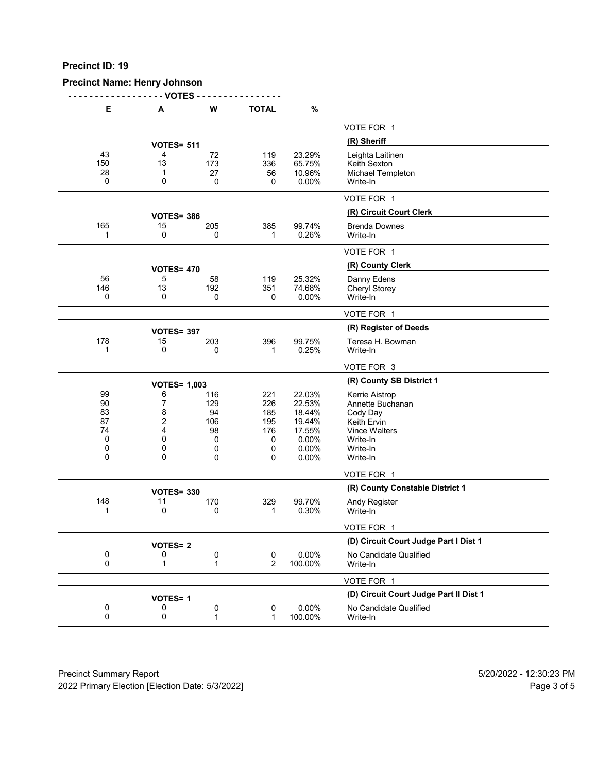# **Precinct Name: Henry Johnson**

**- - - - - - - - - - - - - - - - - - VOTES - - - - - - - - - - - - - - - -**

| Е                                                   | A                                    | W                                            | <b>TOTAL</b>                                   | $\%$                                                                      |                                                                                                                           |
|-----------------------------------------------------|--------------------------------------|----------------------------------------------|------------------------------------------------|---------------------------------------------------------------------------|---------------------------------------------------------------------------------------------------------------------------|
|                                                     |                                      |                                              |                                                |                                                                           | VOTE FOR 1                                                                                                                |
|                                                     | <b>VOTES= 511</b>                    |                                              |                                                |                                                                           | (R) Sheriff                                                                                                               |
| 43<br>150<br>28<br>0                                | 4<br>13<br>1<br>0                    | 72<br>173<br>27<br>0                         | 119<br>336<br>56<br>0                          | 23.29%<br>65.75%<br>10.96%<br>0.00%                                       | Leighta Laitinen<br>Keith Sexton<br>Michael Templeton<br>Write-In                                                         |
|                                                     |                                      |                                              |                                                |                                                                           | VOTE FOR 1                                                                                                                |
|                                                     | <b>VOTES= 386</b>                    |                                              |                                                |                                                                           | (R) Circuit Court Clerk                                                                                                   |
| 165<br>1                                            | 15<br>0                              | 205<br>0                                     | 385<br>1                                       | 99.74%<br>0.26%                                                           | <b>Brenda Downes</b><br>Write-In                                                                                          |
|                                                     |                                      |                                              |                                                |                                                                           | VOTE FOR 1                                                                                                                |
|                                                     | <b>VOTES= 470</b>                    |                                              |                                                |                                                                           | (R) County Clerk                                                                                                          |
| 56<br>146<br>$\mathbf 0$                            | 5<br>13<br>0                         | 58<br>192<br>0                               | 119<br>351<br>0                                | 25.32%<br>74.68%<br>0.00%                                                 | Danny Edens<br>Cheryl Storey<br>Write-In                                                                                  |
|                                                     |                                      |                                              |                                                |                                                                           | VOTE FOR 1                                                                                                                |
|                                                     | <b>VOTES= 397</b>                    |                                              |                                                |                                                                           | (R) Register of Deeds                                                                                                     |
| 178<br>1                                            | 15<br>0                              | 203<br>0                                     | 396<br>1                                       | 99.75%<br>0.25%                                                           | Teresa H. Bowman<br>Write-In                                                                                              |
|                                                     |                                      |                                              |                                                |                                                                           | VOTE FOR 3                                                                                                                |
|                                                     | <b>VOTES= 1,003</b>                  |                                              |                                                |                                                                           | (R) County SB District 1                                                                                                  |
| 99<br>90<br>83<br>87<br>74<br>$\mathbf 0$<br>0<br>0 | 6<br>7<br>8<br>2<br>4<br>0<br>0<br>0 | 116<br>129<br>94<br>106<br>98<br>0<br>0<br>0 | 221<br>226<br>185<br>195<br>176<br>0<br>0<br>0 | 22.03%<br>22.53%<br>18.44%<br>19.44%<br>17.55%<br>0.00%<br>0.00%<br>0.00% | Kerrie Aistrop<br>Annette Buchanan<br>Cody Day<br><b>Keith Ervin</b><br>Vince Walters<br>Write-In<br>Write-In<br>Write-In |
|                                                     |                                      |                                              |                                                |                                                                           | VOTE FOR 1                                                                                                                |
|                                                     | <b>VOTES= 330</b>                    |                                              |                                                |                                                                           | (R) County Constable District 1                                                                                           |
| 148<br>1                                            | 11<br>0                              | 170<br>0                                     | 329<br>1                                       | 99.70%<br>0.30%                                                           | <b>Andy Register</b><br>Write-In                                                                                          |
|                                                     |                                      |                                              |                                                |                                                                           | VOTE FOR 1                                                                                                                |
|                                                     | <b>VOTES=2</b>                       |                                              |                                                |                                                                           | (D) Circuit Court Judge Part I Dist 1                                                                                     |
| 0<br>0                                              | 0<br>1                               | 0<br>1                                       | 0<br>$\overline{2}$                            | 0.00%<br>100.00%                                                          | No Candidate Qualified<br>Write-In                                                                                        |
|                                                     |                                      |                                              |                                                |                                                                           | VOTE FOR 1                                                                                                                |
|                                                     | <b>VOTES=1</b>                       |                                              |                                                |                                                                           | (D) Circuit Court Judge Part II Dist 1                                                                                    |
| 0<br>0                                              | 0<br>0                               | 0<br>1                                       | 0<br>1                                         | 0.00%<br>100.00%                                                          | No Candidate Qualified<br>Write-In                                                                                        |

Precinct Summary Report 60 and 5/20/2022 - 12:30:23 PM 2022 Primary Election [Election Date: 5/3/2022] 2022 Primary Election 5 and 5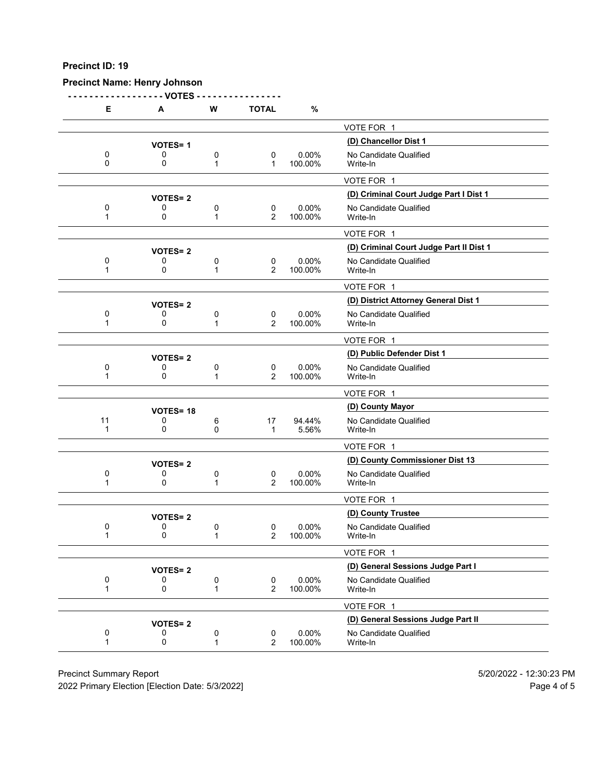# **Precinct Name: Henry Johnson**

**- - - - - - - - - - - - - - - - - - VOTES - - - - - - - - - - - - - - - -**

| Е       | Α               | W                 | <b>TOTAL</b>                  | $\%$                |                                         |
|---------|-----------------|-------------------|-------------------------------|---------------------|-----------------------------------------|
|         |                 |                   |                               |                     | VOTE FOR 1                              |
|         | <b>VOTES=1</b>  |                   |                               |                     | (D) Chancellor Dist 1                   |
| 0<br>0  | 0<br>0          | 0<br>1            | 0<br>$\mathbf 1$              | 0.00%<br>100.00%    | No Candidate Qualified<br>Write-In      |
|         |                 |                   |                               |                     | VOTE FOR 1                              |
|         | <b>VOTES=2</b>  |                   |                               |                     | (D) Criminal Court Judge Part I Dist 1  |
| 0<br>1  | 0<br>0          | 0<br>1            | 0<br>2                        | $0.00\%$<br>100.00% | No Candidate Qualified<br>Write-In      |
|         |                 |                   |                               |                     | VOTE FOR 1                              |
|         | <b>VOTES=2</b>  |                   |                               |                     | (D) Criminal Court Judge Part II Dist 1 |
| 0<br>1  | 0<br>0          | 0<br>$\mathbf{1}$ | 0<br>$\overline{2}$           | 0.00%<br>100.00%    | No Candidate Qualified<br>Write-In      |
|         |                 |                   |                               |                     | VOTE FOR 1                              |
|         | <b>VOTES=2</b>  |                   |                               |                     | (D) District Attorney General Dist 1    |
| 0<br>1  | 0<br>0          | 0<br>$\mathbf{1}$ | 0<br>$\overline{2}$           | 0.00%<br>100.00%    | No Candidate Qualified<br>Write-In      |
|         |                 |                   |                               |                     | VOTE FOR 1                              |
|         | <b>VOTES=2</b>  |                   |                               |                     | (D) Public Defender Dist 1              |
| 0<br>1  | 0<br>0          | 0<br>1            | 0<br>$\overline{2}$           | $0.00\%$<br>100.00% | No Candidate Qualified<br>Write-In      |
|         |                 |                   |                               |                     | VOTE FOR 1                              |
|         | <b>VOTES=18</b> |                   |                               |                     | (D) County Mayor                        |
| 11<br>1 | 0<br>0          | 6<br>0            | 17<br>$\mathbf 1$             | 94.44%<br>5.56%     | No Candidate Qualified<br>Write-In      |
|         |                 |                   |                               |                     | VOTE FOR 1                              |
|         | <b>VOTES=2</b>  |                   |                               |                     | (D) County Commissioner Dist 13         |
| 0<br>1  | 0<br>0          | 0<br>1            | $\mathbf 0$<br>$\overline{2}$ | 0.00%<br>100.00%    | No Candidate Qualified<br>Write-In      |
|         |                 |                   |                               |                     | VOTE FOR 1                              |
|         | <b>VOTES=2</b>  |                   |                               |                     | (D) County Trustee                      |
| 0<br>1  | 0<br>0          | 0<br>1            | 0<br>2                        | $0.00\%$<br>100.00% | No Candidate Qualified<br>Write-In      |
|         |                 |                   |                               |                     | VOTE FOR 1                              |
|         | <b>VOTES=2</b>  |                   |                               |                     | (D) General Sessions Judge Part I       |
| 0<br>1  | 0<br>0          | 0<br>1            | 0<br>$\overline{2}$           | 0.00%<br>100.00%    | No Candidate Qualified<br>Write-In      |
|         |                 |                   |                               |                     | VOTE FOR 1                              |
|         | <b>VOTES=2</b>  |                   |                               |                     | (D) General Sessions Judge Part II      |
| 0<br>1  | 0<br>0          | 0<br>1            | 0<br>$\overline{2}$           | 0.00%<br>100.00%    | No Candidate Qualified<br>Write-In      |
|         |                 |                   |                               |                     |                                         |

Precinct Summary Report 60 and 5/20/2022 - 12:30:23 PM

2022 Primary Election [Election Date: 5/3/2022] 2022 Primary Election 10 and 5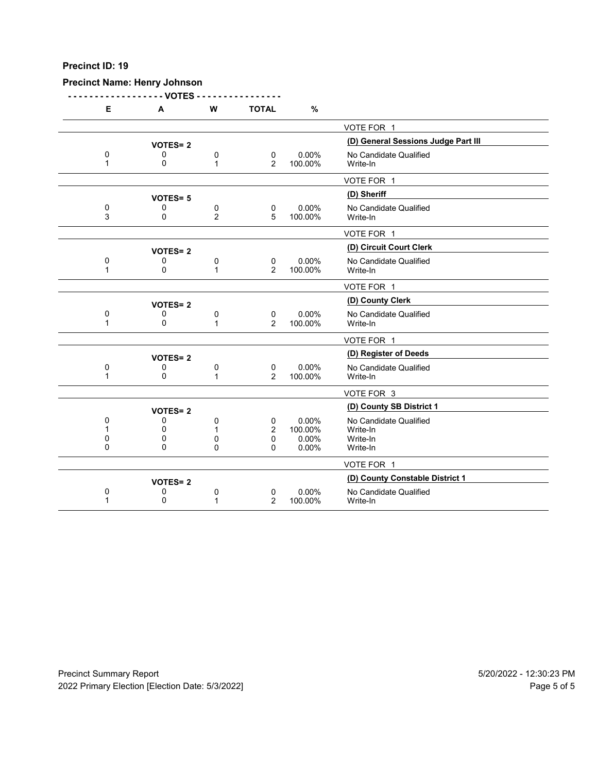# **Precinct Name: Henry Johnson**

**- - - - - - - - - - - - - - - - - - VOTES - - - - - - - - - - - - - - - -**

| Е           | A              | W              | <b>TOTAL</b>   | %       |                                     |
|-------------|----------------|----------------|----------------|---------|-------------------------------------|
|             |                |                |                |         | VOTE FOR 1                          |
|             | <b>VOTES=2</b> |                |                |         | (D) General Sessions Judge Part III |
| 0           | 0              | 0              | $\mathbf 0$    | 0.00%   | No Candidate Qualified              |
| $\mathbf 1$ | 0              | 1              | 2              | 100.00% | Write-In                            |
|             |                |                |                |         | VOTE FOR 1                          |
|             | <b>VOTES=5</b> |                |                |         | (D) Sheriff                         |
| 0           | 0              | 0              | 0              | 0.00%   | No Candidate Qualified              |
| 3           | 0              | $\overline{2}$ | 5              | 100.00% | Write-In                            |
|             |                |                |                |         | VOTE FOR 1                          |
|             | <b>VOTES=2</b> |                |                |         | (D) Circuit Court Clerk             |
| 0           | 0              | 0              | 0              | 0.00%   | No Candidate Qualified              |
| 1           | 0              | 1              | 2              | 100.00% | Write-In                            |
|             |                |                |                |         | VOTE FOR 1                          |
|             | <b>VOTES=2</b> |                |                |         | (D) County Clerk                    |
| 0           | 0              | 0              | $\mathbf 0$    | 0.00%   | No Candidate Qualified              |
| 1           | 0              | 1              | 2              | 100.00% | Write-In                            |
|             |                |                |                |         | VOTE FOR 1                          |
|             | <b>VOTES=2</b> |                |                |         | (D) Register of Deeds               |
| 0           | 0              | 0              | 0              | 0.00%   | No Candidate Qualified              |
| 1           | 0              | $\mathbf{1}$   | $\overline{2}$ | 100.00% | Write-In                            |
|             |                |                |                |         | VOTE FOR 3                          |
|             | <b>VOTES=2</b> |                |                |         | (D) County SB District 1            |
| 0           | 0              | 0              | 0              | 0.00%   | No Candidate Qualified              |
|             | 0              | 1              | 2              | 100.00% | Write-In                            |
| 0           | 0              | 0              | 0              | 0.00%   | Write-In                            |
| 0           | $\Omega$       | $\Omega$       | 0              | 0.00%   | Write-In                            |
|             |                |                |                |         | VOTE FOR 1                          |
|             | <b>VOTES=2</b> |                |                |         | (D) County Constable District 1     |
| 0           | 0              | 0              | 0              | 0.00%   | No Candidate Qualified              |
|             | 0              | 1              | 2              | 100.00% | Write-In                            |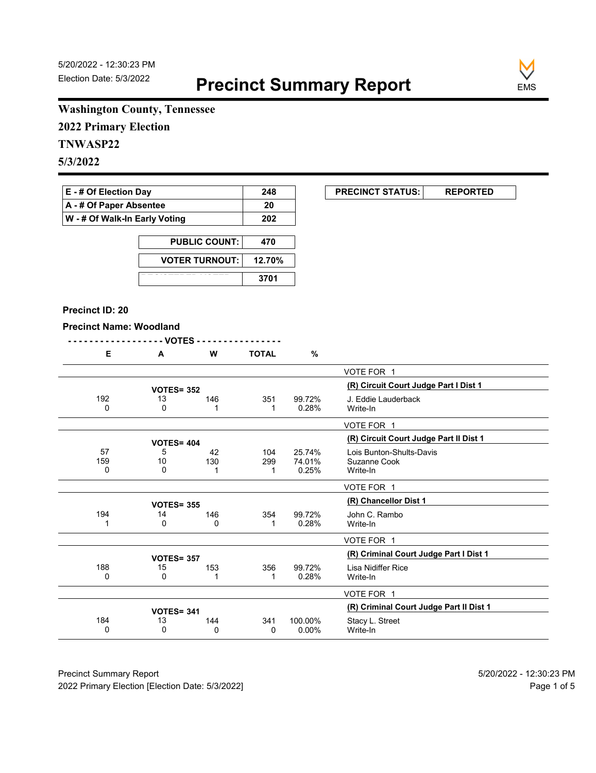**EXECUNCT STATUS:** REPORTED



# **Washington County, Tennessee**

**2022 Primary Election**

# **TNWASP22**

**5/3/2022**

| <b>E</b> - # Of Election Day  | 248 |
|-------------------------------|-----|
| A - # Of Paper Absentee       | 20  |
| W - # Of Walk-In Early Voting | 202 |

| <b>PUBLIC COUNT:</b>  | 470    |
|-----------------------|--------|
| <b>VOTER TURNOUT:</b> | 12.70% |
|                       | 3701   |

#### **Precinct ID: 20**

#### **Precinct Name: Woodland**

| -------------------VOTES ---------------- |  |  |  |  |  |  |  |  |  |  |  |  |  |  |  |  |  |  |  |  |  |  |  |  |  |  |  |  |  |  |  |  |  |
|-------------------------------------------|--|--|--|--|--|--|--|--|--|--|--|--|--|--|--|--|--|--|--|--|--|--|--|--|--|--|--|--|--|--|--|--|--|
|-------------------------------------------|--|--|--|--|--|--|--|--|--|--|--|--|--|--|--|--|--|--|--|--|--|--|--|--|--|--|--|--|--|--|--|--|--|

| Е        | A                 | w   | TOTAL | %        |                                         |
|----------|-------------------|-----|-------|----------|-----------------------------------------|
|          |                   |     |       |          | VOTE FOR 1                              |
|          | <b>VOTES= 352</b> |     |       |          | (R) Circuit Court Judge Part I Dist 1   |
|          |                   |     |       |          |                                         |
| 192      | 13                | 146 | 351   | 99.72%   | J. Eddie Lauderback                     |
| 0        | 0                 | 1   |       | 0.28%    | Write-In                                |
|          |                   |     |       |          | VOTE FOR 1                              |
|          | <b>VOTES= 404</b> |     |       |          | (R) Circuit Court Judge Part II Dist 1  |
| 57       | 5                 | 42  | 104   | 25.74%   | Lois Bunton-Shults-Davis                |
| 159      | 10                | 130 | 299   | 74.01%   | Suzanne Cook                            |
| 0        | 0                 | 1   |       | 0.25%    | Write-In                                |
|          |                   |     |       |          |                                         |
|          |                   |     |       |          | VOTE FOR 1                              |
|          | <b>VOTES= 355</b> |     |       |          | (R) Chancellor Dist 1                   |
| 194      | 14                | 146 | 354   | 99.72%   | John C. Rambo                           |
|          | 0                 | 0   |       | 0.28%    | Write-In                                |
|          |                   |     |       |          |                                         |
|          |                   |     |       |          | VOTE FOR 1                              |
|          | <b>VOTES= 357</b> |     |       |          | (R) Criminal Court Judge Part I Dist 1  |
| 188      | 15                | 153 | 356   | 99.72%   | Lisa Nidiffer Rice                      |
| 0        | 0                 | 1   |       | 0.28%    | Write-In                                |
|          |                   |     |       |          |                                         |
|          |                   |     |       |          | VOTE FOR 1                              |
|          | <b>VOTES= 341</b> |     |       |          | (R) Criminal Court Judge Part II Dist 1 |
| 184      | 13                | 144 | 341   | 100.00%  | Stacy L. Street                         |
| $\Omega$ | 0                 | 0   | 0     | $0.00\%$ | Write-In                                |
|          |                   |     |       |          |                                         |

Precinct Summary Report 60 and 5/20/2022 - 12:30:23 PM 2022 Primary Election [Election Date: 5/3/2022] **Page 1 of 5** and 2022 Primary Election Date: 5/3/2022]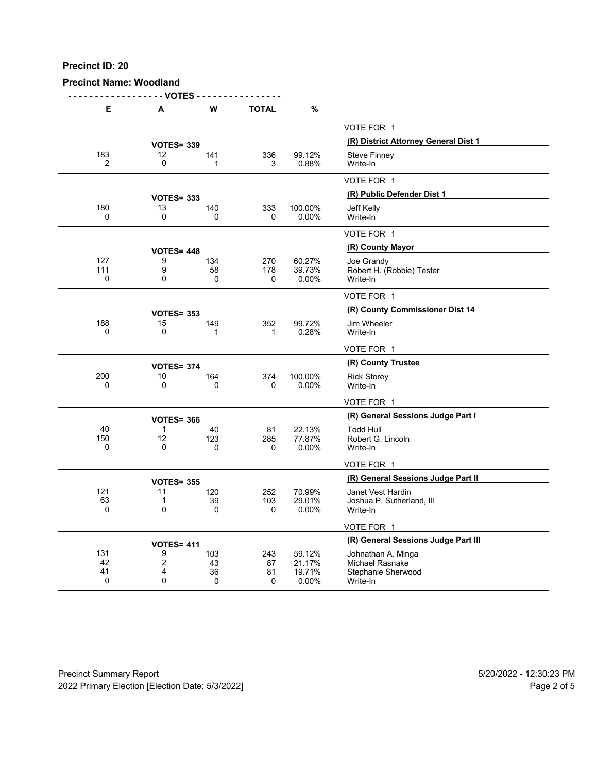#### **Precinct Name: Woodland**

**- - - - - - - - - - - - - - - - - - VOTES - - - - - - - - - - - - - - - - E A W TOTAL %** VOTE FOR 1 **(R) District Attorney General Dist 1 VOTES= <sup>339</sup>** 183 12 141 336 99.12% Steve Finney<br>2 0 1 3 0.88% Write-In 2 0 1 3 0.88% Write-In VOTE FOR 1 **(R) Public Defender Dist 1 VOTES= <sup>333</sup>** 180 13 140 333 100.00% Jeff Kelly 0 0 0 0 0.00% Write-In VOTE FOR 1 **(R) County Mayor VOTES= <sup>448</sup>** 127 9 134 270 60.27% Joe Grandy 111 9 58 178 39.73% Robert H. (Robbie) Tester 0 0 0 0 0.00% Write-In VOTE FOR 1 **(R) County Commissioner Dist 14 VOTES= <sup>353</sup>** 188 15 149 352 99.72% Jim Wheeler<br>0 0 1 1 0.28% Write-In 0 0 1 1 0.28% Write-In VOTE FOR 1 **(R) County Trustee VOTES= <sup>374</sup>** 200 10 164 374 100.00% Rick Storey 0 0 0 0 0.00% Write-In VOTE FOR 1 **(R) General Sessions Judge Part I VOTES= <sup>366</sup>** 40 1 40 81 22.13% Todd Hull 150 12 123 285 77.87% Robert G. Lincoln 0 0 0 0 0.00% Write-In VOTE FOR 1 **VOTES= 355**<br>120 **120 252 70.99%** Janet Vest Hardin 121 11 120 252 70.99% Janet Vest Hardin 1 39 103 29.01% Joshua P. Sutherland, III<br>0 0 0 0 0 0.00% Write-In 0 0 0 0 0.00% Write-In VOTE FOR 1 **(R) General Sessions Judge Part III VOTES= <sup>411</sup>** 131 9 103 243 59.12% Johnathan A. Minga 42 2 43 87 21.17% Michael Rasnake 41 4 36 81 19.71% Stephanie Sherwood 0 0 0 0 0.00% Write-In

Precinct Summary Report 5/20/2022 - 12:30:23 PM 2022 Primary Election [Election Date: 5/3/2022] Page 2 of 5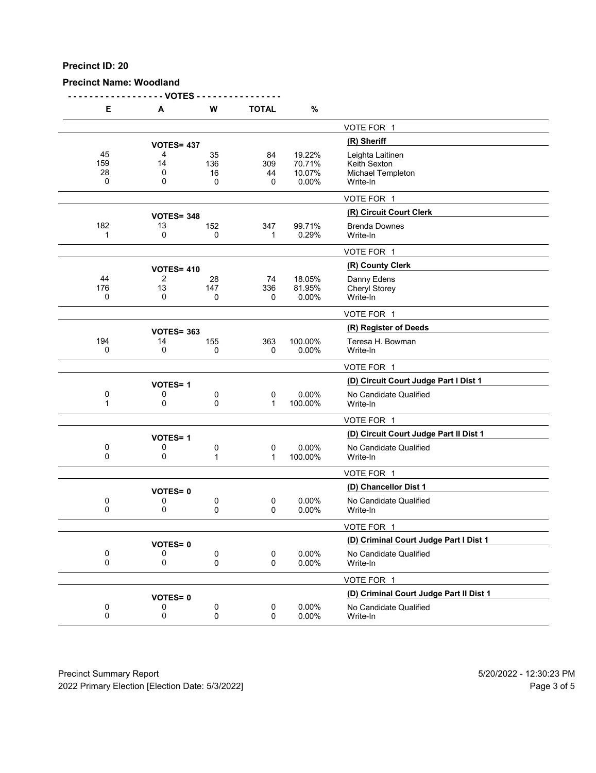## **Precinct Name: Woodland**

**- - - - - - - - - - - - - - - - - - VOTES - - - - - - - - - - - - - - - -**

| Е                    | А                 | W                    | <b>TOTAL</b>             | $\%$                                |                                                                   |
|----------------------|-------------------|----------------------|--------------------------|-------------------------------------|-------------------------------------------------------------------|
|                      |                   |                      |                          |                                     | VOTE FOR 1                                                        |
|                      | <b>VOTES= 437</b> |                      |                          |                                     | (R) Sheriff                                                       |
| 45<br>159<br>28<br>0 | 4<br>14<br>0<br>0 | 35<br>136<br>16<br>0 | 84<br>309<br>44<br>0     | 19.22%<br>70.71%<br>10.07%<br>0.00% | Leighta Laitinen<br>Keith Sexton<br>Michael Templeton<br>Write-In |
|                      |                   |                      |                          |                                     | VOTE FOR 1                                                        |
|                      | <b>VOTES= 348</b> |                      |                          |                                     | (R) Circuit Court Clerk                                           |
| 182<br>1             | 13<br>0           | 152<br>0             | 347<br>1                 | 99.71%<br>0.29%                     | <b>Brenda Downes</b><br>Write-In                                  |
|                      |                   |                      |                          |                                     | VOTE FOR 1                                                        |
|                      | <b>VOTES= 410</b> |                      |                          |                                     | (R) County Clerk                                                  |
| 44<br>176<br>0       | 2<br>13<br>0      | 28<br>147<br>0       | 74<br>336<br>0           | 18.05%<br>81.95%<br>0.00%           | Danny Edens<br>Cheryl Storey<br>Write-In                          |
|                      |                   |                      |                          |                                     | VOTE FOR 1                                                        |
|                      | <b>VOTES= 363</b> |                      |                          |                                     | (R) Register of Deeds                                             |
| 194<br>0             | 14<br>0           | 155<br>0             | 363<br>0                 | 100.00%<br>0.00%                    | Teresa H. Bowman<br>Write-In                                      |
|                      |                   |                      |                          |                                     | VOTE FOR 1                                                        |
|                      | <b>VOTES=1</b>    |                      |                          |                                     | (D) Circuit Court Judge Part I Dist 1                             |
| 0<br>1               | 0<br>0            | 0<br>0               | 0<br>$\mathbf 1$         | 0.00%<br>100.00%                    | No Candidate Qualified<br>Write-In                                |
|                      |                   |                      |                          |                                     | VOTE FOR 1                                                        |
|                      | <b>VOTES=1</b>    |                      |                          |                                     | (D) Circuit Court Judge Part II Dist 1                            |
| 0<br>0               | 0<br>0            | 0<br>1               | $\pmb{0}$<br>$\mathbf 1$ | 0.00%<br>100.00%                    | No Candidate Qualified<br>Write-In                                |
|                      |                   |                      |                          |                                     | VOTE FOR 1                                                        |
|                      | <b>VOTES=0</b>    |                      |                          |                                     | (D) Chancellor Dist 1                                             |
| 0<br>0               | 0<br>0            | 0<br>0               | $\pmb{0}$<br>0           | 0.00%<br>0.00%                      | No Candidate Qualified<br>Write-In                                |
|                      |                   |                      |                          |                                     | VOTE FOR 1                                                        |
|                      | <b>VOTES=0</b>    |                      |                          |                                     | (D) Criminal Court Judge Part I Dist 1                            |
| 0<br>$\mathbf 0$     | 0<br>0            | 0<br>0               | 0<br>0                   | 0.00%<br>0.00%                      | No Candidate Qualified<br>Write-In                                |
|                      |                   |                      |                          |                                     | VOTE FOR 1                                                        |
|                      | <b>VOTES=0</b>    |                      |                          |                                     | (D) Criminal Court Judge Part II Dist 1                           |
| 0<br>$\pmb{0}$       | 0<br>0            | 0<br>0               | $\pmb{0}$<br>0           | 0.00%<br>0.00%                      | No Candidate Qualified<br>Write-In                                |
|                      |                   |                      |                          |                                     |                                                                   |

Precinct Summary Report 60 and 5/20/2022 - 12:30:23 PM 2022 Primary Election [Election Date: 5/3/2022] 2022 Primary Election 5 and 5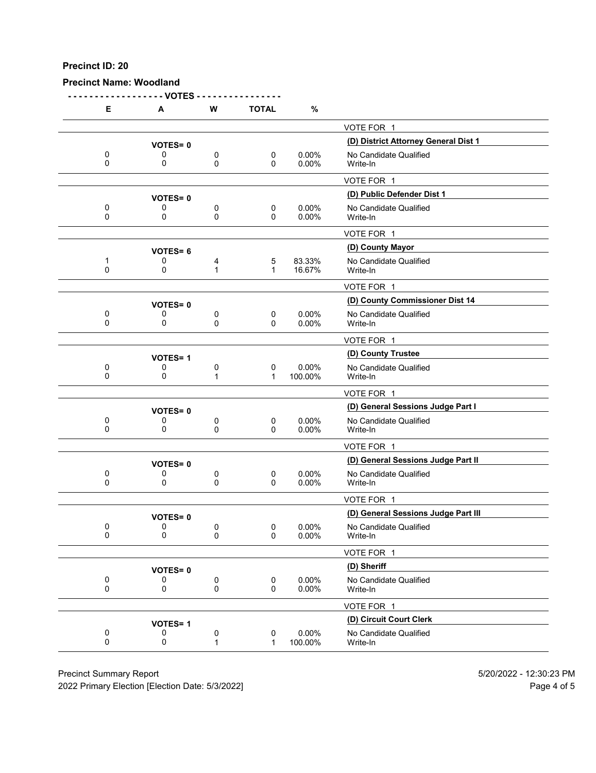**Precinct Name: Woodland**

**- - - - - - - - - - - - - - - - - - VOTES - - - - - - - - - - - - - - - - E A W TOTAL %** VOTE FOR 1 **(D) District Attorney General Dist 1 VOTES= <sup>0</sup>** 0 0 0 0 0 0.00% No Candidate Qualified<br>0 0 0 0 0.00% Write-In 0 0 0 0 0.00% Write-In VOTE FOR 1 **(D) Public Defender Dist 1 VOTES= <sup>0</sup>** 0 0 0 0 0 0.00% No Candidate Qualified<br>0 0 0 0 0.00% Write-In 0 0 0 0 0.00% Write-In VOTE FOR 1 **(D) County Mayor VOTES= <sup>6</sup>** 1 0 4 5 83.33% No Candidate Qualified<br>0 0 1 1 16.67% Write-In 0 0 1 1 16.67% Write-In VOTE FOR 1 **VOTES= 0**<br>0 0 0 0 0 0.00% No Candidate Qualified 0 0 0 0 0 0.00% No Candidate Qualified<br>0 0 0 0 0.00% Write-In 0 0 0 0 0.00% Write-In VOTE FOR 1 **(D) County Trustee VOTES= <sup>1</sup>** 0 0 0 0 0 0.00% No Candidate Qualified<br>0 0 1 1 100.00% Write-In 0 0 1 1 100.00% Write-In VOTE FOR 1 **(D) General Sessions Judge Part I VOTES= <sup>0</sup>** 0 0 0 0 0 0.00% No Candidate Qualified<br>0 0 0 0 0.00% Write-In 0 0 0 0 0.00% Write-In VOTE FOR 1 **(D) General Sessions Judge Part II VOTES= <sup>0</sup>** 0 0 0 0 0 0.00% No Candidate Qualified<br>0 0 0 0 0.00% Write-In 0 0 0 0 0.00% Write-In VOTE FOR 1 **VOTES= 0**<br>0 0 0 0 0 0 0.00% No Candidate Qualified<br>0 0 0 0.00% No Candidate Qualified 0 0 0 0 0 0.00% No Candidate Qualified<br>0 0 0 0 0.00% Write-In 0 0 0 0 0.00% Write-In VOTE FOR 1 **(D) Sheriff VOTES= <sup>0</sup>** 0 0 0 0 0.00% No Candidate Qualified<br>0 0 0 0 0.00% Write-In 0 0 0 0 0.00% Write-In VOTE FOR 1 **(D) Circuit Court Clerk VOTES= <sup>1</sup>** 0 0 0 0 0 0.00% No Candidate Qualified<br>0 0 1 1 100.00% Write-In 0 0 1 1 100.00% Write-In

Precinct Summary Report 5/20/2022 - 12:30:23 PM

2022 Primary Election [Election Date: 5/3/2022] Page 4 of 5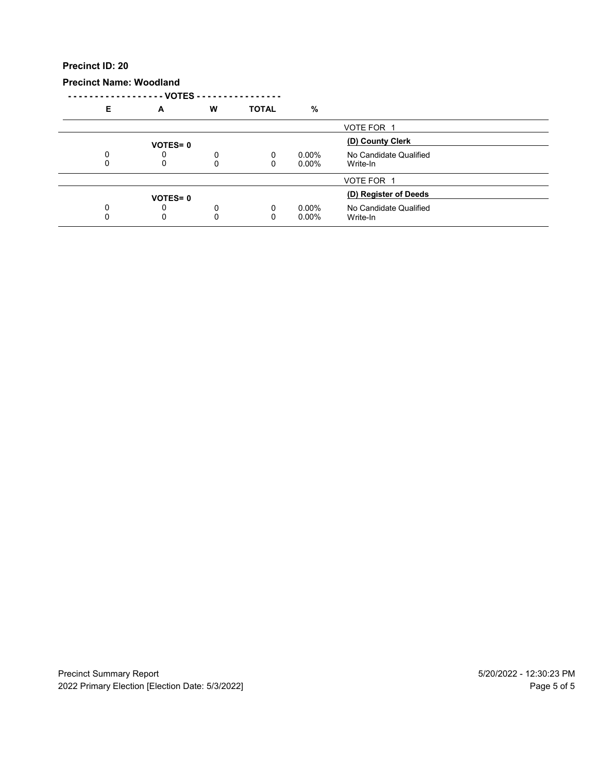**Precinct Name: Woodland**

**- - - - - - - - - - - - - - - - - - VOTES - - - - - - - - - - - - - - - - E A W TOTAL %**

| - | <u>r</u>       | . . | . <del>.</del> | 70                   |                                    |  |
|---|----------------|-----|----------------|----------------------|------------------------------------|--|
|   |                |     |                |                      | VOTE FOR 1                         |  |
|   | <b>VOTES=0</b> |     |                |                      | (D) County Clerk                   |  |
|   |                | 0   | $\Omega$       | $0.00\%$<br>$0.00\%$ | No Candidate Qualified<br>Write-In |  |
|   |                |     |                |                      | VOTE FOR 1                         |  |
|   | <b>VOTES=0</b> |     |                |                      | (D) Register of Deeds              |  |
|   |                | 0   | $\Omega$       | $0.00\%$<br>$0.00\%$ | No Candidate Qualified<br>Write-In |  |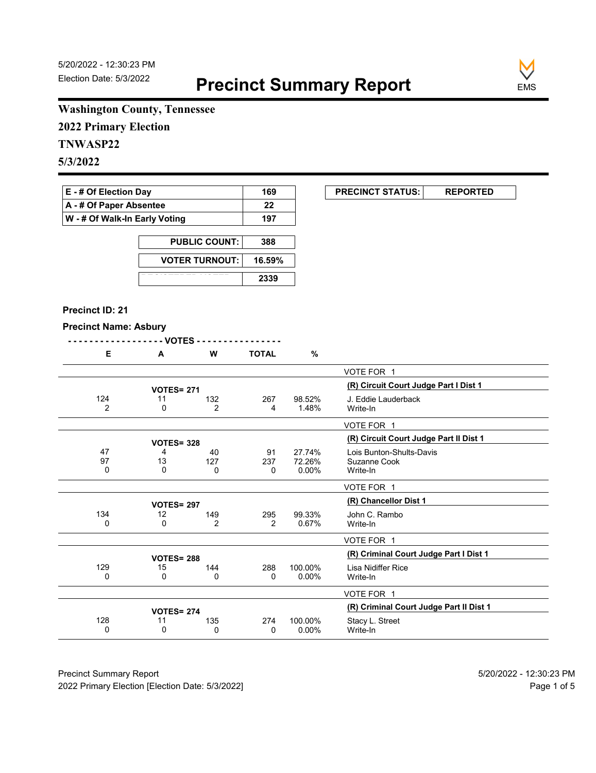

# **Washington County, Tennessee**

**2022 Primary Election**

# **TNWASP22**

**5/3/2022**

| <b>E</b> - # Of Election Day          | 169 |
|---------------------------------------|-----|
| $\mathsf{A}$ - # Of Paper Absentee    | 22  |
| $\vert$ W - # Of Walk-In Early Voting | 197 |

| <b>PUBLIC COUNT:</b>  | 388    |
|-----------------------|--------|
| <b>VOTER TURNOUT:</b> | 16.59% |
|                       | 2339   |

#### **Precinct ID: 21**

# **Precinct Name: Asbury**

| <b>Precinct Name: ASDUTY</b> | - VOTES -           |                |                |                              |                                                      |
|------------------------------|---------------------|----------------|----------------|------------------------------|------------------------------------------------------|
| Е                            | A                   | W              | <b>TOTAL</b>   | $\%$                         |                                                      |
|                              |                     |                |                |                              | VOTE FOR 1                                           |
|                              | <b>VOTES= 271</b>   |                |                |                              | (R) Circuit Court Judge Part I Dist 1                |
| 124<br>$\overline{2}$        | 11<br>$\Omega$      | 132<br>2       | 267<br>4       | 98.52%<br>1.48%              | J. Eddie Lauderback<br>Write-In                      |
|                              |                     |                |                |                              | VOTE FOR 1                                           |
|                              | <b>VOTES= 328</b>   |                |                |                              | (R) Circuit Court Judge Part II Dist 1               |
| 47<br>97<br>0                | 4<br>13<br>$\Omega$ | 40<br>127<br>0 | 91<br>237<br>0 | 27.74%<br>72.26%<br>$0.00\%$ | Lois Bunton-Shults-Davis<br>Suzanne Cook<br>Write-In |
|                              |                     |                |                |                              | VOTE FOR 1                                           |
|                              | <b>VOTES= 297</b>   |                |                |                              | (R) Chancellor Dist 1                                |
| 134<br>0                     | 12<br>0             | 149<br>2       | 295<br>2       | 99.33%<br>0.67%              | John C. Rambo<br>Write-In                            |
|                              |                     |                |                |                              | VOTE FOR 1                                           |
|                              | <b>VOTES= 288</b>   |                |                |                              | (R) Criminal Court Judge Part I Dist 1               |
| 129<br>0                     | 15<br>0             | 144<br>0       | 288<br>0       | 100.00%<br>$0.00\%$          | Lisa Nidiffer Rice<br>Write-In                       |
|                              |                     |                |                |                              | VOTE FOR 1                                           |

128 11 135 274 100.00% Stacy L. Street<br>0 0 0 0 0 0 0.00% Write-In

**107ES= 274**<br>11 **135 274 100.00% Stacy L. Street 100.00% 11 135 274 100.00% Stacy L. Street** 

Write-In

Precinct Summary Report 60 and 5/20/2022 - 12:30:23 PM 2022 Primary Election [Election Date: 5/3/2022] **Page 1 of 5** and 2022 Primary Election Date: 5/3/2022]

**EXECUNCT STATUS:** REPORTED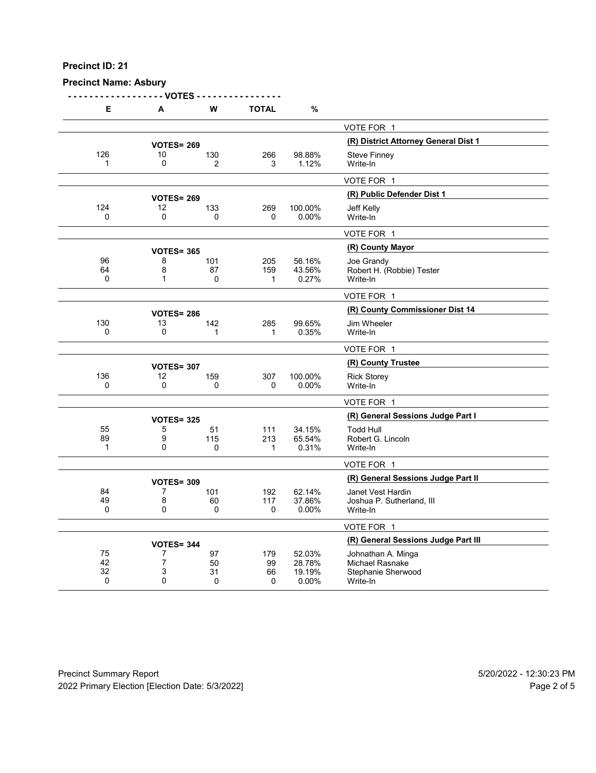#### **Precinct Name: Asbury**

**- - - - - - - - - - - - - - - - - - VOTES - - - - - - - - - - - - - - - - E A W TOTAL %** VOTE FOR 1 **10 VOTES= 269**<br>
10 130 **266** 98.88% Steve Finney 126 10 130 266 98.88% Steve Finney<br>1 0 2 3 1.12% Write-In 1 0 2 3 1.12% Write-In VOTE FOR 1 **(R) Public Defender Dist 1 VOTES= <sup>269</sup>** 124 12 133 269 100.00% Jeff Kelly 0 0 0 0 0.00% Write-In VOTE FOR 1 **(R) County Mayor VOTES= <sup>365</sup>** 96 8 101 205 56.16% Joe Grandy 64 8 87 159 43.56% Robert H. (Robbie) Tester 0 1 0 1 0.27% Write-In VOTE FOR 1 **(R) County Commissioner Dist 14 VOTES= <sup>286</sup>** 130 13 142 285 99.65% Jim Wheeler<br>0 0 1 1 0.35% Write-In 0 0 1 1 0.35% Write-In VOTE FOR 1 **(R) County Trustee VOTES= <sup>307</sup>** 136 12 159 307 100.00% Rick Storey<br>0 0 0 0 0 0.00% Write-In 0 0 0 0 0.00% Write-In VOTE FOR 1 **(R) General Sessions Judge Part I VOTES= <sup>325</sup>** 55 5 51 111 34.15% Todd Hull 89 9 115 213 65.54% Robert G. Lincoln<br>1 0 0 1 0.31% Write-In 1 0 0 0 0 1 0.31% Write-In VOTE FOR 1 **(R) General Sessions Judge Part II VOTES= <sup>309</sup>** 84 7 101 192 62.14% Janet Vest Hardin<br>49 8 60 117 37.86% Joshua P. Sutherla 49 8 60 117 37.86% Joshua P. Sutherland, III 0 0 0 0 0.00% Write-In VOTE FOR 1 **(R) General Sessions Judge Part III VOTES= <sup>344</sup>** 75 7 97 179 52.03% Johnathan A. Minga 42 7 50 99 28.78% Michael Rasnake 32 3 31 66 19.19% Stephanie Sherwood 0 0 0 0 0.00% Write-In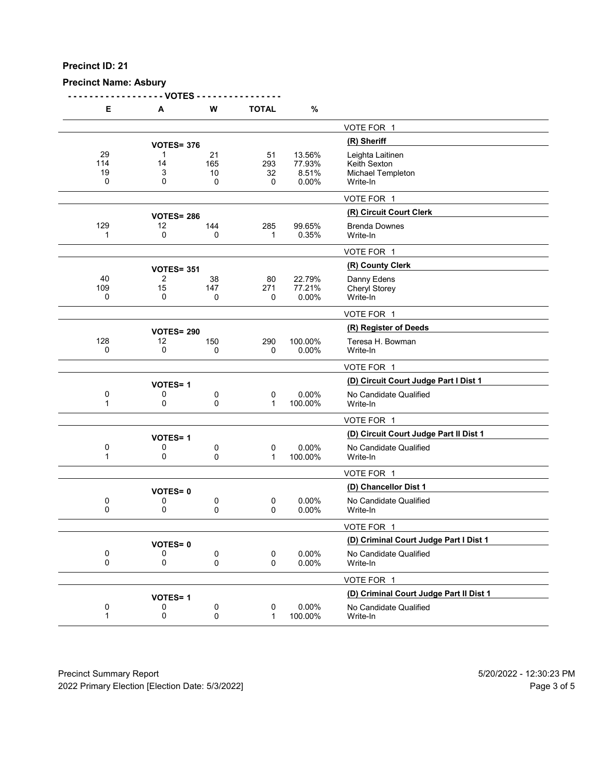# **Precinct Name: Asbury**

**- - - - - - - - - - - - - - - - - - VOTES - - - - - - - - - - - - - - - -**

| Е                    | Α                 | W                              | <b>TOTAL</b>         | $\%$                               |                                                                   |
|----------------------|-------------------|--------------------------------|----------------------|------------------------------------|-------------------------------------------------------------------|
|                      |                   |                                |                      |                                    | VOTE FOR 1                                                        |
|                      | <b>VOTES= 376</b> |                                |                      |                                    | (R) Sheriff                                                       |
| 29<br>114<br>19<br>0 | 1<br>14<br>3<br>0 | 21<br>165<br>10<br>$\mathbf 0$ | 51<br>293<br>32<br>0 | 13.56%<br>77.93%<br>8.51%<br>0.00% | Leighta Laitinen<br>Keith Sexton<br>Michael Templeton<br>Write-In |
|                      |                   |                                |                      |                                    | VOTE FOR 1                                                        |
|                      | <b>VOTES= 286</b> |                                |                      |                                    | (R) Circuit Court Clerk                                           |
| 129<br>1             | 12<br>0           | 144<br>0                       | 285<br>1             | 99.65%<br>0.35%                    | <b>Brenda Downes</b><br>Write-In                                  |
|                      |                   |                                |                      |                                    | VOTE FOR 1                                                        |
|                      | <b>VOTES= 351</b> |                                |                      |                                    | (R) County Clerk                                                  |
| 40<br>109<br>0       | 2<br>15<br>0      | 38<br>147<br>0                 | 80<br>271<br>0       | 22.79%<br>77.21%<br>0.00%          | Danny Edens<br><b>Cheryl Storey</b><br>Write-In                   |
|                      |                   |                                |                      |                                    | VOTE FOR 1                                                        |
|                      | <b>VOTES= 290</b> |                                |                      |                                    | (R) Register of Deeds                                             |
| 128<br>0             | 12<br>0           | 150<br>0                       | 290<br>$\mathbf 0$   | 100.00%<br>0.00%                   | Teresa H. Bowman<br>Write-In                                      |
|                      |                   |                                |                      |                                    | VOTE FOR 1                                                        |
|                      | <b>VOTES=1</b>    |                                |                      |                                    | (D) Circuit Court Judge Part I Dist 1                             |
| 0<br>1               | 0<br>0            | 0<br>0                         | 0<br>1               | 0.00%<br>100.00%                   | No Candidate Qualified<br>Write-In                                |
|                      |                   |                                |                      |                                    | VOTE FOR 1                                                        |
|                      | <b>VOTES=1</b>    |                                |                      |                                    | (D) Circuit Court Judge Part II Dist 1                            |
| 0<br>1               | 0<br>0            | 0<br>0                         | 0<br>$\mathbf 1$     | 0.00%<br>100.00%                   | No Candidate Qualified<br>Write-In                                |
|                      |                   |                                |                      |                                    | VOTE FOR 1                                                        |
|                      | <b>VOTES=0</b>    |                                |                      |                                    | (D) Chancellor Dist 1                                             |
| 0<br>0               | 0<br>0            | 0<br>0                         | $\pmb{0}$<br>0       | $0.00\%$<br>0.00%                  | No Candidate Qualified<br>Write-In                                |
|                      |                   |                                |                      |                                    | VOTE FOR 1                                                        |
|                      | <b>VOTES=0</b>    |                                |                      |                                    | (D) Criminal Court Judge Part I Dist 1                            |
| 0<br>0               | 0<br>0            | 0<br>0                         | 0<br>0               | 0.00%<br>0.00%                     | No Candidate Qualified<br>Write-In                                |
|                      |                   |                                |                      |                                    | VOTE FOR 1                                                        |
|                      | <b>VOTES=1</b>    |                                |                      |                                    | (D) Criminal Court Judge Part II Dist 1                           |
| 0<br>$\mathbf{1}$    | 0<br>0            | 0<br>0                         | $\pmb{0}$<br>1       | 0.00%<br>100.00%                   | No Candidate Qualified<br>Write-In                                |
|                      |                   |                                |                      |                                    |                                                                   |

Precinct Summary Report 60 and 5/20/2022 - 12:30:23 PM 2022 Primary Election [Election Date: 5/3/2022] 2022 Primary Election 5 and 5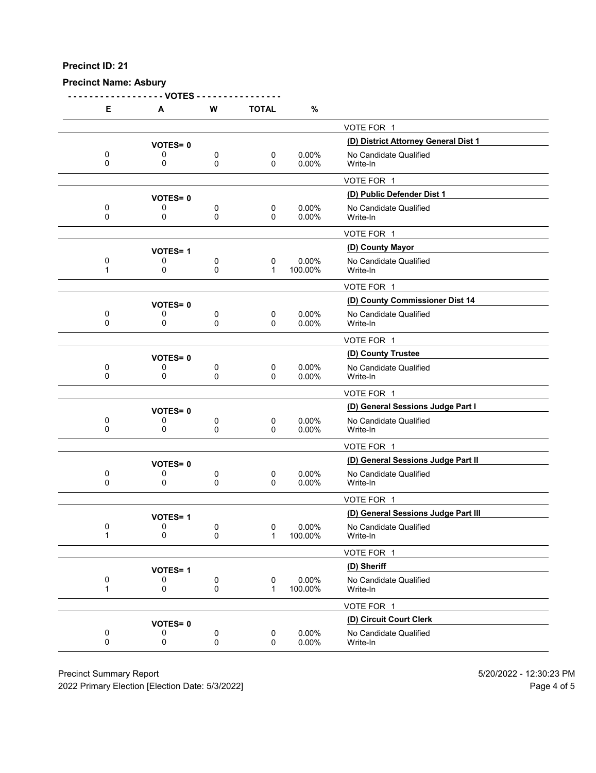#### **Precinct Name: Asbury**

**- - - - - - - - - - - - - - - - - - VOTES - - - - - - - - - - - - - - - - E A W TOTAL %** VOTE FOR 1 **(D) District Attorney General Dist 1 VOTES= <sup>0</sup>** 0 0 0 0 0 0.00% No Candidate Qualified<br>0 0 0 0 0.00% Write-In 0 0 0 0 0.00% Write-In VOTE FOR 1 **(D) Public Defender Dist 1 VOTES= <sup>0</sup>** 0 0 0 0 0 0.00% No Candidate Qualified<br>0 0 0 0 0.00% Write-In 0 0 0 0 0.00% Write-In VOTE FOR 1 **(D) County Mayor VOTES= <sup>1</sup>** 0 0 0 0 0 0.00% No Candidate Qualified<br>1 0 0 0 1 100.00% Write-In 1 0 0 1 100.00% Write-In VOTE FOR 1 **VOTES= 0**<br>0 0 0 0 0 0.00% No Candidate Qualified 0 0 0 0 0 0.00% No Candidate Qualified<br>0 0 0 0 0.00% Write-In 0 0 0 0 0.00% Write-In VOTE FOR 1 **(D) County Trustee VOTES= <sup>0</sup>** 0 0 0 0 0 0.00% No Candidate Qualified<br>0 0 0 0 0.00% Write-In 0 0 0 0 0.00% Write-In VOTE FOR 1 **(D) General Sessions Judge Part I VOTES= <sup>0</sup>** 0 0 0 0 0 0.00% No Candidate Qualified<br>0 0 0 0 0.00% Write-In 0 0 0 0 0.00% Write-In VOTE FOR 1 **(D) General Sessions Judge Part II VOTES= <sup>0</sup>** 0 0 0 0 0 0.00% No Candidate Qualified<br>0 0 0 0 0.00% Write-In 0 0 0 0 0.00% Write-In VOTE FOR 1 **VOTES= 1**<br>0 0 0 0 0 0.00% No Candidate Qualified<br>0 0 0.00% No Candidate Qualified 0 0 0 0 0.00% No Candidate Qualified<br>1 0 0 0 1 100.00% Write-In 100.00% VOTE FOR 1 **(D) Sheriff VOTES= <sup>1</sup>** 0 0 0 0 0.00% No Candidate Qualified<br>1 0 0 0 1 100.00% Write-In 100.00% VOTE FOR 1 **(D) Circuit Court Clerk VOTES= <sup>0</sup>** 0 0 0 0 0 0.00% No Candidate Qualified<br>0 0 0 0 0.00% Write-In 0 0 0 0 0.00% Write-In

Precinct Summary Report 5/20/2022 - 12:30:23 PM

2022 Primary Election [Election Date: 5/3/2022] Page 4 of 5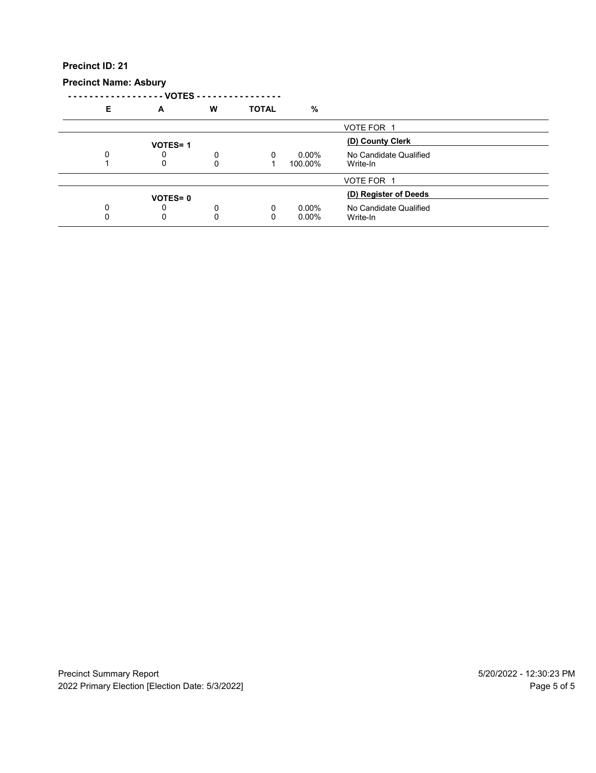#### **Precinct Name: Asbury**

**- - - - - - - - - - - - - - - - - - VOTES - - - - - - - - - - - - - - - - E A W TOTAL %** VOTE FOR 1 **(D) County Clerk VOTES= <sup>1</sup>** 0 0 0 0 0 0.00% No Candidate Qualified<br>1 0 0 0 1 100.00% Write-In  $100.00\%$ VOTE FOR 1 **VOTES= 0**<br>
0 0 0 0.00% No Candidate Qualified<br>
0 0 0.00% No Candidate Qualified 0 0 0 0 0 0.00% No Candidate Qualified<br>0 0 0 0 0.00% Write-In 0 0 0 0 0.00% Write-In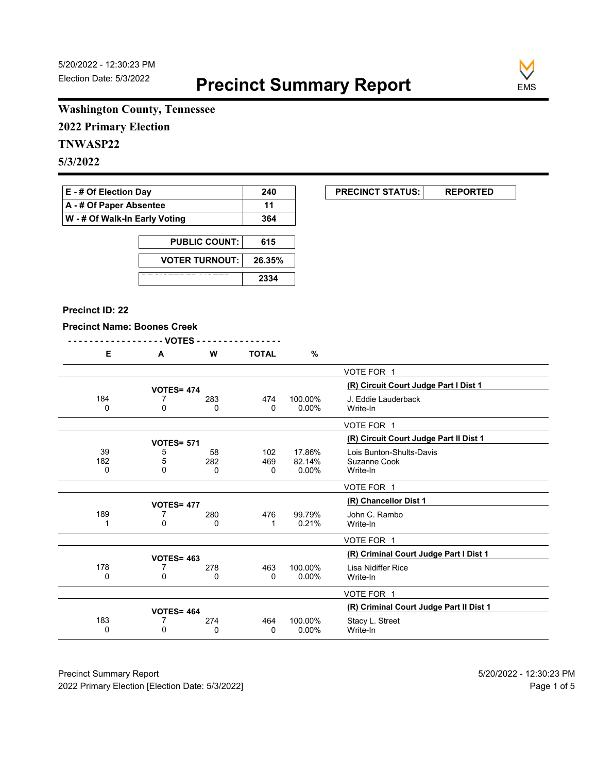$\begin{array}{|c|c|c|}\n\hline\n\text{PRECINCT STATUS:} & \text{REPORTED}\n\end{array}$ 



# **Washington County, Tennessee**

**2022 Primary Election**

# **TNWASP22**

**5/3/2022**

| $E - #$ Of Election Day       | 240 |
|-------------------------------|-----|
| A - # Of Paper Absentee       | 11  |
| W - # Of Walk-In Early Voting | 364 |

| <b>PUBLIC COUNT:</b>  | 615    |
|-----------------------|--------|
| <b>VOTER TURNOUT:</b> | 26.35% |
|                       | 2334   |

#### **Precinct ID: 22**

### **Precinct Name: Boones Creek**

|                                                      |                              |                 |                | - VOTES -         |                |
|------------------------------------------------------|------------------------------|-----------------|----------------|-------------------|----------------|
|                                                      | %                            | <b>TOTAL</b>    | W              | A                 | Е              |
| VOTE FOR 1                                           |                              |                 |                |                   |                |
| (R) Circuit Court Judge Part I Dist 1                |                              |                 |                | <b>VOTES= 474</b> |                |
| J. Eddie Lauderback<br>Write-In                      | 100.00%<br>$0.00\%$          | 474<br>0        | 283<br>0       | 7<br>0            | 184<br>0       |
| VOTE FOR 1                                           |                              |                 |                |                   |                |
| (R) Circuit Court Judge Part II Dist 1               |                              |                 |                | <b>VOTES= 571</b> |                |
| Lois Bunton-Shults-Davis<br>Suzanne Cook<br>Write-In | 17.86%<br>82.14%<br>$0.00\%$ | 102<br>469<br>0 | 58<br>282<br>0 | 5<br>5<br>0       | 39<br>182<br>0 |
| VOTE FOR 1                                           |                              |                 |                |                   |                |
| (R) Chancellor Dist 1                                |                              |                 |                | <b>VOTES= 477</b> |                |
| John C. Rambo<br>Write-In                            | 99.79%<br>0.21%              | 476<br>1        | 280<br>0       | 7<br>0            | 189<br>1       |
| VOTE FOR 1                                           |                              |                 |                |                   |                |
| (R) Criminal Court Judge Part I Dist 1               |                              |                 |                | <b>VOTES= 463</b> |                |
| Lisa Nidiffer Rice<br>Write-In                       | 100.00%<br>$0.00\%$          | 463<br>0        | 278<br>0       | 7<br>0            | 178<br>0       |
| VOTE FOR 1                                           |                              |                 |                |                   |                |

183 7 274 464 100.00% Stacy L. Street<br>0 0 0 0 0 0.00% Write-In 0 0 0 0 0.00% Write-In

**1071 VOTES= 464**<br> **100.00%** Stacy L. Street **100.00%** Stacy L. Street

Precinct Summary Report 60 and 5/20/2022 - 12:30:23 PM 2022 Primary Election [Election Date: 5/3/2022] **Page 1 of 5** and 2022 Primary Election Date: 5/3/2022]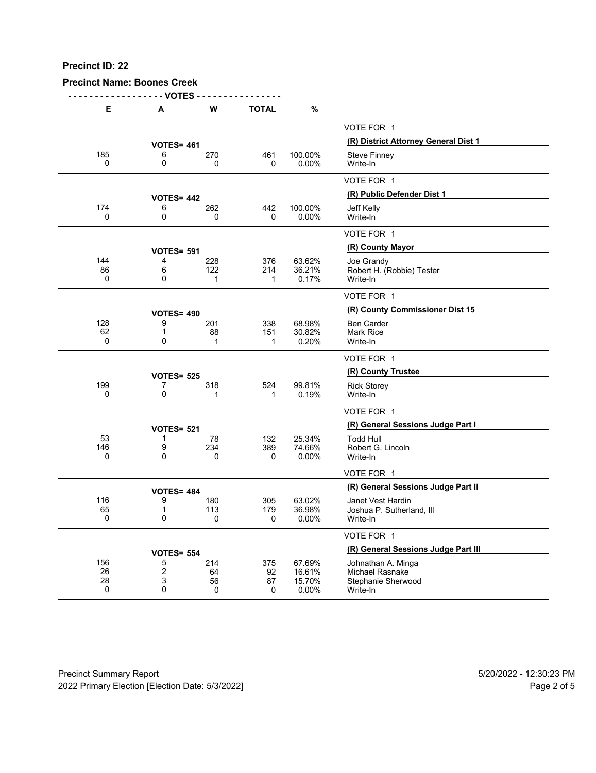## **Precinct Name: Boones Creek**

**- - - - - - - - - - - - - - - - - - VOTES - - - - - - - - - - - - - - - -**

| Е        | A                   | W           | <b>TOTAL</b> | %                                    |                                       |
|----------|---------------------|-------------|--------------|--------------------------------------|---------------------------------------|
|          |                     |             |              |                                      | VOTE FOR 1                            |
|          | <b>VOTES= 461</b>   |             |              | (R) District Attorney General Dist 1 |                                       |
| 185      | 6                   | 270         | 461          | 100.00%                              | <b>Steve Finney</b>                   |
| $\Omega$ | $\mathbf 0$         | $\Omega$    | $\Omega$     | 0.00%                                | Write-In                              |
|          |                     |             |              |                                      | VOTE FOR 1                            |
|          | <b>VOTES= 442</b>   |             |              |                                      | (R) Public Defender Dist 1            |
| 174      | 6                   | 262         | 442          | 100.00%                              | <b>Jeff Kelly</b>                     |
| 0        | 0                   | 0           | $\Omega$     | $0.00\%$                             | Write-In                              |
|          |                     |             |              |                                      | VOTE FOR 1                            |
|          | <b>VOTES= 591</b>   |             |              |                                      | (R) County Mayor                      |
| 144      | 4                   | 228         | 376          | 63.62%                               | Joe Grandy                            |
| 86       | 6                   | 122         | 214          | 36.21%                               | Robert H. (Robbie) Tester             |
| 0        | $\Omega$            | 1           | 1            | 0.17%                                | Write-In                              |
|          |                     |             |              |                                      | VOTE FOR 1                            |
|          | <b>VOTES= 490</b>   |             |              |                                      | (R) County Commissioner Dist 15       |
| 128      | 9                   | 201         | 338          | 68.98%                               | <b>Ben Carder</b>                     |
| 62<br>0  | 1<br>0              | 88<br>1     | 151<br>1     | 30.82%<br>0.20%                      | <b>Mark Rice</b><br>Write-In          |
|          |                     |             |              |                                      |                                       |
|          |                     |             |              |                                      | VOTE FOR 1                            |
|          | <b>VOTES= 525</b>   |             |              |                                      | (R) County Trustee                    |
| 199      | 7                   | 318         | 524          | 99.81%                               | <b>Rick Storey</b>                    |
| 0        | 0                   | 1           | 1            | 0.19%                                | Write-In                              |
|          |                     |             |              |                                      | VOTE FOR 1                            |
|          | <b>VOTES= 521</b>   |             |              |                                      | (R) General Sessions Judge Part I     |
| 53       | 1                   | 78          | 132          | 25.34%                               | <b>Todd Hull</b>                      |
| 146      | 9                   | 234         | 389          | 74.66%                               | Robert G. Lincoln                     |
| 0        | 0                   | $\mathbf 0$ | 0            | 0.00%                                | Write-In                              |
|          |                     |             |              |                                      | VOTE FOR 1                            |
|          | <b>VOTES= 484</b>   |             |              |                                      | (R) General Sessions Judge Part II    |
| 116      | 9                   | 180         | 305          | 63.02%                               | Janet Vest Hardin                     |
| 65       | $\mathbf 1$         | 113         | 179          | 36.98%                               | Joshua P. Sutherland, III             |
| 0        | 0                   | 0           | 0            | $0.00\%$                             | Write-In                              |
|          |                     |             |              |                                      | VOTE FOR 1                            |
|          | <b>VOTES= 554</b>   |             |              |                                      | (R) General Sessions Judge Part III   |
| 156      | 5                   | 214         | 375          | 67.69%                               | Johnathan A. Minga                    |
| 26<br>28 | $\overline{2}$<br>3 | 64<br>56    | 92<br>87     | 16.61%<br>15.70%                     | Michael Rasnake<br>Stephanie Sherwood |
| 0        | 0                   | $\mathbf 0$ | 0            | 0.00%                                | Write-In                              |
|          |                     |             |              |                                      |                                       |

Precinct Summary Report 60 and 5/20/2022 - 12:30:23 PM 2022 Primary Election [Election Date: 5/3/2022] 2022 Primary Election 10 and 5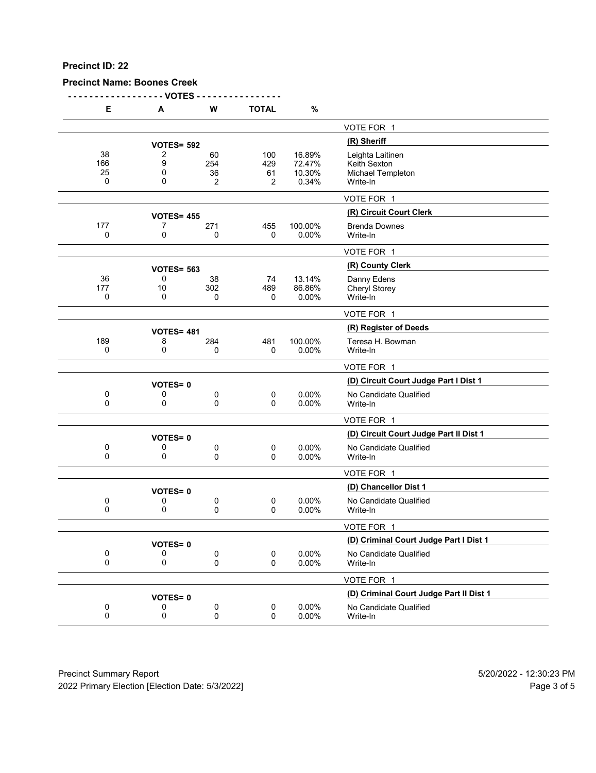**Precinct Name: Boones Creek**

**- - - - - - - - - - - - - - - - - - VOTES - - - - - - - - - - - - - - - -**

|     | Е                    | Α                 | w                    | <b>TOTAL</b>          | %                                   |                                                                   |
|-----|----------------------|-------------------|----------------------|-----------------------|-------------------------------------|-------------------------------------------------------------------|
|     |                      |                   |                      |                       |                                     | VOTE FOR 1                                                        |
|     |                      | <b>VOTES= 592</b> |                      |                       |                                     | (R) Sheriff                                                       |
|     | 38<br>166<br>25<br>0 | 2<br>9<br>0<br>0  | 60<br>254<br>36<br>2 | 100<br>429<br>61<br>2 | 16.89%<br>72.47%<br>10.30%<br>0.34% | Leighta Laitinen<br>Keith Sexton<br>Michael Templeton<br>Write-In |
|     |                      |                   |                      |                       |                                     | VOTE FOR 1                                                        |
|     |                      | <b>VOTES= 455</b> |                      |                       |                                     | (R) Circuit Court Clerk                                           |
| 177 | 0                    | 7<br>0            | 271<br>0             | 455<br>0              | 100.00%<br>0.00%                    | <b>Brenda Downes</b><br>Write-In                                  |
|     |                      |                   |                      |                       |                                     | VOTE FOR 1                                                        |
|     |                      | <b>VOTES= 563</b> |                      |                       |                                     | (R) County Clerk                                                  |
| 177 | 36<br>0              | 0<br>10<br>0      | 38<br>302<br>0       | 74<br>489<br>0        | 13.14%<br>86.86%<br>0.00%           | Danny Edens<br><b>Cheryl Storey</b><br>Write-In                   |
|     |                      |                   |                      |                       |                                     | VOTE FOR 1                                                        |
|     |                      | <b>VOTES= 481</b> |                      |                       |                                     | (R) Register of Deeds                                             |
| 189 | 0                    | 8<br>0            | 284<br>0             | 481<br>0              | 100.00%<br>0.00%                    | Teresa H. Bowman<br>Write-In                                      |
|     |                      |                   |                      |                       |                                     | VOTE FOR 1                                                        |
|     |                      | <b>VOTES=0</b>    |                      |                       |                                     | (D) Circuit Court Judge Part I Dist 1                             |
|     | 0<br>0               | 0<br>0            | 0<br>0               | 0<br>$\Omega$         | 0.00%<br>0.00%                      | No Candidate Qualified<br>Write-In                                |
|     |                      |                   |                      |                       |                                     | VOTE FOR 1                                                        |
|     |                      | <b>VOTES=0</b>    |                      |                       |                                     | (D) Circuit Court Judge Part II Dist 1                            |
|     | 0<br>0               | 0<br>0            | 0<br>0               | 0<br>0                | 0.00%<br>0.00%                      | No Candidate Qualified<br>Write-In                                |
|     |                      |                   |                      |                       |                                     | VOTE FOR 1                                                        |
|     |                      | <b>VOTES=0</b>    |                      |                       |                                     | (D) Chancellor Dist 1                                             |
|     | 0<br>0               | 0<br>0            | 0<br>0               | $\pmb{0}$<br>0        | 0.00%<br>0.00%                      | No Candidate Qualified<br>Write-In                                |
|     |                      |                   |                      |                       |                                     | VOTE FOR 1                                                        |
|     |                      | <b>VOTES=0</b>    |                      |                       |                                     | (D) Criminal Court Judge Part I Dist 1                            |
|     | 0<br>0               | 0<br>0            | 0<br>0               | 0<br>0                | 0.00%<br>0.00%                      | No Candidate Qualified<br>Write-In                                |
|     |                      |                   |                      |                       |                                     | VOTE FOR 1                                                        |
|     |                      | <b>VOTES=0</b>    |                      |                       |                                     | (D) Criminal Court Judge Part II Dist 1                           |
|     | 0<br>0               | 0<br>0            | 0<br>0               | 0<br>0                | 0.00%<br>0.00%                      | No Candidate Qualified<br>Write-In                                |
|     |                      |                   |                      |                       |                                     |                                                                   |

Precinct Summary Report 60 and 5/20/2022 - 12:30:23 PM 2022 Primary Election [Election Date: 5/3/2022] 2022 Primary Election 5 and 5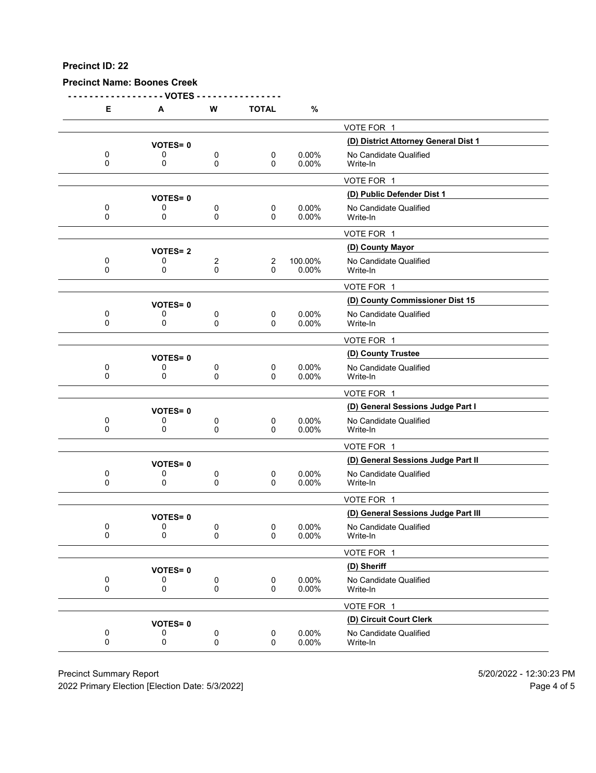**Precinct Name: Boones Creek**

**- - - - - - - - - - - - - - - - - - VOTES - - - - - - - - - - - - - - - - E A W TOTAL %** VOTE FOR 1 **(D) District Attorney General Dist 1 VOTES= <sup>0</sup>** 0 0 0 0 0 0.00% No Candidate Qualified<br>0 0 0 0 0.00% Write-In 0 0 0 0 0.00% Write-In VOTE FOR 1 **(D) Public Defender Dist 1 VOTES= <sup>0</sup>** 0 0 0 0 0 0.00% No Candidate Qualified<br>0 0 0 0 0.00% Write-In 0 0 0 0 0.00% Write-In VOTE FOR 1 **(D) County Mayor VOTES= <sup>2</sup>** 0 0 2 2 100.00% No Candidate Qualified<br>0 0 0 0 0.00% Write-In 0 0 0 0 0.00% Write-In VOTE FOR 1 **VOTES= 0**<br>0 0 0 0 0 0.00% No Candidate Qualified 0 0 0 0 0 0.00% No Candidate Qualified<br>0 0 0 0 0.00% Write-In 0 0 0 0 0.00% Write-In VOTE FOR 1 **(D) County Trustee VOTES= <sup>0</sup>** 0 0 0 0 0 0.00% No Candidate Qualified<br>0 0 0 0 0.00% Write-In 0 0 0 0 0.00% Write-In VOTE FOR 1 **(D) General Sessions Judge Part I VOTES= <sup>0</sup>** 0 0 0 0 0 0.00% No Candidate Qualified<br>0 0 0 0 0.00% Write-In 0 0 0 0 0.00% Write-In VOTE FOR 1 **(D) General Sessions Judge Part II VOTES= <sup>0</sup>** 0 0 0 0 0 0.00% No Candidate Qualified<br>0 0 0 0 0.00% Write-In 0 0 0 0 0.00% Write-In VOTE FOR 1 **VOTES= 0**<br>0 0 0 0 0 0 0.00% No Candidate Qualified<br>0 0 0 0.00% No Candidate Qualified 0 0 0 0 0 0.00% No Candidate Qualified<br>0 0 0 0 0.00% Write-In 0 0 0 0 0.00% Write-In VOTE FOR 1 **(D) Sheriff VOTES= <sup>0</sup>** 0 0 0 0 0.00% No Candidate Qualified<br>0 0 0 0 0.00% Write-In 0 0 0 0 0.00% Write-In VOTE FOR 1 **(D) Circuit Court Clerk VOTES= <sup>0</sup>** 0 0 0 0 0 0.00% No Candidate Qualified<br>0 0 0 0 0.00% Write-In 0 0 0 0 0.00% Write-In

Precinct Summary Report 5/20/2022 - 12:30:23 PM

2022 Primary Election [Election Date: 5/3/2022] Page 4 of 5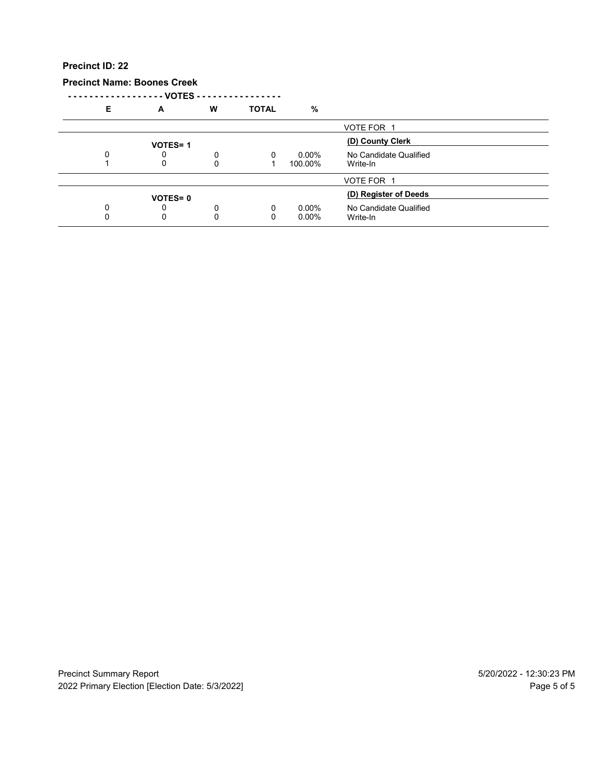#### **Precinct Name: Boones Creek**

**- - - - - - - - - - - - - - - - - - VOTES - - - - - - - - - - - - - - - -**

| Е | A              | w | <b>TOTAL</b> | %        |                        |  |
|---|----------------|---|--------------|----------|------------------------|--|
|   |                |   |              |          | VOTE FOR 1             |  |
|   | <b>VOTES=1</b> |   |              |          | (D) County Clerk       |  |
|   |                | 0 | $\Omega$     | $0.00\%$ | No Candidate Qualified |  |
|   | 0              | 0 |              | 100.00%  | Write-In               |  |
|   |                |   |              |          | VOTE FOR 1             |  |
|   | <b>VOTES=0</b> |   |              |          | (D) Register of Deeds  |  |
|   |                | 0 | $\Omega$     | $0.00\%$ | No Candidate Qualified |  |
|   | 0              | ი |              | $0.00\%$ | Write-In               |  |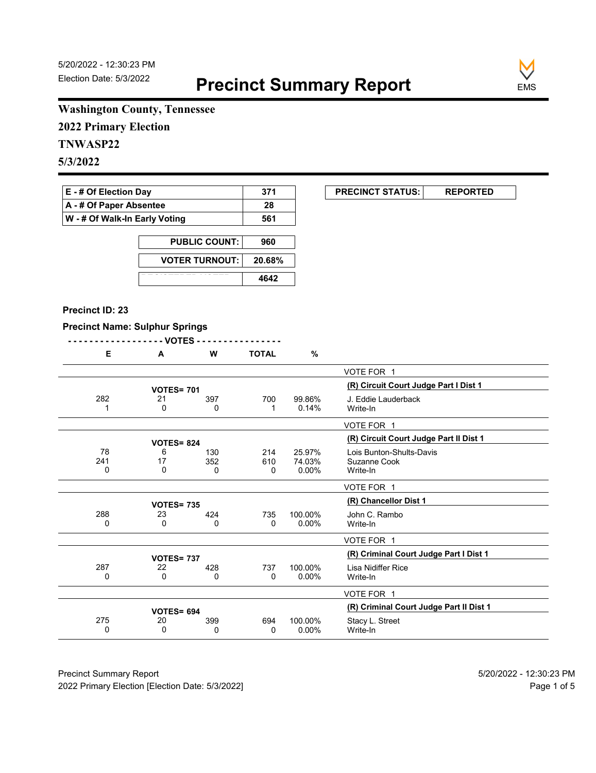**EXECUNCT STATUS:** REPORTED



## **Washington County, Tennessee**

**2022 Primary Election**

# **TNWASP22**

**5/3/2022**

| <b>E</b> - # Of Election Day       | -371 |
|------------------------------------|------|
| $\mathsf{A}$ - # Of Paper Absentee | 28   |
| W - # Of Walk-In Early Voting      | 561  |

| <b>PUBLIC COUNT:</b>  | 960    |
|-----------------------|--------|
| <b>VOTER TURNOUT:</b> | 20.68% |
|                       | 4642   |

#### **Precinct ID: 23**

 $\overline{a}$ 

#### **Precinct Name: Sulphur Springs**

|     | - - VOTES -       |     |              |          |                                         |
|-----|-------------------|-----|--------------|----------|-----------------------------------------|
| Е   | A                 | W   | <b>TOTAL</b> | %        |                                         |
|     |                   |     |              |          | VOTE FOR 1                              |
|     | <b>VOTES= 701</b> |     |              |          | (R) Circuit Court Judge Part I Dist 1   |
| 282 | 21                | 397 | 700          | 99.86%   | J. Eddie Lauderback                     |
|     | 0                 | 0   | 1            | 0.14%    | Write-In                                |
|     |                   |     |              |          | VOTE FOR 1                              |
|     | <b>VOTES= 824</b> |     |              |          | (R) Circuit Court Judge Part II Dist 1  |
| 78  | 6                 | 130 | 214          | 25.97%   | Lois Bunton-Shults-Davis                |
| 241 | 17                | 352 | 610          | 74.03%   | Suzanne Cook                            |
| 0   | 0                 | 0   | 0            | $0.00\%$ | Write-In                                |
|     |                   |     |              |          | VOTE FOR 1                              |
|     | <b>VOTES= 735</b> |     |              |          | (R) Chancellor Dist 1                   |
| 288 | 23                | 424 | 735          | 100.00%  | John C. Rambo                           |
| 0   | 0                 | 0   | 0            | $0.00\%$ | Write-In                                |
|     |                   |     |              |          | VOTE FOR 1                              |
|     | <b>VOTES= 737</b> |     |              |          | (R) Criminal Court Judge Part I Dist 1  |
| 287 | 22                | 428 | 737          | 100.00%  | Lisa Nidiffer Rice                      |
| 0   | 0                 | 0   | 0            | $0.00\%$ | Write-In                                |
|     |                   |     |              |          | VOTE FOR 1                              |
|     | VOTES= 694        |     |              |          | (R) Criminal Court Judge Part II Dist 1 |
| 275 | 20                | 399 | 694          | 100.00%  | Stacy L. Street                         |
| 0   | 0                 | 0   | 0            | 0.00%    | Write-In                                |

Precinct Summary Report 60 and 5/20/2022 - 12:30:23 PM 2022 Primary Election [Election Date: 5/3/2022] **Page 1 of 5** and 2022 Primary Election Date: 5/3/2022]

 $\overline{\phantom{0}}$ 

 $\overline{\phantom{a}}$ 

 $\overline{\phantom{0}}$ 

 $\overline{\phantom{0}}$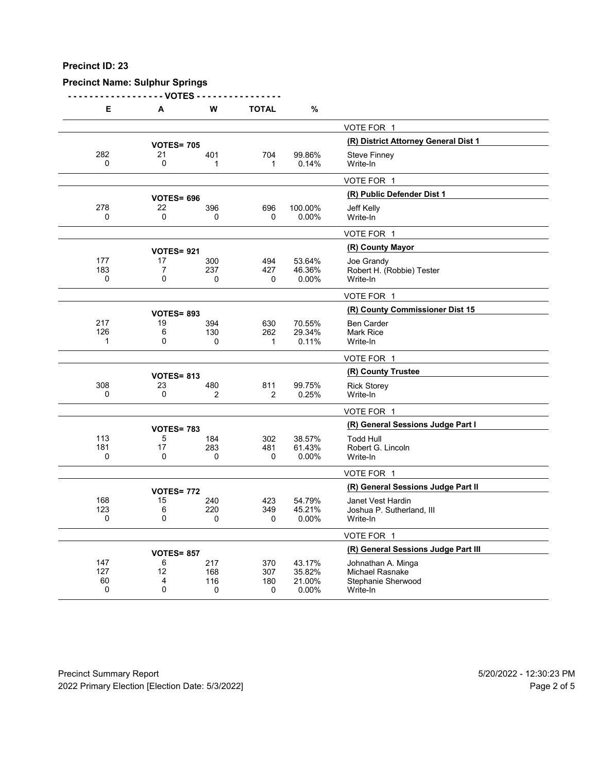## **Precinct Name: Sulphur Springs**

**- - - - - - - - - - - - - - - - - - VOTES - - - - - - - - - - - - - - - -**

| Е        | A                 | W              | <b>TOTAL</b>   | %               |                                      |
|----------|-------------------|----------------|----------------|-----------------|--------------------------------------|
|          |                   |                |                |                 | VOTE FOR 1                           |
|          | <b>VOTES= 705</b> |                |                |                 | (R) District Attorney General Dist 1 |
| 282      | 21                | 401            | 704            | 99.86%          | <b>Steve Finney</b>                  |
| 0        | 0                 | 1              | 1              | 0.14%           | Write-In                             |
|          |                   |                |                |                 | VOTE FOR 1                           |
|          | <b>VOTES= 696</b> |                |                |                 | (R) Public Defender Dist 1           |
| 278      | 22                | 396            | 696            | 100.00%         | Jeff Kelly                           |
| $\Omega$ | 0                 | $\Omega$       | $\Omega$       | 0.00%           | Write-In                             |
|          |                   |                |                |                 | VOTE FOR 1                           |
|          | <b>VOTES=921</b>  |                |                |                 | (R) County Mayor                     |
| 177      | 17                | 300            | 494            | 53.64%          | Joe Grandy                           |
| 183      | 7                 | 237            | 427            | 46.36%          | Robert H. (Robbie) Tester            |
| 0        | 0                 | 0              | 0              | 0.00%           | Write-In                             |
|          |                   |                |                |                 | VOTE FOR 1                           |
|          | <b>VOTES= 893</b> |                |                |                 | (R) County Commissioner Dist 15      |
| 217      | 19                | 394            | 630            | 70.55%          | <b>Ben Carder</b>                    |
| 126      | 6                 | 130            | 262            | 29.34%          | <b>Mark Rice</b>                     |
| 1        | $\mathbf{0}$      | 0              | 1              | 0.11%           | Write-In                             |
|          |                   |                |                |                 | VOTE FOR 1                           |
|          | <b>VOTES= 813</b> |                |                |                 | (R) County Trustee                   |
| 308      | 23                | 480            | 811            | 99.75%          | <b>Rick Storey</b>                   |
| 0        | 0                 | $\overline{2}$ | $\overline{2}$ | 0.25%           | Write-In                             |
|          |                   |                |                |                 | VOTE FOR 1                           |
|          | <b>VOTES= 783</b> |                |                |                 | (R) General Sessions Judge Part I    |
| 113      | 5                 | 184            | 302            | 38.57%          | <b>Todd Hull</b>                     |
| 181      | 17                | 283            | 481            | 61.43%          | Robert G. Lincoln                    |
| 0        | 0                 | 0              | 0              | 0.00%           | Write-In                             |
|          |                   |                |                |                 | VOTE FOR 1                           |
|          | <b>VOTES= 772</b> |                |                |                 | (R) General Sessions Judge Part II   |
| 168      | 15                | 240            | 423            | 54.79%          | Janet Vest Hardin                    |
| 123      | 6                 | 220            | 349            | 45.21%          | Joshua P. Sutherland, III            |
| 0        | 0                 | 0              | 0              | 0.00%           | Write-In                             |
|          |                   |                |                |                 | VOTE FOR 1                           |
|          | <b>VOTES= 857</b> |                |                |                 | (R) General Sessions Judge Part III  |
| 147      | 6                 | 217            | 370            | 43.17%          | Johnathan A. Minga                   |
| 127      | 12                | 168            | 307            | 35.82%          | <b>Michael Rasnake</b>               |
| 60<br>0  | 4<br>$\mathbf{0}$ | 116<br>0       | 180<br>0       | 21.00%<br>0.00% | Stephanie Sherwood<br>Write-In       |
|          |                   |                |                |                 |                                      |

Precinct Summary Report 60 and 5/20/2022 - 12:30:23 PM 2022 Primary Election [Election Date: 5/3/2022] 2022 Primary Election 10 and 5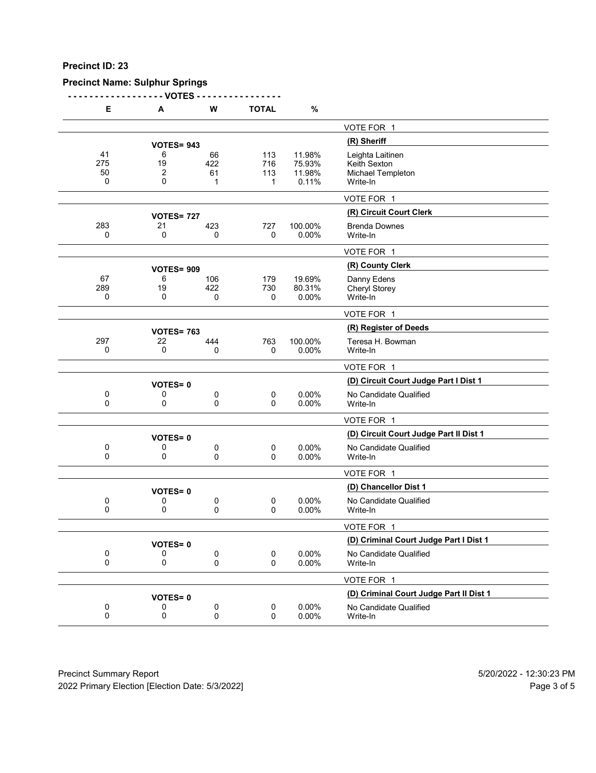## **Precinct Name: Sulphur Springs**

**- - - - - - - - - - - - - - - - - - VOTES - - - - - - - - - - - - - - - -**

| Е                    | A                              | W                    | <b>TOTAL</b>           | %                                   |                                                                   |
|----------------------|--------------------------------|----------------------|------------------------|-------------------------------------|-------------------------------------------------------------------|
|                      |                                |                      |                        |                                     | VOTE FOR 1                                                        |
|                      | <b>VOTES= 943</b>              |                      |                        |                                     | (R) Sheriff                                                       |
| 41<br>275<br>50<br>0 | 6<br>19<br>$\overline{2}$<br>0 | 66<br>422<br>61<br>1 | 113<br>716<br>113<br>1 | 11.98%<br>75.93%<br>11.98%<br>0.11% | Leighta Laitinen<br>Keith Sexton<br>Michael Templeton<br>Write-In |
|                      |                                |                      |                        |                                     | VOTE FOR 1                                                        |
|                      | <b>VOTES= 727</b>              |                      |                        |                                     | (R) Circuit Court Clerk                                           |
| 283<br>0             | 21<br>0                        | 423<br>0             | 727<br>0               | 100.00%<br>0.00%                    | <b>Brenda Downes</b><br>Write-In                                  |
|                      |                                |                      |                        |                                     | VOTE FOR 1                                                        |
|                      | <b>VOTES= 909</b>              |                      |                        |                                     | (R) County Clerk                                                  |
| 67<br>289<br>0       | 6<br>19<br>0                   | 106<br>422<br>0      | 179<br>730<br>0        | 19.69%<br>80.31%<br>0.00%           | Danny Edens<br>Cheryl Storey<br>Write-In                          |
|                      |                                |                      |                        |                                     | VOTE FOR 1                                                        |
|                      | <b>VOTES= 763</b>              |                      |                        |                                     | (R) Register of Deeds                                             |
| 297<br>0             | 22<br>0                        | 444<br>0             | 763<br>0               | 100.00%<br>0.00%                    | Teresa H. Bowman<br>Write-In                                      |
|                      |                                |                      |                        |                                     | VOTE FOR 1                                                        |
|                      | <b>VOTES=0</b>                 |                      |                        |                                     | (D) Circuit Court Judge Part I Dist 1                             |
| 0<br>$\mathbf{0}$    | 0<br>0                         | 0<br>0               | 0<br>0                 | 0.00%<br>0.00%                      | No Candidate Qualified<br>Write-In                                |
|                      |                                |                      |                        |                                     | VOTE FOR 1                                                        |
|                      | <b>VOTES=0</b>                 |                      |                        |                                     | (D) Circuit Court Judge Part II Dist 1                            |
| 0<br>0               | 0<br>0                         | 0<br>0               | 0<br>0                 | 0.00%<br>0.00%                      | No Candidate Qualified<br>Write-In                                |
|                      |                                |                      |                        |                                     | VOTE FOR 1                                                        |
|                      | <b>VOTES=0</b>                 |                      |                        |                                     | (D) Chancellor Dist 1                                             |
| 0<br>0               | 0<br>0                         | 0<br>0               | 0<br>0                 | 0.00%<br>0.00%                      | No Candidate Qualified<br>Write-In                                |
|                      |                                |                      |                        |                                     | VOTE FOR 1                                                        |
|                      | <b>VOTES=0</b>                 |                      |                        |                                     | (D) Criminal Court Judge Part I Dist 1                            |
| 0<br>0               | 0<br>0                         | 0<br>$\pmb{0}$       | 0<br>0                 | 0.00%<br>0.00%                      | No Candidate Qualified<br>Write-In                                |
|                      |                                |                      |                        |                                     | VOTE FOR 1                                                        |
|                      | <b>VOTES=0</b>                 |                      |                        |                                     | (D) Criminal Court Judge Part II Dist 1                           |
| 0<br>$\mathbf 0$     | 0<br>0                         | 0<br>$\pmb{0}$       | 0<br>0                 | 0.00%<br>0.00%                      | No Candidate Qualified<br>Write-In                                |

Precinct Summary Report 60 and 5/20/2022 - 12:30:23 PM 2022 Primary Election [Election Date: 5/3/2022] 2022 Primary Election 5 and 5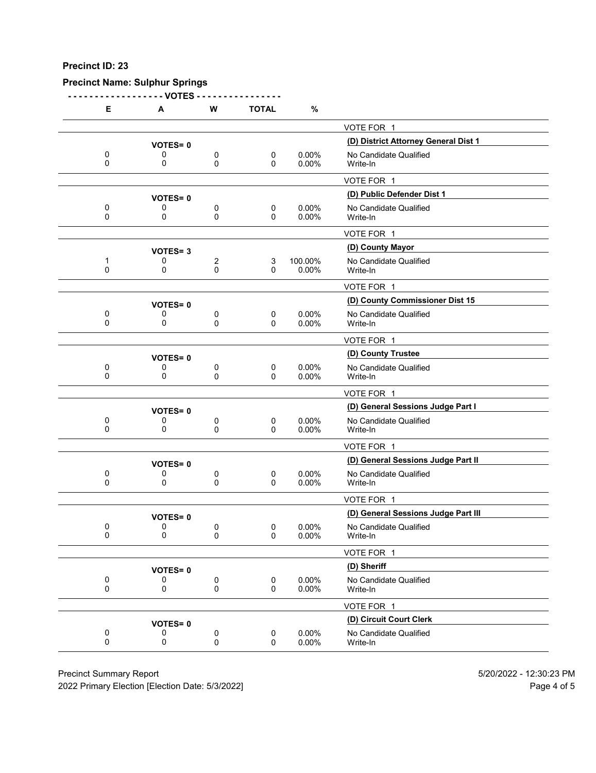## **Precinct Name: Sulphur Springs**

**- - - - - - - - - - - - - - - - - - VOTES - - - - - - - - - - - - - - - -**

| Е             | Α              | W      | <b>TOTAL</b>            | %                 |                                      |
|---------------|----------------|--------|-------------------------|-------------------|--------------------------------------|
|               |                |        |                         |                   | VOTE FOR 1                           |
|               | <b>VOTES=0</b> |        |                         |                   | (D) District Attorney General Dist 1 |
| 0             | 0              | 0      | 0                       | 0.00%             | No Candidate Qualified               |
| 0             | 0              | 0      | 0                       | 0.00%             | Write-In                             |
|               |                |        |                         |                   | VOTE FOR 1                           |
|               | <b>VOTES=0</b> |        |                         |                   | (D) Public Defender Dist 1           |
| 0<br>0        | 0<br>0         | 0<br>0 | 0<br>0                  | 0.00%<br>0.00%    | No Candidate Qualified<br>Write-In   |
|               |                |        |                         |                   | VOTE FOR 1                           |
|               | <b>VOTES=3</b> |        |                         |                   | (D) County Mayor                     |
| 1<br>0        | 0<br>0         | 2<br>0 | 3<br>0                  | 100.00%<br>0.00%  | No Candidate Qualified<br>Write-In   |
|               |                |        |                         |                   | VOTE FOR 1                           |
|               | <b>VOTES=0</b> |        |                         |                   | (D) County Commissioner Dist 15      |
| 0<br>$\Omega$ | 0<br>0         | 0<br>0 | $\mathbf 0$<br>$\Omega$ | 0.00%<br>0.00%    | No Candidate Qualified<br>Write-In   |
|               |                |        |                         |                   | VOTE FOR 1                           |
|               | <b>VOTES=0</b> |        |                         |                   | (D) County Trustee                   |
| 0             | 0              | 0      | 0                       | 0.00%             | No Candidate Qualified               |
| 0             | 0              | 0      | 0                       | 0.00%             | Write-In                             |
|               |                |        |                         |                   | VOTE FOR 1                           |
|               | <b>VOTES=0</b> |        |                         |                   | (D) General Sessions Judge Part I    |
| 0<br>$\Omega$ | 0<br>0         | 0<br>0 | 0<br>0                  | $0.00\%$<br>0.00% | No Candidate Qualified<br>Write-In   |
|               |                |        |                         |                   | VOTE FOR 1                           |
|               | <b>VOTES=0</b> |        |                         |                   | (D) General Sessions Judge Part II   |
| 0<br>$\Omega$ | 0<br>0         | 0<br>0 | 0<br>0                  | 0.00%<br>0.00%    | No Candidate Qualified<br>Write-In   |
|               |                |        |                         |                   | VOTE FOR 1                           |
|               | <b>VOTES=0</b> |        |                         |                   | (D) General Sessions Judge Part III  |
| 0             | 0              | 0      | 0                       | 0.00%             | No Candidate Qualified               |
| 0             | 0              | 0      | 0                       | 0.00%             | Write-In                             |
|               |                |        |                         |                   | VOTE FOR 1                           |
|               | <b>VOTES=0</b> |        |                         |                   | (D) Sheriff                          |
| 0<br>0        | 0<br>0         | 0<br>0 | $\mathbf 0$<br>0        | 0.00%<br>0.00%    | No Candidate Qualified<br>Write-In   |
|               |                |        |                         |                   | VOTE FOR 1                           |
|               | <b>VOTES=0</b> |        |                         |                   | (D) Circuit Court Clerk              |
| 0<br>0        | 0<br>0         | 0<br>0 | $\pmb{0}$<br>0          | 0.00%<br>0.00%    | No Candidate Qualified<br>Write-In   |
|               |                |        |                         |                   |                                      |

Precinct Summary Report 60 and 5/20/2022 - 12:30:23 PM

2022 Primary Election [Election Date: 5/3/2022] 2022 Primary Election 10 and 5